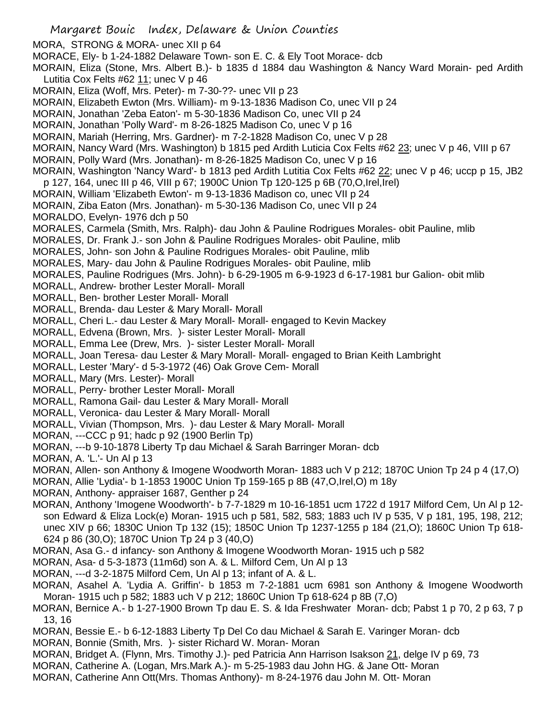Margaret Bouic Index, Delaware & Union Counties MORA, STRONG & MORA- unec XII p 64 MORACE, Ely- b 1-24-1882 Delaware Town- son E. C. & Ely Toot Morace- dcb MORAIN, Eliza (Stone, Mrs. Albert B.)- b 1835 d 1884 dau Washington & Nancy Ward Morain- ped Ardith Lutitia Cox Felts #62 11; unec V p 46 MORAIN, Eliza (Woff, Mrs. Peter)- m 7-30-??- unec VII p 23 MORAIN, Elizabeth Ewton (Mrs. William)- m 9-13-1836 Madison Co, unec VII p 24 MORAIN, Jonathan 'Zeba Eaton'- m 5-30-1836 Madison Co, unec VII p 24 MORAIN, Jonathan 'Polly Ward'- m 8-26-1825 Madison Co, unec V p 16 MORAIN, Mariah (Herring, Mrs. Gardner)- m 7-2-1828 Madison Co, unec V p 28 MORAIN, Nancy Ward (Mrs. Washington) b 1815 ped Ardith Luticia Cox Felts #62 23; unec V p 46, VIII p 67 MORAIN, Polly Ward (Mrs. Jonathan)- m 8-26-1825 Madison Co, unec V p 16 MORAIN, Washington 'Nancy Ward'- b 1813 ped Ardith Lutitia Cox Felts #62 22; unec V p 46; uccp p 15, JB2 p 127, 164, unec III p 46, VIII p 67; 1900C Union Tp 120-125 p 6B (70,O,Irel,Irel) MORAIN, William 'Elizabeth Ewton'- m 9-13-1836 Madison co, unec VII p 24 MORAIN, Ziba Eaton (Mrs. Jonathan)- m 5-30-136 Madison Co, unec VII p 24 MORALDO, Evelyn- 1976 dch p 50 MORALES, Carmela (Smith, Mrs. Ralph)- dau John & Pauline Rodrigues Morales- obit Pauline, mlib MORALES, Dr. Frank J.- son John & Pauline Rodrigues Morales- obit Pauline, mlib MORALES, John- son John & Pauline Rodrigues Morales- obit Pauline, mlib MORALES, Mary- dau John & Pauline Rodrigues Morales- obit Pauline, mlib MORALES, Pauline Rodrigues (Mrs. John)- b 6-29-1905 m 6-9-1923 d 6-17-1981 bur Galion- obit mlib MORALL, Andrew- brother Lester Morall- Morall MORALL, Ben- brother Lester Morall- Morall MORALL, Brenda- dau Lester & Mary Morall- Morall MORALL, Cheri L.- dau Lester & Mary Morall- Morall- engaged to Kevin Mackey MORALL, Edvena (Brown, Mrs. )- sister Lester Morall- Morall MORALL, Emma Lee (Drew, Mrs. )- sister Lester Morall- Morall MORALL, Joan Teresa- dau Lester & Mary Morall- Morall- engaged to Brian Keith Lambright MORALL, Lester 'Mary'- d 5-3-1972 (46) Oak Grove Cem- Morall MORALL, Mary (Mrs. Lester)- Morall MORALL, Perry- brother Lester Morall- Morall MORALL, Ramona Gail- dau Lester & Mary Morall- Morall MORALL, Veronica- dau Lester & Mary Morall- Morall MORALL, Vivian (Thompson, Mrs. )- dau Lester & Mary Morall- Morall MORAN, ---CCC p 91; hadc p 92 (1900 Berlin Tp) MORAN, ---b 9-10-1878 Liberty Tp dau Michael & Sarah Barringer Moran- dcb MORAN, A. 'L.'- Un Al p 13 MORAN, Allen- son Anthony & Imogene Woodworth Moran- 1883 uch V p 212; 1870C Union Tp 24 p 4 (17,O) MORAN, Allie 'Lydia'- b 1-1853 1900C Union Tp 159-165 p 8B (47,O,Irel,O) m 18y MORAN, Anthony- appraiser 1687, Genther p 24 MORAN, Anthony 'Imogene Woodworth'- b 7-7-1829 m 10-16-1851 ucm 1722 d 1917 Milford Cem, Un Al p 12 son Edward & Eliza Lock(e) Moran- 1915 uch p 581, 582, 583; 1883 uch IV p 535, V p 181, 195, 198, 212; unec XIV p 66; 1830C Union Tp 132 (15); 1850C Union Tp 1237-1255 p 184 (21,O); 1860C Union Tp 618- 624 p 86 (30,O); 1870C Union Tp 24 p 3 (40,O) MORAN, Asa G.- d infancy- son Anthony & Imogene Woodworth Moran- 1915 uch p 582 MORAN, Asa- d 5-3-1873 (11m6d) son A. & L. Milford Cem, Un Al p 13 MORAN, ---d 3-2-1875 Milford Cem, Un Al p 13; infant of A. & L. MORAN, Asahel A. 'Lydia A. Griffin'- b 1853 m 7-2-1881 ucm 6981 son Anthony & Imogene Woodworth Moran- 1915 uch p 582; 1883 uch V p 212; 1860C Union Tp 618-624 p 8B (7,O)

MORAN, Bernice A.- b 1-27-1900 Brown Tp dau E. S. & Ida Freshwater Moran- dcb; Pabst 1 p 70, 2 p 63, 7 p 13, 16

MORAN, Bessie E.- b 6-12-1883 Liberty Tp Del Co dau Michael & Sarah E. Varinger Moran- dcb

MORAN, Bonnie (Smith, Mrs. )- sister Richard W. Moran- Moran

MORAN, Bridget A. (Flynn, Mrs. Timothy J.)- ped Patricia Ann Harrison Isakson 21, delge IV p 69, 73

- MORAN, Catherine A. (Logan, Mrs.Mark A.)- m 5-25-1983 dau John HG. & Jane Ott- Moran
- MORAN, Catherine Ann Ott(Mrs. Thomas Anthony)- m 8-24-1976 dau John M. Ott- Moran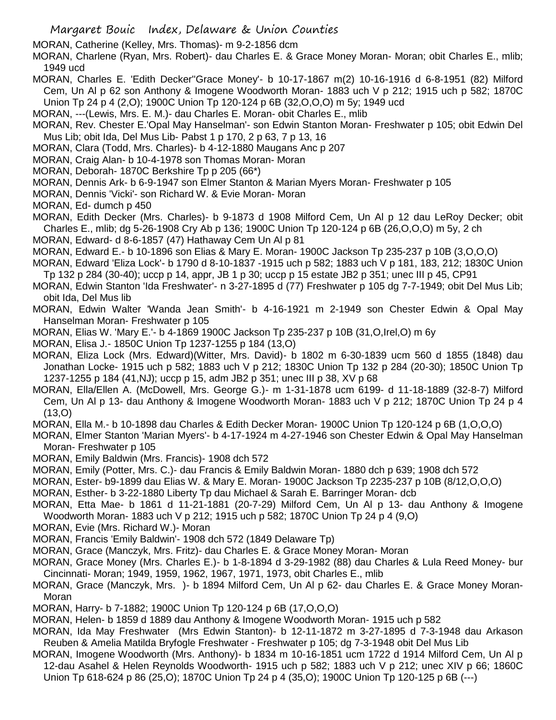MORAN, Catherine (Kelley, Mrs. Thomas)- m 9-2-1856 dcm

MORAN, Charlene (Ryan, Mrs. Robert)- dau Charles E. & Grace Money Moran- Moran; obit Charles E., mlib; 1949 ucd

MORAN, Charles E. 'Edith Decker''Grace Money'- b 10-17-1867 m(2) 10-16-1916 d 6-8-1951 (82) Milford Cem, Un Al p 62 son Anthony & Imogene Woodworth Moran- 1883 uch V p 212; 1915 uch p 582; 1870C Union Tp 24 p 4 (2,O); 1900C Union Tp 120-124 p 6B (32,O,O,O) m 5y; 1949 ucd

MORAN, ---(Lewis, Mrs. E. M.)- dau Charles E. Moran- obit Charles E., mlib

MORAN, Rev. Chester E.'Opal May Hanselman'- son Edwin Stanton Moran- Freshwater p 105; obit Edwin Del Mus Lib; obit Ida, Del Mus Lib- Pabst 1 p 170, 2 p 63, 7 p 13, 16

- MORAN, Clara (Todd, Mrs. Charles)- b 4-12-1880 Maugans Anc p 207
- MORAN, Craig Alan- b 10-4-1978 son Thomas Moran- Moran
- MORAN, Deborah- 1870C Berkshire Tp p 205 (66\*)
- MORAN, Dennis Ark- b 6-9-1947 son Elmer Stanton & Marian Myers Moran- Freshwater p 105
- MORAN, Dennis 'Vicki'- son Richard W. & Evie Moran- Moran
- MORAN, Ed- dumch p 450

MORAN, Edith Decker (Mrs. Charles)- b 9-1873 d 1908 Milford Cem, Un Al p 12 dau LeRoy Decker; obit Charles E., mlib; dg 5-26-1908 Cry Ab p 136; 1900C Union Tp 120-124 p 6B (26,O,O,O) m 5y, 2 ch

- MORAN, Edward- d 8-6-1857 (47) Hathaway Cem Un Al p 81
- MORAN, Edward E.- b 10-1896 son Elias & Mary E. Moran- 1900C Jackson Tp 235-237 p 10B (3,O,O,O)
- MORAN, Edward 'Eliza Lock'- b 1790 d 8-10-1837 -1915 uch p 582; 1883 uch V p 181, 183, 212; 1830C Union Tp 132 p 284 (30-40); uccp p 14, appr, JB 1 p 30; uccp p 15 estate JB2 p 351; unec III p 45, CP91

MORAN, Edwin Stanton 'Ida Freshwater'- n 3-27-1895 d (77) Freshwater p 105 dg 7-7-1949; obit Del Mus Lib; obit Ida, Del Mus lib

MORAN, Edwin Walter 'Wanda Jean Smith'- b 4-16-1921 m 2-1949 son Chester Edwin & Opal May Hanselman Moran- Freshwater p 105

- MORAN, Elias W. 'Mary E.'- b 4-1869 1900C Jackson Tp 235-237 p 10B (31,O,Irel,O) m 6y
- MORAN, Elisa J.- 1850C Union Tp 1237-1255 p 184 (13,O)

MORAN, Eliza Lock (Mrs. Edward)(Witter, Mrs. David)- b 1802 m 6-30-1839 ucm 560 d 1855 (1848) dau Jonathan Locke- 1915 uch p 582; 1883 uch V p 212; 1830C Union Tp 132 p 284 (20-30); 1850C Union Tp 1237-1255 p 184 (41,NJ); uccp p 15, adm JB2 p 351; unec III p 38, XV p 68

MORAN, Ella/Ellen A. (McDowell, Mrs. George G.)- m 1-31-1878 ucm 6199- d 11-18-1889 (32-8-7) Milford Cem, Un Al p 13- dau Anthony & Imogene Woodworth Moran- 1883 uch V p 212; 1870C Union Tp 24 p 4 (13,O)

MORAN, Ella M.- b 10-1898 dau Charles & Edith Decker Moran- 1900C Union Tp 120-124 p 6B (1,O,O,O)

MORAN, Elmer Stanton 'Marian Myers'- b 4-17-1924 m 4-27-1946 son Chester Edwin & Opal May Hanselman Moran- Freshwater p 105

- MORAN, Emily Baldwin (Mrs. Francis)- 1908 dch 572
- MORAN, Emily (Potter, Mrs. C.)- dau Francis & Emily Baldwin Moran- 1880 dch p 639; 1908 dch 572
- MORAN, Ester- b9-1899 dau Elias W. & Mary E. Moran- 1900C Jackson Tp 2235-237 p 10B (8/12,O,O,O)
- MORAN, Esther- b 3-22-1880 Liberty Tp dau Michael & Sarah E. Barringer Moran- dcb

MORAN, Etta Mae- b 1861 d 11-21-1881 (20-7-29) Milford Cem, Un Al p 13- dau Anthony & Imogene Woodworth Moran- 1883 uch V p 212; 1915 uch p 582; 1870C Union Tp 24 p 4 (9,O)

- MORAN, Evie (Mrs. Richard W.)- Moran
- MORAN, Francis 'Emily Baldwin'- 1908 dch 572 (1849 Delaware Tp)
- MORAN, Grace (Manczyk, Mrs. Fritz)- dau Charles E. & Grace Money Moran- Moran

MORAN, Grace Money (Mrs. Charles E.)- b 1-8-1894 d 3-29-1982 (88) dau Charles & Lula Reed Money- bur Cincinnati- Moran; 1949, 1959, 1962, 1967, 1971, 1973, obit Charles E., mlib

- MORAN, Grace (Manczyk, Mrs. )- b 1894 Milford Cem, Un Al p 62- dau Charles E. & Grace Money Moran-Moran
- MORAN, Harry- b 7-1882; 1900C Union Tp 120-124 p 6B (17,O,O,O)
- MORAN, Helen- b 1859 d 1889 dau Anthony & Imogene Woodworth Moran- 1915 uch p 582
- MORAN, Ida May Freshwater (Mrs Edwin Stanton)- b 12-11-1872 m 3-27-1895 d 7-3-1948 dau Arkason Reuben & Amelia Matilda Bryfogle Freshwater - Freshwater p 105; dg 7-3-1948 obit Del Mus Lib
- MORAN, Imogene Woodworth (Mrs. Anthony)- b 1834 m 10-16-1851 ucm 1722 d 1914 Milford Cem, Un Al p 12-dau Asahel & Helen Reynolds Woodworth- 1915 uch p 582; 1883 uch V p 212; unec XIV p 66; 1860C Union Tp 618-624 p 86 (25,O); 1870C Union Tp 24 p 4 (35,O); 1900C Union Tp 120-125 p 6B (---)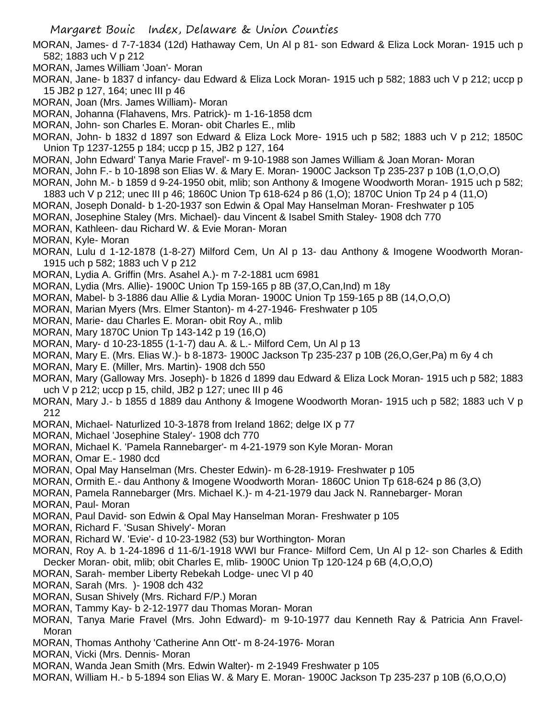- MORAN, James- d 7-7-1834 (12d) Hathaway Cem, Un Al p 81- son Edward & Eliza Lock Moran- 1915 uch p 582; 1883 uch V p 212
- MORAN, James William 'Joan'- Moran
- MORAN, Jane- b 1837 d infancy- dau Edward & Eliza Lock Moran- 1915 uch p 582; 1883 uch V p 212; uccp p 15 JB2 p 127, 164; unec III p 46
- MORAN, Joan (Mrs. James William)- Moran
- MORAN, Johanna (Flahavens, Mrs. Patrick)- m 1-16-1858 dcm
- MORAN, John- son Charles E. Moran- obit Charles E., mlib
- MORAN, John- b 1832 d 1897 son Edward & Eliza Lock More- 1915 uch p 582; 1883 uch V p 212; 1850C Union Tp 1237-1255 p 184; uccp p 15, JB2 p 127, 164
- MORAN, John Edward' Tanya Marie Fravel'- m 9-10-1988 son James William & Joan Moran- Moran
- MORAN, John F.- b 10-1898 son Elias W. & Mary E. Moran- 1900C Jackson Tp 235-237 p 10B (1,O,O,O)
- MORAN, John M.- b 1859 d 9-24-1950 obit, mlib; son Anthony & Imogene Woodworth Moran- 1915 uch p 582;
- 1883 uch V p 212; unec III p 46; 1860C Union Tp 618-624 p 86 (1,O); 1870C Union Tp 24 p 4 (11,O)
- MORAN, Joseph Donald- b 1-20-1937 son Edwin & Opal May Hanselman Moran- Freshwater p 105
- MORAN, Josephine Staley (Mrs. Michael)- dau Vincent & Isabel Smith Staley- 1908 dch 770
- MORAN, Kathleen- dau Richard W. & Evie Moran- Moran
- MORAN, Kyle- Moran
- MORAN, Lulu d 1-12-1878 (1-8-27) Milford Cem, Un Al p 13- dau Anthony & Imogene Woodworth Moran-1915 uch p 582; 1883 uch V p 212
- MORAN, Lydia A. Griffin (Mrs. Asahel A.)- m 7-2-1881 ucm 6981
- MORAN, Lydia (Mrs. Allie)- 1900C Union Tp 159-165 p 8B (37,O,Can,Ind) m 18y
- MORAN, Mabel- b 3-1886 dau Allie & Lydia Moran- 1900C Union Tp 159-165 p 8B (14,O,O,O)
- MORAN, Marian Myers (Mrs. Elmer Stanton)- m 4-27-1946- Freshwater p 105
- MORAN, Marie- dau Charles E. Moran- obit Roy A., mlib
- MORAN, Mary 1870C Union Tp 143-142 p 19 (16,O)
- MORAN, Mary- d 10-23-1855 (1-1-7) dau A. & L.- Milford Cem, Un Al p 13
- MORAN, Mary E. (Mrs. Elias W.)- b 8-1873- 1900C Jackson Tp 235-237 p 10B (26,O,Ger,Pa) m 6y 4 ch
- MORAN, Mary E. (Miller, Mrs. Martin)- 1908 dch 550
- MORAN, Mary (Galloway Mrs. Joseph)- b 1826 d 1899 dau Edward & Eliza Lock Moran- 1915 uch p 582; 1883 uch V p 212; uccp p 15, child, JB2 p 127; unec III p 46
- MORAN, Mary J.- b 1855 d 1889 dau Anthony & Imogene Woodworth Moran- 1915 uch p 582; 1883 uch V p 212
- MORAN, Michael- Naturlized 10-3-1878 from Ireland 1862; delge IX p 77
- MORAN, Michael 'Josephine Staley'- 1908 dch 770
- MORAN, Michael K. 'Pamela Rannebarger'- m 4-21-1979 son Kyle Moran- Moran
- MORAN, Omar E.- 1980 dcd
- MORAN, Opal May Hanselman (Mrs. Chester Edwin)- m 6-28-1919- Freshwater p 105
- MORAN, Ormith E.- dau Anthony & Imogene Woodworth Moran- 1860C Union Tp 618-624 p 86 (3,O)
- MORAN, Pamela Rannebarger (Mrs. Michael K.)- m 4-21-1979 dau Jack N. Rannebarger- Moran MORAN, Paul- Moran
- MORAN, Paul David- son Edwin & Opal May Hanselman Moran- Freshwater p 105
- MORAN, Richard F. 'Susan Shively'- Moran
- MORAN, Richard W. 'Evie'- d 10-23-1982 (53) bur Worthington- Moran
- MORAN, Roy A. b 1-24-1896 d 11-6/1-1918 WWI bur France- Milford Cem, Un Al p 12- son Charles & Edith Decker Moran- obit, mlib; obit Charles E, mlib- 1900C Union Tp 120-124 p 6B (4,O,O,O)
- MORAN, Sarah- member Liberty Rebekah Lodge- unec VI p 40
- MORAN, Sarah (Mrs. )- 1908 dch 432
- MORAN, Susan Shively (Mrs. Richard F/P.) Moran
- MORAN, Tammy Kay- b 2-12-1977 dau Thomas Moran- Moran
- MORAN, Tanya Marie Fravel (Mrs. John Edward)- m 9-10-1977 dau Kenneth Ray & Patricia Ann Fravel-Moran
- MORAN, Thomas Anthohy 'Catherine Ann Ott'- m 8-24-1976- Moran
- MORAN, Vicki (Mrs. Dennis- Moran
- MORAN, Wanda Jean Smith (Mrs. Edwin Walter)- m 2-1949 Freshwater p 105
- MORAN, William H.- b 5-1894 son Elias W. & Mary E. Moran- 1900C Jackson Tp 235-237 p 10B (6,O,O,O)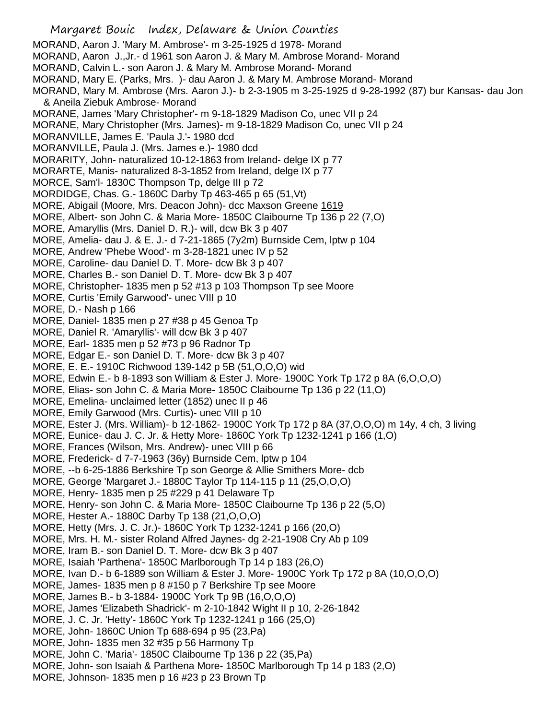Margaret Bouic Index, Delaware & Union Counties MORAND, Aaron J. 'Mary M. Ambrose'- m 3-25-1925 d 1978- Morand MORAND, Aaron J.,Jr.- d 1961 son Aaron J. & Mary M. Ambrose Morand- Morand MORAND, Calvin L.- son Aaron J. & Mary M. Ambrose Morand- Morand MORAND, Mary E. (Parks, Mrs. )- dau Aaron J. & Mary M. Ambrose Morand- Morand MORAND, Mary M. Ambrose (Mrs. Aaron J.)- b 2-3-1905 m 3-25-1925 d 9-28-1992 (87) bur Kansas- dau Jon & Aneila Ziebuk Ambrose- Morand MORANE, James 'Mary Christopher'- m 9-18-1829 Madison Co, unec VII p 24 MORANE, Mary Christopher (Mrs. James)- m 9-18-1829 Madison Co, unec VII p 24 MORANVILLE, James E. 'Paula J.'- 1980 dcd MORANVILLE, Paula J. (Mrs. James e.)- 1980 dcd MORARITY, John- naturalized 10-12-1863 from Ireland- delge IX p 77 MORARTE, Manis- naturalized 8-3-1852 from Ireland, delge IX p 77 MORCE, Sam'l- 1830C Thompson Tp, delge III p 72 MORDIDGE, Chas. G.- 1860C Darby Tp 463-465 p 65 (51,Vt) MORE, Abigail (Moore, Mrs. Deacon John)- dcc Maxson Greene 1619 MORE, Albert- son John C. & Maria More- 1850C Claibourne Tp 136 p 22 (7,O) MORE, Amaryllis (Mrs. Daniel D. R.)- will, dcw Bk 3 p 407 MORE, Amelia- dau J. & E. J.- d 7-21-1865 (7y2m) Burnside Cem, lptw p 104 MORE, Andrew 'Phebe Wood'- m 3-28-1821 unec IV p 52 MORE, Caroline- dau Daniel D. T. More- dcw Bk 3 p 407 MORE, Charles B.- son Daniel D. T. More- dcw Bk 3 p 407 MORE, Christopher- 1835 men p 52 #13 p 103 Thompson Tp see Moore MORE, Curtis 'Emily Garwood'- unec VIII p 10 MORE, D.- Nash p 166 MORE, Daniel- 1835 men p 27 #38 p 45 Genoa Tp MORE, Daniel R. 'Amaryllis'- will dcw Bk 3 p 407 MORE, Earl- 1835 men p 52 #73 p 96 Radnor Tp MORE, Edgar E.- son Daniel D. T. More- dcw Bk 3 p 407 MORE, E. E.- 1910C Richwood 139-142 p 5B (51,O,O,O) wid MORE, Edwin E.- b 8-1893 son William & Ester J. More- 1900C York Tp 172 p 8A (6,O,O,O) MORE, Elias- son John C. & Maria More- 1850C Claibourne Tp 136 p 22 (11,O) MORE, Emelina- unclaimed letter (1852) unec II p 46 MORE, Emily Garwood (Mrs. Curtis)- unec VIII p 10 MORE, Ester J. (Mrs. William)- b 12-1862- 1900C York Tp 172 p 8A (37,O,O,O) m 14y, 4 ch, 3 living MORE, Eunice- dau J. C. Jr. & Hetty More- 1860C York Tp 1232-1241 p 166 (1,O) MORE, Frances (Wilson, Mrs. Andrew)- unec VIII p 66 MORE, Frederick- d 7-7-1963 (36y) Burnside Cem, lptw p 104 MORE, --b 6-25-1886 Berkshire Tp son George & Allie Smithers More- dcb MORE, George 'Margaret J.- 1880C Taylor Tp 114-115 p 11 (25,O,O,O) MORE, Henry- 1835 men p 25 #229 p 41 Delaware Tp MORE, Henry- son John C. & Maria More- 1850C Claibourne Tp 136 p 22 (5,O) MORE, Hester A.- 1880C Darby Tp 138 (21,O,O,O) MORE, Hetty (Mrs. J. C. Jr.)- 1860C York Tp 1232-1241 p 166 (20,O) MORE, Mrs. H. M.- sister Roland Alfred Jaynes- dg 2-21-1908 Cry Ab p 109 MORE, Iram B.- son Daniel D. T. More- dcw Bk 3 p 407 MORE, Isaiah 'Parthena'- 1850C Marlborough Tp 14 p 183 (26,O) MORE, Ivan D.- b 6-1889 son William & Ester J. More- 1900C York Tp 172 p 8A (10,O,O,O) MORE, James- 1835 men p 8 #150 p 7 Berkshire Tp see Moore MORE, James B.- b 3-1884- 1900C York Tp 9B (16,O,O,O) MORE, James 'Elizabeth Shadrick'- m 2-10-1842 Wight II p 10, 2-26-1842 MORE, J. C. Jr. 'Hetty'- 1860C York Tp 1232-1241 p 166 (25,O) MORE, John- 1860C Union Tp 688-694 p 95 (23,Pa) MORE, John- 1835 men 32 #35 p 56 Harmony Tp MORE, John C. 'Maria'- 1850C Claibourne Tp 136 p 22 (35,Pa) MORE, John- son Isaiah & Parthena More- 1850C Marlborough Tp 14 p 183 (2,O) MORE, Johnson- 1835 men p 16 #23 p 23 Brown Tp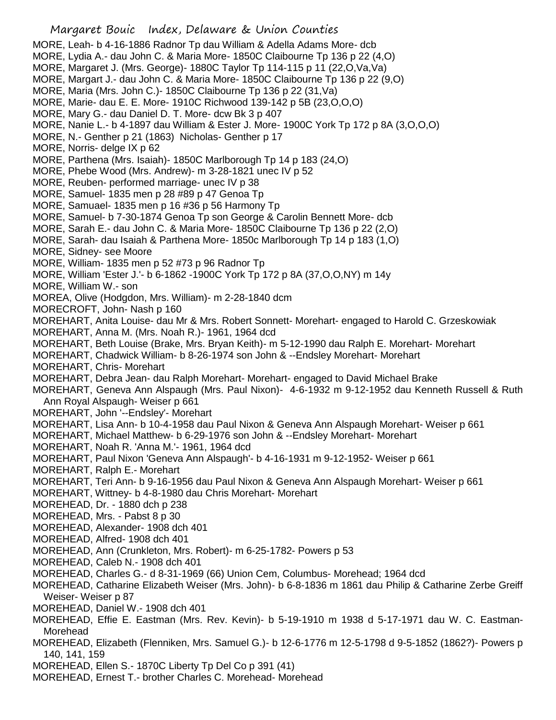- Margaret Bouic Index, Delaware & Union Counties MORE, Leah- b 4-16-1886 Radnor Tp dau William & Adella Adams More- dcb MORE, Lydia A.- dau John C. & Maria More- 1850C Claibourne Tp 136 p 22 (4,O) MORE, Margaret J. (Mrs. George)- 1880C Taylor Tp 114-115 p 11 (22,O,Va,Va) MORE, Margart J.- dau John C. & Maria More- 1850C Claibourne Tp 136 p 22 (9,O) MORE, Maria (Mrs. John C.)- 1850C Claibourne Tp 136 p 22 (31,Va) MORE, Marie- dau E. E. More- 1910C Richwood 139-142 p 5B (23,O,O,O) MORE, Mary G.- dau Daniel D. T. More- dcw Bk 3 p 407 MORE, Nanie L.- b 4-1897 dau William & Ester J. More- 1900C York Tp 172 p 8A (3,O,O,O) MORE, N.- Genther p 21 (1863) Nicholas- Genther p 17 MORE, Norris- delge IX p 62 MORE, Parthena (Mrs. Isaiah)- 1850C Marlborough Tp 14 p 183 (24,O) MORE, Phebe Wood (Mrs. Andrew)- m 3-28-1821 unec IV p 52 MORE, Reuben- performed marriage- unec IV p 38 MORE, Samuel- 1835 men p 28 #89 p 47 Genoa Tp MORE, Samuael- 1835 men p 16 #36 p 56 Harmony Tp MORE, Samuel- b 7-30-1874 Genoa Tp son George & Carolin Bennett More- dcb MORE, Sarah E.- dau John C. & Maria More- 1850C Claibourne Tp 136 p 22 (2,O) MORE, Sarah- dau Isaiah & Parthena More- 1850c Marlborough Tp 14 p 183 (1,O) MORE, Sidney- see Moore MORE, William- 1835 men p 52 #73 p 96 Radnor Tp MORE, William 'Ester J.'- b 6-1862 -1900C York Tp 172 p 8A (37,O,O,NY) m 14y MORE, William W.- son MOREA, Olive (Hodgdon, Mrs. William)- m 2-28-1840 dcm MORECROFT, John- Nash p 160 MOREHART, Anita Louise- dau Mr & Mrs. Robert Sonnett- Morehart- engaged to Harold C. Grzeskowiak MOREHART, Anna M. (Mrs. Noah R.)- 1961, 1964 dcd MOREHART, Beth Louise (Brake, Mrs. Bryan Keith)- m 5-12-1990 dau Ralph E. Morehart- Morehart MOREHART, Chadwick William- b 8-26-1974 son John & --Endsley Morehart- Morehart MOREHART, Chris- Morehart MOREHART, Debra Jean- dau Ralph Morehart- Morehart- engaged to David Michael Brake MOREHART, Geneva Ann Alspaugh (Mrs. Paul Nixon)- 4-6-1932 m 9-12-1952 dau Kenneth Russell & Ruth Ann Royal Alspaugh- Weiser p 661 MOREHART, John '--Endsley'- Morehart MOREHART, Lisa Ann- b 10-4-1958 dau Paul Nixon & Geneva Ann Alspaugh Morehart- Weiser p 661 MOREHART, Michael Matthew- b 6-29-1976 son John & --Endsley Morehart- Morehart MOREHART, Noah R. 'Anna M.'- 1961, 1964 dcd MOREHART, Paul Nixon 'Geneva Ann Alspaugh'- b 4-16-1931 m 9-12-1952- Weiser p 661 MOREHART, Ralph E.- Morehart MOREHART, Teri Ann- b 9-16-1956 dau Paul Nixon & Geneva Ann Alspaugh Morehart- Weiser p 661 MOREHART, Wittney- b 4-8-1980 dau Chris Morehart- Morehart MOREHEAD, Dr. - 1880 dch p 238 MOREHEAD, Mrs. - Pabst 8 p 30 MOREHEAD, Alexander- 1908 dch 401 MOREHEAD, Alfred- 1908 dch 401 MOREHEAD, Ann (Crunkleton, Mrs. Robert)- m 6-25-1782- Powers p 53 MOREHEAD, Caleb N.- 1908 dch 401 MOREHEAD, Charles G.- d 8-31-1969 (66) Union Cem, Columbus- Morehead; 1964 dcd MOREHEAD, Catharine Elizabeth Weiser (Mrs. John)- b 6-8-1836 m 1861 dau Philip & Catharine Zerbe Greiff Weiser- Weiser p 87 MOREHEAD, Daniel W.- 1908 dch 401 MOREHEAD, Effie E. Eastman (Mrs. Rev. Kevin)- b 5-19-1910 m 1938 d 5-17-1971 dau W. C. Eastman-Morehead MOREHEAD, Elizabeth (Flenniken, Mrs. Samuel G.)- b 12-6-1776 m 12-5-1798 d 9-5-1852 (1862?)- Powers p 140, 141, 159 MOREHEAD, Ellen S.- 1870C Liberty Tp Del Co p 391 (41)
- MOREHEAD, Ernest T.- brother Charles C. Morehead- Morehead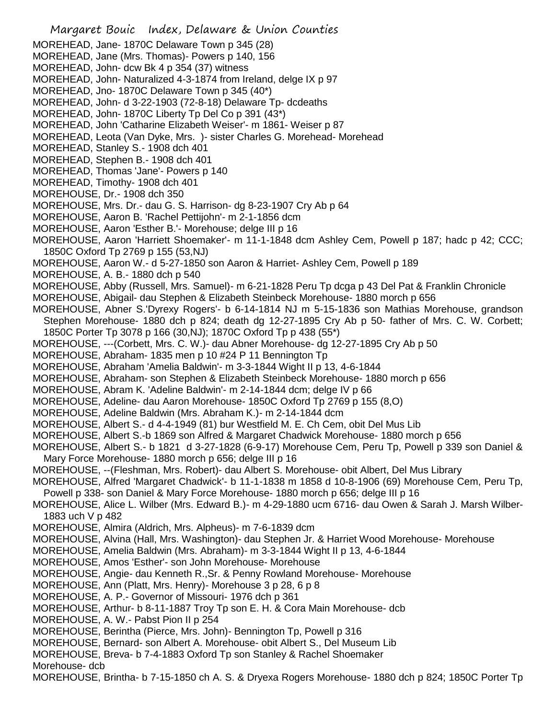Margaret Bouic Index, Delaware & Union Counties MOREHEAD, Jane- 1870C Delaware Town p 345 (28) MOREHEAD, Jane (Mrs. Thomas)- Powers p 140, 156 MOREHEAD, John- dcw Bk 4 p 354 (37) witness MOREHEAD, John- Naturalized 4-3-1874 from Ireland, delge IX p 97 MOREHEAD, Jno- 1870C Delaware Town p 345 (40\*) MOREHEAD, John- d 3-22-1903 (72-8-18) Delaware Tp- dcdeaths MOREHEAD, John- 1870C Liberty Tp Del Co p 391 (43\*) MOREHEAD, John 'Catharine Elizabeth Weiser'- m 1861- Weiser p 87 MOREHEAD, Leota (Van Dyke, Mrs. )- sister Charles G. Morehead- Morehead MOREHEAD, Stanley S.- 1908 dch 401 MOREHEAD, Stephen B.- 1908 dch 401 MOREHEAD, Thomas 'Jane'- Powers p 140 MOREHEAD, Timothy- 1908 dch 401 MOREHOUSE, Dr.- 1908 dch 350 MOREHOUSE, Mrs. Dr.- dau G. S. Harrison- dg 8-23-1907 Cry Ab p 64 MOREHOUSE, Aaron B. 'Rachel Pettijohn'- m 2-1-1856 dcm MOREHOUSE, Aaron 'Esther B.'- Morehouse; delge III p 16 MOREHOUSE, Aaron 'Harriett Shoemaker'- m 11-1-1848 dcm Ashley Cem, Powell p 187; hadc p 42; CCC; 1850C Oxford Tp 2769 p 155 (53,NJ) MOREHOUSE, Aaron W.- d 5-27-1850 son Aaron & Harriet- Ashley Cem, Powell p 189 MOREHOUSE, A. B.- 1880 dch p 540 MOREHOUSE, Abby (Russell, Mrs. Samuel)- m 6-21-1828 Peru Tp dcga p 43 Del Pat & Franklin Chronicle MOREHOUSE, Abigail- dau Stephen & Elizabeth Steinbeck Morehouse- 1880 morch p 656 MOREHOUSE, Abner S.'Dyrexy Rogers'- b 6-14-1814 NJ m 5-15-1836 son Mathias Morehouse, grandson Stephen Morehouse- 1880 dch p 824; death dg 12-27-1895 Cry Ab p 50- father of Mrs. C. W. Corbett; 1850C Porter Tp 3078 p 166 (30,NJ); 1870C Oxford Tp p 438 (55\*) MOREHOUSE, ---(Corbett, Mrs. C. W.)- dau Abner Morehouse- dg 12-27-1895 Cry Ab p 50 MOREHOUSE, Abraham- 1835 men p 10 #24 P 11 Bennington Tp MOREHOUSE, Abraham 'Amelia Baldwin'- m 3-3-1844 Wight II p 13, 4-6-1844 MOREHOUSE, Abraham- son Stephen & Elizabeth Steinbeck Morehouse- 1880 morch p 656 MOREHOUSE, Abram K. 'Adeline Baldwin'- m 2-14-1844 dcm; delge IV p 66 MOREHOUSE, Adeline- dau Aaron Morehouse- 1850C Oxford Tp 2769 p 155 (8,O) MOREHOUSE, Adeline Baldwin (Mrs. Abraham K.)- m 2-14-1844 dcm MOREHOUSE, Albert S.- d 4-4-1949 (81) bur Westfield M. E. Ch Cem, obit Del Mus Lib MOREHOUSE, Albert S.-b 1869 son Alfred & Margaret Chadwick Morehouse- 1880 morch p 656 MOREHOUSE, Albert S.- b 1821 d 3-27-1828 (6-9-17) Morehouse Cem, Peru Tp, Powell p 339 son Daniel & Mary Force Morehouse- 1880 morch p 656; delge III p 16 MOREHOUSE, --(Fleshman, Mrs. Robert)- dau Albert S. Morehouse- obit Albert, Del Mus Library MOREHOUSE, Alfred 'Margaret Chadwick'- b 11-1-1838 m 1858 d 10-8-1906 (69) Morehouse Cem, Peru Tp, Powell p 338- son Daniel & Mary Force Morehouse- 1880 morch p 656; delge III p 16 MOREHOUSE, Alice L. Wilber (Mrs. Edward B.)- m 4-29-1880 ucm 6716- dau Owen & Sarah J. Marsh Wilber-1883 uch V p 482 MOREHOUSE, Almira (Aldrich, Mrs. Alpheus)- m 7-6-1839 dcm MOREHOUSE, Alvina (Hall, Mrs. Washington)- dau Stephen Jr. & Harriet Wood Morehouse- Morehouse MOREHOUSE, Amelia Baldwin (Mrs. Abraham)- m 3-3-1844 Wight II p 13, 4-6-1844 MOREHOUSE, Amos 'Esther'- son John Morehouse- Morehouse MOREHOUSE, Angie- dau Kenneth R.,Sr. & Penny Rowland Morehouse- Morehouse MOREHOUSE, Ann (Platt, Mrs. Henry)- Morehouse 3 p 28, 6 p 8 MOREHOUSE, A. P.- Governor of Missouri- 1976 dch p 361 MOREHOUSE, Arthur- b 8-11-1887 Troy Tp son E. H. & Cora Main Morehouse- dcb MOREHOUSE, A. W.- Pabst Pion II p 254 MOREHOUSE, Berintha (Pierce, Mrs. John)- Bennington Tp, Powell p 316 MOREHOUSE, Bernard- son Albert A. Morehouse- obit Albert S., Del Museum Lib MOREHOUSE, Breva- b 7-4-1883 Oxford Tp son Stanley & Rachel Shoemaker Morehouse- dcb MOREHOUSE, Brintha- b 7-15-1850 ch A. S. & Dryexa Rogers Morehouse- 1880 dch p 824; 1850C Porter Tp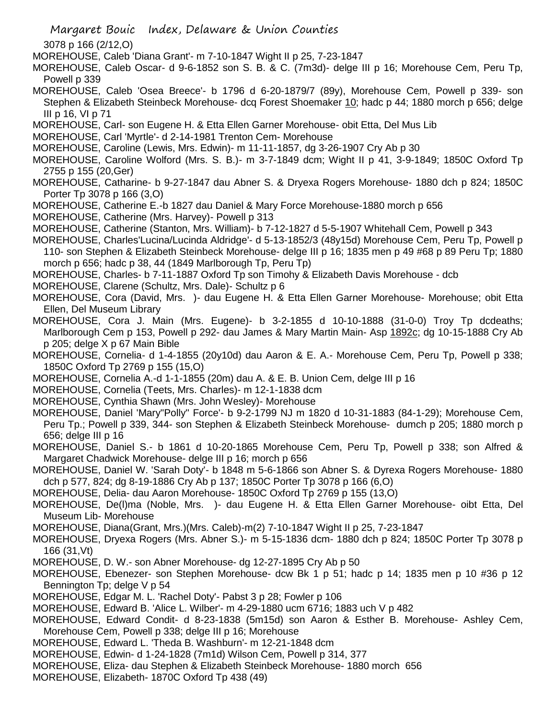Margaret Bouic Index, Delaware & Union Counties

3078 p 166 (2/12,O)

MOREHOUSE, Caleb 'Diana Grant'- m 7-10-1847 Wight II p 25, 7-23-1847

MOREHOUSE, Caleb Oscar- d 9-6-1852 son S. B. & C. (7m3d)- delge III p 16; Morehouse Cem, Peru Tp, Powell p 339

MOREHOUSE, Caleb 'Osea Breece'- b 1796 d 6-20-1879/7 (89y), Morehouse Cem, Powell p 339- son Stephen & Elizabeth Steinbeck Morehouse- dcq Forest Shoemaker 10; hadc p 44; 1880 morch p 656; delge III p 16, VI p 71

MOREHOUSE, Carl- son Eugene H. & Etta Ellen Garner Morehouse- obit Etta, Del Mus Lib

MOREHOUSE, Carl 'Myrtle'- d 2-14-1981 Trenton Cem- Morehouse

MOREHOUSE, Caroline (Lewis, Mrs. Edwin)- m 11-11-1857, dg 3-26-1907 Cry Ab p 30

MOREHOUSE, Caroline Wolford (Mrs. S. B.)- m 3-7-1849 dcm; Wight II p 41, 3-9-1849; 1850C Oxford Tp 2755 p 155 (20,Ger)

MOREHOUSE, Catharine- b 9-27-1847 dau Abner S. & Dryexa Rogers Morehouse- 1880 dch p 824; 1850C Porter Tp 3078 p 166 (3,O)

MOREHOUSE, Catherine E.-b 1827 dau Daniel & Mary Force Morehouse-1880 morch p 656

MOREHOUSE, Catherine (Mrs. Harvey)- Powell p 313

MOREHOUSE, Catherine (Stanton, Mrs. William)- b 7-12-1827 d 5-5-1907 Whitehall Cem, Powell p 343

MOREHOUSE, Charles'Lucina/Lucinda Aldridge'- d 5-13-1852/3 (48y15d) Morehouse Cem, Peru Tp, Powell p 110- son Stephen & Elizabeth Steinbeck Morehouse- delge III p 16; 1835 men p 49 #68 p 89 Peru Tp; 1880 morch p 656; hadc p 38, 44 (1849 Marlborough Tp, Peru Tp)

MOREHOUSE, Charles- b 7-11-1887 Oxford Tp son Timohy & Elizabeth Davis Morehouse - dcb

MOREHOUSE, Clarene (Schultz, Mrs. Dale)- Schultz p 6

MOREHOUSE, Cora (David, Mrs. )- dau Eugene H. & Etta Ellen Garner Morehouse- Morehouse; obit Etta Ellen, Del Museum Library

MOREHOUSE, Cora J. Main (Mrs. Eugene)- b 3-2-1855 d 10-10-1888 (31-0-0) Troy Tp dcdeaths; Marlborough Cem p 153, Powell p 292- dau James & Mary Martin Main- Asp 1892c; dg 10-15-1888 Cry Ab p 205; delge X p 67 Main Bible

MOREHOUSE, Cornelia- d 1-4-1855 (20y10d) dau Aaron & E. A.- Morehouse Cem, Peru Tp, Powell p 338; 1850C Oxford Tp 2769 p 155 (15,O)

MOREHOUSE, Cornelia A.-d 1-1-1855 (20m) dau A. & E. B. Union Cem, delge III p 16

MOREHOUSE, Cornelia (Teets, Mrs. Charles)- m 12-1-1838 dcm

MOREHOUSE, Cynthia Shawn (Mrs. John Wesley)- Morehouse

MOREHOUSE, Daniel 'Mary"Polly" Force'- b 9-2-1799 NJ m 1820 d 10-31-1883 (84-1-29); Morehouse Cem, Peru Tp.; Powell p 339, 344- son Stephen & Elizabeth Steinbeck Morehouse- dumch p 205; 1880 morch p 656; delge III p 16

MOREHOUSE, Daniel S.- b 1861 d 10-20-1865 Morehouse Cem, Peru Tp, Powell p 338; son Alfred & Margaret Chadwick Morehouse- delge III p 16; morch p 656

MOREHOUSE, Daniel W. 'Sarah Doty'- b 1848 m 5-6-1866 son Abner S. & Dyrexa Rogers Morehouse- 1880 dch p 577, 824; dg 8-19-1886 Cry Ab p 137; 1850C Porter Tp 3078 p 166 (6,O)

MOREHOUSE, Delia- dau Aaron Morehouse- 1850C Oxford Tp 2769 p 155 (13,O)

MOREHOUSE, De(l)ma (Noble, Mrs. )- dau Eugene H. & Etta Ellen Garner Morehouse- oibt Etta, Del Museum Lib- Morehouse

MOREHOUSE, Diana(Grant, Mrs.)(Mrs. Caleb)-m(2) 7-10-1847 Wight II p 25, 7-23-1847

MOREHOUSE, Dryexa Rogers (Mrs. Abner S.)- m 5-15-1836 dcm- 1880 dch p 824; 1850C Porter Tp 3078 p 166 (31,Vt)

MOREHOUSE, D. W.- son Abner Morehouse- dg 12-27-1895 Cry Ab p 50

MOREHOUSE, Ebenezer- son Stephen Morehouse- dcw Bk 1 p 51; hadc p 14; 1835 men p 10 #36 p 12 Bennington Tp; delge V p 54

MOREHOUSE, Edgar M. L. 'Rachel Doty'- Pabst 3 p 28; Fowler p 106

MOREHOUSE, Edward B. 'Alice L. Wilber'- m 4-29-1880 ucm 6716; 1883 uch V p 482

MOREHOUSE, Edward Condit- d 8-23-1838 (5m15d) son Aaron & Esther B. Morehouse- Ashley Cem, Morehouse Cem, Powell p 338; delge III p 16; Morehouse

MOREHOUSE, Edward L. 'Theda B. Washburn'- m 12-21-1848 dcm

MOREHOUSE, Edwin- d 1-24-1828 (7m1d) Wilson Cem, Powell p 314, 377

MOREHOUSE, Eliza- dau Stephen & Elizabeth Steinbeck Morehouse- 1880 morch 656

MOREHOUSE, Elizabeth- 1870C Oxford Tp 438 (49)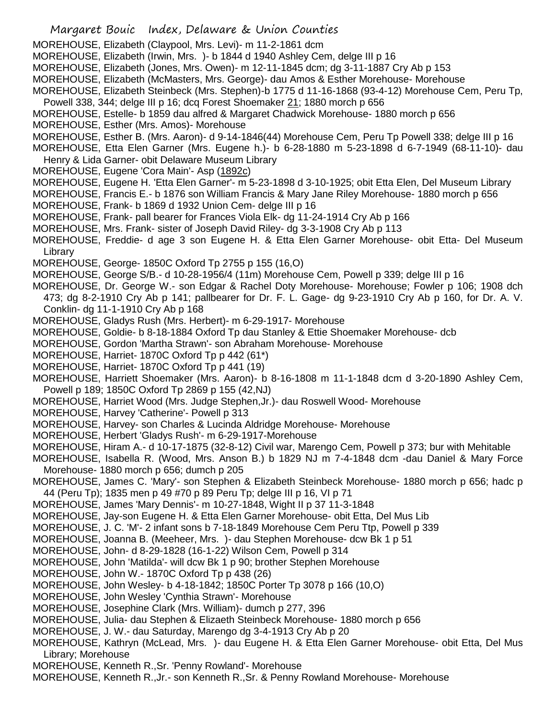- Margaret Bouic Index, Delaware & Union Counties MOREHOUSE, Elizabeth (Claypool, Mrs. Levi)- m 11-2-1861 dcm MOREHOUSE, Elizabeth (Irwin, Mrs. )- b 1844 d 1940 Ashley Cem, delge III p 16 MOREHOUSE, Elizabeth (Jones, Mrs. Owen)- m 12-11-1845 dcm; dg 3-11-1887 Cry Ab p 153 MOREHOUSE, Elizabeth (McMasters, Mrs. George)- dau Amos & Esther Morehouse- Morehouse MOREHOUSE, Elizabeth Steinbeck (Mrs. Stephen)-b 1775 d 11-16-1868 (93-4-12) Morehouse Cem, Peru Tp, Powell 338, 344; delge III p 16; dcq Forest Shoemaker 21; 1880 morch p 656 MOREHOUSE, Estelle- b 1859 dau alfred & Margaret Chadwick Morehouse- 1880 morch p 656 MOREHOUSE, Esther (Mrs. Amos)- Morehouse MOREHOUSE, Esther B. (Mrs. Aaron)- d 9-14-1846(44) Morehouse Cem, Peru Tp Powell 338; delge III p 16 MOREHOUSE, Etta Elen Garner (Mrs. Eugene h.)- b 6-28-1880 m 5-23-1898 d 6-7-1949 (68-11-10)- dau Henry & Lida Garner- obit Delaware Museum Library MOREHOUSE, Eugene 'Cora Main'- Asp (1892c) MOREHOUSE, Eugene H. 'Etta Elen Garner'- m 5-23-1898 d 3-10-1925; obit Etta Elen, Del Museum Library MOREHOUSE, Francis E.- b 1876 son William Francis & Mary Jane Riley Morehouse- 1880 morch p 656 MOREHOUSE, Frank- b 1869 d 1932 Union Cem- delge III p 16 MOREHOUSE, Frank- pall bearer for Frances Viola Elk- dg 11-24-1914 Cry Ab p 166 MOREHOUSE, Mrs. Frank- sister of Joseph David Riley- dg 3-3-1908 Cry Ab p 113 MOREHOUSE, Freddie- d age 3 son Eugene H. & Etta Elen Garner Morehouse- obit Etta- Del Museum Library MOREHOUSE, George- 1850C Oxford Tp 2755 p 155 (16,O) MOREHOUSE, George S/B.- d 10-28-1956/4 (11m) Morehouse Cem, Powell p 339; delge III p 16 MOREHOUSE, Dr. George W.- son Edgar & Rachel Doty Morehouse- Morehouse; Fowler p 106; 1908 dch 473; dg 8-2-1910 Cry Ab p 141; pallbearer for Dr. F. L. Gage- dg 9-23-1910 Cry Ab p 160, for Dr. A. V. Conklin- dg 11-1-1910 Cry Ab p 168 MOREHOUSE, Gladys Rush (Mrs. Herbert)- m 6-29-1917- Morehouse MOREHOUSE, Goldie- b 8-18-1884 Oxford Tp dau Stanley & Ettie Shoemaker Morehouse- dcb MOREHOUSE, Gordon 'Martha Strawn'- son Abraham Morehouse- Morehouse MOREHOUSE, Harriet- 1870C Oxford Tp p 442 (61\*) MOREHOUSE, Harriet- 1870C Oxford Tp p 441 (19) MOREHOUSE, Harriett Shoemaker (Mrs. Aaron)- b 8-16-1808 m 11-1-1848 dcm d 3-20-1890 Ashley Cem, Powell p 189; 1850C Oxford Tp 2869 p 155 (42,NJ) MOREHOUSE, Harriet Wood (Mrs. Judge Stephen,Jr.)- dau Roswell Wood- Morehouse MOREHOUSE, Harvey 'Catherine'- Powell p 313 MOREHOUSE, Harvey- son Charles & Lucinda Aldridge Morehouse- Morehouse MOREHOUSE, Herbert 'Gladys Rush'- m 6-29-1917-Morehouse MOREHOUSE, Hiram A.- d 10-17-1875 (32-8-12) Civil war, Marengo Cem, Powell p 373; bur with Mehitable MOREHOUSE, Isabella R. (Wood, Mrs. Anson B.) b 1829 NJ m 7-4-1848 dcm -dau Daniel & Mary Force Morehouse- 1880 morch p 656; dumch p 205 MOREHOUSE, James C. 'Mary'- son Stephen & Elizabeth Steinbeck Morehouse- 1880 morch p 656; hadc p 44 (Peru Tp); 1835 men p 49 #70 p 89 Peru Tp; delge III p 16, VI p 71 MOREHOUSE, James 'Mary Dennis'- m 10-27-1848, Wight II p 37 11-3-1848 MOREHOUSE, Jay-son Eugene H. & Etta Elen Garner Morehouse- obit Etta, Del Mus Lib MOREHOUSE, J. C. 'M'- 2 infant sons b 7-18-1849 Morehouse Cem Peru Ttp, Powell p 339 MOREHOUSE, Joanna B. (Meeheer, Mrs. )- dau Stephen Morehouse- dcw Bk 1 p 51 MOREHOUSE, John- d 8-29-1828 (16-1-22) Wilson Cem, Powell p 314 MOREHOUSE, John 'Matilda'- will dcw Bk 1 p 90; brother Stephen Morehouse MOREHOUSE, John W.- 1870C Oxford Tp p 438 (26) MOREHOUSE, John Wesley- b 4-18-1842; 1850C Porter Tp 3078 p 166 (10,O) MOREHOUSE, John Wesley 'Cynthia Strawn'- Morehouse MOREHOUSE, Josephine Clark (Mrs. William)- dumch p 277, 396 MOREHOUSE, Julia- dau Stephen & Elizaeth Steinbeck Morehouse- 1880 morch p 656 MOREHOUSE, J. W.- dau Saturday, Marengo dg 3-4-1913 Cry Ab p 20 MOREHOUSE, Kathryn (McLead, Mrs. )- dau Eugene H. & Etta Elen Garner Morehouse- obit Etta, Del Mus Library; Morehouse
- MOREHOUSE, Kenneth R.,Sr. 'Penny Rowland'- Morehouse
- MOREHOUSE, Kenneth R.,Jr.- son Kenneth R.,Sr. & Penny Rowland Morehouse- Morehouse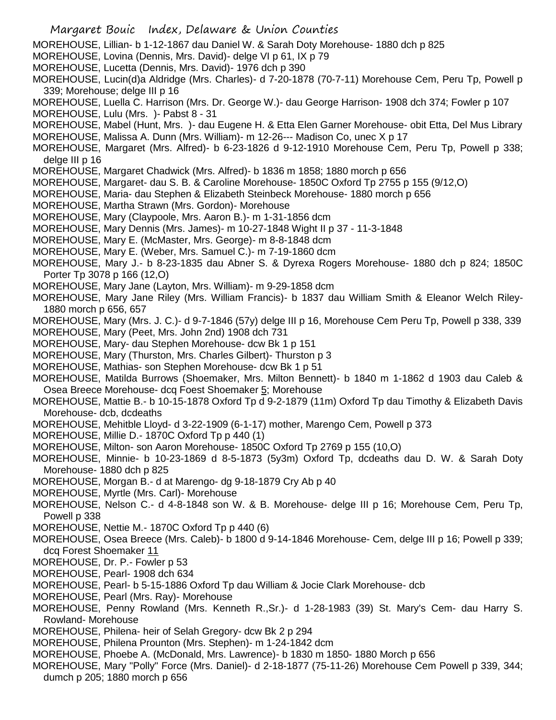- Margaret Bouic Index, Delaware & Union Counties MOREHOUSE, Lillian- b 1-12-1867 dau Daniel W. & Sarah Doty Morehouse- 1880 dch p 825 MOREHOUSE, Lovina (Dennis, Mrs. David)- delge VI p 61, IX p 79 MOREHOUSE, Lucetta (Dennis, Mrs. David)- 1976 dch p 390 MOREHOUSE, Lucin(d)a Aldridge (Mrs. Charles)- d 7-20-1878 (70-7-11) Morehouse Cem, Peru Tp, Powell p 339; Morehouse; delge III p 16 MOREHOUSE, Luella C. Harrison (Mrs. Dr. George W.)- dau George Harrison- 1908 dch 374; Fowler p 107 MOREHOUSE, Lulu (Mrs. )- Pabst 8 - 31 MOREHOUSE, Mabel (Hunt, Mrs. )- dau Eugene H. & Etta Elen Garner Morehouse- obit Etta, Del Mus Library MOREHOUSE, Malissa A. Dunn (Mrs. William)- m 12-26--- Madison Co, unec X p 17 MOREHOUSE, Margaret (Mrs. Alfred)- b 6-23-1826 d 9-12-1910 Morehouse Cem, Peru Tp, Powell p 338; delge III p 16 MOREHOUSE, Margaret Chadwick (Mrs. Alfred)- b 1836 m 1858; 1880 morch p 656 MOREHOUSE, Margaret- dau S. B. & Caroline Morehouse- 1850C Oxford Tp 2755 p 155 (9/12,O) MOREHOUSE, Maria- dau Stephen & Elizabeth Steinbeck Morehouse- 1880 morch p 656 MOREHOUSE, Martha Strawn (Mrs. Gordon)- Morehouse MOREHOUSE, Mary (Claypoole, Mrs. Aaron B.)- m 1-31-1856 dcm MOREHOUSE, Mary Dennis (Mrs. James)- m 10-27-1848 Wight II p 37 - 11-3-1848 MOREHOUSE, Mary E. (McMaster, Mrs. George)- m 8-8-1848 dcm MOREHOUSE, Mary E. (Weber, Mrs. Samuel C.)- m 7-19-1860 dcm MOREHOUSE, Mary J.- b 8-23-1835 dau Abner S. & Dyrexa Rogers Morehouse- 1880 dch p 824; 1850C Porter Tp 3078 p 166 (12,O) MOREHOUSE, Mary Jane (Layton, Mrs. William)- m 9-29-1858 dcm MOREHOUSE, Mary Jane Riley (Mrs. William Francis)- b 1837 dau William Smith & Eleanor Welch Riley-1880 morch p 656, 657 MOREHOUSE, Mary (Mrs. J. C.)- d 9-7-1846 (57y) delge III p 16, Morehouse Cem Peru Tp, Powell p 338, 339 MOREHOUSE, Mary (Peet, Mrs. John 2nd) 1908 dch 731 MOREHOUSE, Mary- dau Stephen Morehouse- dcw Bk 1 p 151 MOREHOUSE, Mary (Thurston, Mrs. Charles Gilbert)- Thurston p 3 MOREHOUSE, Mathias- son Stephen Morehouse- dcw Bk 1 p 51 MOREHOUSE, Matilda Burrows (Shoemaker, Mrs. Milton Bennett)- b 1840 m 1-1862 d 1903 dau Caleb & Osea Breece Morehouse- dcq Foest Shoemaker 5; Morehouse MOREHOUSE, Mattie B.- b 10-15-1878 Oxford Tp d 9-2-1879 (11m) Oxford Tp dau Timothy & Elizabeth Davis Morehouse- dcb, dcdeaths MOREHOUSE, Mehitble Lloyd- d 3-22-1909 (6-1-17) mother, Marengo Cem, Powell p 373
- MOREHOUSE, Millie D.- 1870C Oxford Tp p 440 (1)
- MOREHOUSE, Milton- son Aaron Morehouse- 1850C Oxford Tp 2769 p 155 (10,O)

MOREHOUSE, Minnie- b 10-23-1869 d 8-5-1873 (5y3m) Oxford Tp, dcdeaths dau D. W. & Sarah Doty Morehouse- 1880 dch p 825

- MOREHOUSE, Morgan B.- d at Marengo- dg 9-18-1879 Cry Ab p 40
- MOREHOUSE, Myrtle (Mrs. Carl)- Morehouse

MOREHOUSE, Nelson C.- d 4-8-1848 son W. & B. Morehouse- delge III p 16; Morehouse Cem, Peru Tp, Powell p 338

- MOREHOUSE, Nettie M.- 1870C Oxford Tp p 440 (6)
- MOREHOUSE, Osea Breece (Mrs. Caleb)- b 1800 d 9-14-1846 Morehouse- Cem, delge III p 16; Powell p 339; dcq Forest Shoemaker 11
- MOREHOUSE, Dr. P.- Fowler p 53
- MOREHOUSE, Pearl- 1908 dch 634
- MOREHOUSE, Pearl- b 5-15-1886 Oxford Tp dau William & Jocie Clark Morehouse- dcb
- MOREHOUSE, Pearl (Mrs. Ray)- Morehouse
- MOREHOUSE, Penny Rowland (Mrs. Kenneth R.,Sr.)- d 1-28-1983 (39) St. Mary's Cem- dau Harry S. Rowland- Morehouse
- MOREHOUSE, Philena- heir of Selah Gregory- dcw Bk 2 p 294
- MOREHOUSE, Philena Prounton (Mrs. Stephen)- m 1-24-1842 dcm
- MOREHOUSE, Phoebe A. (McDonald, Mrs. Lawrence)- b 1830 m 1850- 1880 Morch p 656
- MOREHOUSE, Mary "Polly" Force (Mrs. Daniel)- d 2-18-1877 (75-11-26) Morehouse Cem Powell p 339, 344; dumch p 205; 1880 morch p 656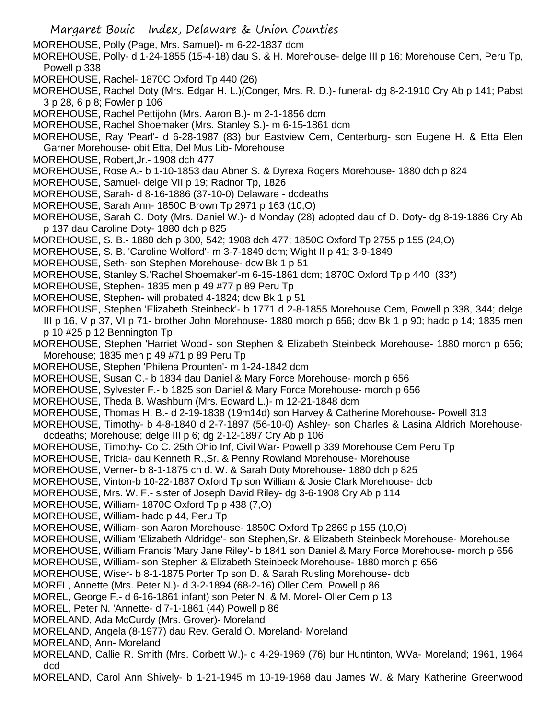- Margaret Bouic Index, Delaware & Union Counties
- MOREHOUSE, Polly (Page, Mrs. Samuel)- m 6-22-1837 dcm
- MOREHOUSE, Polly- d 1-24-1855 (15-4-18) dau S. & H. Morehouse- delge III p 16; Morehouse Cem, Peru Tp, Powell p 338
- MOREHOUSE, Rachel- 1870C Oxford Tp 440 (26)
- MOREHOUSE, Rachel Doty (Mrs. Edgar H. L.)(Conger, Mrs. R. D.)- funeral- dg 8-2-1910 Cry Ab p 141; Pabst 3 p 28, 6 p 8; Fowler p 106
- MOREHOUSE, Rachel Pettijohn (Mrs. Aaron B.)- m 2-1-1856 dcm
- MOREHOUSE, Rachel Shoemaker (Mrs. Stanley S.)- m 6-15-1861 dcm
- MOREHOUSE, Ray 'Pearl'- d 6-28-1987 (83) bur Eastview Cem, Centerburg- son Eugene H. & Etta Elen Garner Morehouse- obit Etta, Del Mus Lib- Morehouse
- MOREHOUSE, Robert,Jr.- 1908 dch 477
- MOREHOUSE, Rose A.- b 1-10-1853 dau Abner S. & Dyrexa Rogers Morehouse- 1880 dch p 824
- MOREHOUSE, Samuel- delge VII p 19; Radnor Tp, 1826
- MOREHOUSE, Sarah- d 8-16-1886 (37-10-0) Delaware dcdeaths
- MOREHOUSE, Sarah Ann- 1850C Brown Tp 2971 p 163 (10,O)
- MOREHOUSE, Sarah C. Doty (Mrs. Daniel W.)- d Monday (28) adopted dau of D. Doty- dg 8-19-1886 Cry Ab p 137 dau Caroline Doty- 1880 dch p 825
- MOREHOUSE, S. B.- 1880 dch p 300, 542; 1908 dch 477; 1850C Oxford Tp 2755 p 155 (24,O)
- MOREHOUSE, S. B. 'Caroline Wolford'- m 3-7-1849 dcm; Wight II p 41; 3-9-1849
- MOREHOUSE, Seth- son Stephen Morehouse- dcw Bk 1 p 51
- MOREHOUSE, Stanley S.'Rachel Shoemaker'-m 6-15-1861 dcm; 1870C Oxford Tp p 440 (33\*)
- MOREHOUSE, Stephen- 1835 men p 49 #77 p 89 Peru Tp
- MOREHOUSE, Stephen- will probated 4-1824; dcw Bk 1 p 51
- MOREHOUSE, Stephen 'Elizabeth Steinbeck'- b 1771 d 2-8-1855 Morehouse Cem, Powell p 338, 344; delge
- III p 16, V p 37, VI p 71- brother John Morehouse- 1880 morch p 656; dcw Bk 1 p 90; hadc p 14; 1835 men p 10 #25 p 12 Bennington Tp
- MOREHOUSE, Stephen 'Harriet Wood'- son Stephen & Elizabeth Steinbeck Morehouse- 1880 morch p 656; Morehouse; 1835 men p 49 #71 p 89 Peru Tp
- MOREHOUSE, Stephen 'Philena Prounten'- m 1-24-1842 dcm
- MOREHOUSE, Susan C.- b 1834 dau Daniel & Mary Force Morehouse- morch p 656
- MOREHOUSE, Sylvester F.- b 1825 son Daniel & Mary Force Morehouse- morch p 656
- MOREHOUSE, Theda B. Washburn (Mrs. Edward L.)- m 12-21-1848 dcm
- MOREHOUSE, Thomas H. B.- d 2-19-1838 (19m14d) son Harvey & Catherine Morehouse- Powell 313
- MOREHOUSE, Timothy- b 4-8-1840 d 2-7-1897 (56-10-0) Ashley- son Charles & Lasina Aldrich Morehousedcdeaths; Morehouse; delge III p 6; dg 2-12-1897 Cry Ab p 106
- MOREHOUSE, Timothy- Co C. 25th Ohio Inf, Civil War- Powell p 339 Morehouse Cem Peru Tp
- MOREHOUSE, Tricia- dau Kenneth R.,Sr. & Penny Rowland Morehouse- Morehouse
- MOREHOUSE, Verner- b 8-1-1875 ch d. W. & Sarah Doty Morehouse- 1880 dch p 825
- MOREHOUSE, Vinton-b 10-22-1887 Oxford Tp son William & Josie Clark Morehouse- dcb
- MOREHOUSE, Mrs. W. F.- sister of Joseph David Riley- dg 3-6-1908 Cry Ab p 114
- MOREHOUSE, William- 1870C Oxford Tp p 438 (7,O)
- MOREHOUSE, William- hadc p 44, Peru Tp
- MOREHOUSE, William- son Aaron Morehouse- 1850C Oxford Tp 2869 p 155 (10,O)
- MOREHOUSE, William 'Elizabeth Aldridge'- son Stephen,Sr. & Elizabeth Steinbeck Morehouse- Morehouse
- MOREHOUSE, William Francis 'Mary Jane Riley'- b 1841 son Daniel & Mary Force Morehouse- morch p 656
- MOREHOUSE, William- son Stephen & Elizabeth Steinbeck Morehouse- 1880 morch p 656
- MOREHOUSE, Wiser- b 8-1-1875 Porter Tp son D. & Sarah Rusling Morehouse- dcb
- MOREL, Annette (Mrs. Peter N.)- d 3-2-1894 (68-2-16) Oller Cem, Powell p 86
- MOREL, George F.- d 6-16-1861 infant) son Peter N. & M. Morel- Oller Cem p 13
- MOREL, Peter N. 'Annette- d 7-1-1861 (44) Powell p 86
- MORELAND, Ada McCurdy (Mrs. Grover)- Moreland
- MORELAND, Angela (8-1977) dau Rev. Gerald O. Moreland- Moreland
- MORELAND, Ann- Moreland
- MORELAND, Callie R. Smith (Mrs. Corbett W.)- d 4-29-1969 (76) bur Huntinton, WVa- Moreland; 1961, 1964 dcd
- MORELAND, Carol Ann Shively- b 1-21-1945 m 10-19-1968 dau James W. & Mary Katherine Greenwood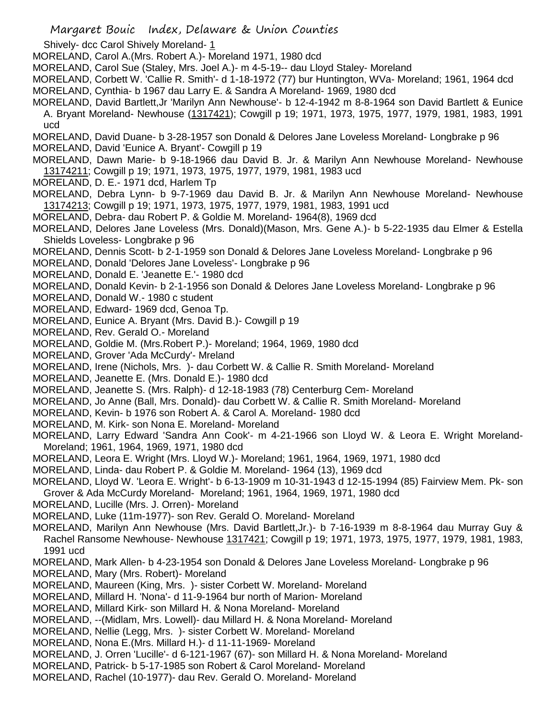- Margaret Bouic Index, Delaware & Union Counties
- Shively- dcc Carol Shively Moreland- 1
- MORELAND, Carol A.(Mrs. Robert A.)- Moreland 1971, 1980 dcd
- MORELAND, Carol Sue (Staley, Mrs. Joel A.)- m 4-5-19-- dau Lloyd Staley- Moreland
- MORELAND, Corbett W. 'Callie R. Smith'- d 1-18-1972 (77) bur Huntington, WVa- Moreland; 1961, 1964 dcd MORELAND, Cynthia- b 1967 dau Larry E. & Sandra A Moreland- 1969, 1980 dcd
- MORELAND, David Bartlett,Jr 'Marilyn Ann Newhouse'- b 12-4-1942 m 8-8-1964 son David Bartlett & Eunice A. Bryant Moreland- Newhouse (1317421); Cowgill p 19; 1971, 1973, 1975, 1977, 1979, 1981, 1983, 1991 ucd
- MORELAND, David Duane- b 3-28-1957 son Donald & Delores Jane Loveless Moreland- Longbrake p 96
- MORELAND, David 'Eunice A. Bryant'- Cowgill p 19
- MORELAND, Dawn Marie- b 9-18-1966 dau David B. Jr. & Marilyn Ann Newhouse Moreland- Newhouse 13174211; Cowgill p 19; 1971, 1973, 1975, 1977, 1979, 1981, 1983 ucd
- MORELAND, D. E.- 1971 dcd, Harlem Tp
- MORELAND, Debra Lynn- b 9-7-1969 dau David B. Jr. & Marilyn Ann Newhouse Moreland- Newhouse 13174213; Cowgill p 19; 1971, 1973, 1975, 1977, 1979, 1981, 1983, 1991 ucd
- MORELAND, Debra- dau Robert P. & Goldie M. Moreland- 1964(8), 1969 dcd
- MORELAND, Delores Jane Loveless (Mrs. Donald)(Mason, Mrs. Gene A.)- b 5-22-1935 dau Elmer & Estella Shields Loveless- Longbrake p 96
- MORELAND, Dennis Scott- b 2-1-1959 son Donald & Delores Jane Loveless Moreland- Longbrake p 96
- MORELAND, Donald 'Delores Jane Loveless'- Longbrake p 96
- MORELAND, Donald E. 'Jeanette E.'- 1980 dcd
- MORELAND, Donald Kevin- b 2-1-1956 son Donald & Delores Jane Loveless Moreland- Longbrake p 96
- MORELAND, Donald W.- 1980 c student
- MORELAND, Edward- 1969 dcd, Genoa Tp.
- MORELAND, Eunice A. Bryant (Mrs. David B.)- Cowgill p 19
- MORELAND, Rev. Gerald O.- Moreland
- MORELAND, Goldie M. (Mrs.Robert P.)- Moreland; 1964, 1969, 1980 dcd
- MORELAND, Grover 'Ada McCurdy'- Mreland
- MORELAND, Irene (Nichols, Mrs. )- dau Corbett W. & Callie R. Smith Moreland- Moreland
- MORELAND, Jeanette E. (Mrs. Donald E.)- 1980 dcd
- MORELAND, Jeanette S. (Mrs. Ralph)- d 12-18-1983 (78) Centerburg Cem- Moreland
- MORELAND, Jo Anne (Ball, Mrs. Donald)- dau Corbett W. & Callie R. Smith Moreland- Moreland
- MORELAND, Kevin- b 1976 son Robert A. & Carol A. Moreland- 1980 dcd
- MORELAND, M. Kirk- son Nona E. Moreland- Moreland
- MORELAND, Larry Edward 'Sandra Ann Cook'- m 4-21-1966 son Lloyd W. & Leora E. Wright Moreland-Moreland; 1961, 1964, 1969, 1971, 1980 dcd
- MORELAND, Leora E. Wright (Mrs. Lloyd W.)- Moreland; 1961, 1964, 1969, 1971, 1980 dcd
- MORELAND, Linda- dau Robert P. & Goldie M. Moreland- 1964 (13), 1969 dcd
- MORELAND, Lloyd W. 'Leora E. Wright'- b 6-13-1909 m 10-31-1943 d 12-15-1994 (85) Fairview Mem. Pk- son Grover & Ada McCurdy Moreland- Moreland; 1961, 1964, 1969, 1971, 1980 dcd
- MORELAND, Lucille (Mrs. J. Orren)- Moreland
- MORELAND, Luke (11m-1977)- son Rev. Gerald O. Moreland- Moreland
- MORELAND, Marilyn Ann Newhouse (Mrs. David Bartlett,Jr.)- b 7-16-1939 m 8-8-1964 dau Murray Guy & Rachel Ransome Newhouse- Newhouse 1317421; Cowgill p 19; 1971, 1973, 1975, 1977, 1979, 1981, 1983, 1991 ucd
- MORELAND, Mark Allen- b 4-23-1954 son Donald & Delores Jane Loveless Moreland- Longbrake p 96
- MORELAND, Mary (Mrs. Robert)- Moreland
- MORELAND, Maureen (King, Mrs. )- sister Corbett W. Moreland- Moreland
- MORELAND, Millard H. 'Nona'- d 11-9-1964 bur north of Marion- Moreland
- MORELAND, Millard Kirk- son Millard H. & Nona Moreland- Moreland
- MORELAND, --(Midlam, Mrs. Lowell)- dau Millard H. & Nona Moreland- Moreland
- MORELAND, Nellie (Legg, Mrs. )- sister Corbett W. Moreland- Moreland
- MORELAND, Nona E.(Mrs. Millard H.)- d 11-11-1969- Moreland
- MORELAND, J. Orren 'Lucille'- d 6-121-1967 (67)- son Millard H. & Nona Moreland- Moreland
- MORELAND, Patrick- b 5-17-1985 son Robert & Carol Moreland- Moreland
- MORELAND, Rachel (10-1977)- dau Rev. Gerald O. Moreland- Moreland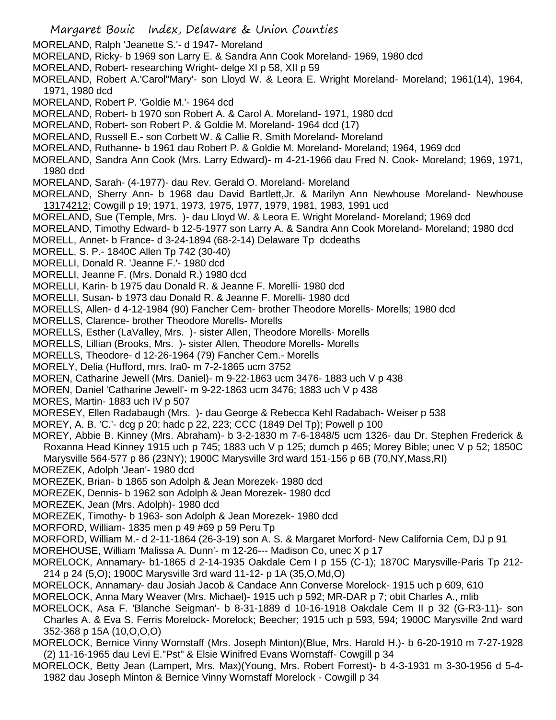- Margaret Bouic Index, Delaware & Union Counties MORELAND, Ralph 'Jeanette S.'- d 1947- Moreland MORELAND, Ricky- b 1969 son Larry E. & Sandra Ann Cook Moreland- 1969, 1980 dcd MORELAND, Robert- researching Wright- delge XI p 58, XII p 59 MORELAND, Robert A.'Carol''Mary'- son Lloyd W. & Leora E. Wright Moreland- Moreland; 1961(14), 1964, 1971, 1980 dcd MORELAND, Robert P. 'Goldie M.'- 1964 dcd MORELAND, Robert- b 1970 son Robert A. & Carol A. Moreland- 1971, 1980 dcd MORELAND, Robert- son Robert P. & Goldie M. Moreland- 1964 dcd (17) MORELAND, Russell E.- son Corbett W. & Callie R. Smith Moreland- Moreland MORELAND, Ruthanne- b 1961 dau Robert P. & Goldie M. Moreland- Moreland; 1964, 1969 dcd MORELAND, Sandra Ann Cook (Mrs. Larry Edward)- m 4-21-1966 dau Fred N. Cook- Moreland; 1969, 1971, 1980 dcd MORELAND, Sarah- (4-1977)- dau Rev. Gerald O. Moreland- Moreland MORELAND, Sherry Ann- b 1968 dau David Bartlett,Jr. & Marilyn Ann Newhouse Moreland- Newhouse 13174212; Cowgill p 19; 1971, 1973, 1975, 1977, 1979, 1981, 1983, 1991 ucd MORELAND, Sue (Temple, Mrs. )- dau Lloyd W. & Leora E. Wright Moreland- Moreland; 1969 dcd MORELAND, Timothy Edward- b 12-5-1977 son Larry A. & Sandra Ann Cook Moreland- Moreland; 1980 dcd MORELL, Annet- b France- d 3-24-1894 (68-2-14) Delaware Tp dcdeaths MORELL, S. P.- 1840C Allen Tp 742 (30-40) MORELLI, Donald R. 'Jeanne F.'- 1980 dcd MORELLI, Jeanne F. (Mrs. Donald R.) 1980 dcd MORELLI, Karin- b 1975 dau Donald R. & Jeanne F. Morelli- 1980 dcd MORELLI, Susan- b 1973 dau Donald R. & Jeanne F. Morelli- 1980 dcd MORELLS, Allen- d 4-12-1984 (90) Fancher Cem- brother Theodore Morells- Morells; 1980 dcd MORELLS, Clarence- brother Theodore Morells- Morells MORELLS, Esther (LaValley, Mrs. )- sister Allen, Theodore Morells- Morells MORELLS, Lillian (Brooks, Mrs. )- sister Allen, Theodore Morells- Morells MORELLS, Theodore- d 12-26-1964 (79) Fancher Cem.- Morells MORELY, Delia (Hufford, mrs. Ira0- m 7-2-1865 ucm 3752 MOREN, Catharine Jewell (Mrs. Daniel)- m 9-22-1863 ucm 3476- 1883 uch V p 438 MOREN, Daniel 'Catharine Jewell'- m 9-22-1863 ucm 3476; 1883 uch V p 438 MORES, Martin- 1883 uch IV p 507 MORESEY, Ellen Radabaugh (Mrs. )- dau George & Rebecca Kehl Radabach- Weiser p 538 MOREY, A. B. 'C.'- dcg p 20; hadc p 22, 223; CCC (1849 Del Tp); Powell p 100 MOREY, Abbie B. Kinney (Mrs. Abraham)- b 3-2-1830 m 7-6-1848/5 ucm 1326- dau Dr. Stephen Frederick & Roxanna Head Kinney 1915 uch p 745; 1883 uch V p 125; dumch p 465; Morey Bible; unec V p 52; 1850C Marysville 564-577 p 86 (23NY); 1900C Marysville 3rd ward 151-156 p 6B (70,NY,Mass,RI) MOREZEK, Adolph 'Jean'- 1980 dcd MOREZEK, Brian- b 1865 son Adolph & Jean Morezek- 1980 dcd MOREZEK, Dennis- b 1962 son Adolph & Jean Morezek- 1980 dcd MOREZEK, Jean (Mrs. Adolph)- 1980 dcd MOREZEK, Timothy- b 1963- son Adolph & Jean Morezek- 1980 dcd MORFORD, William- 1835 men p 49 #69 p 59 Peru Tp MORFORD, William M.- d 2-11-1864 (26-3-19) son A. S. & Margaret Morford- New California Cem, DJ p 91 MOREHOUSE, William 'Malissa A. Dunn'- m 12-26--- Madison Co, unec X p 17
- MORELOCK, Annamary- b1-1865 d 2-14-1935 Oakdale Cem I p 155 (C-1); 1870C Marysville-Paris Tp 212- 214 p 24 (5,O); 1900C Marysville 3rd ward 11-12- p 1A (35,O,Md,O)
- MORELOCK, Annamary- dau Josiah Jacob & Candace Ann Converse Morelock- 1915 uch p 609, 610
- MORELOCK, Anna Mary Weaver (Mrs. Michael)- 1915 uch p 592; MR-DAR p 7; obit Charles A., mlib
- MORELOCK, Asa F. 'Blanche Seigman'- b 8-31-1889 d 10-16-1918 Oakdale Cem II p 32 (G-R3-11)- son Charles A. & Eva S. Ferris Morelock- Morelock; Beecher; 1915 uch p 593, 594; 1900C Marysville 2nd ward 352-368 p 15A (10,O,O,O)
- MORELOCK, Bernice Vinny Wornstaff (Mrs. Joseph Minton)(Blue, Mrs. Harold H.)- b 6-20-1910 m 7-27-1928 (2) 11-16-1965 dau Levi E."Pst" & Elsie Winifred Evans Wornstaff- Cowgill p 34
- MORELOCK, Betty Jean (Lampert, Mrs. Max)(Young, Mrs. Robert Forrest)- b 4-3-1931 m 3-30-1956 d 5-4- 1982 dau Joseph Minton & Bernice Vinny Wornstaff Morelock - Cowgill p 34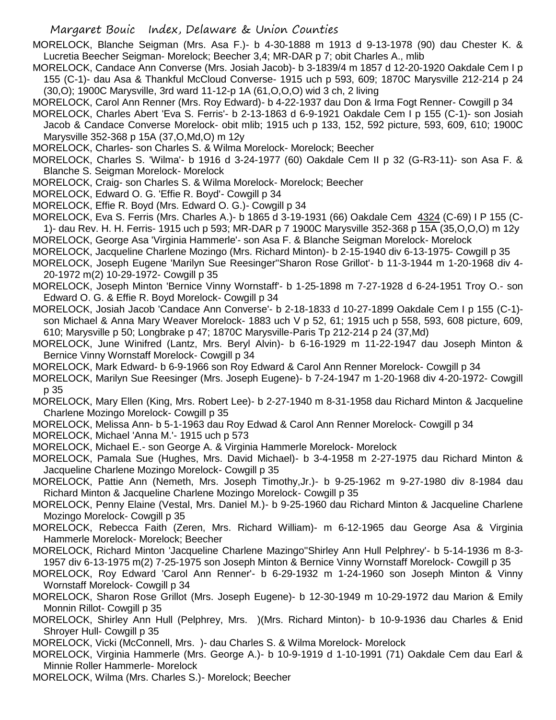Margaret Bouic Index, Delaware & Union Counties

MORELOCK, Blanche Seigman (Mrs. Asa F.)- b 4-30-1888 m 1913 d 9-13-1978 (90) dau Chester K. & Lucretia Beecher Seigman- Morelock; Beecher 3,4; MR-DAR p 7; obit Charles A., mlib

- MORELOCK, Candace Ann Converse (Mrs. Josiah Jacob)- b 3-1839/4 m 1857 d 12-20-1920 Oakdale Cem I p 155 (C-1)- dau Asa & Thankful McCloud Converse- 1915 uch p 593, 609; 1870C Marysville 212-214 p 24 (30,O); 1900C Marysville, 3rd ward 11-12-p 1A (61,O,O,O) wid 3 ch, 2 living
- MORELOCK, Carol Ann Renner (Mrs. Roy Edward)- b 4-22-1937 dau Don & Irma Fogt Renner- Cowgill p 34
- MORELOCK, Charles Abert 'Eva S. Ferris'- b 2-13-1863 d 6-9-1921 Oakdale Cem I p 155 (C-1)- son Josiah Jacob & Candace Converse Morelock- obit mlib; 1915 uch p 133, 152, 592 picture, 593, 609, 610; 1900C Marysville 352-368 p 15A (37,O,Md,O) m 12y
- MORELOCK, Charles- son Charles S. & Wilma Morelock- Morelock; Beecher
- MORELOCK, Charles S. 'Wilma'- b 1916 d 3-24-1977 (60) Oakdale Cem II p 32 (G-R3-11)- son Asa F. & Blanche S. Seigman Morelock- Morelock
- MORELOCK, Craig- son Charles S. & Wilma Morelock- Morelock; Beecher
- MORELOCK, Edward O. G. 'Effie R. Boyd'- Cowgill p 34
- MORELOCK, Effie R. Boyd (Mrs. Edward O. G.)- Cowgill p 34
- MORELOCK, Eva S. Ferris (Mrs. Charles A.)- b 1865 d 3-19-1931 (66) Oakdale Cem 4324 (C-69) I P 155 (C-1)- dau Rev. H. H. Ferris- 1915 uch p 593; MR-DAR p 7 1900C Marysville 352-368 p 15A (35,O,O,O) m 12y MORELOCK, George Asa 'Virginia Hammerle'- son Asa F. & Blanche Seigman Morelock- Morelock
- MORELOCK, Jacqueline Charlene Mozingo (Mrs. Richard Minton)- b 2-15-1940 div 6-13-1975- Cowgill p 35
- MORELOCK, Joseph Eugene 'Marilyn Sue Reesinger''Sharon Rose Grillot'- b 11-3-1944 m 1-20-1968 div 4- 20-1972 m(2) 10-29-1972- Cowgill p 35
- MORELOCK, Joseph Minton 'Bernice Vinny Wornstaff'- b 1-25-1898 m 7-27-1928 d 6-24-1951 Troy O.- son Edward O. G. & Effie R. Boyd Morelock- Cowgill p 34
- MORELOCK, Josiah Jacob 'Candace Ann Converse'- b 2-18-1833 d 10-27-1899 Oakdale Cem I p 155 (C-1) son Michael & Anna Mary Weaver Morelock- 1883 uch V p 52, 61; 1915 uch p 558, 593, 608 picture, 609, 610; Marysville p 50; Longbrake p 47; 1870C Marysville-Paris Tp 212-214 p 24 (37,Md)
- MORELOCK, June Winifred (Lantz, Mrs. Beryl Alvin)- b 6-16-1929 m 11-22-1947 dau Joseph Minton & Bernice Vinny Wornstaff Morelock- Cowgill p 34
- MORELOCK, Mark Edward- b 6-9-1966 son Roy Edward & Carol Ann Renner Morelock- Cowgill p 34
- MORELOCK, Marilyn Sue Reesinger (Mrs. Joseph Eugene)- b 7-24-1947 m 1-20-1968 div 4-20-1972- Cowgill p 35
- MORELOCK, Mary Ellen (King, Mrs. Robert Lee)- b 2-27-1940 m 8-31-1958 dau Richard Minton & Jacqueline Charlene Mozingo Morelock- Cowgill p 35
- MORELOCK, Melissa Ann- b 5-1-1963 dau Roy Edwad & Carol Ann Renner Morelock- Cowgill p 34
- MORELOCK, Michael 'Anna M.'- 1915 uch p 573
- MORELOCK, Michael E.- son George A. & Virginia Hammerle Morelock- Morelock
- MORELOCK, Pamala Sue (Hughes, Mrs. David Michael)- b 3-4-1958 m 2-27-1975 dau Richard Minton & Jacqueline Charlene Mozingo Morelock- Cowgill p 35
- MORELOCK, Pattie Ann (Nemeth, Mrs. Joseph Timothy,Jr.)- b 9-25-1962 m 9-27-1980 div 8-1984 dau Richard Minton & Jacqueline Charlene Mozingo Morelock- Cowgill p 35
- MORELOCK, Penny Elaine (Vestal, Mrs. Daniel M.)- b 9-25-1960 dau Richard Minton & Jacqueline Charlene Mozingo Morelock- Cowgill p 35
- MORELOCK, Rebecca Faith (Zeren, Mrs. Richard William)- m 6-12-1965 dau George Asa & Virginia Hammerle Morelock- Morelock; Beecher
- MORELOCK, Richard Minton 'Jacqueline Charlene Mazingo''Shirley Ann Hull Pelphrey'- b 5-14-1936 m 8-3- 1957 div 6-13-1975 m(2) 7-25-1975 son Joseph Minton & Bernice Vinny Wornstaff Morelock- Cowgill p 35
- MORELOCK, Roy Edward 'Carol Ann Renner'- b 6-29-1932 m 1-24-1960 son Joseph Minton & Vinny Wornstaff Morelock- Cowgill p 34
- MORELOCK, Sharon Rose Grillot (Mrs. Joseph Eugene)- b 12-30-1949 m 10-29-1972 dau Marion & Emily Monnin Rillot- Cowgill p 35
- MORELOCK, Shirley Ann Hull (Pelphrey, Mrs. )(Mrs. Richard Minton)- b 10-9-1936 dau Charles & Enid Shroyer Hull- Cowgill p 35
- MORELOCK, Vicki (McConnell, Mrs. )- dau Charles S. & Wilma Morelock- Morelock
- MORELOCK, Virginia Hammerle (Mrs. George A.)- b 10-9-1919 d 1-10-1991 (71) Oakdale Cem dau Earl & Minnie Roller Hammerle- Morelock
- MORELOCK, Wilma (Mrs. Charles S.)- Morelock; Beecher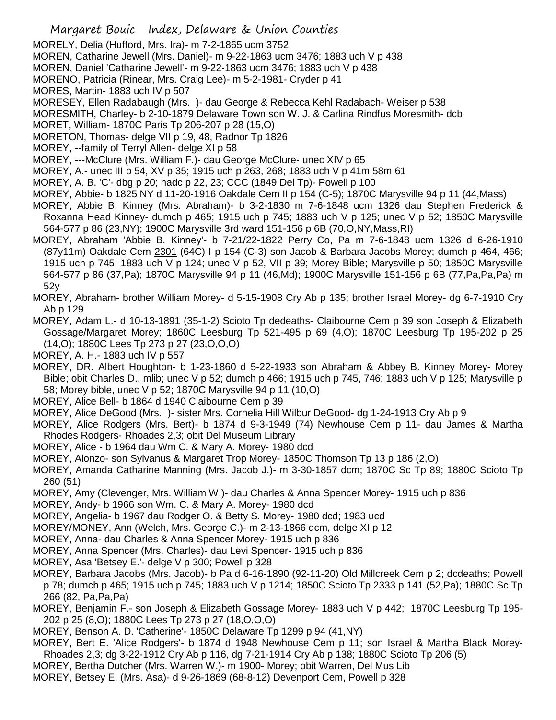- Margaret Bouic Index, Delaware & Union Counties
- MORELY, Delia (Hufford, Mrs. Ira)- m 7-2-1865 ucm 3752
- MOREN, Catharine Jewell (Mrs. Daniel)- m 9-22-1863 ucm 3476; 1883 uch V p 438
- MOREN, Daniel 'Catharine Jewell'- m 9-22-1863 ucm 3476; 1883 uch V p 438
- MORENO, Patricia (Rinear, Mrs. Craig Lee)- m 5-2-1981- Cryder p 41
- MORES, Martin- 1883 uch IV p 507
- MORESEY, Ellen Radabaugh (Mrs. )- dau George & Rebecca Kehl Radabach- Weiser p 538
- MORESMITH, Charley- b 2-10-1879 Delaware Town son W. J. & Carlina Rindfus Moresmith- dcb
- MORET, William- 1870C Paris Tp 206-207 p 28 (15,O)
- MORETON, Thomas- delge VII p 19, 48, Radnor Tp 1826
- MOREY, --family of Terryl Allen- delge XI p 58
- MOREY, ---McClure (Mrs. William F.)- dau George McClure- unec XIV p 65
- MOREY, A.- unec III p 54, XV p 35; 1915 uch p 263, 268; 1883 uch V p 41m 58m 61
- MOREY, A. B. 'C'- dbg p 20; hadc p 22, 23; CCC (1849 Del Tp)- Powell p 100
- MOREY, Abbie- b 1825 NY d 11-20-1916 Oakdale Cem II p 154 (C-5); 1870C Marysville 94 p 11 (44,Mass)
- MOREY, Abbie B. Kinney (Mrs. Abraham)- b 3-2-1830 m 7-6-1848 ucm 1326 dau Stephen Frederick & Roxanna Head Kinney- dumch p 465; 1915 uch p 745; 1883 uch V p 125; unec V p 52; 1850C Marysville 564-577 p 86 (23,NY); 1900C Marysville 3rd ward 151-156 p 6B (70,O,NY,Mass,RI)
- MOREY, Abraham 'Abbie B. Kinney'- b 7-21/22-1822 Perry Co, Pa m 7-6-1848 ucm 1326 d 6-26-1910 (87y11m) Oakdale Cem 2301 (64C) I p 154 (C-3) son Jacob & Barbara Jacobs Morey; dumch p 464, 466; 1915 uch p 745; 1883 uch V p 124; unec V p 52, VII p 39; Morey Bible; Marysville p 50; 1850C Marysville 564-577 p 86 (37,Pa); 1870C Marysville 94 p 11 (46,Md); 1900C Marysville 151-156 p 6B (77,Pa,Pa,Pa) m 52y
- MOREY, Abraham- brother William Morey- d 5-15-1908 Cry Ab p 135; brother Israel Morey- dg 6-7-1910 Cry Ab p 129
- MOREY, Adam L.- d 10-13-1891 (35-1-2) Scioto Tp dedeaths- Claibourne Cem p 39 son Joseph & Elizabeth Gossage/Margaret Morey; 1860C Leesburg Tp 521-495 p 69 (4,O); 1870C Leesburg Tp 195-202 p 25 (14,O); 1880C Lees Tp 273 p 27 (23,O,O,O)
- MOREY, A. H.- 1883 uch IV p 557
- MOREY, DR. Albert Houghton- b 1-23-1860 d 5-22-1933 son Abraham & Abbey B. Kinney Morey- Morey Bible; obit Charles D., mlib; unec V p 52; dumch p 466; 1915 uch p 745, 746; 1883 uch V p 125; Marysville p 58; Morey bible, unec V p 52; 1870C Marysville 94 p 11 (10,O)
- MOREY, Alice Bell- b 1864 d 1940 Claibourne Cem p 39
- MOREY, Alice DeGood (Mrs. )- sister Mrs. Cornelia Hill Wilbur DeGood- dg 1-24-1913 Cry Ab p 9
- MOREY, Alice Rodgers (Mrs. Bert)- b 1874 d 9-3-1949 (74) Newhouse Cem p 11- dau James & Martha Rhodes Rodgers- Rhoades 2,3; obit Del Museum Library
- MOREY, Alice b 1964 dau Wm C. & Mary A. Morey- 1980 dcd
- MOREY, Alonzo- son Sylvanus & Margaret Trop Morey- 1850C Thomson Tp 13 p 186 (2,O)
- MOREY, Amanda Catharine Manning (Mrs. Jacob J.)- m 3-30-1857 dcm; 1870C Sc Tp 89; 1880C Scioto Tp 260 (51)
- MOREY, Amy (Clevenger, Mrs. William W.)- dau Charles & Anna Spencer Morey- 1915 uch p 836
- MOREY, Andy- b 1966 son Wm. C. & Mary A. Morey- 1980 dcd
- MOREY, Angelia- b 1967 dau Rodger O. & Betty S. Morey- 1980 dcd; 1983 ucd
- MOREY/MONEY, Ann (Welch, Mrs. George C.)- m 2-13-1866 dcm, delge XI p 12
- MOREY, Anna- dau Charles & Anna Spencer Morey- 1915 uch p 836
- MOREY, Anna Spencer (Mrs. Charles)- dau Levi Spencer- 1915 uch p 836
- MOREY, Asa 'Betsey E.'- delge V p 300; Powell p 328
- MOREY, Barbara Jacobs (Mrs. Jacob)- b Pa d 6-16-1890 (92-11-20) Old Millcreek Cem p 2; dcdeaths; Powell p 78; dumch p 465; 1915 uch p 745; 1883 uch V p 1214; 1850C Scioto Tp 2333 p 141 (52,Pa); 1880C Sc Tp 266 (82, Pa,Pa,Pa)
- MOREY, Benjamin F.- son Joseph & Elizabeth Gossage Morey- 1883 uch V p 442; 1870C Leesburg Tp 195- 202 p 25 (8,O); 1880C Lees Tp 273 p 27 (18,O,O,O)
- MOREY, Benson A. D. 'Catherine'- 1850C Delaware Tp 1299 p 94 (41,NY)
- MOREY, Bert E. 'Alice Rodgers'- b 1874 d 1948 Newhouse Cem p 11; son Israel & Martha Black Morey-Rhoades 2,3; dg 3-22-1912 Cry Ab p 116, dg 7-21-1914 Cry Ab p 138; 1880C Scioto Tp 206 (5)
- MOREY, Bertha Dutcher (Mrs. Warren W.)- m 1900- Morey; obit Warren, Del Mus Lib
- MOREY, Betsey E. (Mrs. Asa)- d 9-26-1869 (68-8-12) Devenport Cem, Powell p 328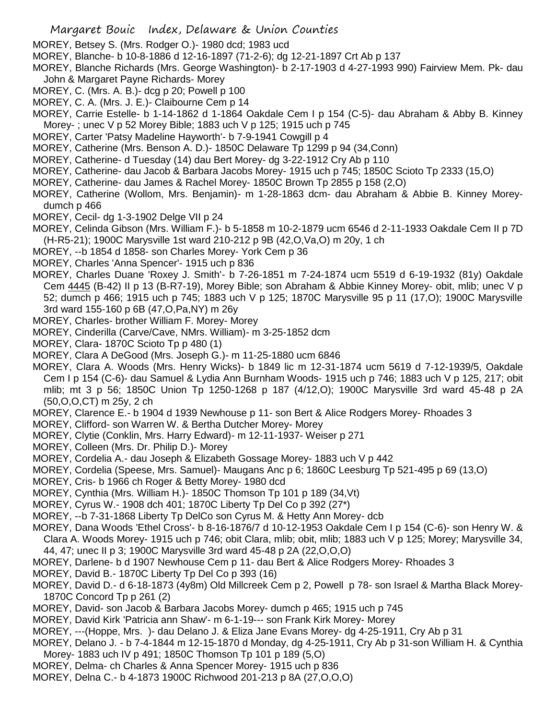- MOREY, Betsey S. (Mrs. Rodger O.)- 1980 dcd; 1983 ucd
- MOREY, Blanche- b 10-8-1886 d 12-16-1897 (71-2-6); dg 12-21-1897 Crt Ab p 137
- MOREY, Blanche Richards (Mrs. George Washington)- b 2-17-1903 d 4-27-1993 990) Fairview Mem. Pk- dau John & Margaret Payne Richards- Morey
- MOREY, C. (Mrs. A. B.)- dcg p 20; Powell p 100
- MOREY, C. A. (Mrs. J. E.)- Claibourne Cem p 14
- MOREY, Carrie Estelle- b 1-14-1862 d 1-1864 Oakdale Cem I p 154 (C-5)- dau Abraham & Abby B. Kinney Morey- ; unec V p 52 Morey Bible; 1883 uch V p 125; 1915 uch p 745
- MOREY, Carter 'Patsy Madeline Hayworth'- b 7-9-1941 Cowgill p 4
- MOREY, Catherine (Mrs. Benson A. D.)- 1850C Delaware Tp 1299 p 94 (34,Conn)
- MOREY, Catherine- d Tuesday (14) dau Bert Morey- dg 3-22-1912 Cry Ab p 110
- MOREY, Catherine- dau Jacob & Barbara Jacobs Morey- 1915 uch p 745; 1850C Scioto Tp 2333 (15,O)
- MOREY, Catherine- dau James & Rachel Morey- 1850C Brown Tp 2855 p 158 (2,O)
- MOREY, Catherine (Wollom, Mrs. Benjamin)- m 1-28-1863 dcm- dau Abraham & Abbie B. Kinney Moreydumch p 466
- MOREY, Cecil- dg 1-3-1902 Delge VII p 24
- MOREY, Celinda Gibson (Mrs. William F.)- b 5-1858 m 10-2-1879 ucm 6546 d 2-11-1933 Oakdale Cem II p 7D (H-R5-21); 1900C Marysville 1st ward 210-212 p 9B (42,O,Va,O) m 20y, 1 ch
- MOREY, --b 1854 d 1858- son Charles Morey- York Cem p 36
- MOREY, Charles 'Anna Spencer'- 1915 uch p 836
- MOREY, Charles Duane 'Roxey J. Smith'- b 7-26-1851 m 7-24-1874 ucm 5519 d 6-19-1932 (81y) Oakdale Cem 4445 (B-42) II p 13 (B-R7-19), Morey Bible; son Abraham & Abbie Kinney Morey- obit, mlib; unec V p 52; dumch p 466; 1915 uch p 745; 1883 uch V p 125; 1870C Marysville 95 p 11 (17,O); 1900C Marysville 3rd ward 155-160 p 6B (47,O,Pa,NY) m 26y
- MOREY, Charles- brother William F. Morey- Morey
- MOREY, Cinderilla (Carve/Cave, NMrs. William)- m 3-25-1852 dcm
- MOREY, Clara- 1870C Scioto Tp p 480 (1)
- MOREY, Clara A DeGood (Mrs. Joseph G.)- m 11-25-1880 ucm 6846
- MOREY, Clara A. Woods (Mrs. Henry Wicks)- b 1849 lic m 12-31-1874 ucm 5619 d 7-12-1939/5, Oakdale Cem I p 154 (C-6)- dau Samuel & Lydia Ann Burnham Woods- 1915 uch p 746; 1883 uch V p 125, 217; obit mlib; mt 3 p 56; 1850C Union Tp 1250-1268 p 187 (4/12,O); 1900C Marysville 3rd ward 45-48 p 2A (50,O,O,CT) m 25y, 2 ch
- MOREY, Clarence E.- b 1904 d 1939 Newhouse p 11- son Bert & Alice Rodgers Morey- Rhoades 3
- MOREY, Clifford- son Warren W. & Bertha Dutcher Morey- Morey
- MOREY, Clytie (Conklin, Mrs. Harry Edward)- m 12-11-1937- Weiser p 271
- MOREY, Colleen (Mrs. Dr. Philip D.)- Morey
- MOREY, Cordelia A.- dau Joseph & Elizabeth Gossage Morey- 1883 uch V p 442
- MOREY, Cordelia (Speese, Mrs. Samuel)- Maugans Anc p 6; 1860C Leesburg Tp 521-495 p 69 (13,O)
- MOREY, Cris- b 1966 ch Roger & Betty Morey- 1980 dcd
- MOREY, Cynthia (Mrs. William H.)- 1850C Thomson Tp 101 p 189 (34,Vt)
- MOREY, Cyrus W.- 1908 dch 401; 1870C Liberty Tp Del Co p 392 (27\*)
- MOREY, --b 7-31-1868 Liberty Tp DelCo son Cyrus M. & Hetty Ann Morey- dcb
- MOREY, Dana Woods 'Ethel Cross'- b 8-16-1876/7 d 10-12-1953 Oakdale Cem I p 154 (C-6)- son Henry W. & Clara A. Woods Morey- 1915 uch p 746; obit Clara, mlib; obit, mlib; 1883 uch V p 125; Morey; Marysville 34,
- 44, 47; unec II p 3; 1900C Marysville 3rd ward 45-48 p 2A (22,O,O,O)
- MOREY, Darlene- b d 1907 Newhouse Cem p 11- dau Bert & Alice Rodgers Morey- Rhoades 3
- MOREY, David B.- 1870C Liberty Tp Del Co p 393 (16)
- MOREY, David D.- d 6-18-1873 (4y8m) Old Millcreek Cem p 2, Powell p 78- son Israel & Martha Black Morey-1870C Concord Tp p 261 (2)
- MOREY, David- son Jacob & Barbara Jacobs Morey- dumch p 465; 1915 uch p 745
- MOREY, David Kirk 'Patricia ann Shaw'- m 6-1-19--- son Frank Kirk Morey- Morey
- MOREY, ---(Hoppe, Mrs. )- dau Delano J. & Eliza Jane Evans Morey- dg 4-25-1911, Cry Ab p 31
- MOREY, Delano J. b 7-4-1844 m 12-15-1870 d Monday, dg 4-25-1911, Cry Ab p 31-son William H. & Cynthia Morey- 1883 uch IV p 491; 1850C Thomson Tp 101 p 189 (5,O)
- MOREY, Delma- ch Charles & Anna Spencer Morey- 1915 uch p 836
- MOREY, Delna C.- b 4-1873 1900C Richwood 201-213 p 8A (27,O,O,O)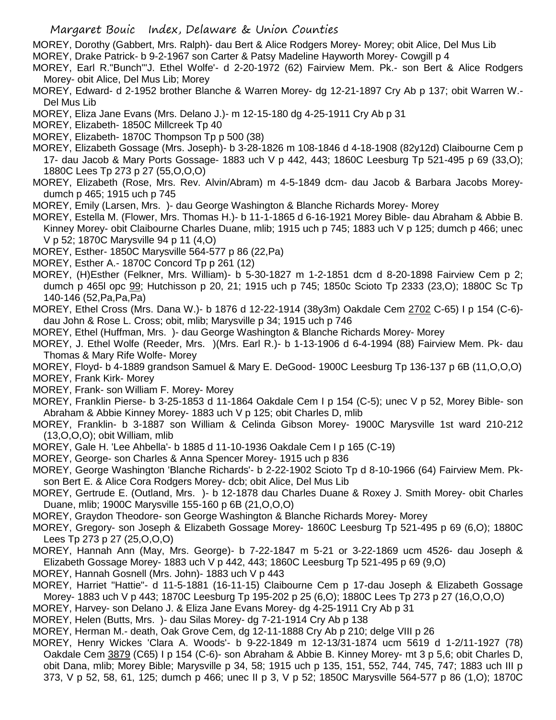MOREY, Dorothy (Gabbert, Mrs. Ralph)- dau Bert & Alice Rodgers Morey- Morey; obit Alice, Del Mus Lib

- MOREY, Drake Patrick- b 9-2-1967 son Carter & Patsy Madeline Hayworth Morey- Cowgill p 4
- MOREY, Earl R."Bunch"'J. Ethel Wolfe'- d 2-20-1972 (62) Fairview Mem. Pk.- son Bert & Alice Rodgers Morey- obit Alice, Del Mus Lib; Morey
- MOREY, Edward- d 2-1952 brother Blanche & Warren Morey- dg 12-21-1897 Cry Ab p 137; obit Warren W.- Del Mus Lib
- MOREY, Eliza Jane Evans (Mrs. Delano J.)- m 12-15-180 dg 4-25-1911 Cry Ab p 31
- MOREY, Elizabeth- 1850C Millcreek Tp 40

MOREY, Elizabeth- 1870C Thompson Tp p 500 (38)

- MOREY, Elizabeth Gossage (Mrs. Joseph)- b 3-28-1826 m 108-1846 d 4-18-1908 (82y12d) Claibourne Cem p 17- dau Jacob & Mary Ports Gossage- 1883 uch V p 442, 443; 1860C Leesburg Tp 521-495 p 69 (33,O); 1880C Lees Tp 273 p 27 (55,O,O,O)
- MOREY, Elizabeth (Rose, Mrs. Rev. Alvin/Abram) m 4-5-1849 dcm- dau Jacob & Barbara Jacobs Moreydumch p 465; 1915 uch p 745
- MOREY, Emily (Larsen, Mrs. )- dau George Washington & Blanche Richards Morey- Morey
- MOREY, Estella M. (Flower, Mrs. Thomas H.)- b 11-1-1865 d 6-16-1921 Morey Bible- dau Abraham & Abbie B. Kinney Morey- obit Claibourne Charles Duane, mlib; 1915 uch p 745; 1883 uch V p 125; dumch p 466; unec V p 52; 1870C Marysville 94 p 11 (4,O)
- MOREY, Esther- 1850C Marysville 564-577 p 86 (22,Pa)
- MOREY, Esther A.- 1870C Concord Tp p 261 (12)
- MOREY, (H)Esther (Felkner, Mrs. William)- b 5-30-1827 m 1-2-1851 dcm d 8-20-1898 Fairview Cem p 2; dumch p 465l opc 99; Hutchisson p 20, 21; 1915 uch p 745; 1850c Scioto Tp 2333 (23,O); 1880C Sc Tp 140-146 (52,Pa,Pa,Pa)
- MOREY, Ethel Cross (Mrs. Dana W.)- b 1876 d 12-22-1914 (38y3m) Oakdale Cem 2702 C-65) I p 154 (C-6) dau John & Rose L. Cross; obit, mlib; Marysville p 34; 1915 uch p 746
- MOREY, Ethel (Huffman, Mrs. )- dau George Washington & Blanche Richards Morey- Morey
- MOREY, J. Ethel Wolfe (Reeder, Mrs. )(Mrs. Earl R.)- b 1-13-1906 d 6-4-1994 (88) Fairview Mem. Pk- dau Thomas & Mary Rife Wolfe- Morey
- MOREY, Floyd- b 4-1889 grandson Samuel & Mary E. DeGood- 1900C Leesburg Tp 136-137 p 6B (11,O,O,O)
- MOREY, Frank Kirk- Morey
- MOREY, Frank- son William F. Morey- Morey
- MOREY, Franklin Pierse- b 3-25-1853 d 11-1864 Oakdale Cem I p 154 (C-5); unec V p 52, Morey Bible- son Abraham & Abbie Kinney Morey- 1883 uch V p 125; obit Charles D, mlib
- MOREY, Franklin- b 3-1887 son William & Celinda Gibson Morey- 1900C Marysville 1st ward 210-212 (13,O,O,O); obit William, mlib
- MOREY, Gale H. 'Lee Ahbella'- b 1885 d 11-10-1936 Oakdale Cem I p 165 (C-19)
- MOREY, George- son Charles & Anna Spencer Morey- 1915 uch p 836
- MOREY, George Washington 'Blanche Richards'- b 2-22-1902 Scioto Tp d 8-10-1966 (64) Fairview Mem. Pkson Bert E. & Alice Cora Rodgers Morey- dcb; obit Alice, Del Mus Lib
- MOREY, Gertrude E. (Outland, Mrs. )- b 12-1878 dau Charles Duane & Roxey J. Smith Morey- obit Charles Duane, mlib; 1900C Marysville 155-160 p 6B (21,O,O,O)
- MOREY, Graydon Theodore- son George Washington & Blanche Richards Morey- Morey
- MOREY, Gregory- son Joseph & Elizabeth Gossage Morey- 1860C Leesburg Tp 521-495 p 69 (6,O); 1880C Lees Tp 273 p 27 (25,O,O,O)
- MOREY, Hannah Ann (May, Mrs. George)- b 7-22-1847 m 5-21 or 3-22-1869 ucm 4526- dau Joseph & Elizabeth Gossage Morey- 1883 uch V p 442, 443; 1860C Leesburg Tp 521-495 p 69 (9,O)
- MOREY, Hannah Gosnell (Mrs. John)- 1883 uch V p 443
- MOREY, Harriet "Hattie"- d 11-5-1881 (16-11-15) Claibourne Cem p 17-dau Joseph & Elizabeth Gossage Morey- 1883 uch V p 443; 1870C Leesburg Tp 195-202 p 25 (6,O); 1880C Lees Tp 273 p 27 (16,O,O,O)
- MOREY, Harvey- son Delano J. & Eliza Jane Evans Morey- dg 4-25-1911 Cry Ab p 31
- MOREY, Helen (Butts, Mrs. )- dau Silas Morey- dg 7-21-1914 Cry Ab p 138
- MOREY, Herman M.- death, Oak Grove Cem, dg 12-11-1888 Cry Ab p 210; delge VIII p 26
- MOREY, Henry Wickes 'Clara A. Woods'- b 9-22-1849 m 12-13/31-1874 ucm 5619 d 1-2/11-1927 (78) Oakdale Cem 3879 (C65) I p 154 (C-6)- son Abraham & Abbie B. Kinney Morey- mt 3 p 5,6; obit Charles D, obit Dana, mlib; Morey Bible; Marysville p 34, 58; 1915 uch p 135, 151, 552, 744, 745, 747; 1883 uch III p 373, V p 52, 58, 61, 125; dumch p 466; unec II p 3, V p 52; 1850C Marysville 564-577 p 86 (1,O); 1870C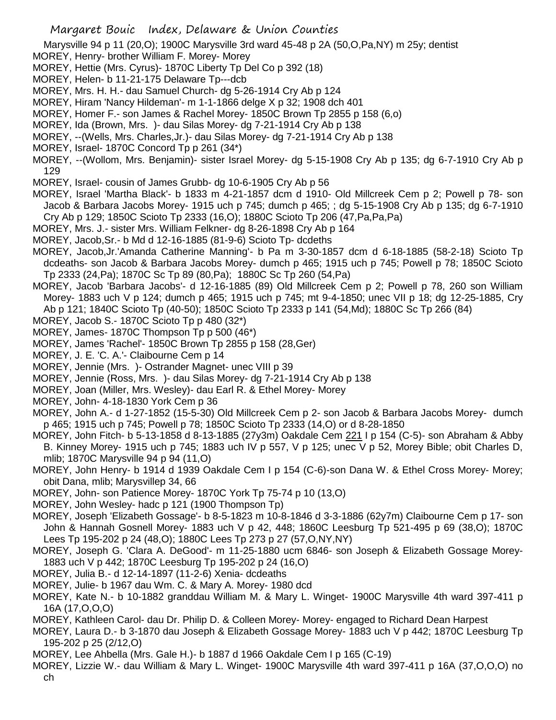Marysville 94 p 11 (20,O); 1900C Marysville 3rd ward 45-48 p 2A (50,O,Pa,NY) m 25y; dentist

- MOREY, Henry- brother William F. Morey- Morey
- MOREY, Hettie (Mrs. Cyrus)- 1870C Liberty Tp Del Co p 392 (18)
- MOREY, Helen- b 11-21-175 Delaware Tp---dcb
- MOREY, Mrs. H. H.- dau Samuel Church- dg 5-26-1914 Cry Ab p 124
- MOREY, Hiram 'Nancy Hildeman'- m 1-1-1866 delge X p 32; 1908 dch 401
- MOREY, Homer F.- son James & Rachel Morey- 1850C Brown Tp 2855 p 158 (6,o)
- MOREY, Ida (Brown, Mrs. )- dau Silas Morey- dg 7-21-1914 Cry Ab p 138
- MOREY, --(Wells, Mrs. Charles,Jr.)- dau Silas Morey- dg 7-21-1914 Cry Ab p 138
- MOREY, Israel- 1870C Concord Tp p 261 (34\*)
- MOREY, --(Wollom, Mrs. Benjamin)- sister Israel Morey- dg 5-15-1908 Cry Ab p 135; dg 6-7-1910 Cry Ab p 129
- MOREY, Israel- cousin of James Grubb- dg 10-6-1905 Cry Ab p 56
- MOREY, Israel 'Martha Black'- b 1833 m 4-21-1857 dcm d 1910- Old Millcreek Cem p 2; Powell p 78- son Jacob & Barbara Jacobs Morey- 1915 uch p 745; dumch p 465; ; dg 5-15-1908 Cry Ab p 135; dg 6-7-1910 Cry Ab p 129; 1850C Scioto Tp 2333 (16,O); 1880C Scioto Tp 206 (47,Pa,Pa,Pa)
- MOREY, Mrs. J.- sister Mrs. William Felkner- dg 8-26-1898 Cry Ab p 164
- MOREY, Jacob,Sr.- b Md d 12-16-1885 (81-9-6) Scioto Tp- dcdeths
- MOREY, Jacob,Jr.'Amanda Catherine Manning'- b Pa m 3-30-1857 dcm d 6-18-1885 (58-2-18) Scioto Tp dcdeaths- son Jacob & Barbara Jacobs Morey- dumch p 465; 1915 uch p 745; Powell p 78; 1850C Scioto Tp 2333 (24,Pa); 1870C Sc Tp 89 (80,Pa); 1880C Sc Tp 260 (54,Pa)
- MOREY, Jacob 'Barbara Jacobs'- d 12-16-1885 (89) Old Millcreek Cem p 2; Powell p 78, 260 son William Morey- 1883 uch V p 124; dumch p 465; 1915 uch p 745; mt 9-4-1850; unec VII p 18; dg 12-25-1885, Cry Ab p 121; 1840C Scioto Tp (40-50); 1850C Scioto Tp 2333 p 141 (54,Md); 1880C Sc Tp 266 (84)
- MOREY, Jacob S.- 1870C Scioto Tp p 480 (32\*)
- MOREY, James- 1870C Thompson Tp p 500 (46\*)
- MOREY, James 'Rachel'- 1850C Brown Tp 2855 p 158 (28,Ger)
- MOREY, J. E. 'C. A.'- Claibourne Cem p 14
- MOREY, Jennie (Mrs. )- Ostrander Magnet- unec VIII p 39
- MOREY, Jennie (Ross, Mrs. )- dau Silas Morey- dg 7-21-1914 Cry Ab p 138
- MOREY, Joan (Miller, Mrs. Wesley)- dau Earl R. & Ethel Morey- Morey
- MOREY, John- 4-18-1830 York Cem p 36
- MOREY, John A.- d 1-27-1852 (15-5-30) Old Millcreek Cem p 2- son Jacob & Barbara Jacobs Morey- dumch p 465; 1915 uch p 745; Powell p 78; 1850C Scioto Tp 2333 (14,O) or d 8-28-1850
- MOREY, John Fitch- b 5-13-1858 d 8-13-1885 (27y3m) Oakdale Cem 221 I p 154 (C-5)- son Abraham & Abby B. Kinney Morey- 1915 uch p 745; 1883 uch IV p 557, V p 125; unec V p 52, Morey Bible; obit Charles D, mlib; 1870C Marysville 94 p 94 (11,O)
- MOREY, John Henry- b 1914 d 1939 Oakdale Cem I p 154 (C-6)-son Dana W. & Ethel Cross Morey- Morey; obit Dana, mlib; Marysvillep 34, 66
- MOREY, John- son Patience Morey- 1870C York Tp 75-74 p 10 (13,O)
- MOREY, John Wesley- hadc p 121 (1900 Thompson Tp)
- MOREY, Joseph 'Elizabeth Gossage'- b 8-5-1823 m 10-8-1846 d 3-3-1886 (62y7m) Claibourne Cem p 17- son John & Hannah Gosnell Morey- 1883 uch V p 42, 448; 1860C Leesburg Tp 521-495 p 69 (38,O); 1870C Lees Tp 195-202 p 24 (48,O); 1880C Lees Tp 273 p 27 (57,O,NY,NY)
- MOREY, Joseph G. 'Clara A. DeGood'- m 11-25-1880 ucm 6846- son Joseph & Elizabeth Gossage Morey-1883 uch V p 442; 1870C Leesburg Tp 195-202 p 24 (16,O)
- MOREY, Julia B.- d 12-14-1897 (11-2-6) Xenia- dcdeaths
- MOREY, Julie- b 1967 dau Wm. C. & Mary A. Morey- 1980 dcd
- MOREY, Kate N.- b 10-1882 granddau William M. & Mary L. Winget- 1900C Marysville 4th ward 397-411 p 16A (17,O,O,O)
- MOREY, Kathleen Carol- dau Dr. Philip D. & Colleen Morey- Morey- engaged to Richard Dean Harpest
- MOREY, Laura D.- b 3-1870 dau Joseph & Elizabeth Gossage Morey- 1883 uch V p 442; 1870C Leesburg Tp 195-202 p 25 (2/12,O)
- MOREY, Lee Ahbella (Mrs. Gale H.)- b 1887 d 1966 Oakdale Cem I p 165 (C-19)
- MOREY, Lizzie W.- dau William & Mary L. Winget- 1900C Marysville 4th ward 397-411 p 16A (37,O,O,O) no ch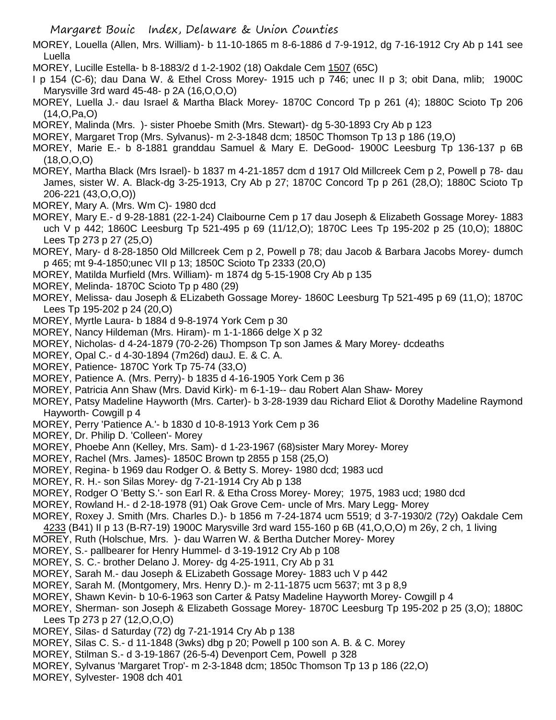Margaret Bouic Index, Delaware & Union Counties

- MOREY, Louella (Allen, Mrs. William)- b 11-10-1865 m 8-6-1886 d 7-9-1912, dg 7-16-1912 Cry Ab p 141 see Luella
- MOREY, Lucille Estella- b 8-1883/2 d 1-2-1902 (18) Oakdale Cem 1507 (65C)
- I p 154 (C-6); dau Dana W. & Ethel Cross Morey- 1915 uch p 746; unec II p 3; obit Dana, mlib; 1900C Marysville 3rd ward 45-48- p 2A (16,O,O,O)
- MOREY, Luella J.- dau Israel & Martha Black Morey- 1870C Concord Tp p 261 (4); 1880C Scioto Tp 206 (14,O,Pa,O)
- MOREY, Malinda (Mrs. )- sister Phoebe Smith (Mrs. Stewart)- dg 5-30-1893 Cry Ab p 123
- MOREY, Margaret Trop (Mrs. Sylvanus)- m 2-3-1848 dcm; 1850C Thomson Tp 13 p 186 (19,O)
- MOREY, Marie E.- b 8-1881 granddau Samuel & Mary E. DeGood- 1900C Leesburg Tp 136-137 p 6B (18,O,O,O)
- MOREY, Martha Black (Mrs Israel)- b 1837 m 4-21-1857 dcm d 1917 Old Millcreek Cem p 2, Powell p 78- dau James, sister W. A. Black-dg 3-25-1913, Cry Ab p 27; 1870C Concord Tp p 261 (28,O); 1880C Scioto Tp 206-221 (43,O,O,O))
- MOREY, Mary A. (Mrs. Wm C)- 1980 dcd
- MOREY, Mary E.- d 9-28-1881 (22-1-24) Claibourne Cem p 17 dau Joseph & Elizabeth Gossage Morey- 1883 uch V p 442; 1860C Leesburg Tp 521-495 p 69 (11/12,O); 1870C Lees Tp 195-202 p 25 (10,O); 1880C Lees Tp 273 p 27 (25,O)
- MOREY, Mary- d 8-28-1850 Old Millcreek Cem p 2, Powell p 78; dau Jacob & Barbara Jacobs Morey- dumch p 465; mt 9-4-1850;unec VII p 13; 1850C Scioto Tp 2333 (20,O)
- MOREY, Matilda Murfield (Mrs. William)- m 1874 dg 5-15-1908 Cry Ab p 135
- MOREY, Melinda- 1870C Scioto Tp p 480 (29)
- MOREY, Melissa- dau Joseph & ELizabeth Gossage Morey- 1860C Leesburg Tp 521-495 p 69 (11,O); 1870C Lees Tp 195-202 p 24 (20,O)
- MOREY, Myrtle Laura- b 1884 d 9-8-1974 York Cem p 30
- MOREY, Nancy Hildeman (Mrs. Hiram)- m 1-1-1866 delge X p 32
- MOREY, Nicholas- d 4-24-1879 (70-2-26) Thompson Tp son James & Mary Morey- dcdeaths
- MOREY, Opal C.- d 4-30-1894 (7m26d) dauJ. E. & C. A.
- MOREY, Patience- 1870C York Tp 75-74 (33,O)
- MOREY, Patience A. (Mrs. Perry)- b 1835 d 4-16-1905 York Cem p 36
- MOREY, Patricia Ann Shaw (Mrs. David Kirk)- m 6-1-19-- dau Robert Alan Shaw- Morey
- MOREY, Patsy Madeline Hayworth (Mrs. Carter)- b 3-28-1939 dau Richard Eliot & Dorothy Madeline Raymond Hayworth- Cowgill p 4
- MOREY, Perry 'Patience A.'- b 1830 d 10-8-1913 York Cem p 36
- MOREY, Dr. Philip D. 'Colleen'- Morey
- MOREY, Phoebe Ann (Kelley, Mrs. Sam)- d 1-23-1967 (68)sister Mary Morey- Morey
- MOREY, Rachel (Mrs. James)- 1850C Brown tp 2855 p 158 (25,O)
- MOREY, Regina- b 1969 dau Rodger O. & Betty S. Morey- 1980 dcd; 1983 ucd
- MOREY, R. H.- son Silas Morey- dg 7-21-1914 Cry Ab p 138
- MOREY, Rodger O 'Betty S.'- son Earl R. & Etha Cross Morey- Morey; 1975, 1983 ucd; 1980 dcd
- MOREY, Rowland H.- d 2-18-1978 (91) Oak Grove Cem- uncle of Mrs. Mary Legg- Morey
- MOREY, Roxey J. Smith (Mrs. Charles D.)- b 1856 m 7-24-1874 ucm 5519; d 3-7-1930/2 (72y) Oakdale Cem 4233 (B41) II p 13 (B-R7-19) 1900C Marysville 3rd ward 155-160 p 6B (41,O,O,O) m 26y, 2 ch, 1 living
- MOREY, Ruth (Holschue, Mrs. )- dau Warren W. & Bertha Dutcher Morey- Morey
- MOREY, S.- pallbearer for Henry Hummel- d 3-19-1912 Cry Ab p 108
- MOREY, S. C.- brother Delano J. Morey- dg 4-25-1911, Cry Ab p 31
- MOREY, Sarah M.- dau Joseph & ELizabeth Gossage Morey- 1883 uch V p 442
- MOREY, Sarah M. (Montgomery, Mrs. Henry D.)- m 2-11-1875 ucm 5637; mt 3 p 8,9
- MOREY, Shawn Kevin- b 10-6-1963 son Carter & Patsy Madeline Hayworth Morey- Cowgill p 4
- MOREY, Sherman- son Joseph & Elizabeth Gossage Morey- 1870C Leesburg Tp 195-202 p 25 (3,O); 1880C Lees Tp 273 p 27 (12,O,O,O)
- MOREY, Silas- d Saturday (72) dg 7-21-1914 Cry Ab p 138
- MOREY, Silas C. S.- d 11-1848 (3wks) dbg p 20; Powell p 100 son A. B. & C. Morey
- MOREY, Stilman S.- d 3-19-1867 (26-5-4) Devenport Cem, Powell p 328
- MOREY, Sylvanus 'Margaret Trop'- m 2-3-1848 dcm; 1850c Thomson Tp 13 p 186 (22,O)
- MOREY, Sylvester- 1908 dch 401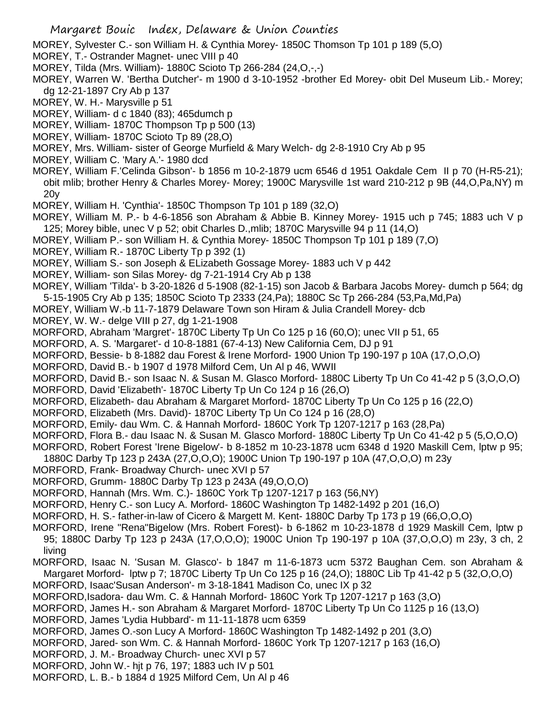- MOREY, Sylvester C.- son William H. & Cynthia Morey- 1850C Thomson Tp 101 p 189 (5,O)
- MOREY, T.- Ostrander Magnet- unec VIII p 40
- MOREY, Tilda (Mrs. William)- 1880C Scioto Tp 266-284 (24,O,-,-)
- MOREY, Warren W. 'Bertha Dutcher'- m 1900 d 3-10-1952 -brother Ed Morey- obit Del Museum Lib.- Morey; dg 12-21-1897 Cry Ab p 137
- MOREY, W. H.- Marysville p 51
- MOREY, William- d c 1840 (83); 465dumch p
- MOREY, William- 1870C Thompson Tp p 500 (13)
- MOREY, William- 1870C Scioto Tp 89 (28,O)
- MOREY, Mrs. William- sister of George Murfield & Mary Welch- dg 2-8-1910 Cry Ab p 95
- MOREY, William C. 'Mary A.'- 1980 dcd
- MOREY, William F.'Celinda Gibson'- b 1856 m 10-2-1879 ucm 6546 d 1951 Oakdale Cem II p 70 (H-R5-21); obit mlib; brother Henry & Charles Morey- Morey; 1900C Marysville 1st ward 210-212 p 9B (44,O,Pa,NY) m 20y
- MOREY, William H. 'Cynthia'- 1850C Thompson Tp 101 p 189 (32,O)
- MOREY, William M. P.- b 4-6-1856 son Abraham & Abbie B. Kinney Morey- 1915 uch p 745; 1883 uch V p 125; Morey bible, unec V p 52; obit Charles D.,mlib; 1870C Marysville 94 p 11 (14,O)
- MOREY, William P.- son William H. & Cynthia Morey- 1850C Thompson Tp 101 p 189 (7,O)
- MOREY, William R.- 1870C Liberty Tp p 392 (1)
- MOREY, William S.- son Joseph & ELizabeth Gossage Morey- 1883 uch V p 442
- MOREY, William- son Silas Morey- dg 7-21-1914 Cry Ab p 138
- MOREY, William 'Tilda'- b 3-20-1826 d 5-1908 (82-1-15) son Jacob & Barbara Jacobs Morey- dumch p 564; dg 5-15-1905 Cry Ab p 135; 1850C Scioto Tp 2333 (24,Pa); 1880C Sc Tp 266-284 (53,Pa,Md,Pa)
- MOREY, William W.-b 11-7-1879 Delaware Town son Hiram & Julia Crandell Morey- dcb
- MOREY, W. W.- delge VIII p 27, dg 1-21-1908
- MORFORD, Abraham 'Margret'- 1870C Liberty Tp Un Co 125 p 16 (60,O); unec VII p 51, 65
- MORFORD, A. S. 'Margaret'- d 10-8-1881 (67-4-13) New California Cem, DJ p 91
- MORFORD, Bessie- b 8-1882 dau Forest & Irene Morford- 1900 Union Tp 190-197 p 10A (17,O,O,O)
- MORFORD, David B.- b 1907 d 1978 Milford Cem, Un Al p 46, WWII
- MORFORD, David B.- son Isaac N. & Susan M. Glasco Morford- 1880C Liberty Tp Un Co 41-42 p 5 (3,O,O,O)
- MORFORD, David 'Elizabeth'- 1870C Liberty Tp Un Co 124 p 16 (26,O)
- MORFORD, Elizabeth- dau Abraham & Margaret Morford- 1870C Liberty Tp Un Co 125 p 16 (22,O)
- MORFORD, Elizabeth (Mrs. David)- 1870C Liberty Tp Un Co 124 p 16 (28,O)
- MORFORD, Emily- dau Wm. C. & Hannah Morford- 1860C York Tp 1207-1217 p 163 (28,Pa)
- MORFORD, Flora B.- dau Isaac N. & Susan M. Glasco Morford- 1880C Liberty Tp Un Co 41-42 p 5 (5,O,O,O)
- MORFORD, Robert Forest 'Irene Bigelow'- b 8-1852 m 10-23-1878 ucm 6348 d 1920 Maskill Cem, lptw p 95;
- 1880C Darby Tp 123 p 243A (27,O,O,O); 1900C Union Tp 190-197 p 10A (47,O,O,O) m 23y
- MORFORD, Frank- Broadway Church- unec XVI p 57
- MORFORD, Grumm- 1880C Darby Tp 123 p 243A (49,O,O,O)
- MORFORD, Hannah (Mrs. Wm. C.)- 1860C York Tp 1207-1217 p 163 (56,NY)
- MORFORD, Henry C.- son Lucy A. Morford- 1860C Washington Tp 1482-1492 p 201 (16,O)
- MORFORD, H. S.- father-in-law of Cicero & Margett M. Kent- 1880C Darby Tp 173 p 19 (66,O,O,O)
- MORFORD, Irene "Rena"Bigelow (Mrs. Robert Forest)- b 6-1862 m 10-23-1878 d 1929 Maskill Cem, lptw p 95; 1880C Darby Tp 123 p 243A (17,O,O,O); 1900C Union Tp 190-197 p 10A (37,O,O,O) m 23y, 3 ch, 2 living
- MORFORD, Isaac N. 'Susan M. Glasco'- b 1847 m 11-6-1873 ucm 5372 Baughan Cem. son Abraham & Margaret Morford- lptw p 7; 1870C Liberty Tp Un Co 125 p 16 (24,O); 1880C Lib Tp 41-42 p 5 (32,O,O,O)
- MORFORD, Isaac'Susan Anderson'- m 3-18-1841 Madison Co, unec IX p 32
- MORFORD,Isadora- dau Wm. C. & Hannah Morford- 1860C York Tp 1207-1217 p 163 (3,O)
- MORFORD, James H.- son Abraham & Margaret Morford- 1870C Liberty Tp Un Co 1125 p 16 (13,O)
- MORFORD, James 'Lydia Hubbard'- m 11-11-1878 ucm 6359
- MORFORD, James O.-son Lucy A Morford- 1860C Washington Tp 1482-1492 p 201 (3,O)
- MORFORD, Jared- son Wm. C. & Hannah Morford- 1860C York Tp 1207-1217 p 163 (16,O)
- MORFORD, J. M.- Broadway Church- unec XVI p 57
- MORFORD, John W.- hjt p 76, 197; 1883 uch IV p 501
- MORFORD, L. B.- b 1884 d 1925 Milford Cem, Un Al p 46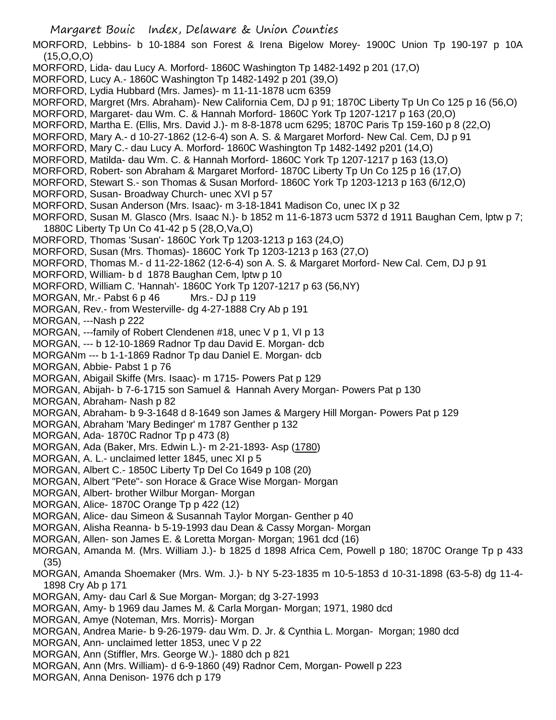MORFORD, Lebbins- b 10-1884 son Forest & Irena Bigelow Morey- 1900C Union Tp 190-197 p 10A (15,O,O,O)

- MORFORD, Lida- dau Lucy A. Morford- 1860C Washington Tp 1482-1492 p 201 (17,O)
- MORFORD, Lucy A.- 1860C Washington Tp 1482-1492 p 201 (39,O)
- MORFORD, Lydia Hubbard (Mrs. James)- m 11-11-1878 ucm 6359
- MORFORD, Margret (Mrs. Abraham)- New California Cem, DJ p 91; 1870C Liberty Tp Un Co 125 p 16 (56,O)
- MORFORD, Margaret- dau Wm. C. & Hannah Morford- 1860C York Tp 1207-1217 p 163 (20,O)
- MORFORD, Martha E. (Ellis, Mrs. David J.)- m 8-8-1878 ucm 6295; 1870C Paris Tp 159-160 p 8 (22,O)
- MORFORD, Mary A.- d 10-27-1862 (12-6-4) son A. S. & Margaret Morford- New Cal. Cem, DJ p 91
- MORFORD, Mary C.- dau Lucy A. Morford- 1860C Washington Tp 1482-1492 p201 (14,O)
- MORFORD, Matilda- dau Wm. C. & Hannah Morford- 1860C York Tp 1207-1217 p 163 (13,O)
- MORFORD, Robert- son Abraham & Margaret Morford- 1870C Liberty Tp Un Co 125 p 16 (17,O)
- MORFORD, Stewart S.- son Thomas & Susan Morford- 1860C York Tp 1203-1213 p 163 (6/12,O)
- MORFORD, Susan- Broadway Church- unec XVI p 57
- MORFORD, Susan Anderson (Mrs. Isaac)- m 3-18-1841 Madison Co, unec IX p 32
- MORFORD, Susan M. Glasco (Mrs. Isaac N.)- b 1852 m 11-6-1873 ucm 5372 d 1911 Baughan Cem, lptw p 7; 1880C Liberty Tp Un Co 41-42 p 5 (28,O,Va,O)
- MORFORD, Thomas 'Susan'- 1860C York Tp 1203-1213 p 163 (24,O)
- MORFORD, Susan (Mrs. Thomas)- 1860C York Tp 1203-1213 p 163 (27,O)
- MORFORD, Thomas M.- d 11-22-1862 (12-6-4) son A. S. & Margaret Morford- New Cal. Cem, DJ p 91
- MORFORD, William- b d 1878 Baughan Cem, lptw p 10
- MORFORD, William C. 'Hannah'- 1860C York Tp 1207-1217 p 63 (56,NY)
- MORGAN, Mr.- Pabst 6 p 46 Mrs.- DJ p 119
- MORGAN, Rev.- from Westerville- dg 4-27-1888 Cry Ab p 191
- MORGAN, ---Nash p 222
- MORGAN, ---family of Robert Clendenen #18, unec V p 1, VI p 13
- MORGAN, --- b 12-10-1869 Radnor Tp dau David E. Morgan- dcb
- MORGANm --- b 1-1-1869 Radnor Tp dau Daniel E. Morgan- dcb
- MORGAN, Abbie- Pabst 1 p 76
- MORGAN, Abigail Skiffe (Mrs. Isaac)- m 1715- Powers Pat p 129
- MORGAN, Abijah- b 7-6-1715 son Samuel & Hannah Avery Morgan- Powers Pat p 130
- MORGAN, Abraham- Nash p 82
- MORGAN, Abraham- b 9-3-1648 d 8-1649 son James & Margery Hill Morgan- Powers Pat p 129
- MORGAN, Abraham 'Mary Bedinger' m 1787 Genther p 132
- MORGAN, Ada- 1870C Radnor Tp p 473 (8)
- MORGAN, Ada (Baker, Mrs. Edwin L.)- m 2-21-1893- Asp (1780)
- MORGAN, A. L.- unclaimed letter 1845, unec XI p 5
- MORGAN, Albert C.- 1850C Liberty Tp Del Co 1649 p 108 (20)
- MORGAN, Albert "Pete"- son Horace & Grace Wise Morgan- Morgan
- MORGAN, Albert- brother Wilbur Morgan- Morgan
- MORGAN, Alice- 1870C Orange Tp p 422 (12)
- MORGAN, Alice- dau Simeon & Susannah Taylor Morgan- Genther p 40
- MORGAN, Alisha Reanna- b 5-19-1993 dau Dean & Cassy Morgan- Morgan
- MORGAN, Allen- son James E. & Loretta Morgan- Morgan; 1961 dcd (16)
- MORGAN, Amanda M. (Mrs. William J.)- b 1825 d 1898 Africa Cem, Powell p 180; 1870C Orange Tp p 433 (35)
- MORGAN, Amanda Shoemaker (Mrs. Wm. J.)- b NY 5-23-1835 m 10-5-1853 d 10-31-1898 (63-5-8) dg 11-4- 1898 Cry Ab p 171
- MORGAN, Amy- dau Carl & Sue Morgan- Morgan; dg 3-27-1993
- MORGAN, Amy- b 1969 dau James M. & Carla Morgan- Morgan; 1971, 1980 dcd
- MORGAN, Amye (Noteman, Mrs. Morris)- Morgan
- MORGAN, Andrea Marie- b 9-26-1979- dau Wm. D. Jr. & Cynthia L. Morgan- Morgan; 1980 dcd
- MORGAN, Ann- unclaimed letter 1853, unec V p 22
- MORGAN, Ann (Stiffler, Mrs. George W.)- 1880 dch p 821
- MORGAN, Ann (Mrs. William)- d 6-9-1860 (49) Radnor Cem, Morgan- Powell p 223
- MORGAN, Anna Denison- 1976 dch p 179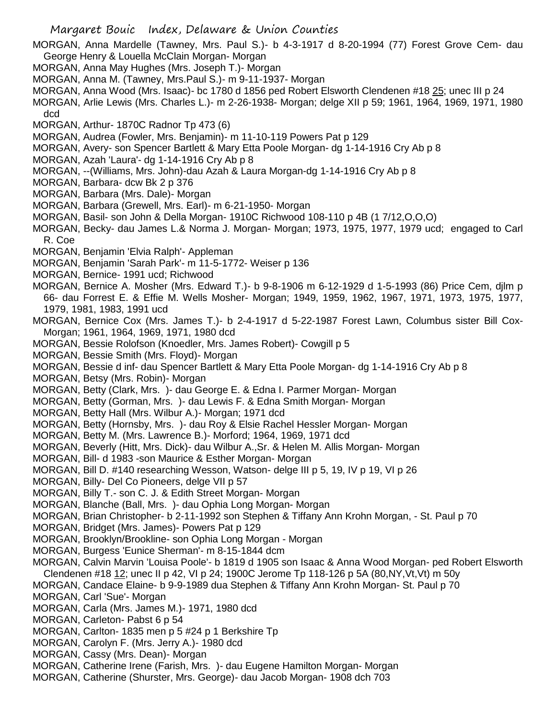MORGAN, Anna Mardelle (Tawney, Mrs. Paul S.)- b 4-3-1917 d 8-20-1994 (77) Forest Grove Cem- dau George Henry & Louella McClain Morgan- Morgan

- MORGAN, Anna May Hughes (Mrs. Joseph T.)- Morgan
- MORGAN, Anna M. (Tawney, Mrs.Paul S.)- m 9-11-1937- Morgan
- MORGAN, Anna Wood (Mrs. Isaac)- bc 1780 d 1856 ped Robert Elsworth Clendenen #18 25; unec III p 24

MORGAN, Arlie Lewis (Mrs. Charles L.)- m 2-26-1938- Morgan; delge XII p 59; 1961, 1964, 1969, 1971, 1980 dcd

- MORGAN, Arthur- 1870C Radnor Tp 473 (6)
- MORGAN, Audrea (Fowler, Mrs. Benjamin)- m 11-10-119 Powers Pat p 129
- MORGAN, Avery- son Spencer Bartlett & Mary Etta Poole Morgan- dg 1-14-1916 Cry Ab p 8
- MORGAN, Azah 'Laura'- dg 1-14-1916 Cry Ab p 8
- MORGAN, --(Williams, Mrs. John)-dau Azah & Laura Morgan-dg 1-14-1916 Cry Ab p 8
- MORGAN, Barbara- dcw Bk 2 p 376
- MORGAN, Barbara (Mrs. Dale)- Morgan
- MORGAN, Barbara (Grewell, Mrs. Earl)- m 6-21-1950- Morgan
- MORGAN, Basil- son John & Della Morgan- 1910C Richwood 108-110 p 4B (1 7/12,O,O,O)
- MORGAN, Becky- dau James L.& Norma J. Morgan- Morgan; 1973, 1975, 1977, 1979 ucd; engaged to Carl R. Coe
- MORGAN, Benjamin 'Elvia Ralph'- Appleman
- MORGAN, Benjamin 'Sarah Park'- m 11-5-1772- Weiser p 136
- MORGAN, Bernice- 1991 ucd; Richwood
- MORGAN, Bernice A. Mosher (Mrs. Edward T.)- b 9-8-1906 m 6-12-1929 d 1-5-1993 (86) Price Cem, djlm p 66- dau Forrest E. & Effie M. Wells Mosher- Morgan; 1949, 1959, 1962, 1967, 1971, 1973, 1975, 1977, 1979, 1981, 1983, 1991 ucd
- MORGAN, Bernice Cox (Mrs. James T.)- b 2-4-1917 d 5-22-1987 Forest Lawn, Columbus sister Bill Cox-Morgan; 1961, 1964, 1969, 1971, 1980 dcd
- MORGAN, Bessie Rolofson (Knoedler, Mrs. James Robert)- Cowgill p 5
- MORGAN, Bessie Smith (Mrs. Floyd)- Morgan
- MORGAN, Bessie d inf- dau Spencer Bartlett & Mary Etta Poole Morgan- dg 1-14-1916 Cry Ab p 8
- MORGAN, Betsy (Mrs. Robin)- Morgan
- MORGAN, Betty (Clark, Mrs. )- dau George E. & Edna I. Parmer Morgan- Morgan
- MORGAN, Betty (Gorman, Mrs. )- dau Lewis F. & Edna Smith Morgan- Morgan
- MORGAN, Betty Hall (Mrs. Wilbur A.)- Morgan; 1971 dcd
- MORGAN, Betty (Hornsby, Mrs. )- dau Roy & Elsie Rachel Hessler Morgan- Morgan
- MORGAN, Betty M. (Mrs. Lawrence B.)- Morford; 1964, 1969, 1971 dcd
- MORGAN, Beverly (Hitt, Mrs. Dick)- dau Wilbur A.,Sr. & Helen M. Allis Morgan- Morgan
- MORGAN, Bill- d 1983 -son Maurice & Esther Morgan- Morgan
- MORGAN, Bill D. #140 researching Wesson, Watson- delge III p 5, 19, IV p 19, VI p 26
- MORGAN, Billy- Del Co Pioneers, delge VII p 57
- MORGAN, Billy T.- son C. J. & Edith Street Morgan- Morgan
- MORGAN, Blanche (Ball, Mrs. )- dau Ophia Long Morgan- Morgan
- MORGAN, Brian Christopher- b 2-11-1992 son Stephen & Tiffany Ann Krohn Morgan, St. Paul p 70
- MORGAN, Bridget (Mrs. James)- Powers Pat p 129
- MORGAN, Brooklyn/Brookline- son Ophia Long Morgan Morgan
- MORGAN, Burgess 'Eunice Sherman'- m 8-15-1844 dcm
- MORGAN, Calvin Marvin 'Louisa Poole'- b 1819 d 1905 son Isaac & Anna Wood Morgan- ped Robert Elsworth
- Clendenen #18 12; unec II p 42, VI p 24; 1900C Jerome Tp 118-126 p 5A (80,NY,Vt,Vt) m 50y
- MORGAN, Candace Elaine- b 9-9-1989 dua Stephen & Tiffany Ann Krohn Morgan- St. Paul p 70
- MORGAN, Carl 'Sue'- Morgan
- MORGAN, Carla (Mrs. James M.)- 1971, 1980 dcd
- MORGAN, Carleton- Pabst 6 p 54
- MORGAN, Carlton- 1835 men p 5 #24 p 1 Berkshire Tp
- MORGAN, Carolyn F. (Mrs. Jerry A.)- 1980 dcd
- MORGAN, Cassy (Mrs. Dean)- Morgan
- MORGAN, Catherine Irene (Farish, Mrs. )- dau Eugene Hamilton Morgan- Morgan
- MORGAN, Catherine (Shurster, Mrs. George)- dau Jacob Morgan- 1908 dch 703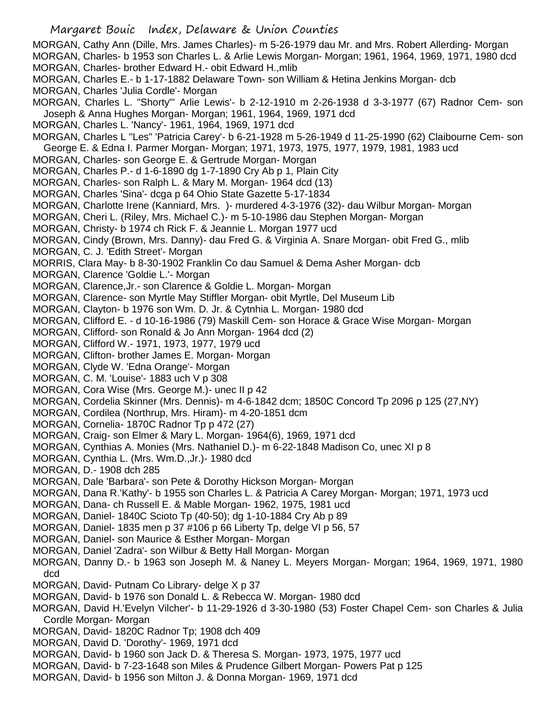MORGAN, Cathy Ann (Dille, Mrs. James Charles)- m 5-26-1979 dau Mr. and Mrs. Robert Allerding- Morgan MORGAN, Charles- b 1953 son Charles L. & Arlie Lewis Morgan- Morgan; 1961, 1964, 1969, 1971, 1980 dcd MORGAN, Charles- brother Edward H.- obit Edward H.,mlib

- MORGAN, Charles E.- b 1-17-1882 Delaware Town- son William & Hetina Jenkins Morgan- dcb
- MORGAN, Charles 'Julia Cordle'- Morgan

MORGAN, Charles L. "Shorty"' Arlie Lewis'- b 2-12-1910 m 2-26-1938 d 3-3-1977 (67) Radnor Cem- son Joseph & Anna Hughes Morgan- Morgan; 1961, 1964, 1969, 1971 dcd

MORGAN, Charles L. 'Nancy'- 1961, 1964, 1969, 1971 dcd

MORGAN, Charles L "Les" 'Patricia Carey'- b 6-21-1928 m 5-26-1949 d 11-25-1990 (62) Claibourne Cem- son George E. & Edna I. Parmer Morgan- Morgan; 1971, 1973, 1975, 1977, 1979, 1981, 1983 ucd

- MORGAN, Charles- son George E. & Gertrude Morgan- Morgan
- MORGAN, Charles P.- d 1-6-1890 dg 1-7-1890 Cry Ab p 1, Plain City
- MORGAN, Charles- son Ralph L. & Mary M. Morgan- 1964 dcd (13)
- MORGAN, Charles 'Sina'- dcga p 64 Ohio State Gazette 5-17-1834
- MORGAN, Charlotte Irene (Kanniard, Mrs. )- murdered 4-3-1976 (32)- dau Wilbur Morgan- Morgan
- MORGAN, Cheri L. (Riley, Mrs. Michael C.)- m 5-10-1986 dau Stephen Morgan- Morgan
- MORGAN, Christy- b 1974 ch Rick F. & Jeannie L. Morgan 1977 ucd
- MORGAN, Cindy (Brown, Mrs. Danny)- dau Fred G. & Virginia A. Snare Morgan- obit Fred G., mlib
- MORGAN, C. J. 'Edith Street'- Morgan

MORRIS, Clara May- b 8-30-1902 Franklin Co dau Samuel & Dema Asher Morgan- dcb

- MORGAN, Clarence 'Goldie L.'- Morgan
- MORGAN, Clarence,Jr.- son Clarence & Goldie L. Morgan- Morgan
- MORGAN, Clarence- son Myrtle May Stiffler Morgan- obit Myrtle, Del Museum Lib
- MORGAN, Clayton- b 1976 son Wm. D. Jr. & Cytnhia L. Morgan- 1980 dcd
- MORGAN, Clifford E. d 10-16-1986 (79) Maskill Cem- son Horace & Grace Wise Morgan- Morgan
- MORGAN, Clifford- son Ronald & Jo Ann Morgan- 1964 dcd (2)
- MORGAN, Clifford W.- 1971, 1973, 1977, 1979 ucd
- MORGAN, Clifton- brother James E. Morgan- Morgan
- MORGAN, Clyde W. 'Edna Orange'- Morgan
- MORGAN, C. M. 'Louise'- 1883 uch V p 308
- MORGAN, Cora Wise (Mrs. George M.)- unec II p 42
- MORGAN, Cordelia Skinner (Mrs. Dennis)- m 4-6-1842 dcm; 1850C Concord Tp 2096 p 125 (27,NY)
- MORGAN, Cordilea (Northrup, Mrs. Hiram)- m 4-20-1851 dcm
- MORGAN, Cornelia- 1870C Radnor Tp p 472 (27)
- MORGAN, Craig- son Elmer & Mary L. Morgan- 1964(6), 1969, 1971 dcd
- MORGAN, Cynthias A. Monies (Mrs. Nathaniel D.)- m 6-22-1848 Madison Co, unec XI p 8
- MORGAN, Cynthia L. (Mrs. Wm.D.,Jr.)- 1980 dcd
- MORGAN, D.- 1908 dch 285
- MORGAN, Dale 'Barbara'- son Pete & Dorothy Hickson Morgan- Morgan
- MORGAN, Dana R.'Kathy'- b 1955 son Charles L. & Patricia A Carey Morgan- Morgan; 1971, 1973 ucd
- MORGAN, Dana- ch Russell E. & Mable Morgan- 1962, 1975, 1981 ucd
- MORGAN, Daniel- 1840C Scioto Tp (40-50); dg 1-10-1884 Cry Ab p 89
- MORGAN, Daniel- 1835 men p 37 #106 p 66 Liberty Tp, delge VI p 56, 57
- MORGAN, Daniel- son Maurice & Esther Morgan- Morgan
- MORGAN, Daniel 'Zadra'- son Wilbur & Betty Hall Morgan- Morgan
- MORGAN, Danny D.- b 1963 son Joseph M. & Naney L. Meyers Morgan- Morgan; 1964, 1969, 1971, 1980 dcd
- MORGAN, David- Putnam Co Library- delge X p 37
- MORGAN, David- b 1976 son Donald L. & Rebecca W. Morgan- 1980 dcd
- MORGAN, David H.'Evelyn Vilcher'- b 11-29-1926 d 3-30-1980 (53) Foster Chapel Cem- son Charles & Julia Cordle Morgan- Morgan
- MORGAN, David- 1820C Radnor Tp; 1908 dch 409
- MORGAN, David D. 'Dorothy'- 1969, 1971 dcd
- MORGAN, David- b 1960 son Jack D. & Theresa S. Morgan- 1973, 1975, 1977 ucd
- MORGAN, David- b 7-23-1648 son Miles & Prudence Gilbert Morgan- Powers Pat p 125
- MORGAN, David- b 1956 son Milton J. & Donna Morgan- 1969, 1971 dcd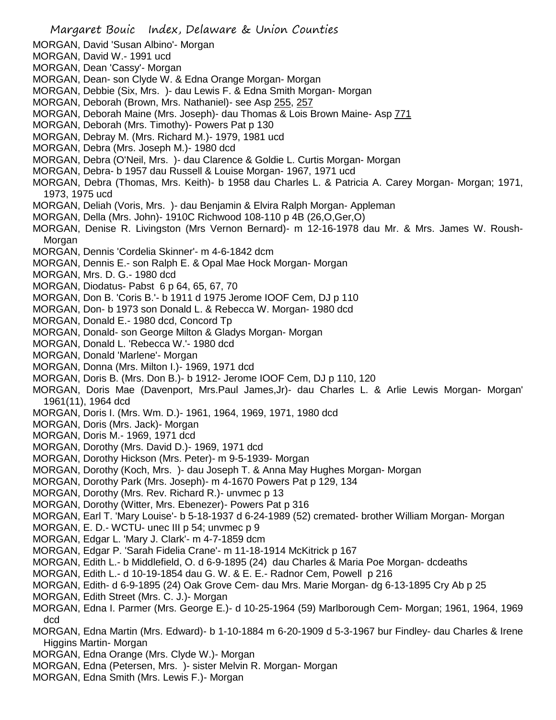- MORGAN, David 'Susan Albino'- Morgan
- MORGAN, David W.- 1991 ucd
- MORGAN, Dean 'Cassy'- Morgan
- MORGAN, Dean- son Clyde W. & Edna Orange Morgan- Morgan
- MORGAN, Debbie (Six, Mrs. )- dau Lewis F. & Edna Smith Morgan- Morgan
- MORGAN, Deborah (Brown, Mrs. Nathaniel)- see Asp 255, 257
- MORGAN, Deborah Maine (Mrs. Joseph)- dau Thomas & Lois Brown Maine- Asp 771
- MORGAN, Deborah (Mrs. Timothy)- Powers Pat p 130
- MORGAN, Debray M. (Mrs. Richard M.)- 1979, 1981 ucd
- MORGAN, Debra (Mrs. Joseph M.)- 1980 dcd
- MORGAN, Debra (O'Neil, Mrs. )- dau Clarence & Goldie L. Curtis Morgan- Morgan
- MORGAN, Debra- b 1957 dau Russell & Louise Morgan- 1967, 1971 ucd
- MORGAN, Debra (Thomas, Mrs. Keith)- b 1958 dau Charles L. & Patricia A. Carey Morgan- Morgan; 1971, 1973, 1975 ucd
- MORGAN, Deliah (Voris, Mrs. )- dau Benjamin & Elvira Ralph Morgan- Appleman
- MORGAN, Della (Mrs. John)- 1910C Richwood 108-110 p 4B (26,O,Ger,O)
- MORGAN, Denise R. Livingston (Mrs Vernon Bernard)- m 12-16-1978 dau Mr. & Mrs. James W. Roush-Morgan
- MORGAN, Dennis 'Cordelia Skinner'- m 4-6-1842 dcm
- MORGAN, Dennis E.- son Ralph E. & Opal Mae Hock Morgan- Morgan
- MORGAN, Mrs. D. G.- 1980 dcd
- MORGAN, Diodatus- Pabst 6 p 64, 65, 67, 70
- MORGAN, Don B. 'Coris B.'- b 1911 d 1975 Jerome IOOF Cem, DJ p 110
- MORGAN, Don- b 1973 son Donald L. & Rebecca W. Morgan- 1980 dcd
- MORGAN, Donald E.- 1980 dcd, Concord Tp
- MORGAN, Donald- son George Milton & Gladys Morgan- Morgan
- MORGAN, Donald L. 'Rebecca W.'- 1980 dcd
- MORGAN, Donald 'Marlene'- Morgan
- MORGAN, Donna (Mrs. Milton I.)- 1969, 1971 dcd
- MORGAN, Doris B. (Mrs. Don B.)- b 1912- Jerome IOOF Cem, DJ p 110, 120
- MORGAN, Doris Mae (Davenport, Mrs.Paul James,Jr)- dau Charles L. & Arlie Lewis Morgan- Morgan' 1961(11), 1964 dcd
- MORGAN, Doris I. (Mrs. Wm. D.)- 1961, 1964, 1969, 1971, 1980 dcd
- MORGAN, Doris (Mrs. Jack)- Morgan
- MORGAN, Doris M.- 1969, 1971 dcd
- MORGAN, Dorothy (Mrs. David D.)- 1969, 1971 dcd
- MORGAN, Dorothy Hickson (Mrs. Peter)- m 9-5-1939- Morgan
- MORGAN, Dorothy (Koch, Mrs. )- dau Joseph T. & Anna May Hughes Morgan- Morgan
- MORGAN, Dorothy Park (Mrs. Joseph)- m 4-1670 Powers Pat p 129, 134
- MORGAN, Dorothy (Mrs. Rev. Richard R.)- unvmec p 13
- MORGAN, Dorothy (Witter, Mrs. Ebenezer)- Powers Pat p 316
- MORGAN, Earl T. 'Mary Louise'- b 5-18-1937 d 6-24-1989 (52) cremated- brother William Morgan- Morgan
- MORGAN, E. D.- WCTU- unec III p 54; unvmec p 9
- MORGAN, Edgar L. 'Mary J. Clark'- m 4-7-1859 dcm
- MORGAN, Edgar P. 'Sarah Fidelia Crane'- m 11-18-1914 McKitrick p 167
- MORGAN, Edith L.- b Middlefield, O. d 6-9-1895 (24) dau Charles & Maria Poe Morgan- dcdeaths
- MORGAN, Edith L.- d 10-19-1854 dau G. W. & E. E.- Radnor Cem, Powell p 216
- MORGAN, Edith- d 6-9-1895 (24) Oak Grove Cem- dau Mrs. Marie Morgan- dg 6-13-1895 Cry Ab p 25
- MORGAN, Edith Street (Mrs. C. J.)- Morgan
- MORGAN, Edna I. Parmer (Mrs. George E.)- d 10-25-1964 (59) Marlborough Cem- Morgan; 1961, 1964, 1969 dcd
- MORGAN, Edna Martin (Mrs. Edward)- b 1-10-1884 m 6-20-1909 d 5-3-1967 bur Findley- dau Charles & Irene Higgins Martin- Morgan
- MORGAN, Edna Orange (Mrs. Clyde W.)- Morgan
- MORGAN, Edna (Petersen, Mrs. )- sister Melvin R. Morgan- Morgan
- MORGAN, Edna Smith (Mrs. Lewis F.)- Morgan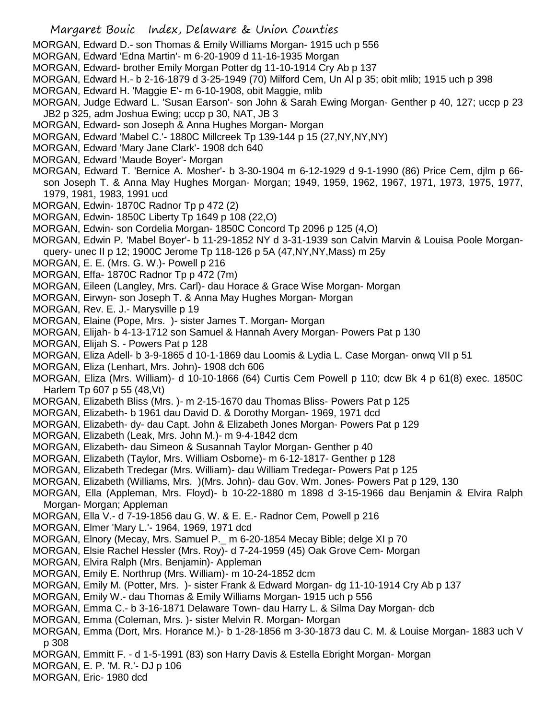MORGAN, Edward D.- son Thomas & Emily Williams Morgan- 1915 uch p 556

- MORGAN, Edward 'Edna Martin'- m 6-20-1909 d 11-16-1935 Morgan
- MORGAN, Edward- brother Emily Morgan Potter dg 11-10-1914 Cry Ab p 137
- MORGAN, Edward H.- b 2-16-1879 d 3-25-1949 (70) Milford Cem, Un Al p 35; obit mlib; 1915 uch p 398
- MORGAN, Edward H. 'Maggie E'- m 6-10-1908, obit Maggie, mlib
- MORGAN, Judge Edward L. 'Susan Earson'- son John & Sarah Ewing Morgan- Genther p 40, 127; uccp p 23 JB2 p 325, adm Joshua Ewing; uccp p 30, NAT, JB 3
- MORGAN, Edward- son Joseph & Anna Hughes Morgan- Morgan
- MORGAN, Edward 'Mabel C.'- 1880C Millcreek Tp 139-144 p 15 (27,NY,NY,NY)
- MORGAN, Edward 'Mary Jane Clark'- 1908 dch 640
- MORGAN, Edward 'Maude Boyer'- Morgan
- MORGAN, Edward T. 'Bernice A. Mosher'- b 3-30-1904 m 6-12-1929 d 9-1-1990 (86) Price Cem, djlm p 66 son Joseph T. & Anna May Hughes Morgan- Morgan; 1949, 1959, 1962, 1967, 1971, 1973, 1975, 1977, 1979, 1981, 1983, 1991 ucd
- MORGAN, Edwin- 1870C Radnor Tp p 472 (2)
- MORGAN, Edwin- 1850C Liberty Tp 1649 p 108 (22,O)
- MORGAN, Edwin- son Cordelia Morgan- 1850C Concord Tp 2096 p 125 (4,O)
- MORGAN, Edwin P. 'Mabel Boyer'- b 11-29-1852 NY d 3-31-1939 son Calvin Marvin & Louisa Poole Morganquery- unec II p 12; 1900C Jerome Tp 118-126 p 5A (47,NY,NY,Mass) m 25y
- MORGAN, E. E. (Mrs. G. W.)- Powell p 216
- MORGAN, Effa- 1870C Radnor Tp p 472 (7m)
- MORGAN, Eileen (Langley, Mrs. Carl)- dau Horace & Grace Wise Morgan- Morgan
- MORGAN, Eirwyn- son Joseph T. & Anna May Hughes Morgan- Morgan
- MORGAN, Rev. E. J.- Marysville p 19
- MORGAN, Elaine (Pope, Mrs. )- sister James T. Morgan- Morgan
- MORGAN, Elijah- b 4-13-1712 son Samuel & Hannah Avery Morgan- Powers Pat p 130
- MORGAN, Elijah S. Powers Pat p 128
- MORGAN, Eliza Adell- b 3-9-1865 d 10-1-1869 dau Loomis & Lydia L. Case Morgan- onwq VII p 51
- MORGAN, Eliza (Lenhart, Mrs. John)- 1908 dch 606
- MORGAN, Eliza (Mrs. William)- d 10-10-1866 (64) Curtis Cem Powell p 110; dcw Bk 4 p 61(8) exec. 1850C Harlem Tp 607 p 55 (48,Vt)
- MORGAN, Elizabeth Bliss (Mrs. )- m 2-15-1670 dau Thomas Bliss- Powers Pat p 125
- MORGAN, Elizabeth- b 1961 dau David D. & Dorothy Morgan- 1969, 1971 dcd
- MORGAN, Elizabeth- dy- dau Capt. John & Elizabeth Jones Morgan- Powers Pat p 129
- MORGAN, Elizabeth (Leak, Mrs. John M.)- m 9-4-1842 dcm
- MORGAN, Elizabeth- dau Simeon & Susannah Taylor Morgan- Genther p 40
- MORGAN, Elizabeth (Taylor, Mrs. William Osborne)- m 6-12-1817- Genther p 128
- MORGAN, Elizabeth Tredegar (Mrs. William)- dau William Tredegar- Powers Pat p 125
- MORGAN, Elizabeth (Williams, Mrs. )(Mrs. John)- dau Gov. Wm. Jones- Powers Pat p 129, 130
- MORGAN, Ella (Appleman, Mrs. Floyd)- b 10-22-1880 m 1898 d 3-15-1966 dau Benjamin & Elvira Ralph Morgan- Morgan; Appleman
- MORGAN, Ella V.- d 7-19-1856 dau G. W. & E. E.- Radnor Cem, Powell p 216
- MORGAN, Elmer 'Mary L.'- 1964, 1969, 1971 dcd
- MORGAN, Elnory (Mecay, Mrs. Samuel P.\_ m 6-20-1854 Mecay Bible; delge XI p 70
- MORGAN, Elsie Rachel Hessler (Mrs. Roy)- d 7-24-1959 (45) Oak Grove Cem- Morgan
- MORGAN, Elvira Ralph (Mrs. Benjamin)- Appleman
- MORGAN, Emily E. Northrup (Mrs. William)- m 10-24-1852 dcm
- MORGAN, Emily M. (Potter, Mrs. )- sister Frank & Edward Morgan- dg 11-10-1914 Cry Ab p 137
- MORGAN, Emily W.- dau Thomas & Emily Williams Morgan- 1915 uch p 556
- MORGAN, Emma C.- b 3-16-1871 Delaware Town- dau Harry L. & Silma Day Morgan- dcb
- MORGAN, Emma (Coleman, Mrs. )- sister Melvin R. Morgan- Morgan
- MORGAN, Emma (Dort, Mrs. Horance M.)- b 1-28-1856 m 3-30-1873 dau C. M. & Louise Morgan- 1883 uch V p 308
- MORGAN, Emmitt F. d 1-5-1991 (83) son Harry Davis & Estella Ebright Morgan- Morgan
- MORGAN, E. P. 'M. R.'- DJ p 106
- MORGAN, Eric- 1980 dcd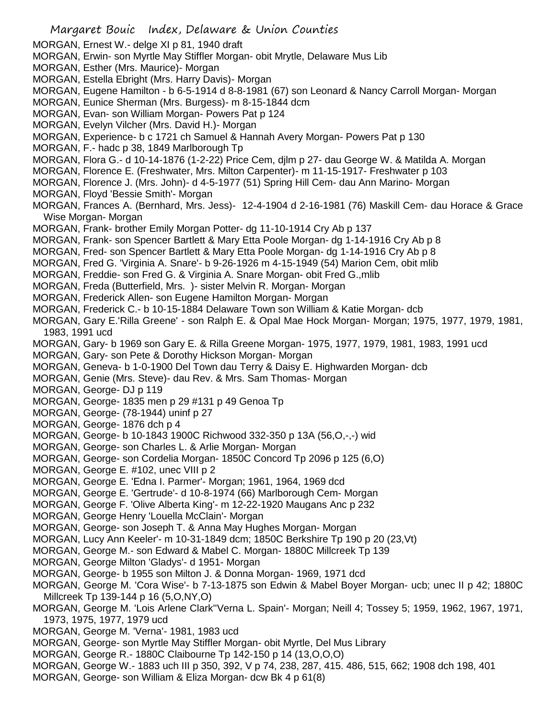- MORGAN, Ernest W.- delge XI p 81, 1940 draft
- MORGAN, Erwin- son Myrtle May Stiffler Morgan- obit Mrytle, Delaware Mus Lib
- MORGAN, Esther (Mrs. Maurice)- Morgan
- MORGAN, Estella Ebright (Mrs. Harry Davis)- Morgan
- MORGAN, Eugene Hamilton b 6-5-1914 d 8-8-1981 (67) son Leonard & Nancy Carroll Morgan- Morgan
- MORGAN, Eunice Sherman (Mrs. Burgess)- m 8-15-1844 dcm
- MORGAN, Evan- son William Morgan- Powers Pat p 124
- MORGAN, Evelyn Vilcher (Mrs. David H.)- Morgan
- MORGAN, Experience- b c 1721 ch Samuel & Hannah Avery Morgan- Powers Pat p 130
- MORGAN, F.- hadc p 38, 1849 Marlborough Tp
- MORGAN, Flora G.- d 10-14-1876 (1-2-22) Price Cem, djlm p 27- dau George W. & Matilda A. Morgan
- MORGAN, Florence E. (Freshwater, Mrs. Milton Carpenter)- m 11-15-1917- Freshwater p 103
- MORGAN, Florence J. (Mrs. John)- d 4-5-1977 (51) Spring Hill Cem- dau Ann Marino- Morgan
- MORGAN, Floyd 'Bessie Smith'- Morgan
- MORGAN, Frances A. (Bernhard, Mrs. Jess)- 12-4-1904 d 2-16-1981 (76) Maskill Cem- dau Horace & Grace Wise Morgan- Morgan
- MORGAN, Frank- brother Emily Morgan Potter- dg 11-10-1914 Cry Ab p 137
- MORGAN, Frank- son Spencer Bartlett & Mary Etta Poole Morgan- dg 1-14-1916 Cry Ab p 8
- MORGAN, Fred- son Spencer Bartlett & Mary Etta Poole Morgan- dg 1-14-1916 Cry Ab p 8
- MORGAN, Fred G. 'Virginia A. Snare'- b 9-26-1926 m 4-15-1949 (54) Marion Cem, obit mlib
- MORGAN, Freddie- son Fred G. & Virginia A. Snare Morgan- obit Fred G.,mlib
- MORGAN, Freda (Butterfield, Mrs. )- sister Melvin R. Morgan- Morgan
- MORGAN, Frederick Allen- son Eugene Hamilton Morgan- Morgan
- MORGAN, Frederick C.- b 10-15-1884 Delaware Town son William & Katie Morgan- dcb
- MORGAN, Gary E.'Rilla Greene' son Ralph E. & Opal Mae Hock Morgan- Morgan; 1975, 1977, 1979, 1981, 1983, 1991 ucd
- MORGAN, Gary- b 1969 son Gary E. & Rilla Greene Morgan- 1975, 1977, 1979, 1981, 1983, 1991 ucd
- MORGAN, Gary- son Pete & Dorothy Hickson Morgan- Morgan
- MORGAN, Geneva- b 1-0-1900 Del Town dau Terry & Daisy E. Highwarden Morgan- dcb
- MORGAN, Genie (Mrs. Steve)- dau Rev. & Mrs. Sam Thomas- Morgan
- MORGAN, George- DJ p 119
- MORGAN, George- 1835 men p 29 #131 p 49 Genoa Tp
- MORGAN, George- (78-1944) uninf p 27
- MORGAN, George- 1876 dch p 4
- MORGAN, George- b 10-1843 1900C Richwood 332-350 p 13A (56,O,-,-) wid
- MORGAN, George- son Charles L. & Arlie Morgan- Morgan
- MORGAN, George- son Cordelia Morgan- 1850C Concord Tp 2096 p 125 (6,O)
- MORGAN, George E. #102, unec VIII p 2
- MORGAN, George E. 'Edna I. Parmer'- Morgan; 1961, 1964, 1969 dcd
- MORGAN, George E. 'Gertrude'- d 10-8-1974 (66) Marlborough Cem- Morgan
- MORGAN, George F. 'Olive Alberta King'- m 12-22-1920 Maugans Anc p 232
- MORGAN, George Henry 'Louella McClain'- Morgan
- MORGAN, George- son Joseph T. & Anna May Hughes Morgan- Morgan
- MORGAN, Lucy Ann Keeler'- m 10-31-1849 dcm; 1850C Berkshire Tp 190 p 20 (23,Vt)
- MORGAN, George M.- son Edward & Mabel C. Morgan- 1880C Millcreek Tp 139
- MORGAN, George Milton 'Gladys'- d 1951- Morgan
- MORGAN, George- b 1955 son Milton J. & Donna Morgan- 1969, 1971 dcd
- MORGAN, George M. 'Cora Wise'- b 7-13-1875 son Edwin & Mabel Boyer Morgan- ucb; unec II p 42; 1880C Millcreek Tp 139-144 p 16 (5,O,NY,O)
- MORGAN, George M. 'Lois Arlene Clark''Verna L. Spain'- Morgan; Neill 4; Tossey 5; 1959, 1962, 1967, 1971, 1973, 1975, 1977, 1979 ucd
- MORGAN, George M. 'Verna'- 1981, 1983 ucd
- MORGAN, George- son Myrtle May Stiffler Morgan- obit Myrtle, Del Mus Library
- MORGAN, George R.- 1880C Claibourne Tp 142-150 p 14 (13,O,O,O)
- MORGAN, George W.- 1883 uch III p 350, 392, V p 74, 238, 287, 415. 486, 515, 662; 1908 dch 198, 401
- MORGAN, George- son William & Eliza Morgan- dcw Bk 4 p 61(8)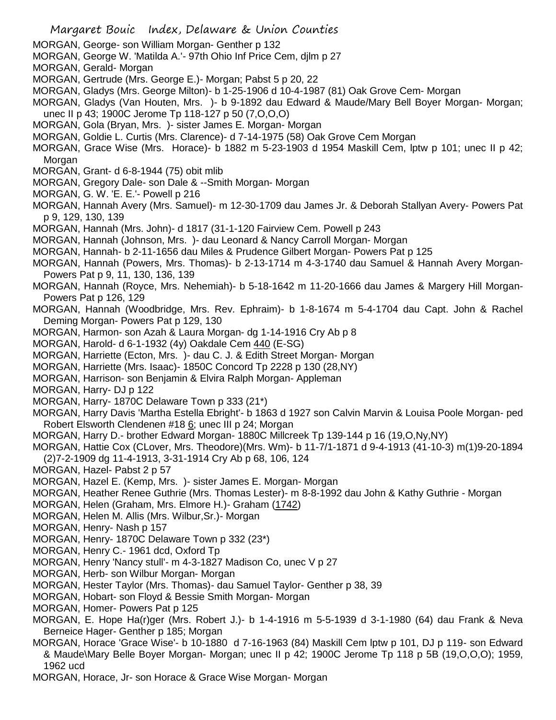Margaret Bouic Index, Delaware & Union Counties MORGAN, George- son William Morgan- Genther p 132 MORGAN, George W. 'Matilda A.'- 97th Ohio Inf Price Cem, djlm p 27 MORGAN, Gerald- Morgan MORGAN, Gertrude (Mrs. George E.)- Morgan; Pabst 5 p 20, 22 MORGAN, Gladys (Mrs. George Milton)- b 1-25-1906 d 10-4-1987 (81) Oak Grove Cem- Morgan MORGAN, Gladys (Van Houten, Mrs. )- b 9-1892 dau Edward & Maude/Mary Bell Boyer Morgan- Morgan; unec II p 43; 1900C Jerome Tp 118-127 p 50 (7,O,O,O) MORGAN, Gola (Bryan, Mrs. )- sister James E. Morgan- Morgan MORGAN, Goldie L. Curtis (Mrs. Clarence)- d 7-14-1975 (58) Oak Grove Cem Morgan MORGAN, Grace Wise (Mrs. Horace)- b 1882 m 5-23-1903 d 1954 Maskill Cem, lptw p 101; unec II p 42; Morgan MORGAN, Grant- d 6-8-1944 (75) obit mlib MORGAN, Gregory Dale- son Dale & --Smith Morgan- Morgan MORGAN, G. W. 'E. E.'- Powell p 216 MORGAN, Hannah Avery (Mrs. Samuel)- m 12-30-1709 dau James Jr. & Deborah Stallyan Avery- Powers Pat p 9, 129, 130, 139 MORGAN, Hannah (Mrs. John)- d 1817 (31-1-120 Fairview Cem. Powell p 243 MORGAN, Hannah (Johnson, Mrs. )- dau Leonard & Nancy Carroll Morgan- Morgan MORGAN, Hannah- b 2-11-1656 dau Miles & Prudence Gilbert Morgan- Powers Pat p 125 MORGAN, Hannah (Powers, Mrs. Thomas)- b 2-13-1714 m 4-3-1740 dau Samuel & Hannah Avery Morgan-Powers Pat p 9, 11, 130, 136, 139 MORGAN, Hannah (Royce, Mrs. Nehemiah)- b 5-18-1642 m 11-20-1666 dau James & Margery Hill Morgan-Powers Pat p 126, 129 MORGAN, Hannah (Woodbridge, Mrs. Rev. Ephraim)- b 1-8-1674 m 5-4-1704 dau Capt. John & Rachel Deming Morgan- Powers Pat p 129, 130 MORGAN, Harmon- son Azah & Laura Morgan- dg 1-14-1916 Cry Ab p 8 MORGAN, Harold- d 6-1-1932 (4y) Oakdale Cem 440 (E-SG) MORGAN, Harriette (Ecton, Mrs. )- dau C. J. & Edith Street Morgan- Morgan MORGAN, Harriette (Mrs. Isaac)- 1850C Concord Tp 2228 p 130 (28,NY) MORGAN, Harrison- son Benjamin & Elvira Ralph Morgan- Appleman MORGAN, Harry- DJ p 122 MORGAN, Harry- 1870C Delaware Town p 333 (21\*) MORGAN, Harry Davis 'Martha Estella Ebright'- b 1863 d 1927 son Calvin Marvin & Louisa Poole Morgan- ped Robert Elsworth Clendenen #18 6; unec III p 24; Morgan MORGAN, Harry D.- brother Edward Morgan- 1880C Millcreek Tp 139-144 p 16 (19,O,Ny,NY) MORGAN, Hattie Cox (CLover, Mrs. Theodore)(Mrs. Wm)- b 11-7/1-1871 d 9-4-1913 (41-10-3) m(1)9-20-1894 (2)7-2-1909 dg 11-4-1913, 3-31-1914 Cry Ab p 68, 106, 124 MORGAN, Hazel- Pabst 2 p 57 MORGAN, Hazel E. (Kemp, Mrs. )- sister James E. Morgan- Morgan MORGAN, Heather Renee Guthrie (Mrs. Thomas Lester)- m 8-8-1992 dau John & Kathy Guthrie - Morgan MORGAN, Helen (Graham, Mrs. Elmore H.)- Graham (1742) MORGAN, Helen M. Allis (Mrs. Wilbur,Sr.)- Morgan MORGAN, Henry- Nash p 157

- MORGAN, Henry- 1870C Delaware Town p 332 (23\*)
- MORGAN, Henry C.- 1961 dcd, Oxford Tp
- MORGAN, Henry 'Nancy stull'- m 4-3-1827 Madison Co, unec V p 27
- MORGAN, Herb- son Wilbur Morgan- Morgan
- MORGAN, Hester Taylor (Mrs. Thomas)- dau Samuel Taylor- Genther p 38, 39
- MORGAN, Hobart- son Floyd & Bessie Smith Morgan- Morgan
- MORGAN, Homer- Powers Pat p 125
- MORGAN, E. Hope Ha(r)ger (Mrs. Robert J.)- b 1-4-1916 m 5-5-1939 d 3-1-1980 (64) dau Frank & Neva Berneice Hager- Genther p 185; Morgan
- MORGAN, Horace 'Grace Wise'- b 10-1880 d 7-16-1963 (84) Maskill Cem lptw p 101, DJ p 119- son Edward & Maude\Mary Belle Boyer Morgan- Morgan; unec II p 42; 1900C Jerome Tp 118 p 5B (19,O,O,O); 1959, 1962 ucd
- MORGAN, Horace, Jr- son Horace & Grace Wise Morgan- Morgan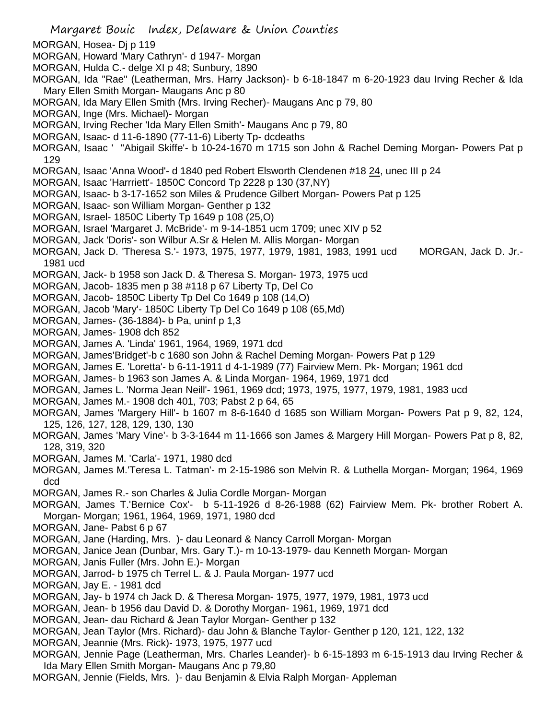Margaret Bouic Index, Delaware & Union Counties MORGAN, Hosea- Dj p 119 MORGAN, Howard 'Mary Cathryn'- d 1947- Morgan MORGAN, Hulda C.- delge XI p 48; Sunbury, 1890 MORGAN, Ida "Rae" (Leatherman, Mrs. Harry Jackson)- b 6-18-1847 m 6-20-1923 dau Irving Recher & Ida Mary Ellen Smith Morgan- Maugans Anc p 80 MORGAN, Ida Mary Ellen Smith (Mrs. Irving Recher)- Maugans Anc p 79, 80 MORGAN, Inge (Mrs. Michael)- Morgan MORGAN, Irving Recher 'Ida Mary Ellen Smith'- Maugans Anc p 79, 80 MORGAN, Isaac- d 11-6-1890 (77-11-6) Liberty Tp- dcdeaths MORGAN, Isaac ' ''Abigail Skiffe'- b 10-24-1670 m 1715 son John & Rachel Deming Morgan- Powers Pat p 129 MORGAN, Isaac 'Anna Wood'- d 1840 ped Robert Elsworth Clendenen #18 24, unec III p 24 MORGAN, Isaac 'Harrriett'- 1850C Concord Tp 2228 p 130 (37,NY) MORGAN, Isaac- b 3-17-1652 son Miles & Prudence Gilbert Morgan- Powers Pat p 125 MORGAN, Isaac- son William Morgan- Genther p 132 MORGAN, Israel- 1850C Liberty Tp 1649 p 108 (25,O) MORGAN, Israel 'Margaret J. McBride'- m 9-14-1851 ucm 1709; unec XIV p 52 MORGAN, Jack 'Doris'- son Wilbur A.Sr & Helen M. Allis Morgan- Morgan MORGAN, Jack D. 'Theresa S.'- 1973, 1975, 1977, 1979, 1981, 1983, 1991 ucd MORGAN, Jack D. Jr.- 1981 ucd MORGAN, Jack- b 1958 son Jack D. & Theresa S. Morgan- 1973, 1975 ucd MORGAN, Jacob- 1835 men p 38 #118 p 67 Liberty Tp, Del Co MORGAN, Jacob- 1850C Liberty Tp Del Co 1649 p 108 (14,O) MORGAN, Jacob 'Mary'- 1850C Liberty Tp Del Co 1649 p 108 (65,Md) MORGAN, James- (36-1884)- b Pa, uninf p 1,3 MORGAN, James- 1908 dch 852 MORGAN, James A. 'Linda' 1961, 1964, 1969, 1971 dcd MORGAN, James'Bridget'-b c 1680 son John & Rachel Deming Morgan- Powers Pat p 129 MORGAN, James E. 'Loretta'- b 6-11-1911 d 4-1-1989 (77) Fairview Mem. Pk- Morgan; 1961 dcd MORGAN, James- b 1963 son James A. & Linda Morgan- 1964, 1969, 1971 dcd MORGAN, James L. 'Norma Jean Neill'- 1961, 1969 dcd; 1973, 1975, 1977, 1979, 1981, 1983 ucd MORGAN, James M.- 1908 dch 401, 703; Pabst 2 p 64, 65 MORGAN, James 'Margery Hill'- b 1607 m 8-6-1640 d 1685 son William Morgan- Powers Pat p 9, 82, 124, 125, 126, 127, 128, 129, 130, 130 MORGAN, James 'Mary Vine'- b 3-3-1644 m 11-1666 son James & Margery Hill Morgan- Powers Pat p 8, 82, 128, 319, 320 MORGAN, James M. 'Carla'- 1971, 1980 dcd MORGAN, James M.'Teresa L. Tatman'- m 2-15-1986 son Melvin R. & Luthella Morgan- Morgan; 1964, 1969 dcd MORGAN, James R.- son Charles & Julia Cordle Morgan- Morgan MORGAN, James T.'Bernice Cox'- b 5-11-1926 d 8-26-1988 (62) Fairview Mem. Pk- brother Robert A. Morgan- Morgan; 1961, 1964, 1969, 1971, 1980 dcd MORGAN, Jane- Pabst 6 p 67 MORGAN, Jane (Harding, Mrs. )- dau Leonard & Nancy Carroll Morgan- Morgan MORGAN, Janice Jean (Dunbar, Mrs. Gary T.)- m 10-13-1979- dau Kenneth Morgan- Morgan MORGAN, Janis Fuller (Mrs. John E.)- Morgan MORGAN, Jarrod- b 1975 ch Terrel L. & J. Paula Morgan- 1977 ucd MORGAN, Jay E. - 1981 dcd MORGAN, Jay- b 1974 ch Jack D. & Theresa Morgan- 1975, 1977, 1979, 1981, 1973 ucd MORGAN, Jean- b 1956 dau David D. & Dorothy Morgan- 1961, 1969, 1971 dcd MORGAN, Jean- dau Richard & Jean Taylor Morgan- Genther p 132 MORGAN, Jean Taylor (Mrs. Richard)- dau John & Blanche Taylor- Genther p 120, 121, 122, 132 MORGAN, Jeannie (Mrs. Rick)- 1973, 1975, 1977 ucd MORGAN, Jennie Page (Leatherman, Mrs. Charles Leander)- b 6-15-1893 m 6-15-1913 dau Irving Recher & Ida Mary Ellen Smith Morgan- Maugans Anc p 79,80 MORGAN, Jennie (Fields, Mrs. )- dau Benjamin & Elvia Ralph Morgan- Appleman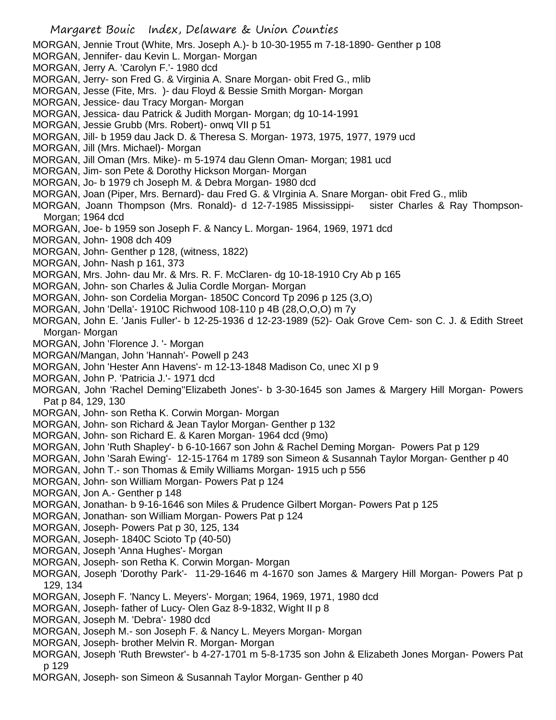Margaret Bouic Index, Delaware & Union Counties MORGAN, Jennie Trout (White, Mrs. Joseph A.)- b 10-30-1955 m 7-18-1890- Genther p 108 MORGAN, Jennifer- dau Kevin L. Morgan- Morgan MORGAN, Jerry A. 'Carolyn F.'- 1980 dcd MORGAN, Jerry- son Fred G. & Virginia A. Snare Morgan- obit Fred G., mlib MORGAN, Jesse (Fite, Mrs. )- dau Floyd & Bessie Smith Morgan- Morgan MORGAN, Jessice- dau Tracy Morgan- Morgan MORGAN, Jessica- dau Patrick & Judith Morgan- Morgan; dg 10-14-1991 MORGAN, Jessie Grubb (Mrs. Robert)- onwq VII p 51 MORGAN, Jill- b 1959 dau Jack D. & Theresa S. Morgan- 1973, 1975, 1977, 1979 ucd MORGAN, Jill (Mrs. Michael)- Morgan MORGAN, Jill Oman (Mrs. Mike)- m 5-1974 dau Glenn Oman- Morgan; 1981 ucd MORGAN, Jim- son Pete & Dorothy Hickson Morgan- Morgan MORGAN, Jo- b 1979 ch Joseph M. & Debra Morgan- 1980 dcd MORGAN, Joan (Piper, Mrs. Bernard)- dau Fred G. & VIrginia A. Snare Morgan- obit Fred G., mlib MORGAN, Joann Thompson (Mrs. Ronald)- d 12-7-1985 Mississippi- sister Charles & Ray Thompson-Morgan; 1964 dcd MORGAN, Joe- b 1959 son Joseph F. & Nancy L. Morgan- 1964, 1969, 1971 dcd MORGAN, John- 1908 dch 409 MORGAN, John- Genther p 128, (witness, 1822) MORGAN, John- Nash p 161, 373 MORGAN, Mrs. John- dau Mr. & Mrs. R. F. McClaren- dg 10-18-1910 Cry Ab p 165 MORGAN, John- son Charles & Julia Cordle Morgan- Morgan MORGAN, John- son Cordelia Morgan- 1850C Concord Tp 2096 p 125 (3,O) MORGAN, John 'Della'- 1910C Richwood 108-110 p 4B (28,O,O,O) m 7y MORGAN, John E. 'Janis Fuller'- b 12-25-1936 d 12-23-1989 (52)- Oak Grove Cem- son C. J. & Edith Street Morgan- Morgan MORGAN, John 'Florence J. '- Morgan MORGAN/Mangan, John 'Hannah'- Powell p 243 MORGAN, John 'Hester Ann Havens'- m 12-13-1848 Madison Co, unec XI p 9 MORGAN, John P. 'Patricia J.'- 1971 dcd MORGAN, John 'Rachel Deming''Elizabeth Jones'- b 3-30-1645 son James & Margery Hill Morgan- Powers Pat p 84, 129, 130 MORGAN, John- son Retha K. Corwin Morgan- Morgan MORGAN, John- son Richard & Jean Taylor Morgan- Genther p 132 MORGAN, John- son Richard E. & Karen Morgan- 1964 dcd (9mo) MORGAN, John 'Ruth Shapley'- b 6-10-1667 son John & Rachel Deming Morgan- Powers Pat p 129 MORGAN, John 'Sarah Ewing'- 12-15-1764 m 1789 son Simeon & Susannah Taylor Morgan- Genther p 40 MORGAN, John T.- son Thomas & Emily Williams Morgan- 1915 uch p 556 MORGAN, John- son William Morgan- Powers Pat p 124 MORGAN, Jon A.- Genther p 148 MORGAN, Jonathan- b 9-16-1646 son Miles & Prudence Gilbert Morgan- Powers Pat p 125 MORGAN, Jonathan- son William Morgan- Powers Pat p 124 MORGAN, Joseph- Powers Pat p 30, 125, 134 MORGAN, Joseph- 1840C Scioto Tp (40-50) MORGAN, Joseph 'Anna Hughes'- Morgan MORGAN, Joseph- son Retha K. Corwin Morgan- Morgan MORGAN, Joseph 'Dorothy Park'- 11-29-1646 m 4-1670 son James & Margery Hill Morgan- Powers Pat p 129, 134 MORGAN, Joseph F. 'Nancy L. Meyers'- Morgan; 1964, 1969, 1971, 1980 dcd MORGAN, Joseph- father of Lucy- Olen Gaz 8-9-1832, Wight II p 8 MORGAN, Joseph M. 'Debra'- 1980 dcd MORGAN, Joseph M.- son Joseph F. & Nancy L. Meyers Morgan- Morgan MORGAN, Joseph- brother Melvin R. Morgan- Morgan MORGAN, Joseph 'Ruth Brewster'- b 4-27-1701 m 5-8-1735 son John & Elizabeth Jones Morgan- Powers Pat p 129 MORGAN, Joseph- son Simeon & Susannah Taylor Morgan- Genther p 40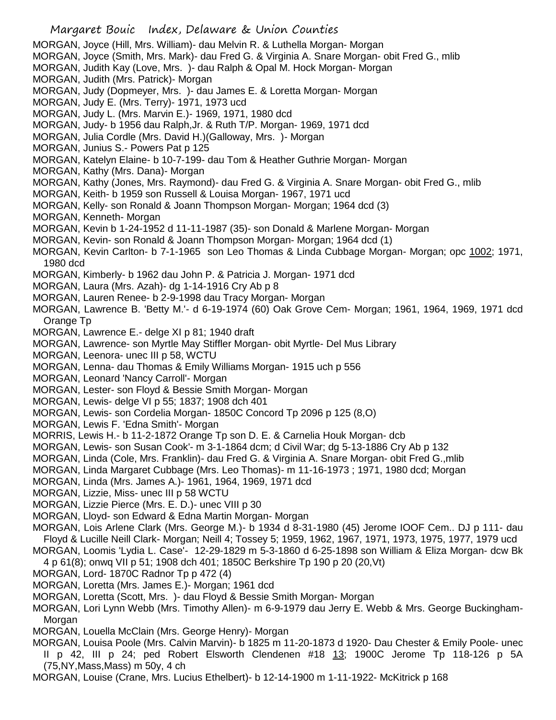Margaret Bouic Index, Delaware & Union Counties MORGAN, Joyce (Hill, Mrs. William)- dau Melvin R. & Luthella Morgan- Morgan MORGAN, Joyce (Smith, Mrs. Mark)- dau Fred G. & Virginia A. Snare Morgan- obit Fred G., mlib MORGAN, Judith Kay (Love, Mrs. )- dau Ralph & Opal M. Hock Morgan- Morgan MORGAN, Judith (Mrs. Patrick)- Morgan MORGAN, Judy (Dopmeyer, Mrs. )- dau James E. & Loretta Morgan- Morgan MORGAN, Judy E. (Mrs. Terry)- 1971, 1973 ucd MORGAN, Judy L. (Mrs. Marvin E.)- 1969, 1971, 1980 dcd MORGAN, Judy- b 1956 dau Ralph,Jr. & Ruth T/P. Morgan- 1969, 1971 dcd MORGAN, Julia Cordle (Mrs. David H.)(Galloway, Mrs. )- Morgan MORGAN, Junius S.- Powers Pat p 125 MORGAN, Katelyn Elaine- b 10-7-199- dau Tom & Heather Guthrie Morgan- Morgan MORGAN, Kathy (Mrs. Dana)- Morgan MORGAN, Kathy (Jones, Mrs. Raymond)- dau Fred G. & Virginia A. Snare Morgan- obit Fred G., mlib MORGAN, Keith- b 1959 son Russell & Louisa Morgan- 1967, 1971 ucd MORGAN, Kelly- son Ronald & Joann Thompson Morgan- Morgan; 1964 dcd (3) MORGAN, Kenneth- Morgan MORGAN, Kevin b 1-24-1952 d 11-11-1987 (35)- son Donald & Marlene Morgan- Morgan MORGAN, Kevin- son Ronald & Joann Thompson Morgan- Morgan; 1964 dcd (1) MORGAN, Kevin Carlton- b 7-1-1965 son Leo Thomas & Linda Cubbage Morgan- Morgan; opc 1002; 1971, 1980 dcd MORGAN, Kimberly- b 1962 dau John P. & Patricia J. Morgan- 1971 dcd MORGAN, Laura (Mrs. Azah)- dg 1-14-1916 Cry Ab p 8 MORGAN, Lauren Renee- b 2-9-1998 dau Tracy Morgan- Morgan MORGAN, Lawrence B. 'Betty M.'- d 6-19-1974 (60) Oak Grove Cem- Morgan; 1961, 1964, 1969, 1971 dcd Orange Tp MORGAN, Lawrence E.- delge XI p 81; 1940 draft MORGAN, Lawrence- son Myrtle May Stiffler Morgan- obit Myrtle- Del Mus Library MORGAN, Leenora- unec III p 58, WCTU MORGAN, Lenna- dau Thomas & Emily Williams Morgan- 1915 uch p 556 MORGAN, Leonard 'Nancy Carroll'- Morgan MORGAN, Lester- son Floyd & Bessie Smith Morgan- Morgan MORGAN, Lewis- delge VI p 55; 1837; 1908 dch 401 MORGAN, Lewis- son Cordelia Morgan- 1850C Concord Tp 2096 p 125 (8,O) MORGAN, Lewis F. 'Edna Smith'- Morgan MORRIS, Lewis H.- b 11-2-1872 Orange Tp son D. E. & Carnelia Houk Morgan- dcb MORGAN, Lewis- son Susan Cook'- m 3-1-1864 dcm; d Civil War; dg 5-13-1886 Cry Ab p 132 MORGAN, Linda (Cole, Mrs. Franklin)- dau Fred G. & Virginia A. Snare Morgan- obit Fred G.,mlib MORGAN, Linda Margaret Cubbage (Mrs. Leo Thomas)- m 11-16-1973 ; 1971, 1980 dcd; Morgan MORGAN, Linda (Mrs. James A.)- 1961, 1964, 1969, 1971 dcd MORGAN, Lizzie, Miss- unec III p 58 WCTU MORGAN, Lizzie Pierce (Mrs. E. D.)- unec VIII p 30 MORGAN, Lloyd- son Edward & Edna Martin Morgan- Morgan MORGAN, Lois Arlene Clark (Mrs. George M.)- b 1934 d 8-31-1980 (45) Jerome IOOF Cem.. DJ p 111- dau Floyd & Lucille Neill Clark- Morgan; Neill 4; Tossey 5; 1959, 1962, 1967, 1971, 1973, 1975, 1977, 1979 ucd MORGAN, Loomis 'Lydia L. Case'- 12-29-1829 m 5-3-1860 d 6-25-1898 son William & Eliza Morgan- dcw Bk 4 p 61(8); onwq VII p 51; 1908 dch 401; 1850C Berkshire Tp 190 p 20 (20,Vt) MORGAN, Lord- 1870C Radnor Tp p 472 (4) MORGAN, Loretta (Mrs. James E.)- Morgan; 1961 dcd MORGAN, Loretta (Scott, Mrs. )- dau Floyd & Bessie Smith Morgan- Morgan MORGAN, Lori Lynn Webb (Mrs. Timothy Allen)- m 6-9-1979 dau Jerry E. Webb & Mrs. George Buckingham-Morgan

MORGAN, Louella McClain (Mrs. George Henry)- Morgan

MORGAN, Louisa Poole (Mrs. Calvin Marvin)- b 1825 m 11-20-1873 d 1920- Dau Chester & Emily Poole- unec II p 42, III p 24; ped Robert Elsworth Clendenen #18 13; 1900C Jerome Tp 118-126 p 5A (75,NY,Mass,Mass) m 50y, 4 ch

MORGAN, Louise (Crane, Mrs. Lucius Ethelbert)- b 12-14-1900 m 1-11-1922- McKitrick p 168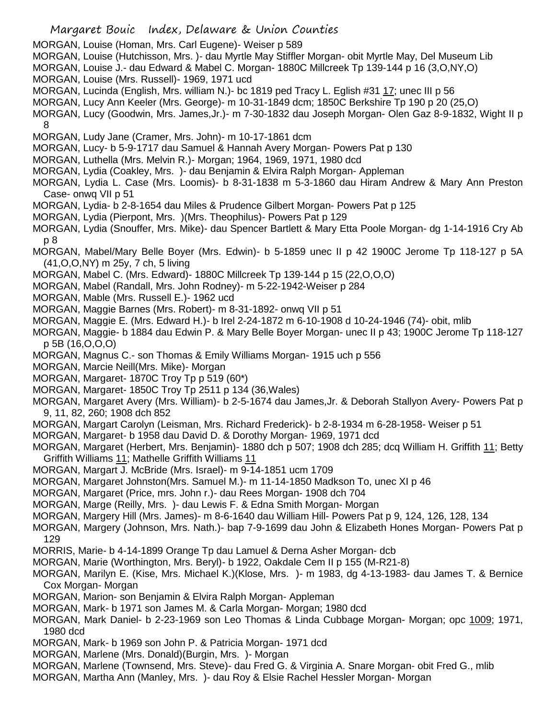- Margaret Bouic Index, Delaware & Union Counties
- MORGAN, Louise (Homan, Mrs. Carl Eugene)- Weiser p 589
- MORGAN, Louise (Hutchisson, Mrs. )- dau Myrtle May Stiffler Morgan- obit Myrtle May, Del Museum Lib
- MORGAN, Louise J.- dau Edward & Mabel C. Morgan- 1880C Millcreek Tp 139-144 p 16 (3,O,NY,O)
- MORGAN, Louise (Mrs. Russell)- 1969, 1971 ucd
- MORGAN, Lucinda (English, Mrs. william N.)- bc 1819 ped Tracy L. Eglish #31 17; unec III p 56
- MORGAN, Lucy Ann Keeler (Mrs. George)- m 10-31-1849 dcm; 1850C Berkshire Tp 190 p 20 (25,O)
- MORGAN, Lucy (Goodwin, Mrs. James,Jr.)- m 7-30-1832 dau Joseph Morgan- Olen Gaz 8-9-1832, Wight II p
	- 8
- MORGAN, Ludy Jane (Cramer, Mrs. John)- m 10-17-1861 dcm
- MORGAN, Lucy- b 5-9-1717 dau Samuel & Hannah Avery Morgan- Powers Pat p 130
- MORGAN, Luthella (Mrs. Melvin R.)- Morgan; 1964, 1969, 1971, 1980 dcd
- MORGAN, Lydia (Coakley, Mrs. )- dau Benjamin & Elvira Ralph Morgan- Appleman
- MORGAN, Lydia L. Case (Mrs. Loomis)- b 8-31-1838 m 5-3-1860 dau Hiram Andrew & Mary Ann Preston Case- onwq VII p 51
- MORGAN, Lydia- b 2-8-1654 dau Miles & Prudence Gilbert Morgan- Powers Pat p 125
- MORGAN, Lydia (Pierpont, Mrs. )(Mrs. Theophilus)- Powers Pat p 129
- MORGAN, Lydia (Snouffer, Mrs. Mike)- dau Spencer Bartlett & Mary Etta Poole Morgan- dg 1-14-1916 Cry Ab p 8
- MORGAN, Mabel/Mary Belle Boyer (Mrs. Edwin)- b 5-1859 unec II p 42 1900C Jerome Tp 118-127 p 5A (41,O,O,NY) m 25y, 7 ch, 5 living
- MORGAN, Mabel C. (Mrs. Edward)- 1880C Millcreek Tp 139-144 p 15 (22,O,O,O)
- MORGAN, Mabel (Randall, Mrs. John Rodney)- m 5-22-1942-Weiser p 284
- MORGAN, Mable (Mrs. Russell E.)- 1962 ucd
- MORGAN, Maggie Barnes (Mrs. Robert)- m 8-31-1892- onwq VII p 51
- MORGAN, Maggie E. (Mrs. Edward H.)- b Irel 2-24-1872 m 6-10-1908 d 10-24-1946 (74)- obit, mlib
- MORGAN, Maggie- b 1884 dau Edwin P. & Mary Belle Boyer Morgan- unec II p 43; 1900C Jerome Tp 118-127 p 5B (16,O,O,O)
- MORGAN, Magnus C.- son Thomas & Emily Williams Morgan- 1915 uch p 556
- MORGAN, Marcie Neill(Mrs. Mike)- Morgan
- MORGAN, Margaret- 1870C Troy Tp p 519 (60\*)
- MORGAN, Margaret- 1850C Troy Tp 2511 p 134 (36,Wales)
- MORGAN, Margaret Avery (Mrs. William)- b 2-5-1674 dau James,Jr. & Deborah Stallyon Avery- Powers Pat p 9, 11, 82, 260; 1908 dch 852
- MORGAN, Margart Carolyn (Leisman, Mrs. Richard Frederick)- b 2-8-1934 m 6-28-1958- Weiser p 51
- MORGAN, Margaret- b 1958 dau David D. & Dorothy Morgan- 1969, 1971 dcd
- MORGAN, Margaret (Herbert, Mrs. Benjamin)- 1880 dch p 507; 1908 dch 285; dcq William H. Griffith 11; Betty Griffith Williams 11; Mathelle Griffith Williams 11
- MORGAN, Margart J. McBride (Mrs. Israel)- m 9-14-1851 ucm 1709
- MORGAN, Margaret Johnston(Mrs. Samuel M.)- m 11-14-1850 Madkson To, unec XI p 46
- MORGAN, Margaret (Price, mrs. John r.)- dau Rees Morgan- 1908 dch 704
- MORGAN, Marge (Reilly, Mrs. )- dau Lewis F. & Edna Smith Morgan- Morgan
- MORGAN, Margery Hill (Mrs. James)- m 8-6-1640 dau William Hill- Powers Pat p 9, 124, 126, 128, 134
- MORGAN, Margery (Johnson, Mrs. Nath.)- bap 7-9-1699 dau John & Elizabeth Hones Morgan- Powers Pat p 129
- MORRIS, Marie- b 4-14-1899 Orange Tp dau Lamuel & Derna Asher Morgan- dcb
- MORGAN, Marie (Worthington, Mrs. Beryl)- b 1922, Oakdale Cem II p 155 (M-R21-8)
- MORGAN, Marilyn E. (Kise, Mrs. Michael K.)(Klose, Mrs. )- m 1983, dg 4-13-1983- dau James T. & Bernice Cox Morgan- Morgan
- MORGAN, Marion- son Benjamin & Elvira Ralph Morgan- Appleman
- MORGAN, Mark- b 1971 son James M. & Carla Morgan- Morgan; 1980 dcd
- MORGAN, Mark Daniel- b 2-23-1969 son Leo Thomas & Linda Cubbage Morgan- Morgan; opc 1009; 1971, 1980 dcd
- MORGAN, Mark- b 1969 son John P. & Patricia Morgan- 1971 dcd
- MORGAN, Marlene (Mrs. Donald)(Burgin, Mrs. )- Morgan
- MORGAN, Marlene (Townsend, Mrs. Steve)- dau Fred G. & Virginia A. Snare Morgan- obit Fred G., mlib
- MORGAN, Martha Ann (Manley, Mrs. )- dau Roy & Elsie Rachel Hessler Morgan- Morgan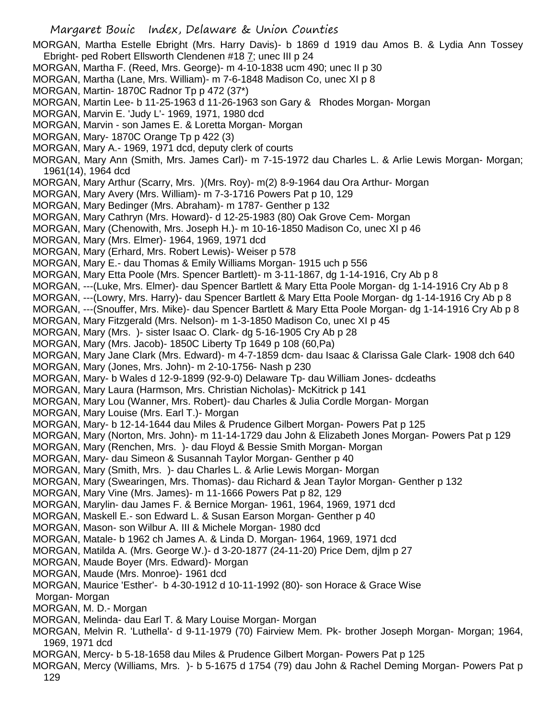Margaret Bouic Index, Delaware & Union Counties MORGAN, Martha Estelle Ebright (Mrs. Harry Davis)- b 1869 d 1919 dau Amos B. & Lydia Ann Tossey Ebright- ped Robert Ellsworth Clendenen #18 7; unec III p 24 MORGAN, Martha F. (Reed, Mrs. George)- m 4-10-1838 ucm 490; unec II p 30 MORGAN, Martha (Lane, Mrs. William)- m 7-6-1848 Madison Co, unec XI p 8 MORGAN, Martin- 1870C Radnor Tp p 472 (37\*) MORGAN, Martin Lee- b 11-25-1963 d 11-26-1963 son Gary & Rhodes Morgan- Morgan MORGAN, Marvin E. 'Judy L'- 1969, 1971, 1980 dcd MORGAN, Marvin - son James E. & Loretta Morgan- Morgan MORGAN, Mary- 1870C Orange Tp p 422 (3) MORGAN, Mary A.- 1969, 1971 dcd, deputy clerk of courts MORGAN, Mary Ann (Smith, Mrs. James Carl)- m 7-15-1972 dau Charles L. & Arlie Lewis Morgan- Morgan; 1961(14), 1964 dcd MORGAN, Mary Arthur (Scarry, Mrs. )(Mrs. Roy)- m(2) 8-9-1964 dau Ora Arthur- Morgan MORGAN, Mary Avery (Mrs. William)- m 7-3-1716 Powers Pat p 10, 129 MORGAN, Mary Bedinger (Mrs. Abraham)- m 1787- Genther p 132 MORGAN, Mary Cathryn (Mrs. Howard)- d 12-25-1983 (80) Oak Grove Cem- Morgan MORGAN, Mary (Chenowith, Mrs. Joseph H.)- m 10-16-1850 Madison Co, unec XI p 46 MORGAN, Mary (Mrs. Elmer)- 1964, 1969, 1971 dcd MORGAN, Mary (Erhard, Mrs. Robert Lewis)- Weiser p 578 MORGAN, Mary E.- dau Thomas & Emily Williams Morgan- 1915 uch p 556 MORGAN, Mary Etta Poole (Mrs. Spencer Bartlett)- m 3-11-1867, dg 1-14-1916, Cry Ab p 8 MORGAN, ---(Luke, Mrs. Elmer)- dau Spencer Bartlett & Mary Etta Poole Morgan- dg 1-14-1916 Cry Ab p 8 MORGAN, ---(Lowry, Mrs. Harry)- dau Spencer Bartlett & Mary Etta Poole Morgan- dg 1-14-1916 Cry Ab p 8 MORGAN, ---(Snouffer, Mrs. Mike)- dau Spencer Bartlett & Mary Etta Poole Morgan- dg 1-14-1916 Cry Ab p 8 MORGAN, Mary Fitzgerald (Mrs. Nelson)- m 1-3-1850 Madison Co, unec XI p 45 MORGAN, Mary (Mrs. )- sister Isaac O. Clark- dg 5-16-1905 Cry Ab p 28 MORGAN, Mary (Mrs. Jacob)- 1850C Liberty Tp 1649 p 108 (60,Pa) MORGAN, Mary Jane Clark (Mrs. Edward)- m 4-7-1859 dcm- dau Isaac & Clarissa Gale Clark- 1908 dch 640 MORGAN, Mary (Jones, Mrs. John)- m 2-10-1756- Nash p 230 MORGAN, Mary- b Wales d 12-9-1899 (92-9-0) Delaware Tp- dau William Jones- dcdeaths MORGAN, Mary Laura (Harmson, Mrs. Christian Nicholas)- McKitrick p 141 MORGAN, Mary Lou (Wanner, Mrs. Robert)- dau Charles & Julia Cordle Morgan- Morgan MORGAN, Mary Louise (Mrs. Earl T.)- Morgan MORGAN, Mary- b 12-14-1644 dau Miles & Prudence Gilbert Morgan- Powers Pat p 125 MORGAN, Mary (Norton, Mrs. John)- m 11-14-1729 dau John & Elizabeth Jones Morgan- Powers Pat p 129 MORGAN, Mary (Renchen, Mrs. )- dau Floyd & Bessie Smith Morgan- Morgan MORGAN, Mary- dau Simeon & Susannah Taylor Morgan- Genther p 40 MORGAN, Mary (Smith, Mrs. )- dau Charles L. & Arlie Lewis Morgan- Morgan MORGAN, Mary (Swearingen, Mrs. Thomas)- dau Richard & Jean Taylor Morgan- Genther p 132 MORGAN, Mary Vine (Mrs. James)- m 11-1666 Powers Pat p 82, 129 MORGAN, Marylin- dau James F. & Bernice Morgan- 1961, 1964, 1969, 1971 dcd MORGAN, Maskell E.- son Edward L. & Susan Earson Morgan- Genther p 40 MORGAN, Mason- son Wilbur A. III & Michele Morgan- 1980 dcd MORGAN, Matale- b 1962 ch James A. & Linda D. Morgan- 1964, 1969, 1971 dcd MORGAN, Matilda A. (Mrs. George W.)- d 3-20-1877 (24-11-20) Price Dem, djlm p 27 MORGAN, Maude Boyer (Mrs. Edward)- Morgan MORGAN, Maude (Mrs. Monroe)- 1961 dcd MORGAN, Maurice 'Esther'- b 4-30-1912 d 10-11-1992 (80)- son Horace & Grace Wise Morgan- Morgan MORGAN, M. D.- Morgan MORGAN, Melinda- dau Earl T. & Mary Louise Morgan- Morgan MORGAN, Melvin R. 'Luthella'- d 9-11-1979 (70) Fairview Mem. Pk- brother Joseph Morgan- Morgan; 1964, 1969, 1971 dcd MORGAN, Mercy- b 5-18-1658 dau Miles & Prudence Gilbert Morgan- Powers Pat p 125

MORGAN, Mercy (Williams, Mrs. )- b 5-1675 d 1754 (79) dau John & Rachel Deming Morgan- Powers Pat p 129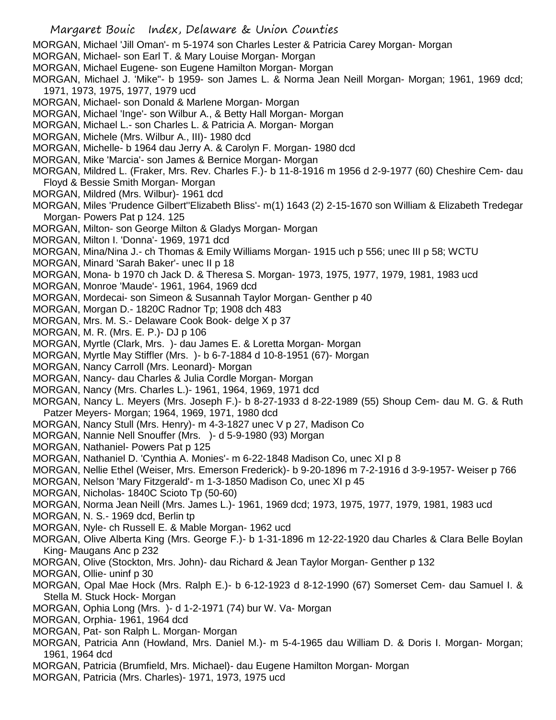- Margaret Bouic Index, Delaware & Union Counties MORGAN, Michael 'Jill Oman'- m 5-1974 son Charles Lester & Patricia Carey Morgan- Morgan MORGAN, Michael- son Earl T. & Mary Louise Morgan- Morgan MORGAN, Michael Eugene- son Eugene Hamilton Morgan- Morgan MORGAN, Michael J. 'Mike"- b 1959- son James L. & Norma Jean Neill Morgan- Morgan; 1961, 1969 dcd; 1971, 1973, 1975, 1977, 1979 ucd MORGAN, Michael- son Donald & Marlene Morgan- Morgan MORGAN, Michael 'Inge'- son Wilbur A., & Betty Hall Morgan- Morgan MORGAN, Michael L.- son Charles L. & Patricia A. Morgan- Morgan MORGAN, Michele (Mrs. Wilbur A., III)- 1980 dcd MORGAN, Michelle- b 1964 dau Jerry A. & Carolyn F. Morgan- 1980 dcd MORGAN, Mike 'Marcia'- son James & Bernice Morgan- Morgan MORGAN, Mildred L. (Fraker, Mrs. Rev. Charles F.)- b 11-8-1916 m 1956 d 2-9-1977 (60) Cheshire Cem- dau Floyd & Bessie Smith Morgan- Morgan MORGAN, Mildred (Mrs. Wilbur)- 1961 dcd MORGAN, Miles 'Prudence Gilbert''Elizabeth Bliss'- m(1) 1643 (2) 2-15-1670 son William & Elizabeth Tredegar Morgan- Powers Pat p 124. 125 MORGAN, Milton- son George Milton & Gladys Morgan- Morgan
- MORGAN, Milton I. 'Donna'- 1969, 1971 dcd
- MORGAN, Mina/Nina J.- ch Thomas & Emily Williams Morgan- 1915 uch p 556; unec III p 58; WCTU
- MORGAN, Minard 'Sarah Baker'- unec II p 18
- MORGAN, Mona- b 1970 ch Jack D. & Theresa S. Morgan- 1973, 1975, 1977, 1979, 1981, 1983 ucd
- MORGAN, Monroe 'Maude'- 1961, 1964, 1969 dcd
- MORGAN, Mordecai- son Simeon & Susannah Taylor Morgan- Genther p 40
- MORGAN, Morgan D.- 1820C Radnor Tp; 1908 dch 483
- MORGAN, Mrs. M. S.- Delaware Cook Book- delge X p 37
- MORGAN, M. R. (Mrs. E. P.)- DJ p 106
- MORGAN, Myrtle (Clark, Mrs. )- dau James E. & Loretta Morgan- Morgan
- MORGAN, Myrtle May Stiffler (Mrs. )- b 6-7-1884 d 10-8-1951 (67)- Morgan
- MORGAN, Nancy Carroll (Mrs. Leonard)- Morgan
- MORGAN, Nancy- dau Charles & Julia Cordle Morgan- Morgan
- MORGAN, Nancy (Mrs. Charles L.)- 1961, 1964, 1969, 1971 dcd
- MORGAN, Nancy L. Meyers (Mrs. Joseph F.)- b 8-27-1933 d 8-22-1989 (55) Shoup Cem- dau M. G. & Ruth Patzer Meyers- Morgan; 1964, 1969, 1971, 1980 dcd
- MORGAN, Nancy Stull (Mrs. Henry)- m 4-3-1827 unec V p 27, Madison Co
- MORGAN, Nannie Nell Snouffer (Mrs. )- d 5-9-1980 (93) Morgan
- MORGAN, Nathaniel- Powers Pat p 125
- MORGAN, Nathaniel D. 'Cynthia A. Monies'- m 6-22-1848 Madison Co, unec XI p 8
- MORGAN, Nellie Ethel (Weiser, Mrs. Emerson Frederick)- b 9-20-1896 m 7-2-1916 d 3-9-1957- Weiser p 766
- MORGAN, Nelson 'Mary Fitzgerald'- m 1-3-1850 Madison Co, unec XI p 45
- MORGAN, Nicholas- 1840C Scioto Tp (50-60)
- MORGAN, Norma Jean Neill (Mrs. James L.)- 1961, 1969 dcd; 1973, 1975, 1977, 1979, 1981, 1983 ucd
- MORGAN, N. S.- 1969 dcd, Berlin tp
- MORGAN, Nyle- ch Russell E. & Mable Morgan- 1962 ucd
- MORGAN, Olive Alberta King (Mrs. George F.)- b 1-31-1896 m 12-22-1920 dau Charles & Clara Belle Boylan King- Maugans Anc p 232
- MORGAN, Olive (Stockton, Mrs. John)- dau Richard & Jean Taylor Morgan- Genther p 132
- MORGAN, Ollie- uninf p 30
- MORGAN, Opal Mae Hock (Mrs. Ralph E.)- b 6-12-1923 d 8-12-1990 (67) Somerset Cem- dau Samuel I. & Stella M. Stuck Hock- Morgan
- MORGAN, Ophia Long (Mrs. )- d 1-2-1971 (74) bur W. Va- Morgan
- MORGAN, Orphia- 1961, 1964 dcd
- MORGAN, Pat- son Ralph L. Morgan- Morgan
- MORGAN, Patricia Ann (Howland, Mrs. Daniel M.)- m 5-4-1965 dau William D. & Doris I. Morgan- Morgan; 1961, 1964 dcd
- MORGAN, Patricia (Brumfield, Mrs. Michael)- dau Eugene Hamilton Morgan- Morgan
- MORGAN, Patricia (Mrs. Charles)- 1971, 1973, 1975 ucd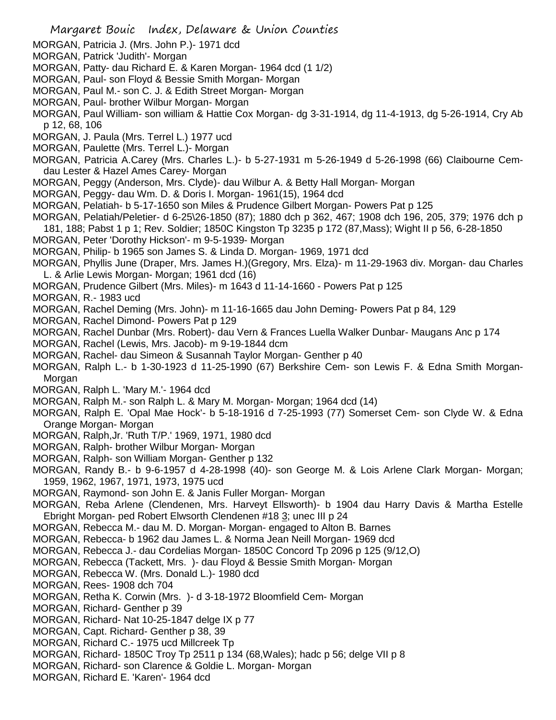- MORGAN, Patricia J. (Mrs. John P.)- 1971 dcd
- MORGAN, Patrick 'Judith'- Morgan
- MORGAN, Patty- dau Richard E. & Karen Morgan- 1964 dcd (1 1/2)
- MORGAN, Paul- son Floyd & Bessie Smith Morgan- Morgan
- MORGAN, Paul M.- son C. J. & Edith Street Morgan- Morgan
- MORGAN, Paul- brother Wilbur Morgan- Morgan
- MORGAN, Paul William- son william & Hattie Cox Morgan- dg 3-31-1914, dg 11-4-1913, dg 5-26-1914, Cry Ab p 12, 68, 106
- MORGAN, J. Paula (Mrs. Terrel L.) 1977 ucd
- MORGAN, Paulette (Mrs. Terrel L.)- Morgan
- MORGAN, Patricia A.Carey (Mrs. Charles L.)- b 5-27-1931 m 5-26-1949 d 5-26-1998 (66) Claibourne Cemdau Lester & Hazel Ames Carey- Morgan
- MORGAN, Peggy (Anderson, Mrs. Clyde)- dau Wilbur A. & Betty Hall Morgan- Morgan
- MORGAN, Peggy- dau Wm. D. & Doris I. Morgan- 1961(15), 1964 dcd
- MORGAN, Pelatiah- b 5-17-1650 son Miles & Prudence Gilbert Morgan- Powers Pat p 125
- MORGAN, Pelatiah/Peletier- d 6-25\26-1850 (87); 1880 dch p 362, 467; 1908 dch 196, 205, 379; 1976 dch p
- 181, 188; Pabst 1 p 1; Rev. Soldier; 1850C Kingston Tp 3235 p 172 (87,Mass); Wight II p 56, 6-28-1850 MORGAN, Peter 'Dorothy Hickson'- m 9-5-1939- Morgan
- MORGAN, Philip- b 1965 son James S. & Linda D. Morgan- 1969, 1971 dcd
- MORGAN, Phyllis June (Draper, Mrs. James H.)(Gregory, Mrs. Elza)- m 11-29-1963 div. Morgan- dau Charles L. & Arlie Lewis Morgan- Morgan; 1961 dcd (16)
- MORGAN, Prudence Gilbert (Mrs. Miles)- m 1643 d 11-14-1660 Powers Pat p 125
- MORGAN, R.- 1983 ucd
- MORGAN, Rachel Deming (Mrs. John)- m 11-16-1665 dau John Deming- Powers Pat p 84, 129
- MORGAN, Rachel Dimond- Powers Pat p 129
- MORGAN, Rachel Dunbar (Mrs. Robert)- dau Vern & Frances Luella Walker Dunbar- Maugans Anc p 174
- MORGAN, Rachel (Lewis, Mrs. Jacob)- m 9-19-1844 dcm
- MORGAN, Rachel- dau Simeon & Susannah Taylor Morgan- Genther p 40
- MORGAN, Ralph L.- b 1-30-1923 d 11-25-1990 (67) Berkshire Cem- son Lewis F. & Edna Smith Morgan-Morgan
- MORGAN, Ralph L. 'Mary M.'- 1964 dcd
- MORGAN, Ralph M.- son Ralph L. & Mary M. Morgan- Morgan; 1964 dcd (14)
- MORGAN, Ralph E. 'Opal Mae Hock'- b 5-18-1916 d 7-25-1993 (77) Somerset Cem- son Clyde W. & Edna Orange Morgan- Morgan
- MORGAN, Ralph,Jr. 'Ruth T/P.' 1969, 1971, 1980 dcd
- MORGAN, Ralph- brother Wilbur Morgan- Morgan
- MORGAN, Ralph- son William Morgan- Genther p 132
- MORGAN, Randy B.- b 9-6-1957 d 4-28-1998 (40)- son George M. & Lois Arlene Clark Morgan- Morgan; 1959, 1962, 1967, 1971, 1973, 1975 ucd
- MORGAN, Raymond- son John E. & Janis Fuller Morgan- Morgan
- MORGAN, Reba Arlene (Clendenen, Mrs. Harveyt Ellsworth)- b 1904 dau Harry Davis & Martha Estelle Ebright Morgan- ped Robert Elwsorth Clendenen #18 3; unec III p 24
- MORGAN, Rebecca M.- dau M. D. Morgan- Morgan- engaged to Alton B. Barnes
- MORGAN, Rebecca- b 1962 dau James L. & Norma Jean Neill Morgan- 1969 dcd
- MORGAN, Rebecca J.- dau Cordelias Morgan- 1850C Concord Tp 2096 p 125 (9/12,O)
- MORGAN, Rebecca (Tackett, Mrs. )- dau Floyd & Bessie Smith Morgan- Morgan
- MORGAN, Rebecca W. (Mrs. Donald L.)- 1980 dcd
- MORGAN, Rees- 1908 dch 704
- MORGAN, Retha K. Corwin (Mrs. )- d 3-18-1972 Bloomfield Cem- Morgan
- MORGAN, Richard- Genther p 39
- MORGAN, Richard- Nat 10-25-1847 delge IX p 77
- MORGAN, Capt. Richard- Genther p 38, 39
- MORGAN, Richard C.- 1975 ucd Millcreek Tp
- MORGAN, Richard- 1850C Troy Tp 2511 p 134 (68,Wales); hadc p 56; delge VII p 8
- MORGAN, Richard- son Clarence & Goldie L. Morgan- Morgan
- MORGAN, Richard E. 'Karen'- 1964 dcd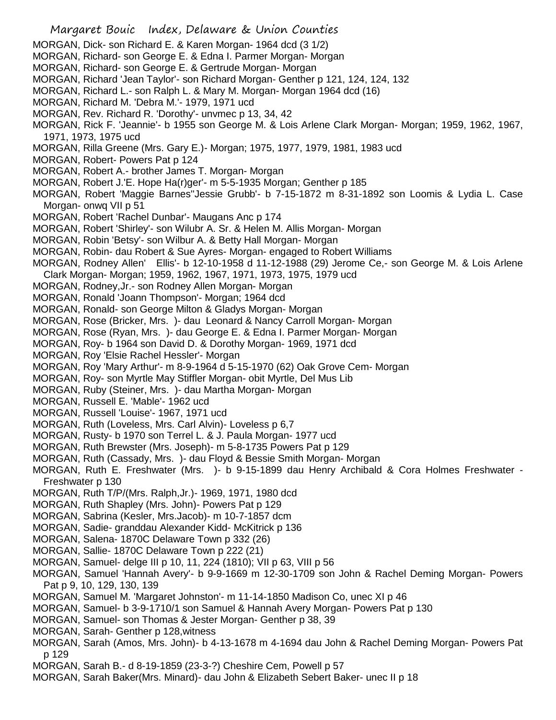- MORGAN, Dick- son Richard E. & Karen Morgan- 1964 dcd (3 1/2)
- MORGAN, Richard- son George E. & Edna I. Parmer Morgan- Morgan
- MORGAN, Richard- son George E. & Gertrude Morgan- Morgan
- MORGAN, Richard 'Jean Taylor'- son Richard Morgan- Genther p 121, 124, 124, 132
- MORGAN, Richard L.- son Ralph L. & Mary M. Morgan- Morgan 1964 dcd (16)
- MORGAN, Richard M. 'Debra M.'- 1979, 1971 ucd
- MORGAN, Rev. Richard R. 'Dorothy'- unvmec p 13, 34, 42
- MORGAN, Rick F. 'Jeannie'- b 1955 son George M. & Lois Arlene Clark Morgan- Morgan; 1959, 1962, 1967, 1971, 1973, 1975 ucd
- MORGAN, Rilla Greene (Mrs. Gary E.)- Morgan; 1975, 1977, 1979, 1981, 1983 ucd
- MORGAN, Robert- Powers Pat p 124
- MORGAN, Robert A.- brother James T. Morgan- Morgan
- MORGAN, Robert J.'E. Hope Ha(r)ger'- m 5-5-1935 Morgan; Genther p 185
- MORGAN, Robert 'Maggie Barnes''Jessie Grubb'- b 7-15-1872 m 8-31-1892 son Loomis & Lydia L. Case Morgan- onwq VII p 51
- MORGAN, Robert 'Rachel Dunbar'- Maugans Anc p 174
- MORGAN, Robert 'Shirley'- son Wilubr A. Sr. & Helen M. Allis Morgan- Morgan
- MORGAN, Robin 'Betsy'- son Wilbur A. & Betty Hall Morgan- Morgan
- MORGAN, Robin- dau Robert & Sue Ayres- Morgan- engaged to Robert Williams
- MORGAN, Rodney Allen' Ellis'- b 12-10-1958 d 11-12-1988 (29) Jerome Ce,- son George M. & Lois Arlene Clark Morgan- Morgan; 1959, 1962, 1967, 1971, 1973, 1975, 1979 ucd
- MORGAN, Rodney,Jr.- son Rodney Allen Morgan- Morgan
- MORGAN, Ronald 'Joann Thompson'- Morgan; 1964 dcd
- MORGAN, Ronald- son George Milton & Gladys Morgan- Morgan
- MORGAN, Rose (Bricker, Mrs. )- dau Leonard & Nancy Carroll Morgan- Morgan
- MORGAN, Rose (Ryan, Mrs. )- dau George E. & Edna I. Parmer Morgan- Morgan
- MORGAN, Roy- b 1964 son David D. & Dorothy Morgan- 1969, 1971 dcd
- MORGAN, Roy 'Elsie Rachel Hessler'- Morgan
- MORGAN, Roy 'Mary Arthur'- m 8-9-1964 d 5-15-1970 (62) Oak Grove Cem- Morgan
- MORGAN, Roy- son Myrtle May Stiffler Morgan- obit Myrtle, Del Mus Lib
- MORGAN, Ruby (Steiner, Mrs. )- dau Martha Morgan- Morgan
- MORGAN, Russell E. 'Mable'- 1962 ucd
- MORGAN, Russell 'Louise'- 1967, 1971 ucd
- MORGAN, Ruth (Loveless, Mrs. Carl Alvin)- Loveless p 6,7
- MORGAN, Rusty- b 1970 son Terrel L. & J. Paula Morgan- 1977 ucd
- MORGAN, Ruth Brewster (Mrs. Joseph)- m 5-8-1735 Powers Pat p 129
- MORGAN, Ruth (Cassady, Mrs. )- dau Floyd & Bessie Smith Morgan- Morgan
- MORGAN, Ruth E. Freshwater (Mrs. )- b 9-15-1899 dau Henry Archibald & Cora Holmes Freshwater Freshwater p 130
- MORGAN, Ruth T/P/(Mrs. Ralph,Jr.)- 1969, 1971, 1980 dcd
- MORGAN, Ruth Shapley (Mrs. John)- Powers Pat p 129
- MORGAN, Sabrina (Kesler, Mrs.Jacob)- m 10-7-1857 dcm
- MORGAN, Sadie- granddau Alexander Kidd- McKitrick p 136
- MORGAN, Salena- 1870C Delaware Town p 332 (26)
- MORGAN, Sallie- 1870C Delaware Town p 222 (21)
- MORGAN, Samuel- delge III p 10, 11, 224 (1810); VII p 63, VIII p 56
- MORGAN, Samuel 'Hannah Avery'- b 9-9-1669 m 12-30-1709 son John & Rachel Deming Morgan- Powers Pat p 9, 10, 129, 130, 139
- MORGAN, Samuel M. 'Margaret Johnston'- m 11-14-1850 Madison Co, unec XI p 46
- MORGAN, Samuel- b 3-9-1710/1 son Samuel & Hannah Avery Morgan- Powers Pat p 130
- MORGAN, Samuel- son Thomas & Jester Morgan- Genther p 38, 39
- MORGAN, Sarah- Genther p 128,witness
- MORGAN, Sarah (Amos, Mrs. John)- b 4-13-1678 m 4-1694 dau John & Rachel Deming Morgan- Powers Pat p 129
- MORGAN, Sarah B.- d 8-19-1859 (23-3-?) Cheshire Cem, Powell p 57
- MORGAN, Sarah Baker(Mrs. Minard)- dau John & Elizabeth Sebert Baker- unec II p 18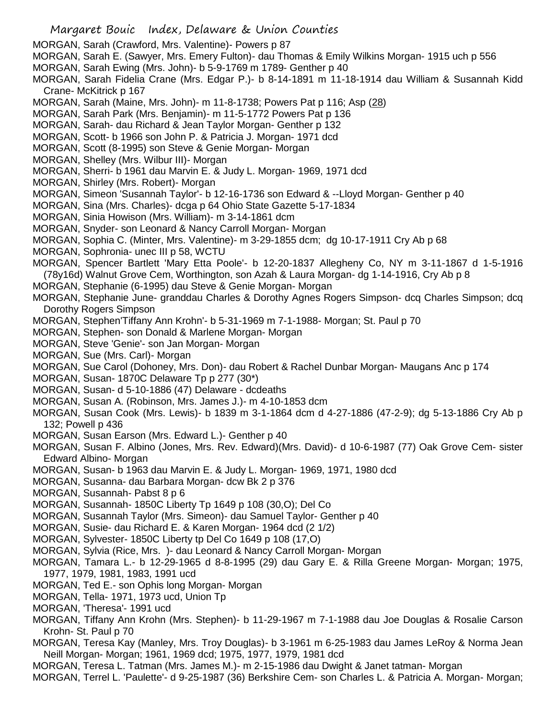- MORGAN, Sarah (Crawford, Mrs. Valentine)- Powers p 87
- MORGAN, Sarah E. (Sawyer, Mrs. Emery Fulton)- dau Thomas & Emily Wilkins Morgan- 1915 uch p 556
- MORGAN, Sarah Ewing (Mrs. John)- b 5-9-1769 m 1789- Genther p 40
- MORGAN, Sarah Fidelia Crane (Mrs. Edgar P.)- b 8-14-1891 m 11-18-1914 dau William & Susannah Kidd Crane- McKitrick p 167
- MORGAN, Sarah (Maine, Mrs. John)- m 11-8-1738; Powers Pat p 116; Asp (28)
- MORGAN, Sarah Park (Mrs. Benjamin)- m 11-5-1772 Powers Pat p 136
- MORGAN, Sarah- dau Richard & Jean Taylor Morgan- Genther p 132
- MORGAN, Scott- b 1966 son John P. & Patricia J. Morgan- 1971 dcd
- MORGAN, Scott (8-1995) son Steve & Genie Morgan- Morgan
- MORGAN, Shelley (Mrs. Wilbur III)- Morgan
- MORGAN, Sherri- b 1961 dau Marvin E. & Judy L. Morgan- 1969, 1971 dcd
- MORGAN, Shirley (Mrs. Robert)- Morgan
- MORGAN, Simeon 'Susannah Taylor'- b 12-16-1736 son Edward & --Lloyd Morgan- Genther p 40
- MORGAN, Sina (Mrs. Charles)- dcga p 64 Ohio State Gazette 5-17-1834
- MORGAN, Sinia Howison (Mrs. William)- m 3-14-1861 dcm
- MORGAN, Snyder- son Leonard & Nancy Carroll Morgan- Morgan
- MORGAN, Sophia C. (Minter, Mrs. Valentine)- m 3-29-1855 dcm; dg 10-17-1911 Cry Ab p 68
- MORGAN, Sophronia- unec III p 58, WCTU
- MORGAN, Spencer Bartlett 'Mary Etta Poole'- b 12-20-1837 Allegheny Co, NY m 3-11-1867 d 1-5-1916 (78y16d) Walnut Grove Cem, Worthington, son Azah & Laura Morgan- dg 1-14-1916, Cry Ab p 8
- MORGAN, Stephanie (6-1995) dau Steve & Genie Morgan- Morgan
- MORGAN, Stephanie June- granddau Charles & Dorothy Agnes Rogers Simpson- dcq Charles Simpson; dcq Dorothy Rogers Simpson
- MORGAN, Stephen'Tiffany Ann Krohn'- b 5-31-1969 m 7-1-1988- Morgan; St. Paul p 70
- MORGAN, Stephen- son Donald & Marlene Morgan- Morgan
- MORGAN, Steve 'Genie'- son Jan Morgan- Morgan
- MORGAN, Sue (Mrs. Carl)- Morgan
- MORGAN, Sue Carol (Dohoney, Mrs. Don)- dau Robert & Rachel Dunbar Morgan- Maugans Anc p 174
- MORGAN, Susan- 1870C Delaware Tp p 277 (30\*)
- MORGAN, Susan- d 5-10-1886 (47) Delaware dcdeaths
- MORGAN, Susan A. (Robinson, Mrs. James J.)- m 4-10-1853 dcm
- MORGAN, Susan Cook (Mrs. Lewis)- b 1839 m 3-1-1864 dcm d 4-27-1886 (47-2-9); dg 5-13-1886 Cry Ab p 132; Powell p 436
- MORGAN, Susan Earson (Mrs. Edward L.)- Genther p 40
- MORGAN, Susan F. Albino (Jones, Mrs. Rev. Edward)(Mrs. David)- d 10-6-1987 (77) Oak Grove Cem- sister Edward Albino- Morgan
- MORGAN, Susan- b 1963 dau Marvin E. & Judy L. Morgan- 1969, 1971, 1980 dcd
- MORGAN, Susanna- dau Barbara Morgan- dcw Bk 2 p 376
- MORGAN, Susannah- Pabst 8 p 6
- MORGAN, Susannah- 1850C Liberty Tp 1649 p 108 (30,O); Del Co
- MORGAN, Susannah Taylor (Mrs. Simeon)- dau Samuel Taylor- Genther p 40
- MORGAN, Susie- dau Richard E. & Karen Morgan- 1964 dcd (2 1/2)
- MORGAN, Sylvester- 1850C Liberty tp Del Co 1649 p 108 (17,O)
- MORGAN, Sylvia (Rice, Mrs. )- dau Leonard & Nancy Carroll Morgan- Morgan
- MORGAN, Tamara L.- b 12-29-1965 d 8-8-1995 (29) dau Gary E. & Rilla Greene Morgan- Morgan; 1975, 1977, 1979, 1981, 1983, 1991 ucd
- MORGAN, Ted E.- son Ophis long Morgan- Morgan
- MORGAN, Tella- 1971, 1973 ucd, Union Tp
- MORGAN, 'Theresa'- 1991 ucd
- MORGAN, Tiffany Ann Krohn (Mrs. Stephen)- b 11-29-1967 m 7-1-1988 dau Joe Douglas & Rosalie Carson Krohn- St. Paul p 70
- MORGAN, Teresa Kay (Manley, Mrs. Troy Douglas)- b 3-1961 m 6-25-1983 dau James LeRoy & Norma Jean Neill Morgan- Morgan; 1961, 1969 dcd; 1975, 1977, 1979, 1981 dcd
- MORGAN, Teresa L. Tatman (Mrs. James M.)- m 2-15-1986 dau Dwight & Janet tatman- Morgan
- MORGAN, Terrel L. 'Paulette'- d 9-25-1987 (36) Berkshire Cem- son Charles L. & Patricia A. Morgan- Morgan;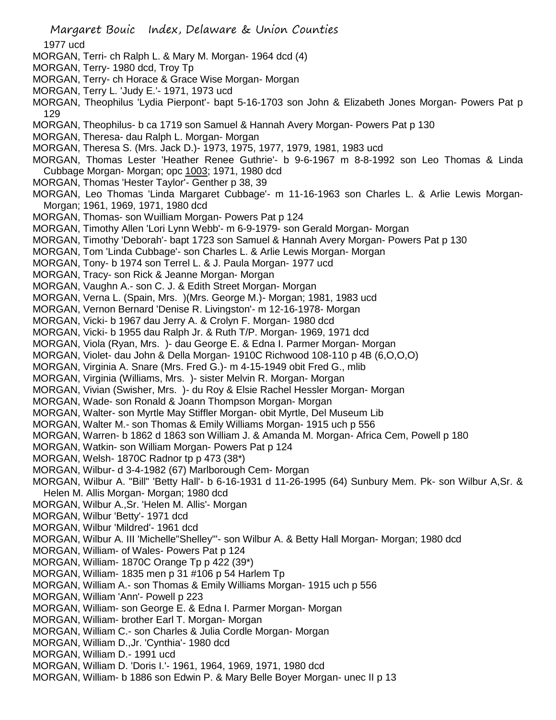Margaret Bouic Index, Delaware & Union Counties 1977 ucd MORGAN, Terri- ch Ralph L. & Mary M. Morgan- 1964 dcd (4) MORGAN, Terry- 1980 dcd, Troy Tp MORGAN, Terry- ch Horace & Grace Wise Morgan- Morgan MORGAN, Terry L. 'Judy E.'- 1971, 1973 ucd MORGAN, Theophilus 'Lydia Pierpont'- bapt 5-16-1703 son John & Elizabeth Jones Morgan- Powers Pat p 129 MORGAN, Theophilus- b ca 1719 son Samuel & Hannah Avery Morgan- Powers Pat p 130 MORGAN, Theresa- dau Ralph L. Morgan- Morgan MORGAN, Theresa S. (Mrs. Jack D.)- 1973, 1975, 1977, 1979, 1981, 1983 ucd MORGAN, Thomas Lester 'Heather Renee Guthrie'- b 9-6-1967 m 8-8-1992 son Leo Thomas & Linda Cubbage Morgan- Morgan; opc 1003; 1971, 1980 dcd MORGAN, Thomas 'Hester Taylor'- Genther p 38, 39 MORGAN, Leo Thomas 'Linda Margaret Cubbage'- m 11-16-1963 son Charles L. & Arlie Lewis Morgan-Morgan; 1961, 1969, 1971, 1980 dcd MORGAN, Thomas- son Wuilliam Morgan- Powers Pat p 124 MORGAN, Timothy Allen 'Lori Lynn Webb'- m 6-9-1979- son Gerald Morgan- Morgan MORGAN, Timothy 'Deborah'- bapt 1723 son Samuel & Hannah Avery Morgan- Powers Pat p 130 MORGAN, Tom 'Linda Cubbage'- son Charles L. & Arlie Lewis Morgan- Morgan MORGAN, Tony- b 1974 son Terrel L. & J. Paula Morgan- 1977 ucd MORGAN, Tracy- son Rick & Jeanne Morgan- Morgan MORGAN, Vaughn A.- son C. J. & Edith Street Morgan- Morgan MORGAN, Verna L. (Spain, Mrs. )(Mrs. George M.)- Morgan; 1981, 1983 ucd MORGAN, Vernon Bernard 'Denise R. Livingston'- m 12-16-1978- Morgan MORGAN, Vicki- b 1967 dau Jerry A. & Crolyn F. Morgan- 1980 dcd MORGAN, Vicki- b 1955 dau Ralph Jr. & Ruth T/P. Morgan- 1969, 1971 dcd MORGAN, Viola (Ryan, Mrs. )- dau George E. & Edna I. Parmer Morgan- Morgan MORGAN, Violet- dau John & Della Morgan- 1910C Richwood 108-110 p 4B (6,O,O,O) MORGAN, Virginia A. Snare (Mrs. Fred G.)- m 4-15-1949 obit Fred G., mlib MORGAN, Virginia (Williams, Mrs. )- sister Melvin R. Morgan- Morgan MORGAN, Vivian (Swisher, Mrs. )- du Roy & Elsie Rachel Hessler Morgan- Morgan MORGAN, Wade- son Ronald & Joann Thompson Morgan- Morgan MORGAN, Walter- son Myrtle May Stiffler Morgan- obit Myrtle, Del Museum Lib MORGAN, Walter M.- son Thomas & Emily Williams Morgan- 1915 uch p 556 MORGAN, Warren- b 1862 d 1863 son William J. & Amanda M. Morgan- Africa Cem, Powell p 180 MORGAN, Watkin- son William Morgan- Powers Pat p 124 MORGAN, Welsh- 1870C Radnor tp p 473 (38\*) MORGAN, Wilbur- d 3-4-1982 (67) Marlborough Cem- Morgan MORGAN, Wilbur A. "Bill" 'Betty Hall'- b 6-16-1931 d 11-26-1995 (64) Sunbury Mem. Pk- son Wilbur A,Sr. & Helen M. Allis Morgan- Morgan; 1980 dcd MORGAN, Wilbur A.,Sr. 'Helen M. Allis'- Morgan MORGAN, Wilbur 'Betty'- 1971 dcd MORGAN, Wilbur 'Mildred'- 1961 dcd MORGAN, Wilbur A. III 'Michelle"Shelley"'- son Wilbur A. & Betty Hall Morgan- Morgan; 1980 dcd MORGAN, William- of Wales- Powers Pat p 124 MORGAN, William- 1870C Orange Tp p 422 (39\*) MORGAN, William- 1835 men p 31 #106 p 54 Harlem Tp MORGAN, William A.- son Thomas & Emily Williams Morgan- 1915 uch p 556 MORGAN, William 'Ann'- Powell p 223 MORGAN, William- son George E. & Edna I. Parmer Morgan- Morgan MORGAN, William- brother Earl T. Morgan- Morgan MORGAN, William C.- son Charles & Julia Cordle Morgan- Morgan MORGAN, William D.,Jr. 'Cynthia'- 1980 dcd MORGAN, William D.- 1991 ucd MORGAN, William D. 'Doris I.'- 1961, 1964, 1969, 1971, 1980 dcd MORGAN, William- b 1886 son Edwin P. & Mary Belle Boyer Morgan- unec II p 13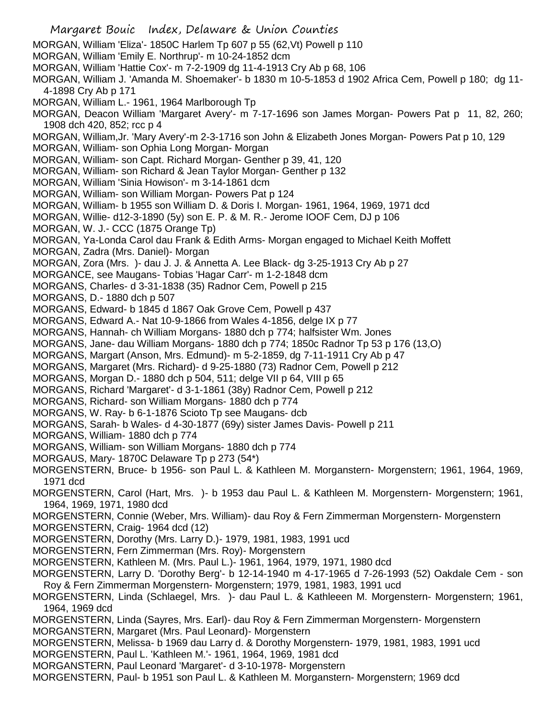Margaret Bouic Index, Delaware & Union Counties MORGAN, William 'Eliza'- 1850C Harlem Tp 607 p 55 (62,Vt) Powell p 110 MORGAN, William 'Emily E. Northrup'- m 10-24-1852 dcm MORGAN, William 'Hattie Cox'- m 7-2-1909 dg 11-4-1913 Cry Ab p 68, 106 MORGAN, William J. 'Amanda M. Shoemaker'- b 1830 m 10-5-1853 d 1902 Africa Cem, Powell p 180; dg 11- 4-1898 Cry Ab p 171 MORGAN, William L.- 1961, 1964 Marlborough Tp MORGAN, Deacon William 'Margaret Avery'- m 7-17-1696 son James Morgan- Powers Pat p 11, 82, 260; 1908 dch 420, 852; rcc p 4 MORGAN, William,Jr. 'Mary Avery'-m 2-3-1716 son John & Elizabeth Jones Morgan- Powers Pat p 10, 129 MORGAN, William- son Ophia Long Morgan- Morgan MORGAN, William- son Capt. Richard Morgan- Genther p 39, 41, 120 MORGAN, William- son Richard & Jean Taylor Morgan- Genther p 132 MORGAN, William 'Sinia Howison'- m 3-14-1861 dcm MORGAN, William- son William Morgan- Powers Pat p 124 MORGAN, William- b 1955 son William D. & Doris I. Morgan- 1961, 1964, 1969, 1971 dcd MORGAN, Willie- d12-3-1890 (5y) son E. P. & M. R.- Jerome IOOF Cem, DJ p 106 MORGAN, W. J.- CCC (1875 Orange Tp) MORGAN, Ya-Londa Carol dau Frank & Edith Arms- Morgan engaged to Michael Keith Moffett MORGAN, Zadra (Mrs. Daniel)- Morgan MORGAN, Zora (Mrs. )- dau J. J. & Annetta A. Lee Black- dg 3-25-1913 Cry Ab p 27 MORGANCE, see Maugans- Tobias 'Hagar Carr'- m 1-2-1848 dcm MORGANS, Charles- d 3-31-1838 (35) Radnor Cem, Powell p 215 MORGANS, D.- 1880 dch p 507 MORGANS, Edward- b 1845 d 1867 Oak Grove Cem, Powell p 437 MORGANS, Edward A.- Nat 10-9-1866 from Wales 4-1856, delge IX p 77 MORGANS, Hannah- ch William Morgans- 1880 dch p 774; halfsister Wm. Jones MORGANS, Jane- dau William Morgans- 1880 dch p 774; 1850c Radnor Tp 53 p 176 (13,O) MORGANS, Margart (Anson, Mrs. Edmund)- m 5-2-1859, dg 7-11-1911 Cry Ab p 47 MORGANS, Margaret (Mrs. Richard)- d 9-25-1880 (73) Radnor Cem, Powell p 212 MORGANS, Morgan D.- 1880 dch p 504, 511; delge VII p 64, VIII p 65 MORGANS, Richard 'Margaret'- d 3-1-1861 (38y) Radnor Cem, Powell p 212 MORGANS, Richard- son William Morgans- 1880 dch p 774 MORGANS, W. Ray- b 6-1-1876 Scioto Tp see Maugans- dcb MORGANS, Sarah- b Wales- d 4-30-1877 (69y) sister James Davis- Powell p 211 MORGANS, William- 1880 dch p 774 MORGANS, William- son William Morgans- 1880 dch p 774 MORGAUS, Mary- 1870C Delaware Tp p 273 (54\*) MORGENSTERN, Bruce- b 1956- son Paul L. & Kathleen M. Morganstern- Morgenstern; 1961, 1964, 1969, 1971 dcd MORGENSTERN, Carol (Hart, Mrs. )- b 1953 dau Paul L. & Kathleen M. Morgenstern- Morgenstern; 1961, 1964, 1969, 1971, 1980 dcd MORGENSTERN, Connie (Weber, Mrs. William)- dau Roy & Fern Zimmerman Morgenstern- Morgenstern MORGENSTERN, Craig- 1964 dcd (12) MORGENSTERN, Dorothy (Mrs. Larry D.)- 1979, 1981, 1983, 1991 ucd MORGENSTERN, Fern Zimmerman (Mrs. Roy)- Morgenstern MORGENSTERN, Kathleen M. (Mrs. Paul L.)- 1961, 1964, 1979, 1971, 1980 dcd MORGENSTERN, Larry D. 'Dorothy Berg'- b 12-14-1940 m 4-17-1965 d 7-26-1993 (52) Oakdale Cem - son Roy & Fern Zimmerman Morgenstern- Morgenstern; 1979, 1981, 1983, 1991 ucd MORGENSTERN, Linda (Schlaegel, Mrs. )- dau Paul L. & Kathleeen M. Morgenstern- Morgenstern; 1961, 1964, 1969 dcd MORGENSTERN, Linda (Sayres, Mrs. Earl)- dau Roy & Fern Zimmerman Morgenstern- Morgenstern MORGANSTERN, Margaret (Mrs. Paul Leonard)- Morgenstern MORGENSTERN, Melissa- b 1969 dau Larry d. & Dorothy Morgenstern- 1979, 1981, 1983, 1991 ucd MORGENSTERN, Paul L. 'Kathleen M.'- 1961, 1964, 1969, 1981 dcd MORGANSTERN, Paul Leonard 'Margaret'- d 3-10-1978- Morgenstern MORGENSTERN, Paul- b 1951 son Paul L. & Kathleen M. Morganstern- Morgenstern; 1969 dcd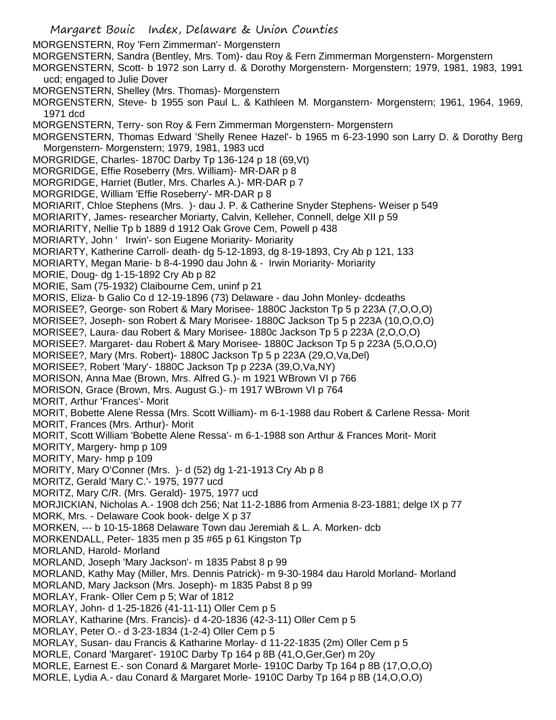Margaret Bouic Index, Delaware & Union Counties MORGENSTERN, Roy 'Fern Zimmerman'- Morgenstern MORGENSTERN, Sandra (Bentley, Mrs. Tom)- dau Roy & Fern Zimmerman Morgenstern- Morgenstern MORGENSTERN, Scott- b 1972 son Larry d. & Dorothy Morgenstern- Morgenstern; 1979, 1981, 1983, 1991 ucd; engaged to Julie Dover MORGENSTERN, Shelley (Mrs. Thomas)- Morgenstern MORGENSTERN, Steve- b 1955 son Paul L. & Kathleen M. Morganstern- Morgenstern; 1961, 1964, 1969, 1971 dcd MORGENSTERN, Terry- son Roy & Fern Zimmerman Morgenstern- Morgenstern MORGENSTERN, Thomas Edward 'Shelly Renee Hazel'- b 1965 m 6-23-1990 son Larry D. & Dorothy Berg Morgenstern- Morgenstern; 1979, 1981, 1983 ucd MORGRIDGE, Charles- 1870C Darby Tp 136-124 p 18 (69,Vt) MORGRIDGE, Effie Roseberry (Mrs. William)- MR-DAR p 8 MORGRIDGE, Harriet (Butler, Mrs. Charles A.)- MR-DAR p 7 MORGRIDGE, William 'Effie Roseberry'- MR-DAR p 8 MORIARIT, Chloe Stephens (Mrs. )- dau J. P. & Catherine Snyder Stephens- Weiser p 549 MORIARITY, James- researcher Moriarty, Calvin, Kelleher, Connell, delge XII p 59 MORIARITY, Nellie Tp b 1889 d 1912 Oak Grove Cem, Powell p 438 MORIARTY, John ' Irwin'- son Eugene Moriarity- Moriarity MORIARTY, Katherine Carroll- death- dg 5-12-1893, dg 8-19-1893, Cry Ab p 121, 133 MORIARTY, Megan Marie- b 8-4-1990 dau John & - Irwin Moriarity- Moriarity MORIE, Doug- dg 1-15-1892 Cry Ab p 82 MORIE, Sam (75-1932) Claibourne Cem, uninf p 21 MORIS, Eliza- b Galio Co d 12-19-1896 (73) Delaware - dau John Monley- dcdeaths MORISEE?, George- son Robert & Mary Morisee- 1880C Jackston Tp 5 p 223A (7,O,O,O) MORISEE?, Joseph- son Robert & Mary Morisee- 1880C Jackson Tp 5 p 223A (10,O,O,O) MORISEE?, Laura- dau Robert & Mary Morisee- 1880c Jackson Tp 5 p 223A (2,O,O,O) MORISEE?. Margaret- dau Robert & Mary Morisee- 1880C Jackson Tp 5 p 223A (5,O,O,O) MORISEE?, Mary (Mrs. Robert)- 1880C Jackson Tp 5 p 223A (29,O,Va,Del) MORISEE?, Robert 'Mary'- 1880C Jackson Tp p 223A (39,O,Va,NY) MORISON, Anna Mae (Brown, Mrs. Alfred G.)- m 1921 WBrown VI p 766 MORISON, Grace (Brown, Mrs. August G.)- m 1917 WBrown VI p 764 MORIT, Arthur 'Frances'- Morit MORIT, Bobette Alene Ressa (Mrs. Scott William)- m 6-1-1988 dau Robert & Carlene Ressa- Morit MORIT, Frances (Mrs. Arthur)- Morit MORIT, Scott William 'Bobette Alene Ressa'- m 6-1-1988 son Arthur & Frances Morit- Morit MORITY, Margery- hmp p 109 MORITY, Mary- hmp p 109 MORITY, Mary O'Conner (Mrs. )- d (52) dg 1-21-1913 Cry Ab p 8 MORITZ, Gerald 'Mary C.'- 1975, 1977 ucd MORITZ, Mary C/R. (Mrs. Gerald)- 1975, 1977 ucd MORJICKIAN, Nicholas A.- 1908 dch 256; Nat 11-2-1886 from Armenia 8-23-1881; delge IX p 77 MORK, Mrs. - Delaware Cook book- delge X p 37 MORKEN, --- b 10-15-1868 Delaware Town dau Jeremiah & L. A. Morken- dcb MORKENDALL, Peter- 1835 men p 35 #65 p 61 Kingston Tp MORLAND, Harold- Morland MORLAND, Joseph 'Mary Jackson'- m 1835 Pabst 8 p 99 MORLAND, Kathy May (Miller, Mrs. Dennis Patrick)- m 9-30-1984 dau Harold Morland- Morland MORLAND, Mary Jackson (Mrs. Joseph)- m 1835 Pabst 8 p 99 MORLAY, Frank- Oller Cem p 5; War of 1812 MORLAY, John- d 1-25-1826 (41-11-11) Oller Cem p 5 MORLAY, Katharine (Mrs. Francis)- d 4-20-1836 (42-3-11) Oller Cem p 5 MORLAY, Peter O.- d 3-23-1834 (1-2-4) Oller Cem p 5 MORLAY, Susan- dau Francis & Katharine Morlay- d 11-22-1835 (2m) Oller Cem p 5 MORLE, Conard 'Margaret'- 1910C Darby Tp 164 p 8B (41,O,Ger,Ger) m 20y MORLE, Earnest E.- son Conard & Margaret Morle- 1910C Darby Tp 164 p 8B (17,O,O,O) MORLE, Lydia A.- dau Conard & Margaret Morle- 1910C Darby Tp 164 p 8B (14,O,O,O)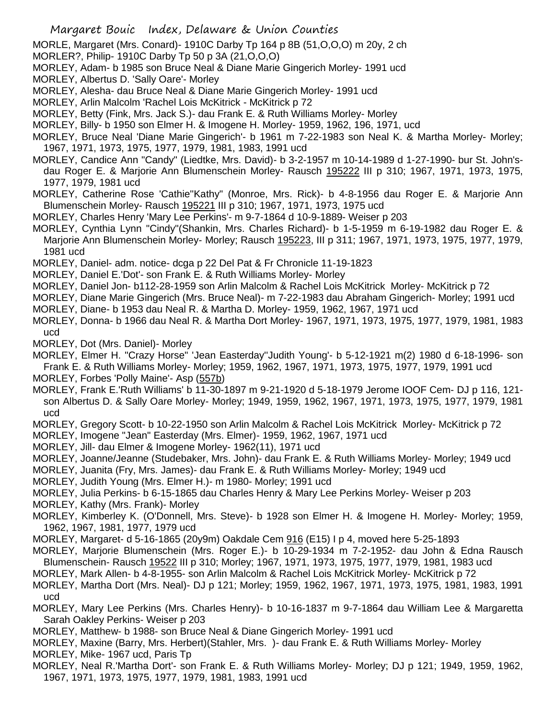MORLE, Margaret (Mrs. Conard)- 1910C Darby Tp 164 p 8B (51,O,O,O) m 20y, 2 ch

- MORLER?, Philip- 1910C Darby Tp 50 p 3A (21,O,O,O)
- MORLEY, Adam- b 1985 son Bruce Neal & Diane Marie Gingerich Morley- 1991 ucd
- MORLEY, Albertus D. 'Sally Oare'- Morley
- MORLEY, Alesha- dau Bruce Neal & Diane Marie Gingerich Morley- 1991 ucd
- MORLEY, Arlin Malcolm 'Rachel Lois McKitrick McKitrick p 72
- MORLEY, Betty (Fink, Mrs. Jack S.)- dau Frank E. & Ruth Williams Morley- Morley
- MORLEY, Billy- b 1950 son Elmer H. & Imogene H. Morley- 1959, 1962, 196, 1971, ucd
- MORLEY, Bruce Neal 'Diane Marie Gingerich'- b 1961 m 7-22-1983 son Neal K. & Martha Morley- Morley; 1967, 1971, 1973, 1975, 1977, 1979, 1981, 1983, 1991 ucd
- MORLEY, Candice Ann "Candy" (Liedtke, Mrs. David)- b 3-2-1957 m 10-14-1989 d 1-27-1990- bur St. John'sdau Roger E. & Marjorie Ann Blumenschein Morley- Rausch 195222 III p 310; 1967, 1971, 1973, 1975, 1977, 1979, 1981 ucd
- MORLEY, Catherine Rose 'Cathie''Kathy" (Monroe, Mrs. Rick)- b 4-8-1956 dau Roger E. & Marjorie Ann Blumenschein Morley- Rausch 195221 III p 310; 1967, 1971, 1973, 1975 ucd
- MORLEY, Charles Henry 'Mary Lee Perkins'- m 9-7-1864 d 10-9-1889- Weiser p 203
- MORLEY, Cynthia Lynn "Cindy"(Shankin, Mrs. Charles Richard)- b 1-5-1959 m 6-19-1982 dau Roger E. & Marjorie Ann Blumenschein Morley- Morley; Rausch 195223, III p 311; 1967, 1971, 1973, 1975, 1977, 1979, 1981 ucd
- MORLEY, Daniel- adm. notice- dcga p 22 Del Pat & Fr Chronicle 11-19-1823
- MORLEY, Daniel E.'Dot'- son Frank E. & Ruth Williams Morley- Morley
- MORLEY, Daniel Jon- b112-28-1959 son Arlin Malcolm & Rachel Lois McKitrick Morley- McKitrick p 72
- MORLEY, Diane Marie Gingerich (Mrs. Bruce Neal)- m 7-22-1983 dau Abraham Gingerich- Morley; 1991 ucd
- MORLEY, Diane- b 1953 dau Neal R. & Martha D. Morley- 1959, 1962, 1967, 1971 ucd
- MORLEY, Donna- b 1966 dau Neal R. & Martha Dort Morley- 1967, 1971, 1973, 1975, 1977, 1979, 1981, 1983 ucd
- MORLEY, Dot (Mrs. Daniel)- Morley
- MORLEY, Elmer H. "Crazy Horse" 'Jean Easterday''Judith Young'- b 5-12-1921 m(2) 1980 d 6-18-1996- son Frank E. & Ruth Williams Morley- Morley; 1959, 1962, 1967, 1971, 1973, 1975, 1977, 1979, 1991 ucd
- MORLEY, Forbes 'Polly Maine'- Asp (557b)
- MORLEY, Frank E.'Ruth Williams' b 11-30-1897 m 9-21-1920 d 5-18-1979 Jerome IOOF Cem- DJ p 116, 121 son Albertus D. & Sally Oare Morley- Morley; 1949, 1959, 1962, 1967, 1971, 1973, 1975, 1977, 1979, 1981 ucd
- MORLEY, Gregory Scott- b 10-22-1950 son Arlin Malcolm & Rachel Lois McKitrick Morley- McKitrick p 72
- MORLEY, Imogene "Jean" Easterday (Mrs. Elmer)- 1959, 1962, 1967, 1971 ucd
- MORLEY, Jill- dau Elmer & Imogene Morley- 1962(11), 1971 ucd
- MORLEY, Joanne/Jeanne (Studebaker, Mrs. John)- dau Frank E. & Ruth Williams Morley- Morley; 1949 ucd
- MORLEY, Juanita (Fry, Mrs. James)- dau Frank E. & Ruth Williams Morley- Morley; 1949 ucd
- MORLEY, Judith Young (Mrs. Elmer H.)- m 1980- Morley; 1991 ucd
- MORLEY, Julia Perkins- b 6-15-1865 dau Charles Henry & Mary Lee Perkins Morley- Weiser p 203
- MORLEY, Kathy (Mrs. Frank)- Morley
- MORLEY, Kimberley K. (O'Donnell, Mrs. Steve)- b 1928 son Elmer H. & Imogene H. Morley- Morley; 1959, 1962, 1967, 1981, 1977, 1979 ucd
- MORLEY, Margaret- d 5-16-1865 (20y9m) Oakdale Cem 916 (E15) I p 4, moved here 5-25-1893
- MORLEY, Marjorie Blumenschein (Mrs. Roger E.)- b 10-29-1934 m 7-2-1952- dau John & Edna Rausch Blumenschein- Rausch 19522 III p 310; Morley; 1967, 1971, 1973, 1975, 1977, 1979, 1981, 1983 ucd
- MORLEY, Mark Allen- b 4-8-1955- son Arlin Malcolm & Rachel Lois McKitrick Morley- McKitrick p 72
- MORLEY, Martha Dort (Mrs. Neal)- DJ p 121; Morley; 1959, 1962, 1967, 1971, 1973, 1975, 1981, 1983, 1991 ucd
- MORLEY, Mary Lee Perkins (Mrs. Charles Henry)- b 10-16-1837 m 9-7-1864 dau William Lee & Margaretta Sarah Oakley Perkins- Weiser p 203
- MORLEY, Matthew- b 1988- son Bruce Neal & Diane Gingerich Morley- 1991 ucd
- MORLEY, Maxine (Barry, Mrs. Herbert)(Stahler, Mrs. )- dau Frank E. & Ruth Williams Morley- Morley
- MORLEY, Mike- 1967 ucd, Paris Tp
- MORLEY, Neal R.'Martha Dort'- son Frank E. & Ruth Williams Morley- Morley; DJ p 121; 1949, 1959, 1962, 1967, 1971, 1973, 1975, 1977, 1979, 1981, 1983, 1991 ucd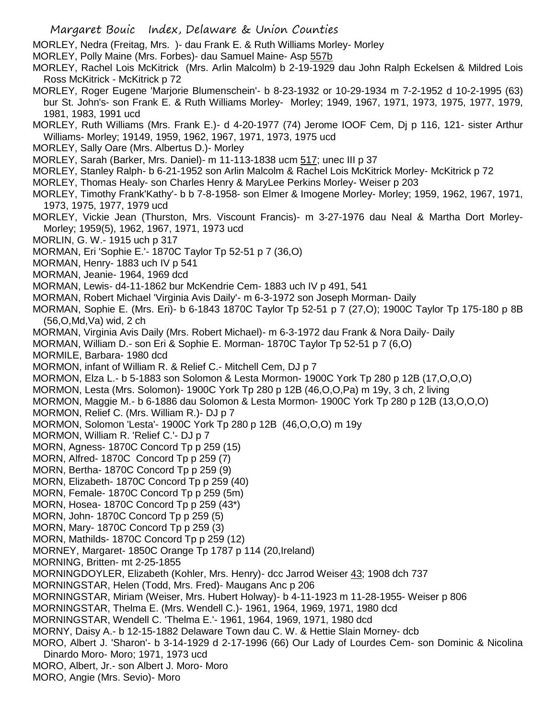MORLEY, Nedra (Freitag, Mrs. )- dau Frank E. & Ruth Williams Morley- Morley

MORLEY, Polly Maine (Mrs. Forbes)- dau Samuel Maine- Asp 557b

MORLEY, Rachel Lois McKitrick (Mrs. Arlin Malcolm) b 2-19-1929 dau John Ralph Eckelsen & Mildred Lois Ross McKitrick - McKitrick p 72

MORLEY, Roger Eugene 'Marjorie Blumenschein'- b 8-23-1932 or 10-29-1934 m 7-2-1952 d 10-2-1995 (63) bur St. John's- son Frank E. & Ruth Williams Morley- Morley; 1949, 1967, 1971, 1973, 1975, 1977, 1979, 1981, 1983, 1991 ucd

MORLEY, Ruth Williams (Mrs. Frank E.)- d 4-20-1977 (74) Jerome IOOF Cem, Dj p 116, 121- sister Arthur Williams- Morley; 19149, 1959, 1962, 1967, 1971, 1973, 1975 ucd

- MORLEY, Sally Oare (Mrs. Albertus D.)- Morley
- MORLEY, Sarah (Barker, Mrs. Daniel)- m 11-113-1838 ucm 517; unec III p 37
- MORLEY, Stanley Ralph- b 6-21-1952 son Arlin Malcolm & Rachel Lois McKitrick Morley- McKitrick p 72
- MORLEY, Thomas Healy- son Charles Henry & MaryLee Perkins Morley- Weiser p 203
- MORLEY, Timothy Frank'Kathy'- b b 7-8-1958- son Elmer & Imogene Morley- Morley; 1959, 1962, 1967, 1971, 1973, 1975, 1977, 1979 ucd
- MORLEY, Vickie Jean (Thurston, Mrs. Viscount Francis)- m 3-27-1976 dau Neal & Martha Dort Morley-Morley; 1959(5), 1962, 1967, 1971, 1973 ucd
- MORLIN, G. W.- 1915 uch p 317
- MORMAN, Eri 'Sophie E.'- 1870C Taylor Tp 52-51 p 7 (36,O)
- MORMAN, Henry- 1883 uch IV p 541
- MORMAN, Jeanie- 1964, 1969 dcd

MORMAN, Lewis- d4-11-1862 bur McKendrie Cem- 1883 uch IV p 491, 541

- MORMAN, Robert Michael 'Virginia Avis Daily'- m 6-3-1972 son Joseph Morman- Daily
- MORMAN, Sophie E. (Mrs. Eri)- b 6-1843 1870C Taylor Tp 52-51 p 7 (27,O); 1900C Taylor Tp 175-180 p 8B (56,O,Md,Va) wid, 2 ch

MORMAN, Virginia Avis Daily (Mrs. Robert Michael)- m 6-3-1972 dau Frank & Nora Daily- Daily

MORMAN, William D.- son Eri & Sophie E. Morman- 1870C Taylor Tp 52-51 p 7 (6,O)

- MORMILE, Barbara- 1980 dcd
- MORMON, infant of William R. & Relief C.- Mitchell Cem, DJ p 7
- MORMON, Elza L.- b 5-1883 son Solomon & Lesta Mormon- 1900C York Tp 280 p 12B (17,O,O,O)
- MORMON, Lesta (Mrs. Solomon)- 1900C York Tp 280 p 12B (46,O,O,Pa) m 19y, 3 ch, 2 living
- MORMON, Maggie M.- b 6-1886 dau Solomon & Lesta Mormon- 1900C York Tp 280 p 12B (13,O,O,O)
- MORMON, Relief C. (Mrs. William R.)- DJ p 7
- MORMON, Solomon 'Lesta'- 1900C York Tp 280 p 12B (46,O,O,O) m 19y
- MORMON, William R. 'Relief C.'- DJ p 7
- MORN, Agness- 1870C Concord Tp p 259 (15)
- MORN, Alfred- 1870C Concord Tp p 259 (7)
- MORN, Bertha- 1870C Concord Tp p 259 (9)
- MORN, Elizabeth- 1870C Concord Tp p 259 (40)
- MORN, Female- 1870C Concord Tp p 259 (5m)
- MORN, Hosea- 1870C Concord Tp p 259 (43\*)
- MORN, John- 1870C Concord Tp p 259 (5)
- MORN, Mary- 1870C Concord Tp p 259 (3)
- MORN, Mathilds- 1870C Concord Tp p 259 (12)
- MORNEY, Margaret- 1850C Orange Tp 1787 p 114 (20,Ireland)
- MORNING, Britten- mt 2-25-1855
- MORNINGDOYLER, Elizabeth (Kohler, Mrs. Henry)- dcc Jarrod Weiser 43; 1908 dch 737
- MORNINGSTAR, Helen (Todd, Mrs. Fred)- Maugans Anc p 206
- MORNINGSTAR, Miriam (Weiser, Mrs. Hubert Holway)- b 4-11-1923 m 11-28-1955- Weiser p 806
- MORNINGSTAR, Thelma E. (Mrs. Wendell C.)- 1961, 1964, 1969, 1971, 1980 dcd
- MORNINGSTAR, Wendell C. 'Thelma E.'- 1961, 1964, 1969, 1971, 1980 dcd
- MORNY, Daisy A.- b 12-15-1882 Delaware Town dau C. W. & Hettie Slain Morney- dcb
- MORO, Albert J. 'Sharon'- b 3-14-1929 d 2-17-1996 (66) Our Lady of Lourdes Cem- son Dominic & Nicolina Dinardo Moro- Moro; 1971, 1973 ucd
- MORO, Albert, Jr.- son Albert J. Moro- Moro
- MORO, Angie (Mrs. Sevio)- Moro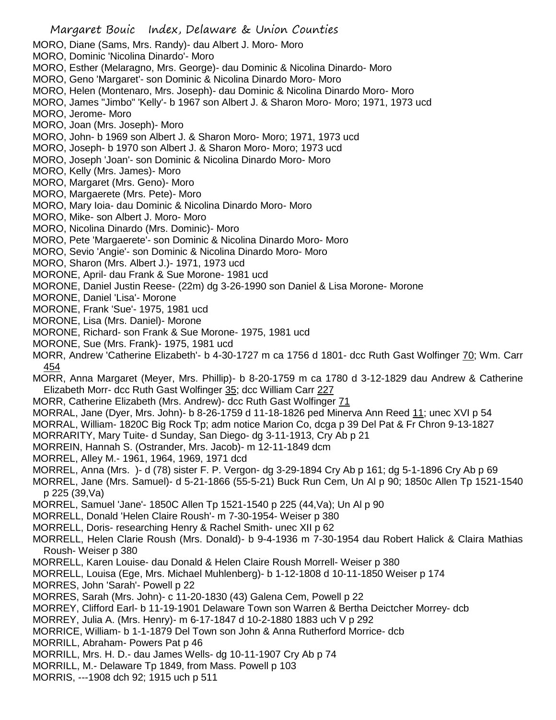- MORO, Diane (Sams, Mrs. Randy)- dau Albert J. Moro- Moro
- MORO, Dominic 'Nicolina Dinardo'- Moro
- MORO, Esther (Melaragno, Mrs. George)- dau Dominic & Nicolina Dinardo- Moro
- MORO, Geno 'Margaret'- son Dominic & Nicolina Dinardo Moro- Moro
- MORO, Helen (Montenaro, Mrs. Joseph)- dau Dominic & Nicolina Dinardo Moro- Moro
- MORO, James "Jimbo" 'Kelly'- b 1967 son Albert J. & Sharon Moro- Moro; 1971, 1973 ucd
- MORO, Jerome- Moro
- MORO, Joan (Mrs. Joseph)- Moro
- MORO, John- b 1969 son Albert J. & Sharon Moro- Moro; 1971, 1973 ucd
- MORO, Joseph- b 1970 son Albert J. & Sharon Moro- Moro; 1973 ucd
- MORO, Joseph 'Joan'- son Dominic & Nicolina Dinardo Moro- Moro
- MORO, Kelly (Mrs. James)- Moro
- MORO, Margaret (Mrs. Geno)- Moro
- MORO, Margaerete (Mrs. Pete)- Moro
- MORO, Mary Ioia- dau Dominic & Nicolina Dinardo Moro- Moro
- MORO, Mike- son Albert J. Moro- Moro
- MORO, Nicolina Dinardo (Mrs. Dominic)- Moro
- MORO, Pete 'Margaerete'- son Dominic & Nicolina Dinardo Moro- Moro
- MORO, Sevio 'Angie'- son Dominic & Nicolina Dinardo Moro- Moro
- MORO, Sharon (Mrs. Albert J.)- 1971, 1973 ucd
- MORONE, April- dau Frank & Sue Morone- 1981 ucd
- MORONE, Daniel Justin Reese- (22m) dg 3-26-1990 son Daniel & Lisa Morone- Morone
- MORONE, Daniel 'Lisa'- Morone
- MORONE, Frank 'Sue'- 1975, 1981 ucd
- MORONE, Lisa (Mrs. Daniel)- Morone
- MORONE, Richard- son Frank & Sue Morone- 1975, 1981 ucd
- MORONE, Sue (Mrs. Frank)- 1975, 1981 ucd
- MORR, Andrew 'Catherine Elizabeth'- b 4-30-1727 m ca 1756 d 1801- dcc Ruth Gast Wolfinger 70; Wm. Carr 454
- MORR, Anna Margaret (Meyer, Mrs. Phillip)- b 8-20-1759 m ca 1780 d 3-12-1829 dau Andrew & Catherine Elizabeth Morr- dcc Ruth Gast Wolfinger 35; dcc William Carr 227
- MORR, Catherine Elizabeth (Mrs. Andrew)- dcc Ruth Gast Wolfinger 71
- MORRAL, Jane (Dyer, Mrs. John)- b 8-26-1759 d 11-18-1826 ped Minerva Ann Reed 11; unec XVI p 54
- MORRAL, William- 1820C Big Rock Tp; adm notice Marion Co, dcga p 39 Del Pat & Fr Chron 9-13-1827
- MORRARITY, Mary Tuite- d Sunday, San Diego- dg 3-11-1913, Cry Ab p 21
- MORREIN, Hannah S. (Ostrander, Mrs. Jacob)- m 12-11-1849 dcm
- MORREL, Alley M.- 1961, 1964, 1969, 1971 dcd
- MORREL, Anna (Mrs. )- d (78) sister F. P. Vergon- dg 3-29-1894 Cry Ab p 161; dg 5-1-1896 Cry Ab p 69
- MORREL, Jane (Mrs. Samuel)- d 5-21-1866 (55-5-21) Buck Run Cem, Un Al p 90; 1850c Allen Tp 1521-1540 p 225 (39,Va)
- MORREL, Samuel 'Jane'- 1850C Allen Tp 1521-1540 p 225 (44,Va); Un Al p 90
- MORRELL, Donald 'Helen Claire Roush'- m 7-30-1954- Weiser p 380
- MORRELL, Doris- researching Henry & Rachel Smith- unec XII p 62
- MORRELL, Helen Clarie Roush (Mrs. Donald)- b 9-4-1936 m 7-30-1954 dau Robert Halick & Claira Mathias Roush- Weiser p 380
- MORRELL, Karen Louise- dau Donald & Helen Claire Roush Morrell- Weiser p 380
- MORRELL, Louisa (Ege, Mrs. Michael Muhlenberg)- b 1-12-1808 d 10-11-1850 Weiser p 174
- MORRES, John 'Sarah'- Powell p 22
- MORRES, Sarah (Mrs. John)- c 11-20-1830 (43) Galena Cem, Powell p 22
- MORREY, Clifford Earl- b 11-19-1901 Delaware Town son Warren & Bertha Deictcher Morrey- dcb
- MORREY, Julia A. (Mrs. Henry)- m 6-17-1847 d 10-2-1880 1883 uch V p 292
- MORRICE, William- b 1-1-1879 Del Town son John & Anna Rutherford Morrice- dcb
- MORRILL, Abraham- Powers Pat p 46
- MORRILL, Mrs. H. D.- dau James Wells- dg 10-11-1907 Cry Ab p 74
- MORRILL, M.- Delaware Tp 1849, from Mass. Powell p 103
- MORRIS, ---1908 dch 92; 1915 uch p 511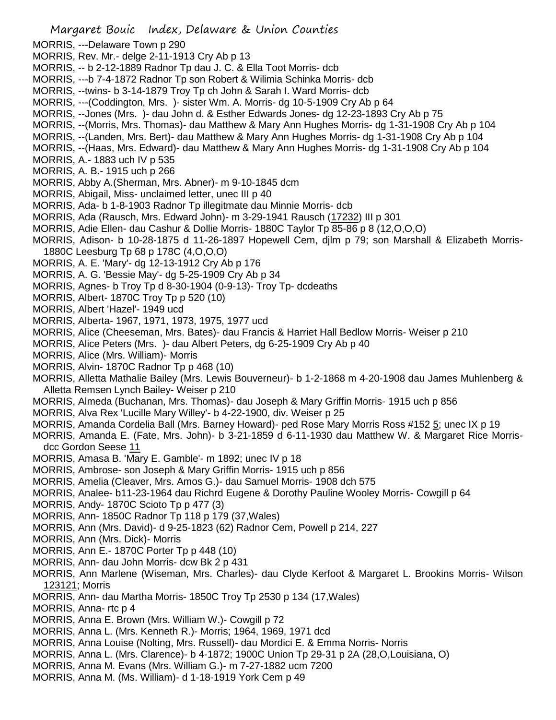- MORRIS, ---Delaware Town p 290
- MORRIS, Rev. Mr.- delge 2-11-1913 Cry Ab p 13
- MORRIS, -- b 2-12-1889 Radnor Tp dau J. C. & Ella Toot Morris- dcb
- MORRIS, ---b 7-4-1872 Radnor Tp son Robert & Wilimia Schinka Morris- dcb
- MORRIS, --twins- b 3-14-1879 Troy Tp ch John & Sarah I. Ward Morris- dcb
- MORRIS, ---(Coddington, Mrs. )- sister Wm. A. Morris- dg 10-5-1909 Cry Ab p 64
- MORRIS, --Jones (Mrs. )- dau John d. & Esther Edwards Jones- dg 12-23-1893 Cry Ab p 75
- MORRIS, --(Morris, Mrs. Thomas)- dau Matthew & Mary Ann Hughes Morris- dg 1-31-1908 Cry Ab p 104
- MORRIS, --(Landen, Mrs. Bert)- dau Matthew & Mary Ann Hughes Morris- dg 1-31-1908 Cry Ab p 104
- MORRIS, --(Haas, Mrs. Edward)- dau Matthew & Mary Ann Hughes Morris- dg 1-31-1908 Cry Ab p 104
- MORRIS, A.- 1883 uch IV p 535
- MORRIS, A. B.- 1915 uch p 266
- MORRIS, Abby A.(Sherman, Mrs. Abner)- m 9-10-1845 dcm
- MORRIS, Abigail, Miss- unclaimed letter, unec III p 40
- MORRIS, Ada- b 1-8-1903 Radnor Tp illegitmate dau Minnie Morris- dcb
- MORRIS, Ada (Rausch, Mrs. Edward John)- m 3-29-1941 Rausch (17232) III p 301
- MORRIS, Adie Ellen- dau Cashur & Dollie Morris- 1880C Taylor Tp 85-86 p 8 (12,O,O,O)
- MORRIS, Adison- b 10-28-1875 d 11-26-1897 Hopewell Cem, djlm p 79; son Marshall & Elizabeth Morris-1880C Leesburg Tp 68 p 178C (4,O,O,O)
- MORRIS, A. E. 'Mary'- dg 12-13-1912 Cry Ab p 176
- MORRIS, A. G. 'Bessie May'- dg 5-25-1909 Cry Ab p 34
- MORRIS, Agnes- b Troy Tp d 8-30-1904 (0-9-13)- Troy Tp- dcdeaths
- MORRIS, Albert- 1870C Troy Tp p 520 (10)
- MORRIS, Albert 'Hazel'- 1949 ucd
- MORRIS, Alberta- 1967, 1971, 1973, 1975, 1977 ucd
- MORRIS, Alice (Cheeseman, Mrs. Bates)- dau Francis & Harriet Hall Bedlow Morris- Weiser p 210
- MORRIS, Alice Peters (Mrs. )- dau Albert Peters, dg 6-25-1909 Cry Ab p 40
- MORRIS, Alice (Mrs. William)- Morris
- MORRIS, Alvin- 1870C Radnor Tp p 468 (10)
- MORRIS, Alletta Mathalie Bailey (Mrs. Lewis Bouverneur)- b 1-2-1868 m 4-20-1908 dau James Muhlenberg & Alletta Remsen Lynch Bailey- Weiser p 210
- MORRIS, Almeda (Buchanan, Mrs. Thomas)- dau Joseph & Mary Griffin Morris- 1915 uch p 856
- MORRIS, Alva Rex 'Lucille Mary Willey'- b 4-22-1900, div. Weiser p 25
- MORRIS, Amanda Cordelia Ball (Mrs. Barney Howard)- ped Rose Mary Morris Ross #152 5; unec IX p 19
- MORRIS, Amanda E. (Fate, Mrs. John)- b 3-21-1859 d 6-11-1930 dau Matthew W. & Margaret Rice Morrisdcc Gordon Seese 11
- MORRIS, Amasa B. 'Mary E. Gamble'- m 1892; unec IV p 18
- MORRIS, Ambrose- son Joseph & Mary Griffin Morris- 1915 uch p 856
- MORRIS, Amelia (Cleaver, Mrs. Amos G.)- dau Samuel Morris- 1908 dch 575
- MORRIS, Analee- b11-23-1964 dau Richrd Eugene & Dorothy Pauline Wooley Morris- Cowgill p 64
- MORRIS, Andy- 1870C Scioto Tp p 477 (3)
- MORRIS, Ann- 1850C Radnor Tp 118 p 179 (37,Wales)
- MORRIS, Ann (Mrs. David)- d 9-25-1823 (62) Radnor Cem, Powell p 214, 227
- MORRIS, Ann (Mrs. Dick)- Morris
- MORRIS, Ann E.- 1870C Porter Tp p 448 (10)
- MORRIS, Ann- dau John Morris- dcw Bk 2 p 431
- MORRIS, Ann Marlene (Wiseman, Mrs. Charles)- dau Clyde Kerfoot & Margaret L. Brookins Morris- Wilson 123121; Morris
- MORRIS, Ann- dau Martha Morris- 1850C Troy Tp 2530 p 134 (17,Wales)
- MORRIS, Anna- rtc p 4
- MORRIS, Anna E. Brown (Mrs. William W.)- Cowgill p 72
- MORRIS, Anna L. (Mrs. Kenneth R.)- Morris; 1964, 1969, 1971 dcd
- MORRIS, Anna Louise (Nolting, Mrs. Russell)- dau Mordici E. & Emma Norris- Norris
- MORRIS, Anna L. (Mrs. Clarence)- b 4-1872; 1900C Union Tp 29-31 p 2A (28,O,Louisiana, O)
- MORRIS, Anna M. Evans (Mrs. William G.)- m 7-27-1882 ucm 7200
- MORRIS, Anna M. (Ms. William)- d 1-18-1919 York Cem p 49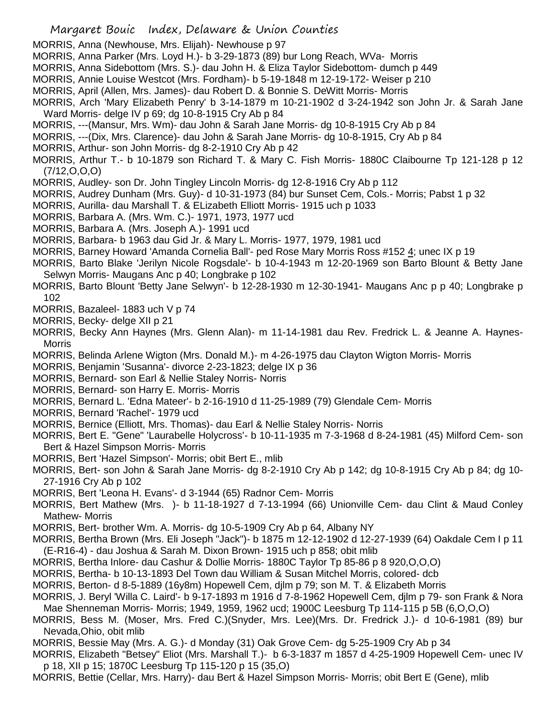MORRIS, Anna (Newhouse, Mrs. Elijah)- Newhouse p 97

- MORRIS, Anna Parker (Mrs. Loyd H.)- b 3-29-1873 (89) bur Long Reach, WVa- Morris
- MORRIS, Anna Sidebottom (Mrs. S.)- dau John H. & Eliza Taylor Sidebottom- dumch p 449
- MORRIS, Annie Louise Westcot (Mrs. Fordham)- b 5-19-1848 m 12-19-172- Weiser p 210
- MORRIS, April (Allen, Mrs. James)- dau Robert D. & Bonnie S. DeWitt Morris- Morris
- MORRIS, Arch 'Mary Elizabeth Penry' b 3-14-1879 m 10-21-1902 d 3-24-1942 son John Jr. & Sarah Jane Ward Morris- delge IV p 69; dg 10-8-1915 Cry Ab p 84
- MORRIS, ---(Mansur, Mrs. Wm)- dau John & Sarah Jane Morris- dg 10-8-1915 Cry Ab p 84
- MORRIS, ---(Dix, Mrs. Clarence)- dau John & Sarah Jane Morris- dg 10-8-1915, Cry Ab p 84
- MORRIS, Arthur- son John Morris- dg 8-2-1910 Cry Ab p 42
- MORRIS, Arthur T.- b 10-1879 son Richard T. & Mary C. Fish Morris- 1880C Claibourne Tp 121-128 p 12 (7/12,O,O,O)
- MORRIS, Audley- son Dr. John Tingley Lincoln Morris- dg 12-8-1916 Cry Ab p 112
- MORRIS, Audrey Dunham (Mrs. Guy)- d 10-31-1973 (84) bur Sunset Cem, Cols.- Morris; Pabst 1 p 32
- MORRIS, Aurilla- dau Marshall T. & ELizabeth Elliott Morris- 1915 uch p 1033
- MORRIS, Barbara A. (Mrs. Wm. C.)- 1971, 1973, 1977 ucd
- MORRIS, Barbara A. (Mrs. Joseph A.)- 1991 ucd
- MORRIS, Barbara- b 1963 dau Gid Jr. & Mary L. Morris- 1977, 1979, 1981 ucd
- MORRIS, Barney Howard 'Amanda Cornelia Ball'- ped Rose Mary Morris Ross #152 4; unec IX p 19
- MORRIS, Barto Blake 'Jerilyn Nicole Rogsdale'- b 10-4-1943 m 12-20-1969 son Barto Blount & Betty Jane Selwyn Morris- Maugans Anc p 40; Longbrake p 102
- MORRIS, Barto Blount 'Betty Jane Selwyn'- b 12-28-1930 m 12-30-1941- Maugans Anc p p 40; Longbrake p 102
- MORRIS, Bazaleel- 1883 uch V p 74
- MORRIS, Becky- delge XII p 21
- MORRIS, Becky Ann Haynes (Mrs. Glenn Alan)- m 11-14-1981 dau Rev. Fredrick L. & Jeanne A. Haynes-**Morris**
- MORRIS, Belinda Arlene Wigton (Mrs. Donald M.)- m 4-26-1975 dau Clayton Wigton Morris- Morris
- MORRIS, Benjamin 'Susanna'- divorce 2-23-1823; delge IX p 36
- MORRIS, Bernard- son Earl & Nellie Staley Norris- Norris
- MORRIS, Bernard- son Harry E. Morris- Morris
- MORRIS, Bernard L. 'Edna Mateer'- b 2-16-1910 d 11-25-1989 (79) Glendale Cem- Morris
- MORRIS, Bernard 'Rachel'- 1979 ucd
- MORRIS, Bernice (Elliott, Mrs. Thomas)- dau Earl & Nellie Staley Norris- Norris
- MORRIS, Bert E. "Gene" 'Laurabelle Holycross'- b 10-11-1935 m 7-3-1968 d 8-24-1981 (45) Milford Cem- son Bert & Hazel Simpson Morris- Morris
- MORRIS, Bert 'Hazel Simpson'- Morris; obit Bert E., mlib
- MORRIS, Bert- son John & Sarah Jane Morris- dg 8-2-1910 Cry Ab p 142; dg 10-8-1915 Cry Ab p 84; dg 10- 27-1916 Cry Ab p 102
- MORRIS, Bert 'Leona H. Evans'- d 3-1944 (65) Radnor Cem- Morris
- MORRIS, Bert Mathew (Mrs. )- b 11-18-1927 d 7-13-1994 (66) Unionville Cem- dau Clint & Maud Conley Mathew- Morris
- MORRIS, Bert- brother Wm. A. Morris- dg 10-5-1909 Cry Ab p 64, Albany NY
- MORRIS, Bertha Brown (Mrs. Eli Joseph "Jack")- b 1875 m 12-12-1902 d 12-27-1939 (64) Oakdale Cem I p 11 (E-R16-4) - dau Joshua & Sarah M. Dixon Brown- 1915 uch p 858; obit mlib
- MORRIS, Bertha Inlore- dau Cashur & Dollie Morris- 1880C Taylor Tp 85-86 p 8 920,O,O,O)
- MORRIS, Bertha- b 10-13-1893 Del Town dau William & Susan Mitchel Morris, colored- dcb
- MORRIS, Berton- d 8-5-1889 (16y8m) Hopewell Cem, djlm p 79; son M. T. & Elizabeth Morris
- MORRIS, J. Beryl 'Willa C. Laird'- b 9-17-1893 m 1916 d 7-8-1962 Hopewell Cem, djlm p 79- son Frank & Nora Mae Shenneman Morris- Morris; 1949, 1959, 1962 ucd; 1900C Leesburg Tp 114-115 p 5B (6,O,O,O)
- MORRIS, Bess M. (Moser, Mrs. Fred C.)(Snyder, Mrs. Lee)(Mrs. Dr. Fredrick J.)- d 10-6-1981 (89) bur Nevada,Ohio, obit mlib
- MORRIS, Bessie May (Mrs. A. G.)- d Monday (31) Oak Grove Cem- dg 5-25-1909 Cry Ab p 34
- MORRIS, Elizabeth "Betsey" Eliot (Mrs. Marshall T.)- b 6-3-1837 m 1857 d 4-25-1909 Hopewell Cem- unec IV p 18, XII p 15; 1870C Leesburg Tp 115-120 p 15 (35,O)
- MORRIS, Bettie (Cellar, Mrs. Harry)- dau Bert & Hazel Simpson Morris- Morris; obit Bert E (Gene), mlib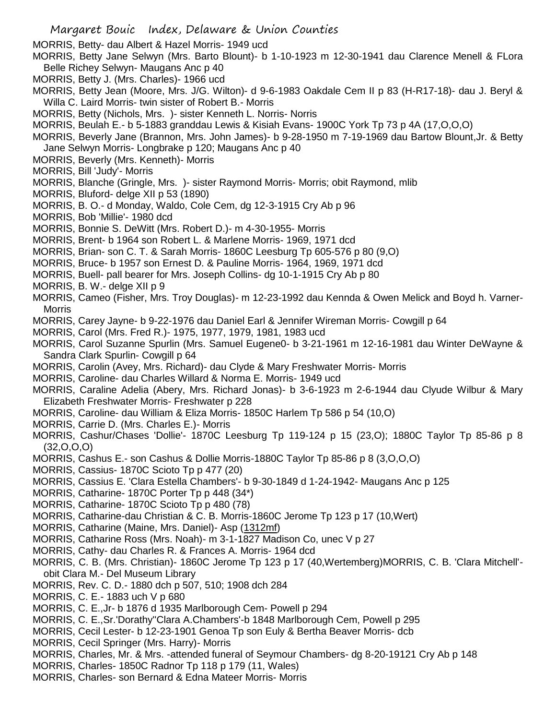MORRIS, Betty- dau Albert & Hazel Morris- 1949 ucd

- MORRIS, Betty Jane Selwyn (Mrs. Barto Blount)- b 1-10-1923 m 12-30-1941 dau Clarence Menell & FLora Belle Richey Selwyn- Maugans Anc p 40
- MORRIS, Betty J. (Mrs. Charles)- 1966 ucd
- MORRIS, Betty Jean (Moore, Mrs. J/G. Wilton)- d 9-6-1983 Oakdale Cem II p 83 (H-R17-18)- dau J. Beryl & Willa C. Laird Morris- twin sister of Robert B.- Morris
- MORRIS, Betty (Nichols, Mrs. )- sister Kenneth L. Norris- Norris
- MORRIS, Beulah E.- b 5-1883 granddau Lewis & Kisiah Evans- 1900C York Tp 73 p 4A (17,O,O,O)
- MORRIS, Beverly Jane (Brannon, Mrs. John James)- b 9-28-1950 m 7-19-1969 dau Bartow Blount,Jr. & Betty Jane Selwyn Morris- Longbrake p 120; Maugans Anc p 40
- MORRIS, Beverly (Mrs. Kenneth)- Morris
- MORRIS, Bill 'Judy'- Morris
- MORRIS, Blanche (Gringle, Mrs. )- sister Raymond Morris- Morris; obit Raymond, mlib
- MORRIS, Bluford- delge XII p 53 (1890)
- MORRIS, B. O.- d Monday, Waldo, Cole Cem, dg 12-3-1915 Cry Ab p 96
- MORRIS, Bob 'Millie'- 1980 dcd
- MORRIS, Bonnie S. DeWitt (Mrs. Robert D.)- m 4-30-1955- Morris
- MORRIS, Brent- b 1964 son Robert L. & Marlene Morris- 1969, 1971 dcd
- MORRIS, Brian- son C. T. & Sarah Morris- 1860C Leesburg Tp 605-576 p 80 (9,O)
- MORRIS, Bruce- b 1957 son Ernest D. & Pauline Morris- 1964, 1969, 1971 dcd
- MORRIS, Buell- pall bearer for Mrs. Joseph Collins- dg 10-1-1915 Cry Ab p 80
- MORRIS, B. W.- delge XII p 9
- MORRIS, Cameo (Fisher, Mrs. Troy Douglas)- m 12-23-1992 dau Kennda & Owen Melick and Boyd h. Varner-Morris
- MORRIS, Carey Jayne- b 9-22-1976 dau Daniel Earl & Jennifer Wireman Morris- Cowgill p 64
- MORRIS, Carol (Mrs. Fred R.)- 1975, 1977, 1979, 1981, 1983 ucd
- MORRIS, Carol Suzanne Spurlin (Mrs. Samuel Eugene0- b 3-21-1961 m 12-16-1981 dau Winter DeWayne & Sandra Clark Spurlin- Cowgill p 64
- MORRIS, Carolin (Avey, Mrs. Richard)- dau Clyde & Mary Freshwater Morris- Morris
- MORRIS, Caroline- dau Charles Willard & Norma E. Morris- 1949 ucd
- MORRIS, Caraline Adelia (Abery, Mrs. Richard Jonas)- b 3-6-1923 m 2-6-1944 dau Clyude Wilbur & Mary Elizabeth Freshwater Morris- Freshwater p 228
- MORRIS, Caroline- dau William & Eliza Morris- 1850C Harlem Tp 586 p 54 (10,O)
- MORRIS, Carrie D. (Mrs. Charles E.)- Morris
- MORRIS, Cashur/Chases 'Dollie'- 1870C Leesburg Tp 119-124 p 15 (23,O); 1880C Taylor Tp 85-86 p 8 (32,O,O,O)
- MORRIS, Cashus E.- son Cashus & Dollie Morris-1880C Taylor Tp 85-86 p 8 (3,O,O,O)
- MORRIS, Cassius- 1870C Scioto Tp p 477 (20)
- MORRIS, Cassius E. 'Clara Estella Chambers'- b 9-30-1849 d 1-24-1942- Maugans Anc p 125
- MORRIS, Catharine- 1870C Porter Tp p 448 (34\*)
- MORRIS, Catharine- 1870C Scioto Tp p 480 (78)
- MORRIS, Catharine-dau Christian & C. B. Morris-1860C Jerome Tp 123 p 17 (10,Wert)
- MORRIS, Catharine (Maine, Mrs. Daniel)- Asp (1312mf)
- MORRIS, Catharine Ross (Mrs. Noah)- m 3-1-1827 Madison Co, unec V p 27
- MORRIS, Cathy- dau Charles R. & Frances A. Morris- 1964 dcd
- MORRIS, C. B. (Mrs. Christian)- 1860C Jerome Tp 123 p 17 (40,Wertemberg)MORRIS, C. B. 'Clara Mitchell' obit Clara M.- Del Museum Library
- MORRIS, Rev. C. D.- 1880 dch p 507, 510; 1908 dch 284
- MORRIS, C. E.- 1883 uch V p 680
- MORRIS, C. E.,Jr- b 1876 d 1935 Marlborough Cem- Powell p 294
- MORRIS, C. E.,Sr.'Dorathy''Clara A.Chambers'-b 1848 Marlborough Cem, Powell p 295
- MORRIS, Cecil Lester- b 12-23-1901 Genoa Tp son Euly & Bertha Beaver Morris- dcb
- MORRIS, Cecil Springer (Mrs. Harry)- Morris
- MORRIS, Charles, Mr. & Mrs. -attended funeral of Seymour Chambers- dg 8-20-19121 Cry Ab p 148
- MORRIS, Charles- 1850C Radnor Tp 118 p 179 (11, Wales)
- MORRIS, Charles- son Bernard & Edna Mateer Morris- Morris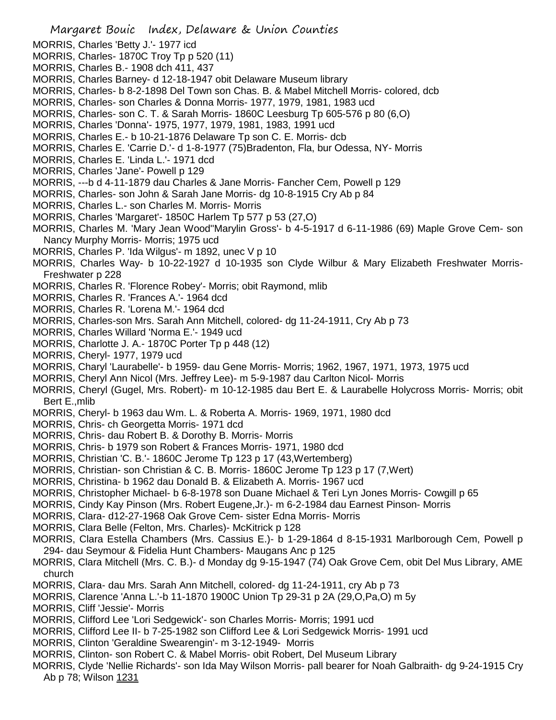- MORRIS, Charles 'Betty J.'- 1977 icd
- MORRIS, Charles- 1870C Troy Tp p 520 (11)
- MORRIS, Charles B.- 1908 dch 411, 437
- MORRIS, Charles Barney- d 12-18-1947 obit Delaware Museum library
- MORRIS, Charles- b 8-2-1898 Del Town son Chas. B. & Mabel Mitchell Morris- colored, dcb
- MORRIS, Charles- son Charles & Donna Morris- 1977, 1979, 1981, 1983 ucd
- MORRIS, Charles- son C. T. & Sarah Morris- 1860C Leesburg Tp 605-576 p 80 (6,O)
- MORRIS, Charles 'Donna'- 1975, 1977, 1979, 1981, 1983, 1991 ucd
- MORRIS, Charles E.- b 10-21-1876 Delaware Tp son C. E. Morris- dcb
- MORRIS, Charles E. 'Carrie D.'- d 1-8-1977 (75)Bradenton, Fla, bur Odessa, NY- Morris
- MORRIS, Charles E. 'Linda L.'- 1971 dcd
- MORRIS, Charles 'Jane'- Powell p 129
- MORRIS, ---b d 4-11-1879 dau Charles & Jane Morris- Fancher Cem, Powell p 129
- MORRIS, Charles- son John & Sarah Jane Morris- dg 10-8-1915 Cry Ab p 84
- MORRIS, Charles L.- son Charles M. Morris- Morris
- MORRIS, Charles 'Margaret'- 1850C Harlem Tp 577 p 53 (27,O)
- MORRIS, Charles M. 'Mary Jean Wood''Marylin Gross'- b 4-5-1917 d 6-11-1986 (69) Maple Grove Cem- son Nancy Murphy Morris- Morris; 1975 ucd
- MORRIS, Charles P. 'Ida Wilgus'- m 1892, unec V p 10
- MORRIS, Charles Way- b 10-22-1927 d 10-1935 son Clyde Wilbur & Mary Elizabeth Freshwater Morris-Freshwater p 228
- MORRIS, Charles R. 'Florence Robey'- Morris; obit Raymond, mlib
- MORRIS, Charles R. 'Frances A.'- 1964 dcd
- MORRIS, Charles R. 'Lorena M.'- 1964 dcd
- MORRIS, Charles-son Mrs. Sarah Ann Mitchell, colored- dg 11-24-1911, Cry Ab p 73
- MORRIS, Charles Willard 'Norma E.'- 1949 ucd
- MORRIS, Charlotte J. A.- 1870C Porter Tp p 448 (12)
- MORRIS, Cheryl- 1977, 1979 ucd
- MORRIS, Charyl 'Laurabelle'- b 1959- dau Gene Morris- Morris; 1962, 1967, 1971, 1973, 1975 ucd
- MORRIS, Cheryl Ann Nicol (Mrs. Jeffrey Lee)- m 5-9-1987 dau Carlton Nicol- Morris
- MORRIS, Cheryl (Gugel, Mrs. Robert)- m 10-12-1985 dau Bert E. & Laurabelle Holycross Morris- Morris; obit Bert E.,mlib
- MORRIS, Cheryl- b 1963 dau Wm. L. & Roberta A. Morris- 1969, 1971, 1980 dcd
- MORRIS, Chris- ch Georgetta Morris- 1971 dcd
- MORRIS, Chris- dau Robert B. & Dorothy B. Morris- Morris
- MORRIS, Chris- b 1979 son Robert & Frances Morris- 1971, 1980 dcd
- MORRIS, Christian 'C. B.'- 1860C Jerome Tp 123 p 17 (43,Wertemberg)
- MORRIS, Christian- son Christian & C. B. Morris- 1860C Jerome Tp 123 p 17 (7,Wert)
- MORRIS, Christina- b 1962 dau Donald B. & Elizabeth A. Morris- 1967 ucd
- MORRIS, Christopher Michael- b 6-8-1978 son Duane Michael & Teri Lyn Jones Morris- Cowgill p 65
- MORRIS, Cindy Kay Pinson (Mrs. Robert Eugene,Jr.)- m 6-2-1984 dau Earnest Pinson- Morris
- MORRIS, Clara- d12-27-1968 Oak Grove Cem- sister Edna Morris- Morris
- MORRIS, Clara Belle (Felton, Mrs. Charles)- McKitrick p 128
- MORRIS, Clara Estella Chambers (Mrs. Cassius E.)- b 1-29-1864 d 8-15-1931 Marlborough Cem, Powell p 294- dau Seymour & Fidelia Hunt Chambers- Maugans Anc p 125
- MORRIS, Clara Mitchell (Mrs. C. B.)- d Monday dg 9-15-1947 (74) Oak Grove Cem, obit Del Mus Library, AME church
- MORRIS, Clara- dau Mrs. Sarah Ann Mitchell, colored- dg 11-24-1911, cry Ab p 73
- MORRIS, Clarence 'Anna L.'-b 11-1870 1900C Union Tp 29-31 p 2A (29,O,Pa,O) m 5y
- MORRIS, Cliff 'Jessie'- Morris
- MORRIS, Clifford Lee 'Lori Sedgewick'- son Charles Morris- Morris; 1991 ucd
- MORRIS, Clifford Lee II- b 7-25-1982 son Clifford Lee & Lori Sedgewick Morris- 1991 ucd
- MORRIS, Clinton 'Geraldine Swearengin'- m 3-12-1949- Morris
- MORRIS, Clinton- son Robert C. & Mabel Morris- obit Robert, Del Museum Library
- MORRIS, Clyde 'Nellie Richards'- son Ida May Wilson Morris- pall bearer for Noah Galbraith- dg 9-24-1915 Cry Ab p 78; Wilson 1231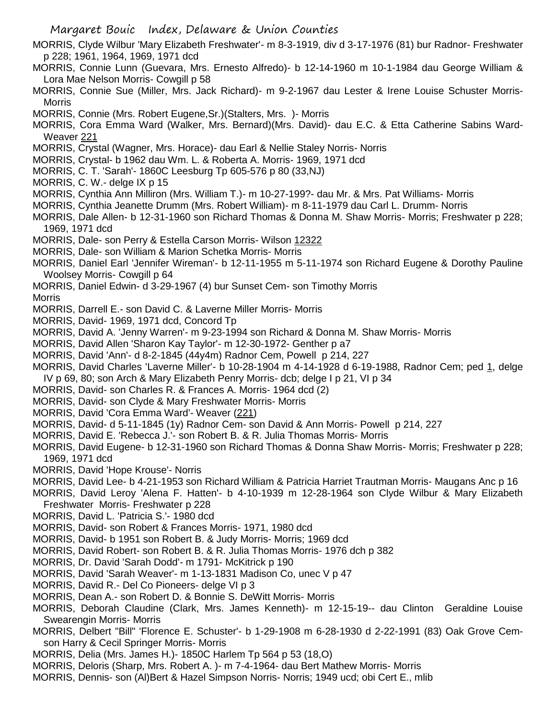MORRIS, Clyde Wilbur 'Mary Elizabeth Freshwater'- m 8-3-1919, div d 3-17-1976 (81) bur Radnor- Freshwater p 228; 1961, 1964, 1969, 1971 dcd

- MORRIS, Connie Lunn (Guevara, Mrs. Ernesto Alfredo)- b 12-14-1960 m 10-1-1984 dau George William & Lora Mae Nelson Morris- Cowgill p 58
- MORRIS, Connie Sue (Miller, Mrs. Jack Richard)- m 9-2-1967 dau Lester & Irene Louise Schuster Morris-**Morris**
- MORRIS, Connie (Mrs. Robert Eugene,Sr.)(Stalters, Mrs. )- Morris
- MORRIS, Cora Emma Ward (Walker, Mrs. Bernard)(Mrs. David)- dau E.C. & Etta Catherine Sabins Ward-Weaver 221
- MORRIS, Crystal (Wagner, Mrs. Horace)- dau Earl & Nellie Staley Norris- Norris
- MORRIS, Crystal- b 1962 dau Wm. L. & Roberta A. Morris- 1969, 1971 dcd
- MORRIS, C. T. 'Sarah'- 1860C Leesburg Tp 605-576 p 80 (33,NJ)
- MORRIS, C. W.- delge IX p 15
- MORRIS, Cynthia Ann Milliron (Mrs. William T.)- m 10-27-199?- dau Mr. & Mrs. Pat Williams- Morris
- MORRIS, Cynthia Jeanette Drumm (Mrs. Robert William)- m 8-11-1979 dau Carl L. Drumm- Norris
- MORRIS, Dale Allen- b 12-31-1960 son Richard Thomas & Donna M. Shaw Morris- Morris; Freshwater p 228; 1969, 1971 dcd
- MORRIS, Dale- son Perry & Estella Carson Morris- Wilson 12322
- MORRIS, Dale- son William & Marion Schetka Morris- Morris
- MORRIS, Daniel Earl 'Jennifer Wireman'- b 12-11-1955 m 5-11-1974 son Richard Eugene & Dorothy Pauline Woolsey Morris- Cowgill p 64
- MORRIS, Daniel Edwin- d 3-29-1967 (4) bur Sunset Cem- son Timothy Morris

Morris

- MORRIS, Darrell E.- son David C. & Laverne Miller Morris- Morris
- MORRIS, David- 1969, 1971 dcd, Concord Tp
- MORRIS, David A. 'Jenny Warren'- m 9-23-1994 son Richard & Donna M. Shaw Morris- Morris
- MORRIS, David Allen 'Sharon Kay Taylor'- m 12-30-1972- Genther p a7
- MORRIS, David 'Ann'- d 8-2-1845 (44y4m) Radnor Cem, Powell p 214, 227
- MORRIS, David Charles 'Laverne Miller'- b 10-28-1904 m 4-14-1928 d 6-19-1988, Radnor Cem; ped 1, delge IV p 69, 80; son Arch & Mary Elizabeth Penry Morris- dcb; delge I p 21, VI p 34
- MORRIS, David- son Charles R. & Frances A. Morris- 1964 dcd (2)
- MORRIS, David- son Clyde & Mary Freshwater Morris- Morris
- MORRIS, David 'Cora Emma Ward'- Weaver (221)
- MORRIS, David- d 5-11-1845 (1y) Radnor Cem- son David & Ann Morris- Powell p 214, 227
- MORRIS, David E. 'Rebecca J.'- son Robert B. & R. Julia Thomas Morris- Morris
- MORRIS, David Eugene- b 12-31-1960 son Richard Thomas & Donna Shaw Morris- Morris; Freshwater p 228; 1969, 1971 dcd
- MORRIS, David 'Hope Krouse'- Norris
- MORRIS, David Lee- b 4-21-1953 son Richard William & Patricia Harriet Trautman Morris- Maugans Anc p 16
- MORRIS, David Leroy 'Alena F. Hatten'- b 4-10-1939 m 12-28-1964 son Clyde Wilbur & Mary Elizabeth Freshwater Morris- Freshwater p 228
- MORRIS, David L. 'Patricia S.'- 1980 dcd
- MORRIS, David- son Robert & Frances Morris- 1971, 1980 dcd
- MORRIS, David- b 1951 son Robert B. & Judy Morris- Morris; 1969 dcd
- MORRIS, David Robert- son Robert B. & R. Julia Thomas Morris- 1976 dch p 382
- MORRIS, Dr. David 'Sarah Dodd'- m 1791- McKitrick p 190
- MORRIS, David 'Sarah Weaver'- m 1-13-1831 Madison Co, unec V p 47
- MORRIS, David R.- Del Co Pioneers- delge VI p 3
- MORRIS, Dean A.- son Robert D. & Bonnie S. DeWitt Morris- Morris
- MORRIS, Deborah Claudine (Clark, Mrs. James Kenneth)- m 12-15-19-- dau Clinton Geraldine Louise Swearengin Morris- Morris
- MORRIS, Delbert "Bill" 'Florence E. Schuster'- b 1-29-1908 m 6-28-1930 d 2-22-1991 (83) Oak Grove Cemson Harry & Cecil Springer Morris- Morris
- MORRIS, Delia (Mrs. James H.)- 1850C Harlem Tp 564 p 53 (18,O)
- MORRIS, Deloris (Sharp, Mrs. Robert A. )- m 7-4-1964- dau Bert Mathew Morris- Morris
- MORRIS, Dennis- son (Al)Bert & Hazel Simpson Norris- Norris; 1949 ucd; obi Cert E., mlib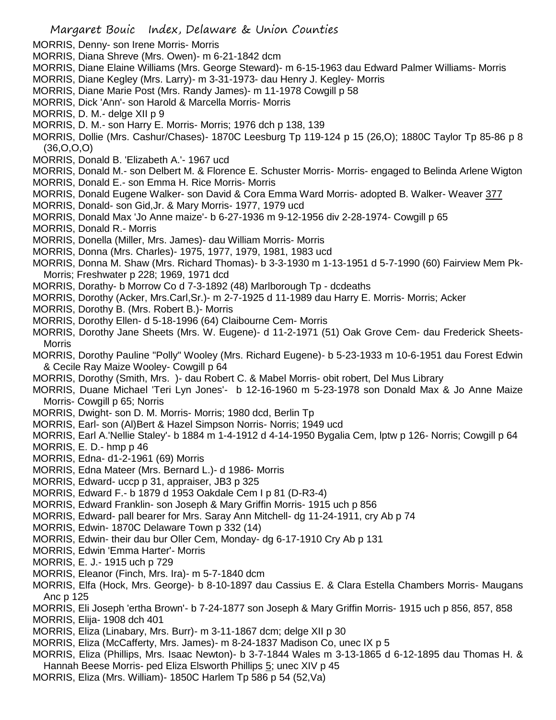- MORRIS, Denny- son Irene Morris- Morris
- MORRIS, Diana Shreve (Mrs. Owen)- m 6-21-1842 dcm
- MORRIS, Diane Elaine Williams (Mrs. George Steward)- m 6-15-1963 dau Edward Palmer Williams- Morris
- MORRIS, Diane Kegley (Mrs. Larry)- m 3-31-1973- dau Henry J. Kegley- Morris
- MORRIS, Diane Marie Post (Mrs. Randy James)- m 11-1978 Cowgill p 58
- MORRIS, Dick 'Ann'- son Harold & Marcella Morris- Morris
- MORRIS, D. M.- delge XII p 9
- MORRIS, D. M.- son Harry E. Morris- Morris; 1976 dch p 138, 139
- MORRIS, Dollie (Mrs. Cashur/Chases)- 1870C Leesburg Tp 119-124 p 15 (26,O); 1880C Taylor Tp 85-86 p 8 (36,O,O,O)
- MORRIS, Donald B. 'Elizabeth A.'- 1967 ucd
- MORRIS, Donald M.- son Delbert M. & Florence E. Schuster Morris- Morris- engaged to Belinda Arlene Wigton
- MORRIS, Donald E.- son Emma H. Rice Morris- Morris
- MORRIS, Donald Eugene Walker- son David & Cora Emma Ward Morris- adopted B. Walker- Weaver 377
- MORRIS, Donald- son Gid,Jr. & Mary Morris- 1977, 1979 ucd
- MORRIS, Donald Max 'Jo Anne maize'- b 6-27-1936 m 9-12-1956 div 2-28-1974- Cowgill p 65
- MORRIS, Donald R.- Morris
- MORRIS, Donella (Miller, Mrs. James)- dau William Morris- Morris
- MORRIS, Donna (Mrs. Charles)- 1975, 1977, 1979, 1981, 1983 ucd
- MORRIS, Donna M. Shaw (Mrs. Richard Thomas)- b 3-3-1930 m 1-13-1951 d 5-7-1990 (60) Fairview Mem Pk-Morris; Freshwater p 228; 1969, 1971 dcd
- MORRIS, Dorathy- b Morrow Co d 7-3-1892 (48) Marlborough Tp dcdeaths
- MORRIS, Dorothy (Acker, Mrs.Carl,Sr.)- m 2-7-1925 d 11-1989 dau Harry E. Morris- Morris; Acker
- MORRIS, Dorothy B. (Mrs. Robert B.)- Morris
- MORRIS, Dorothy Ellen- d 5-18-1996 (64) Claibourne Cem- Morris
- MORRIS, Dorothy Jane Sheets (Mrs. W. Eugene)- d 11-2-1971 (51) Oak Grove Cem- dau Frederick Sheets-**Morris**
- MORRIS, Dorothy Pauline "Polly" Wooley (Mrs. Richard Eugene)- b 5-23-1933 m 10-6-1951 dau Forest Edwin & Cecile Ray Maize Wooley- Cowgill p 64
- MORRIS, Dorothy (Smith, Mrs. )- dau Robert C. & Mabel Morris- obit robert, Del Mus Library
- MORRIS, Duane Michael 'Teri Lyn Jones'- b 12-16-1960 m 5-23-1978 son Donald Max & Jo Anne Maize Morris- Cowgill p 65; Norris
- MORRIS, Dwight- son D. M. Morris- Morris; 1980 dcd, Berlin Tp
- MORRIS, Earl- son (Al)Bert & Hazel Simpson Norris- Norris; 1949 ucd
- MORRIS, Earl A.'Nellie Staley'- b 1884 m 1-4-1912 d 4-14-1950 Bygalia Cem, lptw p 126- Norris; Cowgill p 64
- MORRIS, E. D.- hmp p 46
- MORRIS, Edna- d1-2-1961 (69) Morris
- MORRIS, Edna Mateer (Mrs. Bernard L.)- d 1986- Morris
- MORRIS, Edward- uccp p 31, appraiser, JB3 p 325
- MORRIS, Edward F.- b 1879 d 1953 Oakdale Cem I p 81 (D-R3-4)
- MORRIS, Edward Franklin- son Joseph & Mary Griffin Morris- 1915 uch p 856
- MORRIS, Edward- pall bearer for Mrs. Saray Ann Mitchell- dg 11-24-1911, cry Ab p 74
- MORRIS, Edwin- 1870C Delaware Town p 332 (14)
- MORRIS, Edwin- their dau bur Oller Cem, Monday- dg 6-17-1910 Cry Ab p 131
- MORRIS, Edwin 'Emma Harter'- Morris
- MORRIS, E. J.- 1915 uch p 729
- MORRIS, Eleanor (Finch, Mrs. Ira)- m 5-7-1840 dcm
- MORRIS, Elfa (Hock, Mrs. George)- b 8-10-1897 dau Cassius E. & Clara Estella Chambers Morris- Maugans Anc p 125
- MORRIS, Eli Joseph 'ertha Brown'- b 7-24-1877 son Joseph & Mary Griffin Morris- 1915 uch p 856, 857, 858
- MORRIS, Elija- 1908 dch 401
- MORRIS, Eliza (Linabary, Mrs. Burr)- m 3-11-1867 dcm; delge XII p 30
- MORRIS, Eliza (McCafferty, Mrs. James)- m 8-24-1837 Madison Co, unec IX p 5
- MORRIS, Eliza (Phillips, Mrs. Isaac Newton)- b 3-7-1844 Wales m 3-13-1865 d 6-12-1895 dau Thomas H. & Hannah Beese Morris- ped Eliza Elsworth Phillips 5; unec XIV p 45
- MORRIS, Eliza (Mrs. William)- 1850C Harlem Tp 586 p 54 (52,Va)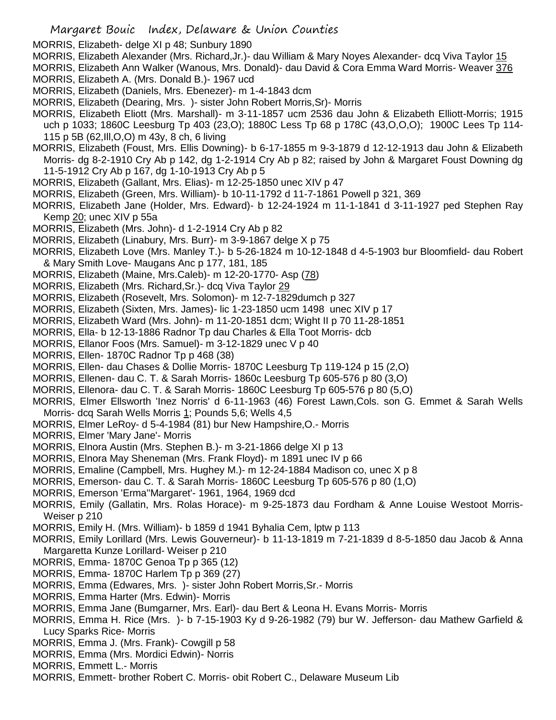MORRIS, Elizabeth- delge XI p 48; Sunbury 1890

MORRIS, Elizabeth Alexander (Mrs. Richard,Jr.)- dau William & Mary Noyes Alexander- dcq Viva Taylor 15

MORRIS, Elizabeth Ann Walker (Wanous, Mrs. Donald)- dau David & Cora Emma Ward Morris- Weaver 376

- MORRIS, Elizabeth A. (Mrs. Donald B.)- 1967 ucd
- MORRIS, Elizabeth (Daniels, Mrs. Ebenezer)- m 1-4-1843 dcm
- MORRIS, Elizabeth (Dearing, Mrs. )- sister John Robert Morris,Sr)- Morris
- MORRIS, Elizabeth Eliott (Mrs. Marshall)- m 3-11-1857 ucm 2536 dau John & Elizabeth Elliott-Morris; 1915 uch p 1033; 1860C Leesburg Tp 403 (23,O); 1880C Less Tp 68 p 178C (43,O,O,O); 1900C Lees Tp 114- 115 p 5B (62,Ill,O,O) m 43y, 8 ch, 6 living
- MORRIS, Elizabeth (Foust, Mrs. Ellis Downing)- b 6-17-1855 m 9-3-1879 d 12-12-1913 dau John & Elizabeth Morris- dg 8-2-1910 Cry Ab p 142, dg 1-2-1914 Cry Ab p 82; raised by John & Margaret Foust Downing dg 11-5-1912 Cry Ab p 167, dg 1-10-1913 Cry Ab p 5
- MORRIS, Elizabeth (Gallant, Mrs. Elias)- m 12-25-1850 unec XIV p 47
- MORRIS, Elizabeth (Green, Mrs. William)- b 10-11-1792 d 11-7-1861 Powell p 321, 369
- MORRIS, Elizabeth Jane (Holder, Mrs. Edward)- b 12-24-1924 m 11-1-1841 d 3-11-1927 ped Stephen Ray Kemp 20; unec XIV p 55a
- MORRIS, Elizabeth (Mrs. John)- d 1-2-1914 Cry Ab p 82
- MORRIS, Elizabeth (Linabury, Mrs. Burr)- m 3-9-1867 delge X p 75
- MORRIS, Elizabeth Love (Mrs. Manley T.)- b 5-26-1824 m 10-12-1848 d 4-5-1903 bur Bloomfield- dau Robert & Mary Smith Love- Maugans Anc p 177, 181, 185
- MORRIS, Elizabeth (Maine, Mrs.Caleb)- m 12-20-1770- Asp (78)
- MORRIS, Elizabeth (Mrs. Richard,Sr.)- dcq Viva Taylor 29
- MORRIS, Elizabeth (Rosevelt, Mrs. Solomon)- m 12-7-1829dumch p 327
- MORRIS, Elizabeth (Sixten, Mrs. James)- lic 1-23-1850 ucm 1498 unec XIV p 17
- MORRIS, Elizabeth Ward (Mrs. John)- m 11-20-1851 dcm; Wight II p 70 11-28-1851
- MORRIS, Ella- b 12-13-1886 Radnor Tp dau Charles & Ella Toot Morris- dcb
- MORRIS, Ellanor Foos (Mrs. Samuel)- m 3-12-1829 unec V p 40
- MORRIS, Ellen- 1870C Radnor Tp p 468 (38)
- MORRIS, Ellen- dau Chases & Dollie Morris- 1870C Leesburg Tp 119-124 p 15 (2,O)
- MORRIS, Ellenen- dau C. T. & Sarah Morris- 1860c Leesburg Tp 605-576 p 80 (3,O)
- MORRIS, Ellenora- dau C. T. & Sarah Morris- 1860C Leesburg Tp 605-576 p 80 (5,O)
- MORRIS, Elmer Ellsworth 'Inez Norris' d 6-11-1963 (46) Forest Lawn,Cols. son G. Emmet & Sarah Wells Morris- dcq Sarah Wells Morris 1; Pounds 5,6; Wells 4,5
- MORRIS, Elmer LeRoy- d 5-4-1984 (81) bur New Hampshire,O.- Morris
- MORRIS, Elmer 'Mary Jane'- Morris
- MORRIS, Elnora Austin (Mrs. Stephen B.)- m 3-21-1866 delge XI p 13
- MORRIS, Elnora May Sheneman (Mrs. Frank Floyd)- m 1891 unec IV p 66
- MORRIS, Emaline (Campbell, Mrs. Hughey M.)- m 12-24-1884 Madison co, unec X p 8
- MORRIS, Emerson- dau C. T. & Sarah Morris- 1860C Leesburg Tp 605-576 p 80 (1,O)
- MORRIS, Emerson 'Erma''Margaret'- 1961, 1964, 1969 dcd
- MORRIS, Emily (Gallatin, Mrs. Rolas Horace)- m 9-25-1873 dau Fordham & Anne Louise Westoot Morris-Weiser p 210
- MORRIS, Emily H. (Mrs. William)- b 1859 d 1941 Byhalia Cem, lptw p 113
- MORRIS, Emily Lorillard (Mrs. Lewis Gouverneur)- b 11-13-1819 m 7-21-1839 d 8-5-1850 dau Jacob & Anna Margaretta Kunze Lorillard- Weiser p 210
- MORRIS, Emma- 1870C Genoa Tp p 365 (12)
- MORRIS, Emma- 1870C Harlem Tp p 369 (27)
- MORRIS, Emma (Edwares, Mrs. )- sister John Robert Morris,Sr.- Morris
- MORRIS, Emma Harter (Mrs. Edwin)- Morris
- MORRIS, Emma Jane (Bumgarner, Mrs. Earl)- dau Bert & Leona H. Evans Morris- Morris
- MORRIS, Emma H. Rice (Mrs. )- b 7-15-1903 Ky d 9-26-1982 (79) bur W. Jefferson- dau Mathew Garfield & Lucy Sparks Rice- Morris
- MORRIS, Emma J. (Mrs. Frank)- Cowgill p 58
- MORRIS, Emma (Mrs. Mordici Edwin)- Norris
- MORRIS, Emmett L.- Morris
- MORRIS, Emmett- brother Robert C. Morris- obit Robert C., Delaware Museum Lib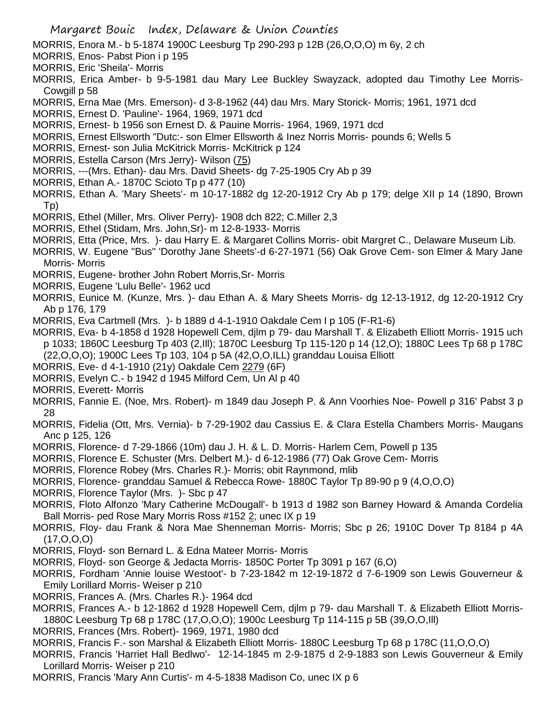- MORRIS, Enora M.- b 5-1874 1900C Leesburg Tp 290-293 p 12B (26,O,O,O) m 6y, 2 ch
- MORRIS, Enos- Pabst Pion i p 195
- MORRIS, Eric 'Sheila'- Morris
- MORRIS, Erica Amber- b 9-5-1981 dau Mary Lee Buckley Swayzack, adopted dau Timothy Lee Morris-Cowgill p 58
- MORRIS, Erna Mae (Mrs. Emerson)- d 3-8-1962 (44) dau Mrs. Mary Storick- Morris; 1961, 1971 dcd
- MORRIS, Ernest D. 'Pauline'- 1964, 1969, 1971 dcd
- MORRIS, Ernest- b 1956 son Ernest D. & Pauine Morris- 1964, 1969, 1971 dcd
- MORRIS, Ernest Ellsworth "Dutc:- son Elmer Ellsworth & Inez Norris Morris- pounds 6; Wells 5
- MORRIS, Ernest- son Julia McKitrick Morris- McKitrick p 124
- MORRIS, Estella Carson (Mrs Jerry)- Wilson (75)
- MORRIS, ---(Mrs. Ethan)- dau Mrs. David Sheets- dg 7-25-1905 Cry Ab p 39
- MORRIS, Ethan A.- 1870C Scioto Tp p 477 (10)
- MORRIS, Ethan A. 'Mary Sheets'- m 10-17-1882 dg 12-20-1912 Cry Ab p 179; delge XII p 14 (1890, Brown Tp)
- MORRIS, Ethel (Miller, Mrs. Oliver Perry)- 1908 dch 822; C.Miller 2,3
- MORRIS, Ethel (Stidam, Mrs. John,Sr)- m 12-8-1933- Morris
- MORRIS, Etta (Price, Mrs. )- dau Harry E. & Margaret Collins Morris- obit Margret C., Delaware Museum Lib.
- MORRIS, W. Eugene "Bus" 'Dorothy Jane Sheets'-d 6-27-1971 (56) Oak Grove Cem- son Elmer & Mary Jane Morris- Morris
- MORRIS, Eugene- brother John Robert Morris,Sr- Morris
- MORRIS, Eugene 'Lulu Belle'- 1962 ucd
- MORRIS, Eunice M. (Kunze, Mrs. )- dau Ethan A. & Mary Sheets Morris- dg 12-13-1912, dg 12-20-1912 Cry Ab p 176, 179
- MORRIS, Eva Cartmell (Mrs. )- b 1889 d 4-1-1910 Oakdale Cem I p 105 (F-R1-6)
- MORRIS, Eva- b 4-1858 d 1928 Hopewell Cem, djlm p 79- dau Marshall T. & Elizabeth Elliott Morris- 1915 uch p 1033; 1860C Leesburg Tp 403 (2,Ill); 1870C Leesburg Tp 115-120 p 14 (12,O); 1880C Lees Tp 68 p 178C (22,O,O,O); 1900C Lees Tp 103, 104 p 5A (42,O,O,ILL) granddau Louisa Elliott
- MORRIS, Eve- d 4-1-1910 (21y) Oakdale Cem 2279 (6F)
- MORRIS, Evelyn C.- b 1942 d 1945 Milford Cem, Un Al p 40
- MORRIS, Everett- Morris
- MORRIS, Fannie E. (Noe, Mrs. Robert)- m 1849 dau Joseph P. & Ann Voorhies Noe- Powell p 316' Pabst 3 p 28
- MORRIS, Fidelia (Ott, Mrs. Vernia)- b 7-29-1902 dau Cassius E. & Clara Estella Chambers Morris- Maugans Anc p 125, 126
- MORRIS, Florence- d 7-29-1866 (10m) dau J. H. & L. D. Morris- Harlem Cem, Powell p 135
- MORRIS, Florence E. Schuster (Mrs. Delbert M.)- d 6-12-1986 (77) Oak Grove Cem- Morris
- MORRIS, Florence Robey (Mrs. Charles R.)- Morris; obit Raynmond, mlib
- MORRIS, Florence- granddau Samuel & Rebecca Rowe- 1880C Taylor Tp 89-90 p 9 (4,O,O,O)
- MORRIS, Florence Taylor (Mrs. )- Sbc p 47
- MORRIS, Floto Alfonzo 'Mary Catherine McDougall'- b 1913 d 1982 son Barney Howard & Amanda Cordelia Ball Morris- ped Rose Mary Morris Ross #152 2; unec IX p 19
- MORRIS, Floy- dau Frank & Nora Mae Shenneman Morris- Morris; Sbc p 26; 1910C Dover Tp 8184 p 4A (17,O,O,O)
- MORRIS, Floyd- son Bernard L. & Edna Mateer Morris- Morris
- MORRIS, Floyd- son George & Jedacta Morris- 1850C Porter Tp 3091 p 167 (6,O)
- MORRIS, Fordham 'Annie louise Westoot'- b 7-23-1842 m 12-19-1872 d 7-6-1909 son Lewis Gouverneur & Emily Lorillard Morris- Weiser p 210
- MORRIS, Frances A. (Mrs. Charles R.)- 1964 dcd
- MORRIS, Frances A.- b 12-1862 d 1928 Hopewell Cem, djlm p 79- dau Marshall T. & Elizabeth Elliott Morris-1880C Leesburg Tp 68 p 178C (17,O,O,O); 1900c Leesburg Tp 114-115 p 5B (39,O,O,Ill)
- MORRIS, Frances (Mrs. Robert)- 1969, 1971, 1980 dcd
- MORRIS, Francis F.- son Marshal & Elizabeth Elliott Morris- 1880C Leesburg Tp 68 p 178C (11,O,O,O)
- MORRIS, Francis 'Harriet Hall Bedlwo'- 12-14-1845 m 2-9-1875 d 2-9-1883 son Lewis Gouverneur & Emily Lorillard Morris- Weiser p 210
- MORRIS, Francis 'Mary Ann Curtis'- m 4-5-1838 Madison Co, unec IX p 6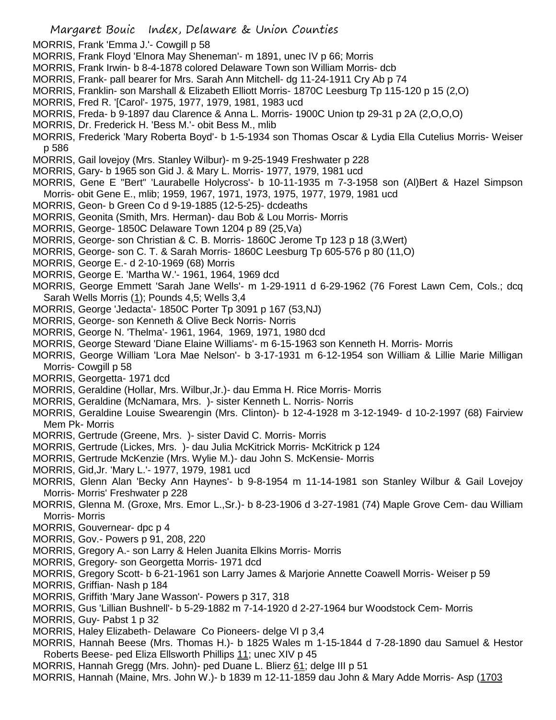- MORRIS, Frank 'Emma J.'- Cowgill p 58
- MORRIS, Frank Floyd 'Elnora May Sheneman'- m 1891, unec IV p 66; Morris
- MORRIS, Frank Irwin- b 8-4-1878 colored Delaware Town son William Morris- dcb
- MORRIS, Frank- pall bearer for Mrs. Sarah Ann Mitchell- dg 11-24-1911 Cry Ab p 74
- MORRIS, Franklin- son Marshall & Elizabeth Elliott Morris- 1870C Leesburg Tp 115-120 p 15 (2,O)
- MORRIS, Fred R. '[Carol'- 1975, 1977, 1979, 1981, 1983 ucd
- MORRIS, Freda- b 9-1897 dau Clarence & Anna L. Morris- 1900C Union tp 29-31 p 2A (2,O,O,O)
- MORRIS, Dr. Frederick H. 'Bess M.'- obit Bess M., mlib
- MORRIS, Frederick 'Mary Roberta Boyd'- b 1-5-1934 son Thomas Oscar & Lydia Ella Cutelius Morris- Weiser p 586
- MORRIS, Gail lovejoy (Mrs. Stanley Wilbur)- m 9-25-1949 Freshwater p 228
- MORRIS, Gary- b 1965 son Gid J. & Mary L. Morris- 1977, 1979, 1981 ucd
- MORRIS, Gene E "Bert" 'Laurabelle Holycross'- b 10-11-1935 m 7-3-1958 son (Al)Bert & Hazel Simpson Morris- obit Gene E., mlib; 1959, 1967, 1971, 1973, 1975, 1977, 1979, 1981 ucd
- MORRIS, Geon- b Green Co d 9-19-1885 (12-5-25)- dcdeaths
- MORRIS, Geonita (Smith, Mrs. Herman)- dau Bob & Lou Morris- Morris
- MORRIS, George- 1850C Delaware Town 1204 p 89 (25,Va)
- MORRIS, George- son Christian & C. B. Morris- 1860C Jerome Tp 123 p 18 (3,Wert)
- MORRIS, George- son C. T. & Sarah Morris- 1860C Leesburg Tp 605-576 p 80 (11,O)
- MORRIS, George E.- d 2-10-1969 (68) Morris
- MORRIS, George E. 'Martha W.'- 1961, 1964, 1969 dcd
- MORRIS, George Emmett 'Sarah Jane Wells'- m 1-29-1911 d 6-29-1962 (76 Forest Lawn Cem, Cols.; dcq Sarah Wells Morris (1); Pounds 4,5; Wells 3,4
- MORRIS, George 'Jedacta'- 1850C Porter Tp 3091 p 167 (53,NJ)
- MORRIS, George- son Kenneth & Olive Beck Norris- Norris
- MORRIS, George N. 'Thelma'- 1961, 1964, 1969, 1971, 1980 dcd
- MORRIS, George Steward 'Diane Elaine Williams'- m 6-15-1963 son Kenneth H. Morris- Morris
- MORRIS, George William 'Lora Mae Nelson'- b 3-17-1931 m 6-12-1954 son William & Lillie Marie Milligan Morris- Cowgill p 58
- MORRIS, Georgetta- 1971 dcd
- MORRIS, Geraldine (Hollar, Mrs. Wilbur,Jr.)- dau Emma H. Rice Morris- Morris
- MORRIS, Geraldine (McNamara, Mrs. )- sister Kenneth L. Norris- Norris
- MORRIS, Geraldine Louise Swearengin (Mrs. Clinton)- b 12-4-1928 m 3-12-1949- d 10-2-1997 (68) Fairview Mem Pk- Morris
- MORRIS, Gertrude (Greene, Mrs. )- sister David C. Morris- Morris
- MORRIS, Gertrude (Lickes, Mrs. )- dau Julia McKitrick Morris- McKitrick p 124
- MORRIS, Gertrude McKenzie (Mrs. Wylie M.)- dau John S. McKensie- Morris
- MORRIS, Gid,Jr. 'Mary L.'- 1977, 1979, 1981 ucd
- MORRIS, Glenn Alan 'Becky Ann Haynes'- b 9-8-1954 m 11-14-1981 son Stanley Wilbur & Gail Lovejoy Morris- Morris' Freshwater p 228
- MORRIS, Glenna M. (Groxe, Mrs. Emor L.,Sr.)- b 8-23-1906 d 3-27-1981 (74) Maple Grove Cem- dau William Morris- Morris
- MORRIS, Gouvernear- dpc p 4
- MORRIS, Gov.- Powers p 91, 208, 220
- MORRIS, Gregory A.- son Larry & Helen Juanita Elkins Morris- Morris
- MORRIS, Gregory- son Georgetta Morris- 1971 dcd
- MORRIS, Gregory Scott- b 6-21-1961 son Larry James & Marjorie Annette Coawell Morris- Weiser p 59
- MORRIS, Griffian- Nash p 184
- MORRIS, Griffith 'Mary Jane Wasson'- Powers p 317, 318
- MORRIS, Gus 'Lillian Bushnell'- b 5-29-1882 m 7-14-1920 d 2-27-1964 bur Woodstock Cem- Morris
- MORRIS, Guy- Pabst 1 p 32
- MORRIS, Haley Elizabeth- Delaware Co Pioneers- delge VI p 3,4
- MORRIS, Hannah Beese (Mrs. Thomas H.)- b 1825 Wales m 1-15-1844 d 7-28-1890 dau Samuel & Hestor Roberts Beese- ped Eliza Ellsworth Phillips 11; unec XIV p 45
- MORRIS, Hannah Gregg (Mrs. John)- ped Duane L. Blierz 61; delge III p 51
- MORRIS, Hannah (Maine, Mrs. John W.)- b 1839 m 12-11-1859 dau John & Mary Adde Morris- Asp (1703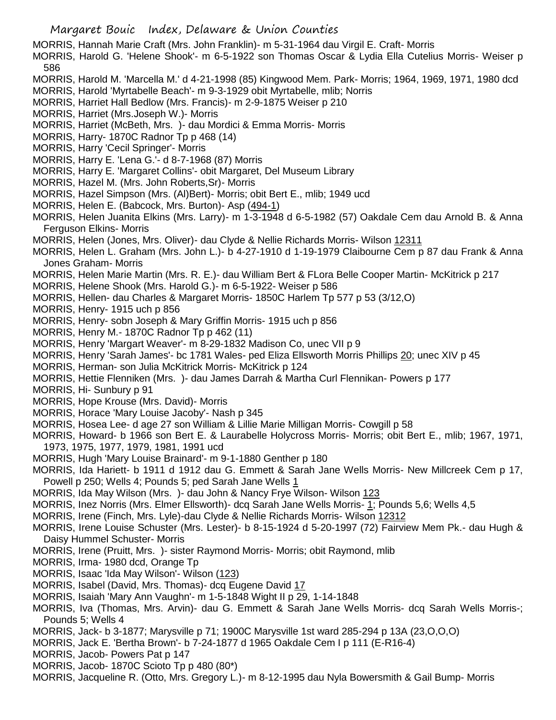MORRIS, Hannah Marie Craft (Mrs. John Franklin)- m 5-31-1964 dau Virgil E. Craft- Morris

MORRIS, Harold G. 'Helene Shook'- m 6-5-1922 son Thomas Oscar & Lydia Ella Cutelius Morris- Weiser p 586

- MORRIS, Harold M. 'Marcella M.' d 4-21-1998 (85) Kingwood Mem. Park- Morris; 1964, 1969, 1971, 1980 dcd
- MORRIS, Harold 'Myrtabelle Beach'- m 9-3-1929 obit Myrtabelle, mlib; Norris
- MORRIS, Harriet Hall Bedlow (Mrs. Francis)- m 2-9-1875 Weiser p 210
- MORRIS, Harriet (Mrs.Joseph W.)- Morris
- MORRIS, Harriet (McBeth, Mrs. )- dau Mordici & Emma Morris- Morris
- MORRIS, Harry- 1870C Radnor Tp p 468 (14)
- MORRIS, Harry 'Cecil Springer'- Morris
- MORRIS, Harry E. 'Lena G.'- d 8-7-1968 (87) Morris
- MORRIS, Harry E. 'Margaret Collins'- obit Margaret, Del Museum Library
- MORRIS, Hazel M. (Mrs. John Roberts,Sr)- Morris
- MORRIS, Hazel Simpson (Mrs. (Al)Bert)- Morris; obit Bert E., mlib; 1949 ucd
- MORRIS, Helen E. (Babcock, Mrs. Burton)- Asp (494-1)
- MORRIS, Helen Juanita Elkins (Mrs. Larry)- m 1-3-1948 d 6-5-1982 (57) Oakdale Cem dau Arnold B. & Anna Ferguson Elkins- Morris
- MORRIS, Helen (Jones, Mrs. Oliver)- dau Clyde & Nellie Richards Morris- Wilson 12311
- MORRIS, Helen L. Graham (Mrs. John L.)- b 4-27-1910 d 1-19-1979 Claibourne Cem p 87 dau Frank & Anna Jones Graham- Morris
- MORRIS, Helen Marie Martin (Mrs. R. E.)- dau William Bert & FLora Belle Cooper Martin- McKitrick p 217
- MORRIS, Helene Shook (Mrs. Harold G.)- m 6-5-1922- Weiser p 586
- MORRIS, Hellen- dau Charles & Margaret Morris- 1850C Harlem Tp 577 p 53 (3/12,O)
- MORRIS, Henry- 1915 uch p 856
- MORRIS, Henry- sobn Joseph & Mary Griffin Morris- 1915 uch p 856
- MORRIS, Henry M.- 1870C Radnor Tp p 462 (11)
- MORRIS, Henry 'Margart Weaver'- m 8-29-1832 Madison Co, unec VII p 9
- MORRIS, Henry 'Sarah James'- bc 1781 Wales- ped Eliza Ellsworth Morris Phillips 20; unec XIV p 45
- MORRIS, Herman- son Julia McKitrick Morris- McKitrick p 124
- MORRIS, Hettie Flenniken (Mrs. )- dau James Darrah & Martha Curl Flennikan- Powers p 177
- MORRIS, Hi- Sunbury p 91
- MORRIS, Hope Krouse (Mrs. David)- Morris
- MORRIS, Horace 'Mary Louise Jacoby'- Nash p 345
- MORRIS, Hosea Lee- d age 27 son William & Lillie Marie Milligan Morris- Cowgill p 58
- MORRIS, Howard- b 1966 son Bert E. & Laurabelle Holycross Morris- Morris; obit Bert E., mlib; 1967, 1971, 1973, 1975, 1977, 1979, 1981, 1991 ucd
- MORRIS, Hugh 'Mary Louise Brainard'- m 9-1-1880 Genther p 180
- MORRIS, Ida Hariett- b 1911 d 1912 dau G. Emmett & Sarah Jane Wells Morris- New Millcreek Cem p 17, Powell p 250; Wells 4; Pounds 5; ped Sarah Jane Wells 1
- MORRIS, Ida May Wilson (Mrs. )- dau John & Nancy Frye Wilson- Wilson 123
- MORRIS, Inez Norris (Mrs. Elmer Ellsworth)- dcq Sarah Jane Wells Morris- 1; Pounds 5,6; Wells 4,5
- MORRIS, Irene (Finch, Mrs. Lyle)-dau Clyde & Nellie Richards Morris- Wilson 12312
- MORRIS, Irene Louise Schuster (Mrs. Lester)- b 8-15-1924 d 5-20-1997 (72) Fairview Mem Pk.- dau Hugh & Daisy Hummel Schuster- Morris
- MORRIS, Irene (Pruitt, Mrs. )- sister Raymond Morris- Morris; obit Raymond, mlib
- MORRIS, Irma- 1980 dcd, Orange Tp
- MORRIS, Isaac 'Ida May Wilson'- Wilson (123)
- MORRIS, Isabel (David, Mrs. Thomas)- dcq Eugene David 17
- MORRIS, Isaiah 'Mary Ann Vaughn'- m 1-5-1848 Wight II p 29, 1-14-1848
- MORRIS, Iva (Thomas, Mrs. Arvin)- dau G. Emmett & Sarah Jane Wells Morris- dcq Sarah Wells Morris-; Pounds 5; Wells 4
- MORRIS, Jack- b 3-1877; Marysville p 71; 1900C Marysville 1st ward 285-294 p 13A (23,O,O,O)
- MORRIS, Jack E. 'Bertha Brown'- b 7-24-1877 d 1965 Oakdale Cem I p 111 (E-R16-4)
- MORRIS, Jacob- Powers Pat p 147
- MORRIS, Jacob- 1870C Scioto Tp p 480 (80\*)
- MORRIS, Jacqueline R. (Otto, Mrs. Gregory L.)- m 8-12-1995 dau Nyla Bowersmith & Gail Bump- Morris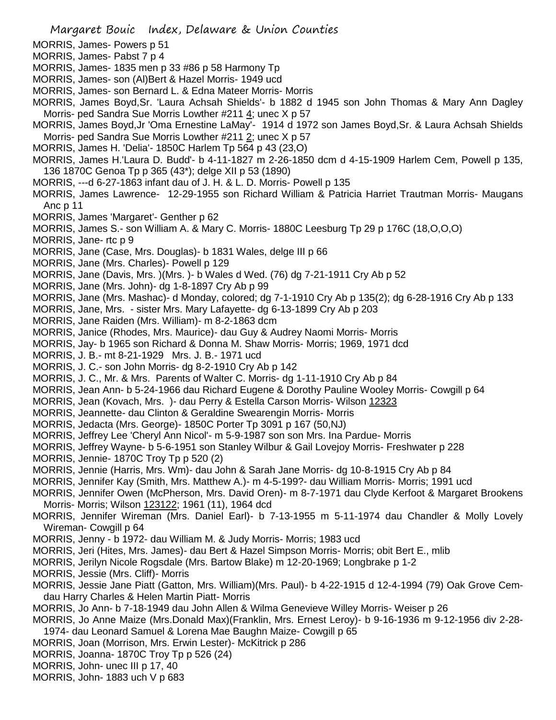- MORRIS, James- Powers p 51
- MORRIS, James- Pabst 7 p 4
- MORRIS, James- 1835 men p 33 #86 p 58 Harmony Tp
- MORRIS, James- son (Al)Bert & Hazel Morris- 1949 ucd
- MORRIS, James- son Bernard L. & Edna Mateer Morris- Morris
- MORRIS, James Boyd,Sr. 'Laura Achsah Shields'- b 1882 d 1945 son John Thomas & Mary Ann Dagley Morris- ped Sandra Sue Morris Lowther #211 4; unec X p 57
- MORRIS, James Boyd,Jr 'Oma Ernestine LaMay'- 1914 d 1972 son James Boyd,Sr. & Laura Achsah Shields Morris- ped Sandra Sue Morris Lowther #211 2; unec X p 57
- MORRIS, James H. 'Delia'- 1850C Harlem Tp 564 p 43 (23,O)
- MORRIS, James H.'Laura D. Budd'- b 4-11-1827 m 2-26-1850 dcm d 4-15-1909 Harlem Cem, Powell p 135, 136 1870C Genoa Tp p 365 (43\*); delge XII p 53 (1890)
- MORRIS, ---d 6-27-1863 infant dau of J. H. & L. D. Morris- Powell p 135
- MORRIS, James Lawrence- 12-29-1955 son Richard William & Patricia Harriet Trautman Morris- Maugans Anc p 11
- MORRIS, James 'Margaret'- Genther p 62
- MORRIS, James S.- son William A. & Mary C. Morris- 1880C Leesburg Tp 29 p 176C (18,O,O,O)
- MORRIS, Jane- rtc p 9
- MORRIS, Jane (Case, Mrs. Douglas)- b 1831 Wales, delge III p 66
- MORRIS, Jane (Mrs. Charles)- Powell p 129
- MORRIS, Jane (Davis, Mrs. )(Mrs. )- b Wales d Wed. (76) dg 7-21-1911 Cry Ab p 52
- MORRIS, Jane (Mrs. John)- dg 1-8-1897 Cry Ab p 99
- MORRIS, Jane (Mrs. Mashac)- d Monday, colored; dg 7-1-1910 Cry Ab p 135(2); dg 6-28-1916 Cry Ab p 133
- MORRIS, Jane, Mrs. sister Mrs. Mary Lafayette- dg 6-13-1899 Cry Ab p 203
- MORRIS, Jane Raiden (Mrs. William)- m 8-2-1863 dcm
- MORRIS, Janice (Rhodes, Mrs. Maurice)- dau Guy & Audrey Naomi Morris- Morris
- MORRIS, Jay- b 1965 son Richard & Donna M. Shaw Morris- Morris; 1969, 1971 dcd
- MORRIS, J. B.- mt 8-21-1929 Mrs. J. B.- 1971 ucd
- MORRIS, J. C.- son John Morris- dg 8-2-1910 Cry Ab p 142
- MORRIS, J. C., Mr. & Mrs. Parents of Walter C. Morris- dg 1-11-1910 Cry Ab p 84
- MORRIS, Jean Ann- b 5-24-1966 dau Richard Eugene & Dorothy Pauline Wooley Morris- Cowgill p 64
- MORRIS, Jean (Kovach, Mrs. )- dau Perry & Estella Carson Morris- Wilson 12323
- MORRIS, Jeannette- dau Clinton & Geraldine Swearengin Morris- Morris
- MORRIS, Jedacta (Mrs. George)- 1850C Porter Tp 3091 p 167 (50,NJ)
- MORRIS, Jeffrey Lee 'Cheryl Ann Nicol'- m 5-9-1987 son son Mrs. Ina Pardue- Morris
- MORRIS, Jeffrey Wayne- b 5-6-1951 son Stanley Wilbur & Gail Lovejoy Morris- Freshwater p 228
- MORRIS, Jennie- 1870C Troy Tp p 520 (2)
- MORRIS, Jennie (Harris, Mrs. Wm)- dau John & Sarah Jane Morris- dg 10-8-1915 Cry Ab p 84
- MORRIS, Jennifer Kay (Smith, Mrs. Matthew A.)- m 4-5-199?- dau William Morris- Morris; 1991 ucd
- MORRIS, Jennifer Owen (McPherson, Mrs. David Oren)- m 8-7-1971 dau Clyde Kerfoot & Margaret Brookens Morris- Morris; Wilson 123122; 1961 (11), 1964 dcd
- MORRIS, Jennifer Wireman (Mrs. Daniel Earl)- b 7-13-1955 m 5-11-1974 dau Chandler & Molly Lovely Wireman- Cowgill p 64
- MORRIS, Jenny b 1972- dau William M. & Judy Morris- Morris; 1983 ucd
- MORRIS, Jeri (Hites, Mrs. James)- dau Bert & Hazel Simpson Morris- Morris; obit Bert E., mlib
- MORRIS, Jerilyn Nicole Rogsdale (Mrs. Bartow Blake) m 12-20-1969; Longbrake p 1-2
- MORRIS, Jessie (Mrs. Cliff)- Morris
- MORRIS, Jessie Jane Piatt (Gatton, Mrs. William)(Mrs. Paul)- b 4-22-1915 d 12-4-1994 (79) Oak Grove Cemdau Harry Charles & Helen Martin Piatt- Morris
- MORRIS, Jo Ann- b 7-18-1949 dau John Allen & Wilma Genevieve Willey Morris- Weiser p 26
- MORRIS, Jo Anne Maize (Mrs.Donald Max)(Franklin, Mrs. Ernest Leroy)- b 9-16-1936 m 9-12-1956 div 2-28- 1974- dau Leonard Samuel & Lorena Mae Baughn Maize- Cowgill p 65
- MORRIS, Joan (Morrison, Mrs. Erwin Lester)- McKitrick p 286
- MORRIS, Joanna- 1870C Troy Tp p 526 (24)
- MORRIS, John- unec III p 17, 40
- MORRIS, John- 1883 uch V p 683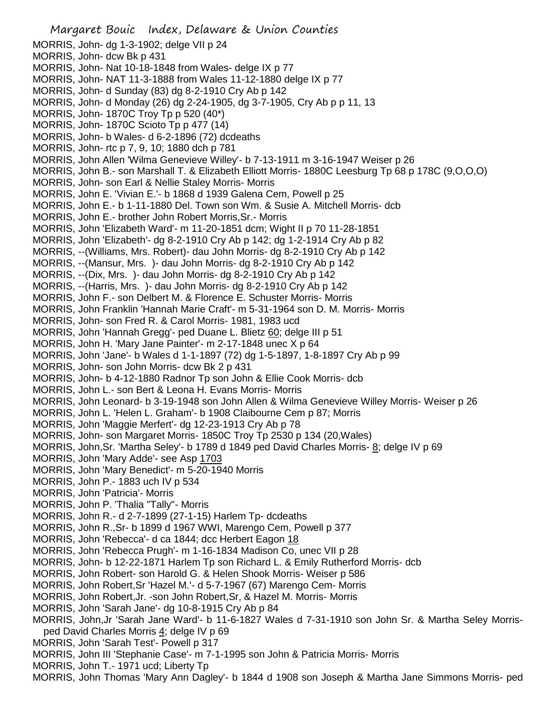Margaret Bouic Index, Delaware & Union Counties MORRIS, John- dg 1-3-1902; delge VII p 24 MORRIS, John- dcw Bk p 431 MORRIS, John- Nat 10-18-1848 from Wales- delge IX p 77 MORRIS, John- NAT 11-3-1888 from Wales 11-12-1880 delge IX p 77 MORRIS, John- d Sunday (83) dg 8-2-1910 Cry Ab p 142 MORRIS, John- d Monday (26) dg 2-24-1905, dg 3-7-1905, Cry Ab p p 11, 13 MORRIS, John- 1870C Troy Tp p 520 (40\*) MORRIS, John- 1870C Scioto Tp p 477 (14) MORRIS, John- b Wales- d 6-2-1896 (72) dcdeaths MORRIS, John- rtc p 7, 9, 10; 1880 dch p 781 MORRIS, John Allen 'Wilma Genevieve Willey'- b 7-13-1911 m 3-16-1947 Weiser p 26 MORRIS, John B.- son Marshall T. & Elizabeth Elliott Morris- 1880C Leesburg Tp 68 p 178C (9,O,O,O) MORRIS, John- son Earl & Nellie Staley Morris- Morris MORRIS, John E. 'Vivian E.'- b 1868 d 1939 Galena Cem, Powell p 25 MORRIS, John E.- b 1-11-1880 Del. Town son Wm. & Susie A. Mitchell Morris- dcb MORRIS, John E.- brother John Robert Morris,Sr.- Morris MORRIS, John 'Elizabeth Ward'- m 11-20-1851 dcm; Wight II p 70 11-28-1851 MORRIS, John 'Elizabeth'- dg 8-2-1910 Cry Ab p 142; dg 1-2-1914 Cry Ab p 82 MORRIS, --(Williams, Mrs. Robert)- dau John Morris- dg 8-2-1910 Cry Ab p 142 MORRIS, --(Mansur, Mrs. )- dau John Morris- dg 8-2-1910 Cry Ab p 142 MORRIS, --(Dix, Mrs. )- dau John Morris- dg 8-2-1910 Cry Ab p 142 MORRIS, --(Harris, Mrs. )- dau John Morris- dg 8-2-1910 Cry Ab p 142 MORRIS, John F.- son Delbert M. & Florence E. Schuster Morris- Morris MORRIS, John Franklin 'Hannah Marie Craft'- m 5-31-1964 son D. M. Morris- Morris MORRIS, John- son Fred R. & Carol Morris- 1981, 1983 ucd MORRIS, John 'Hannah Gregg'- ped Duane L. Blietz 60; delge III p 51 MORRIS, John H. 'Mary Jane Painter'- m 2-17-1848 unec X p 64 MORRIS, John 'Jane'- b Wales d 1-1-1897 (72) dg 1-5-1897, 1-8-1897 Cry Ab p 99 MORRIS, John- son John Morris- dcw Bk 2 p 431 MORRIS, John- b 4-12-1880 Radnor Tp son John & Ellie Cook Morris- dcb MORRIS, John L.- son Bert & Leona H. Evans Morris- Morris MORRIS, John Leonard- b 3-19-1948 son John Allen & Wilma Genevieve Willey Morris- Weiser p 26 MORRIS, John L. 'Helen L. Graham'- b 1908 Claibourne Cem p 87; Morris MORRIS, John 'Maggie Merfert'- dg 12-23-1913 Cry Ab p 78 MORRIS, John- son Margaret Morris- 1850C Troy Tp 2530 p 134 (20,Wales) MORRIS, John,Sr. 'Martha Seley'- b 1789 d 1849 ped David Charles Morris- 8; delge IV p 69 MORRIS, John 'Mary Adde'- see Asp 1703 MORRIS, John 'Mary Benedict'- m 5-20-1940 Morris MORRIS, John P.- 1883 uch IV p 534 MORRIS, John 'Patricia'- Morris MORRIS, John P. 'Thalia "Tally"- Morris MORRIS, John R.- d 2-7-1899 (27-1-15) Harlem Tp- dcdeaths MORRIS, John R.,Sr- b 1899 d 1967 WWI, Marengo Cem, Powell p 377 MORRIS, John 'Rebecca'- d ca 1844; dcc Herbert Eagon 18 MORRIS, John 'Rebecca Prugh'- m 1-16-1834 Madison Co, unec VII p 28 MORRIS, John- b 12-22-1871 Harlem Tp son Richard L. & Emily Rutherford Morris- dcb MORRIS, John Robert- son Harold G. & Helen Shook Morris- Weiser p 586 MORRIS, John Robert,Sr 'Hazel M.'- d 5-7-1967 (67) Marengo Cem- Morris MORRIS, John Robert,Jr. -son John Robert,Sr, & Hazel M. Morris- Morris MORRIS, John 'Sarah Jane'- dg 10-8-1915 Cry Ab p 84 MORRIS, John,Jr 'Sarah Jane Ward'- b 11-6-1827 Wales d 7-31-1910 son John Sr. & Martha Seley Morrisped David Charles Morris 4; delge IV p 69 MORRIS, John 'Sarah Test'- Powell p 317 MORRIS, John III 'Stephanie Case'- m 7-1-1995 son John & Patricia Morris- Morris

- MORRIS, John T.- 1971 ucd; Liberty Tp
- MORRIS, John Thomas 'Mary Ann Dagley'- b 1844 d 1908 son Joseph & Martha Jane Simmons Morris- ped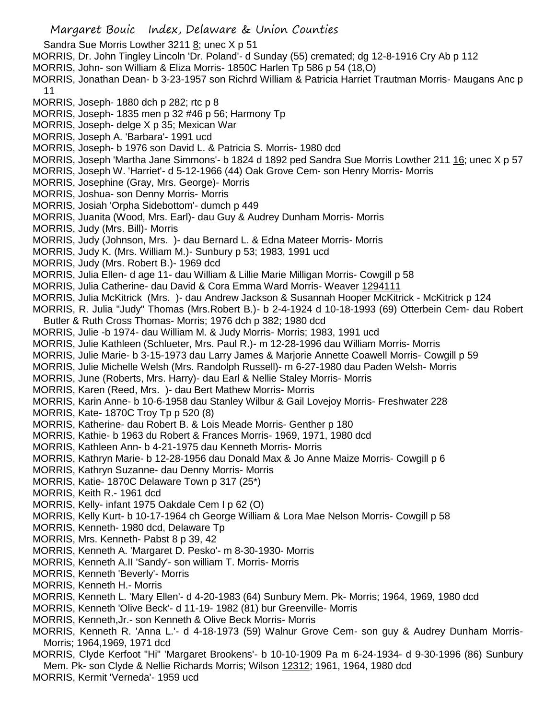Sandra Sue Morris Lowther 3211  $\underline{8}$ ; unec X p 51

- MORRIS, Dr. John Tingley Lincoln 'Dr. Poland'- d Sunday (55) cremated; dg 12-8-1916 Cry Ab p 112
- MORRIS, John- son William & Eliza Morris- 1850C Harlen Tp 586 p 54 (18,O)
- MORRIS, Jonathan Dean- b 3-23-1957 son Richrd William & Patricia Harriet Trautman Morris- Maugans Anc p 11
- MORRIS, Joseph- 1880 dch p 282; rtc p 8
- MORRIS, Joseph- 1835 men p 32 #46 p 56; Harmony Tp
- MORRIS, Joseph- delge X p 35; Mexican War
- MORRIS, Joseph A. 'Barbara'- 1991 ucd
- MORRIS, Joseph- b 1976 son David L. & Patricia S. Morris- 1980 dcd
- MORRIS, Joseph 'Martha Jane Simmons'- b 1824 d 1892 ped Sandra Sue Morris Lowther 211 16; unec X p 57
- MORRIS, Joseph W. 'Harriet'- d 5-12-1966 (44) Oak Grove Cem- son Henry Morris- Morris
- MORRIS, Josephine (Gray, Mrs. George)- Morris
- MORRIS, Joshua- son Denny Morris- Morris
- MORRIS, Josiah 'Orpha Sidebottom'- dumch p 449
- MORRIS, Juanita (Wood, Mrs. Earl)- dau Guy & Audrey Dunham Morris- Morris
- MORRIS, Judy (Mrs. Bill)- Morris
- MORRIS, Judy (Johnson, Mrs. )- dau Bernard L. & Edna Mateer Morris- Morris
- MORRIS, Judy K. (Mrs. William M.)- Sunbury p 53; 1983, 1991 ucd
- MORRIS, Judy (Mrs. Robert B.)- 1969 dcd
- MORRIS, Julia Ellen- d age 11- dau William & Lillie Marie Milligan Morris- Cowgill p 58
- MORRIS, Julia Catherine- dau David & Cora Emma Ward Morris- Weaver 1294111
- MORRIS, Julia McKitrick (Mrs. )- dau Andrew Jackson & Susannah Hooper McKitrick McKitrick p 124
- MORRIS, R. Julia "Judy" Thomas (Mrs.Robert B.)- b 2-4-1924 d 10-18-1993 (69) Otterbein Cem- dau Robert Butler & Ruth Cross Thomas- Morris; 1976 dch p 382; 1980 dcd
- MORRIS, Julie -b 1974- dau William M. & Judy Morris- Morris; 1983, 1991 ucd
- MORRIS, Julie Kathleen (Schlueter, Mrs. Paul R.)- m 12-28-1996 dau William Morris- Morris
- MORRIS, Julie Marie- b 3-15-1973 dau Larry James & Marjorie Annette Coawell Morris- Cowgill p 59
- MORRIS, Julie Michelle Welsh (Mrs. Randolph Russell)- m 6-27-1980 dau Paden Welsh- Morris
- MORRIS, June (Roberts, Mrs. Harry)- dau Earl & Nellie Staley Morris- Morris
- MORRIS, Karen (Reed, Mrs. )- dau Bert Mathew Morris- Morris
- MORRIS, Karin Anne- b 10-6-1958 dau Stanley Wilbur & Gail Lovejoy Morris- Freshwater 228
- MORRIS, Kate- 1870C Troy Tp p 520 (8)
- MORRIS, Katherine- dau Robert B. & Lois Meade Morris- Genther p 180
- MORRIS, Kathie- b 1963 du Robert & Frances Morris- 1969, 1971, 1980 dcd
- MORRIS, Kathleen Ann- b 4-21-1975 dau Kenneth Morris- Morris
- MORRIS, Kathryn Marie- b 12-28-1956 dau Donald Max & Jo Anne Maize Morris- Cowgill p 6
- MORRIS, Kathryn Suzanne- dau Denny Morris- Morris
- MORRIS, Katie- 1870C Delaware Town p 317 (25\*)
- MORRIS, Keith R.- 1961 dcd
- MORRIS, Kelly- infant 1975 Oakdale Cem I p 62 (O)
- MORRIS, Kelly Kurt- b 10-17-1964 ch George William & Lora Mae Nelson Morris- Cowgill p 58
- MORRIS, Kenneth- 1980 dcd, Delaware Tp
- MORRIS, Mrs. Kenneth- Pabst 8 p 39, 42
- MORRIS, Kenneth A. 'Margaret D. Pesko'- m 8-30-1930- Morris
- MORRIS, Kenneth A.II 'Sandy'- son william T. Morris- Morris
- MORRIS, Kenneth 'Beverly'- Morris
- MORRIS, Kenneth H.- Morris
- MORRIS, Kenneth L. 'Mary Ellen'- d 4-20-1983 (64) Sunbury Mem. Pk- Morris; 1964, 1969, 1980 dcd
- MORRIS, Kenneth 'Olive Beck'- d 11-19- 1982 (81) bur Greenville- Morris
- MORRIS, Kenneth,Jr.- son Kenneth & Olive Beck Morris- Morris
- MORRIS, Kenneth R. 'Anna L.'- d 4-18-1973 (59) Walnur Grove Cem- son guy & Audrey Dunham Morris-Morris; 1964,1969, 1971 dcd
- MORRIS, Clyde Kerfoot "Hi" 'Margaret Brookens'- b 10-10-1909 Pa m 6-24-1934- d 9-30-1996 (86) Sunbury Mem. Pk- son Clyde & Nellie Richards Morris; Wilson 12312; 1961, 1964, 1980 dcd
- MORRIS, Kermit 'Verneda'- 1959 ucd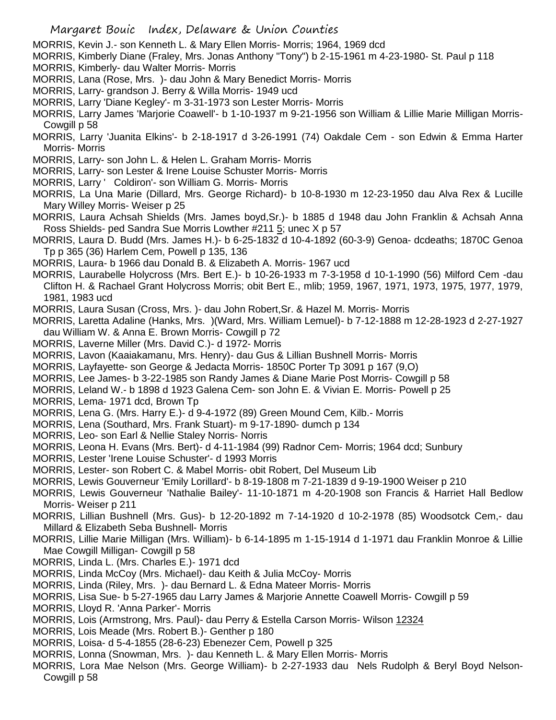MORRIS, Kevin J.- son Kenneth L. & Mary Ellen Morris- Morris; 1964, 1969 dcd

MORRIS, Kimberly Diane (Fraley, Mrs. Jonas Anthony "Tony") b 2-15-1961 m 4-23-1980- St. Paul p 118

- MORRIS, Kimberly- dau Walter Morris- Morris
- MORRIS, Lana (Rose, Mrs. )- dau John & Mary Benedict Morris- Morris
- MORRIS, Larry- grandson J. Berry & Willa Morris- 1949 ucd
- MORRIS, Larry 'Diane Kegley'- m 3-31-1973 son Lester Morris- Morris
- MORRIS, Larry James 'Marjorie Coawell'- b 1-10-1937 m 9-21-1956 son William & Lillie Marie Milligan Morris-Cowgill p 58
- MORRIS, Larry 'Juanita Elkins'- b 2-18-1917 d 3-26-1991 (74) Oakdale Cem son Edwin & Emma Harter Morris- Morris
- MORRIS, Larry- son John L. & Helen L. Graham Morris- Morris
- MORRIS, Larry- son Lester & Irene Louise Schuster Morris- Morris
- MORRIS, Larry ' Coldiron'- son William G. Morris- Morris
- MORRIS, La Una Marie (Dillard, Mrs. George Richard)- b 10-8-1930 m 12-23-1950 dau Alva Rex & Lucille Mary Willey Morris- Weiser p 25
- MORRIS, Laura Achsah Shields (Mrs. James boyd,Sr.)- b 1885 d 1948 dau John Franklin & Achsah Anna Ross Shields- ped Sandra Sue Morris Lowther #211 5; unec X p 57
- MORRIS, Laura D. Budd (Mrs. James H.)- b 6-25-1832 d 10-4-1892 (60-3-9) Genoa- dcdeaths; 1870C Genoa Tp p 365 (36) Harlem Cem, Powell p 135, 136
- MORRIS, Laura- b 1966 dau Donald B. & Elizabeth A. Morris- 1967 ucd
- MORRIS, Laurabelle Holycross (Mrs. Bert E.)- b 10-26-1933 m 7-3-1958 d 10-1-1990 (56) Milford Cem -dau Clifton H. & Rachael Grant Holycross Morris; obit Bert E., mlib; 1959, 1967, 1971, 1973, 1975, 1977, 1979, 1981, 1983 ucd

MORRIS, Laura Susan (Cross, Mrs. )- dau John Robert,Sr. & Hazel M. Morris- Morris

MORRIS, Laretta Adaline (Hanks, Mrs. )(Ward, Mrs. William Lemuel)- b 7-12-1888 m 12-28-1923 d 2-27-1927 dau William W. & Anna E. Brown Morris- Cowgill p 72

- MORRIS, Laverne Miller (Mrs. David C.)- d 1972- Morris
- MORRIS, Lavon (Kaaiakamanu, Mrs. Henry)- dau Gus & Lillian Bushnell Morris- Morris
- MORRIS, Layfayette- son George & Jedacta Morris- 1850C Porter Tp 3091 p 167 (9,O)
- MORRIS, Lee James- b 3-22-1985 son Randy James & Diane Marie Post Morris- Cowgill p 58
- MORRIS, Leland W.- b 1898 d 1923 Galena Cem- son John E. & Vivian E. Morris- Powell p 25
- MORRIS, Lema- 1971 dcd, Brown Tp
- MORRIS, Lena G. (Mrs. Harry E.)- d 9-4-1972 (89) Green Mound Cem, Kilb.- Morris
- MORRIS, Lena (Southard, Mrs. Frank Stuart)- m 9-17-1890- dumch p 134
- MORRIS, Leo- son Earl & Nellie Staley Norris- Norris
- MORRIS, Leona H. Evans (Mrs. Bert)- d 4-11-1984 (99) Radnor Cem- Morris; 1964 dcd; Sunbury
- MORRIS, Lester 'Irene Louise Schuster'- d 1993 Morris
- MORRIS, Lester- son Robert C. & Mabel Morris- obit Robert, Del Museum Lib
- MORRIS, Lewis Gouverneur 'Emily Lorillard'- b 8-19-1808 m 7-21-1839 d 9-19-1900 Weiser p 210
- MORRIS, Lewis Gouverneur 'Nathalie Bailey'- 11-10-1871 m 4-20-1908 son Francis & Harriet Hall Bedlow Morris- Weiser p 211
- MORRIS, Lillian Bushnell (Mrs. Gus)- b 12-20-1892 m 7-14-1920 d 10-2-1978 (85) Woodsotck Cem,- dau Millard & Elizabeth Seba Bushnell- Morris
- MORRIS, Lillie Marie Milligan (Mrs. William)- b 6-14-1895 m 1-15-1914 d 1-1971 dau Franklin Monroe & Lillie Mae Cowgill Milligan- Cowgill p 58
- MORRIS, Linda L. (Mrs. Charles E.)- 1971 dcd
- MORRIS, Linda McCoy (Mrs. Michael)- dau Keith & Julia McCoy- Morris
- MORRIS, Linda (Riley, Mrs. )- dau Bernard L. & Edna Mateer Morris- Morris
- MORRIS, Lisa Sue- b 5-27-1965 dau Larry James & Marjorie Annette Coawell Morris- Cowgill p 59
- MORRIS, Lloyd R. 'Anna Parker'- Morris
- MORRIS, Lois (Armstrong, Mrs. Paul)- dau Perry & Estella Carson Morris- Wilson 12324
- MORRIS, Lois Meade (Mrs. Robert B.)- Genther p 180
- MORRIS, Loisa- d 5-4-1855 (28-6-23) Ebenezer Cem, Powell p 325
- MORRIS, Lonna (Snowman, Mrs. )- dau Kenneth L. & Mary Ellen Morris- Morris
- MORRIS, Lora Mae Nelson (Mrs. George William)- b 2-27-1933 dau Nels Rudolph & Beryl Boyd Nelson-Cowgill p 58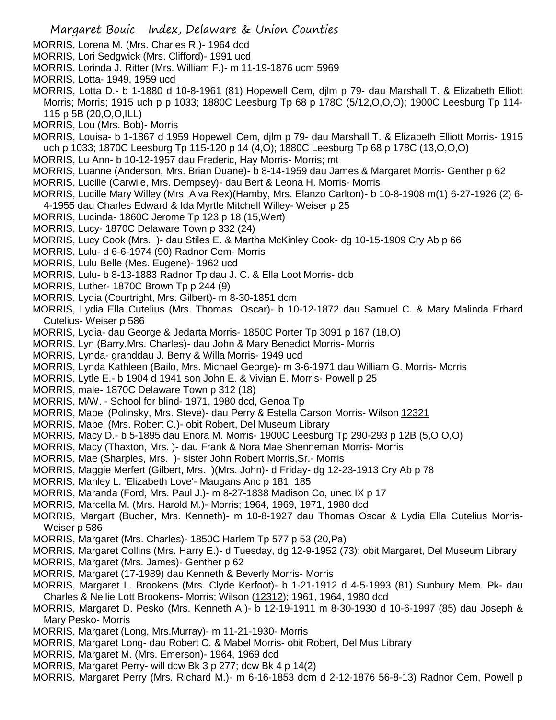- MORRIS, Lorena M. (Mrs. Charles R.)- 1964 dcd
- MORRIS, Lori Sedgwick (Mrs. Clifford)- 1991 ucd
- MORRIS, Lorinda J. Ritter (Mrs. William F.)- m 11-19-1876 ucm 5969
- MORRIS, Lotta- 1949, 1959 ucd
- MORRIS, Lotta D.- b 1-1880 d 10-8-1961 (81) Hopewell Cem, djlm p 79- dau Marshall T. & Elizabeth Elliott Morris; Morris; 1915 uch p p 1033; 1880C Leesburg Tp 68 p 178C (5/12,O,O,O); 1900C Leesburg Tp 114- 115 p 5B (20,O,O,ILL)
- MORRIS, Lou (Mrs. Bob)- Morris
- MORRIS, Louisa- b 1-1867 d 1959 Hopewell Cem, djlm p 79- dau Marshall T. & Elizabeth Elliott Morris- 1915 uch p 1033; 1870C Leesburg Tp 115-120 p 14 (4,O); 1880C Leesburg Tp 68 p 178C (13,O,O,O)
- MORRIS, Lu Ann- b 10-12-1957 dau Frederic, Hay Morris- Morris; mt
- MORRIS, Luanne (Anderson, Mrs. Brian Duane)- b 8-14-1959 dau James & Margaret Morris- Genther p 62
- MORRIS, Lucille (Carwile, Mrs. Dempsey)- dau Bert & Leona H. Morris- Morris
- MORRIS, Lucille Mary Willey (Mrs. Alva Rex)(Hamby, Mrs. Elanzo Carlton)- b 10-8-1908 m(1) 6-27-1926 (2) 6- 4-1955 dau Charles Edward & Ida Myrtle Mitchell Willey- Weiser p 25
- MORRIS, Lucinda- 1860C Jerome Tp 123 p 18 (15,Wert)
- MORRIS, Lucy- 1870C Delaware Town p 332 (24)
- MORRIS, Lucy Cook (Mrs. )- dau Stiles E. & Martha McKinley Cook- dg 10-15-1909 Cry Ab p 66
- MORRIS, Lulu- d 6-6-1974 (90) Radnor Cem- Morris
- MORRIS, Lulu Belle (Mes. Eugene)- 1962 ucd
- MORRIS, Lulu- b 8-13-1883 Radnor Tp dau J. C. & Ella Loot Morris- dcb
- MORRIS, Luther- 1870C Brown Tp p 244 (9)
- MORRIS, Lydia (Courtright, Mrs. Gilbert)- m 8-30-1851 dcm
- MORRIS, Lydia Ella Cutelius (Mrs. Thomas Oscar)- b 10-12-1872 dau Samuel C. & Mary Malinda Erhard Cutelius- Weiser p 586
- MORRIS, Lydia- dau George & Jedarta Morris- 1850C Porter Tp 3091 p 167 (18,O)
- MORRIS, Lyn (Barry,Mrs. Charles)- dau John & Mary Benedict Morris- Morris
- MORRIS, Lynda- granddau J. Berry & Willa Morris- 1949 ucd
- MORRIS, Lynda Kathleen (Bailo, Mrs. Michael George)- m 3-6-1971 dau William G. Morris- Morris
- MORRIS, Lytle E.- b 1904 d 1941 son John E. & Vivian E. Morris- Powell p 25
- MORRIS, male- 1870C Delaware Town p 312 (18)
- MORRIS, M/W. School for blind- 1971, 1980 dcd, Genoa Tp
- MORRIS, Mabel (Polinsky, Mrs. Steve)- dau Perry & Estella Carson Morris- Wilson 12321
- MORRIS, Mabel (Mrs. Robert C.)- obit Robert, Del Museum Library
- MORRIS, Macy D.- b 5-1895 dau Enora M. Morris- 1900C Leesburg Tp 290-293 p 12B (5,O,O,O)
- MORRIS, Macy (Thaxton, Mrs. )- dau Frank & Nora Mae Shenneman Morris- Morris
- MORRIS, Mae (Sharples, Mrs. )- sister John Robert Morris,Sr.- Morris
- MORRIS, Maggie Merfert (Gilbert, Mrs. )(Mrs. John)- d Friday- dg 12-23-1913 Cry Ab p 78
- MORRIS, Manley L. 'Elizabeth Love'- Maugans Anc p 181, 185
- MORRIS, Maranda (Ford, Mrs. Paul J.)- m 8-27-1838 Madison Co, unec IX p 17
- MORRIS, Marcella M. (Mrs. Harold M.)- Morris; 1964, 1969, 1971, 1980 dcd
- MORRIS, Margart (Bucher, Mrs. Kenneth)- m 10-8-1927 dau Thomas Oscar & Lydia Ella Cutelius Morris-Weiser p 586
- MORRIS, Margaret (Mrs. Charles)- 1850C Harlem Tp 577 p 53 (20,Pa)
- MORRIS, Margaret Collins (Mrs. Harry E.)- d Tuesday, dg 12-9-1952 (73); obit Margaret, Del Museum Library
- MORRIS, Margaret (Mrs. James)- Genther p 62
- MORRIS, Margaret (17-1989) dau Kenneth & Beverly Morris- Morris
- MORRIS, Margaret L. Brookens (Mrs. Clyde Kerfoot)- b 1-21-1912 d 4-5-1993 (81) Sunbury Mem. Pk- dau Charles & Nellie Lott Brookens- Morris; Wilson (12312); 1961, 1964, 1980 dcd
- MORRIS, Margaret D. Pesko (Mrs. Kenneth A.)- b 12-19-1911 m 8-30-1930 d 10-6-1997 (85) dau Joseph & Mary Pesko- Morris
- MORRIS, Margaret (Long, Mrs.Murray)- m 11-21-1930- Morris
- MORRIS, Margaret Long- dau Robert C. & Mabel Morris- obit Robert, Del Mus Library
- MORRIS, Margaret M. (Mrs. Emerson)- 1964, 1969 dcd
- MORRIS, Margaret Perry- will dcw Bk 3 p 277; dcw Bk 4 p 14(2)
- MORRIS, Margaret Perry (Mrs. Richard M.)- m 6-16-1853 dcm d 2-12-1876 56-8-13) Radnor Cem, Powell p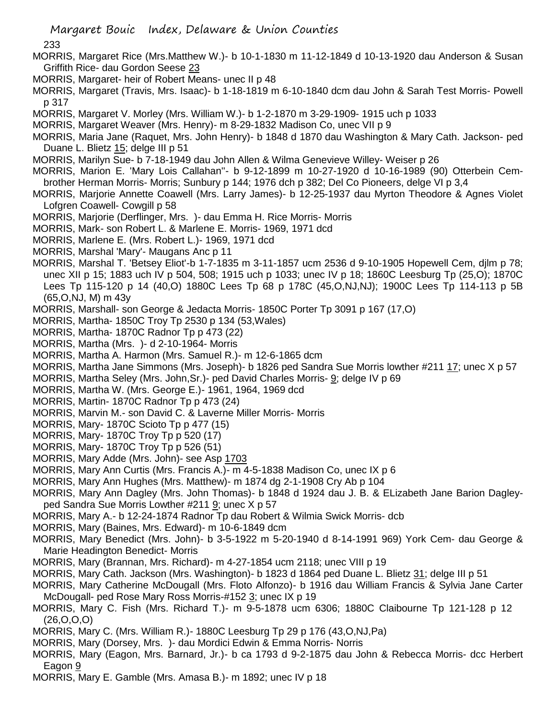- 233
- MORRIS, Margaret Rice (Mrs.Matthew W.)- b 10-1-1830 m 11-12-1849 d 10-13-1920 dau Anderson & Susan Griffith Rice- dau Gordon Seese 23
- MORRIS, Margaret- heir of Robert Means- unec II p 48
- MORRIS, Margaret (Travis, Mrs. Isaac)- b 1-18-1819 m 6-10-1840 dcm dau John & Sarah Test Morris- Powell p 317
- MORRIS, Margaret V. Morley (Mrs. William W.)- b 1-2-1870 m 3-29-1909- 1915 uch p 1033
- MORRIS, Margaret Weaver (Mrs. Henry)- m 8-29-1832 Madison Co, unec VII p 9
- MORRIS, Maria Jane (Raquet, Mrs. John Henry)- b 1848 d 1870 dau Washington & Mary Cath. Jackson- ped Duane L. Blietz 15; delge III p 51
- MORRIS, Marilyn Sue- b 7-18-1949 dau John Allen & Wilma Genevieve Willey- Weiser p 26
- MORRIS, Marion E. 'Mary Lois Callahan''- b 9-12-1899 m 10-27-1920 d 10-16-1989 (90) Otterbein Cembrother Herman Morris- Morris; Sunbury p 144; 1976 dch p 382; Del Co Pioneers, delge VI p 3,4
- MORRIS, Marjorie Annette Coawell (Mrs. Larry James)- b 12-25-1937 dau Myrton Theodore & Agnes Violet Lofgren Coawell- Cowgill p 58
- MORRIS, Marjorie (Derflinger, Mrs. )- dau Emma H. Rice Morris- Morris
- MORRIS, Mark- son Robert L. & Marlene E. Morris- 1969, 1971 dcd
- MORRIS, Marlene E. (Mrs. Robert L.)- 1969, 1971 dcd
- MORRIS, Marshal 'Mary'- Maugans Anc p 11
- MORRIS, Marshal T. 'Betsey Eliot'-b 1-7-1835 m 3-11-1857 ucm 2536 d 9-10-1905 Hopewell Cem, djlm p 78; unec XII p 15; 1883 uch IV p 504, 508; 1915 uch p 1033; unec IV p 18; 1860C Leesburg Tp (25,O); 1870C Lees Tp 115-120 p 14 (40,O) 1880C Lees Tp 68 p 178C (45,O,NJ,NJ); 1900C Lees Tp 114-113 p 5B (65,O,NJ, M) m 43y
- MORRIS, Marshall- son George & Jedacta Morris- 1850C Porter Tp 3091 p 167 (17,O)
- MORRIS, Martha- 1850C Troy Tp 2530 p 134 (53,Wales)
- MORRIS, Martha- 1870C Radnor Tp p 473 (22)
- MORRIS, Martha (Mrs. )- d 2-10-1964- Morris
- MORRIS, Martha A. Harmon (Mrs. Samuel R.)- m 12-6-1865 dcm
- MORRIS, Martha Jane Simmons (Mrs. Joseph)- b 1826 ped Sandra Sue Morris lowther #211 17; unec X p 57
- MORRIS, Martha Seley (Mrs. John,Sr.)- ped David Charles Morris- 9; delge IV p 69
- MORRIS, Martha W. (Mrs. George E.)- 1961, 1964, 1969 dcd
- MORRIS, Martin- 1870C Radnor Tp p 473 (24)
- MORRIS, Marvin M.- son David C. & Laverne Miller Morris- Morris
- MORRIS, Mary- 1870C Scioto Tp p 477 (15)
- MORRIS, Mary- 1870C Troy Tp p 520 (17)
- MORRIS, Mary- 1870C Troy Tp p 526 (51)
- MORRIS, Mary Adde (Mrs. John)- see Asp 1703
- MORRIS, Mary Ann Curtis (Mrs. Francis A.)- m 4-5-1838 Madison Co, unec IX p 6
- MORRIS, Mary Ann Hughes (Mrs. Matthew)- m 1874 dg 2-1-1908 Cry Ab p 104
- MORRIS, Mary Ann Dagley (Mrs. John Thomas)- b 1848 d 1924 dau J. B. & ELizabeth Jane Barion Dagleyped Sandra Sue Morris Lowther #211 9; unec X p 57
- MORRIS, Mary A.- b 12-24-1874 Radnor Tp dau Robert & Wilmia Swick Morris- dcb
- MORRIS, Mary (Baines, Mrs. Edward)- m 10-6-1849 dcm
- MORRIS, Mary Benedict (Mrs. John)- b 3-5-1922 m 5-20-1940 d 8-14-1991 969) York Cem- dau George & Marie Headington Benedict- Morris
- MORRIS, Mary (Brannan, Mrs. Richard)- m 4-27-1854 ucm 2118; unec VIII p 19
- MORRIS, Mary Cath. Jackson (Mrs. Washington)- b 1823 d 1864 ped Duane L. Blietz 31; delge III p 51
- MORRIS, Mary Catherine McDougall (Mrs. Floto Alfonzo)- b 1916 dau William Francis & Sylvia Jane Carter McDougall- ped Rose Mary Ross Morris-#152 3; unec IX p 19
- MORRIS, Mary C. Fish (Mrs. Richard T.)- m 9-5-1878 ucm 6306; 1880C Claibourne Tp 121-128 p 12 (26,O,O,O)
- MORRIS, Mary C. (Mrs. William R.)- 1880C Leesburg Tp 29 p 176 (43,O,NJ,Pa)
- MORRIS, Mary (Dorsey, Mrs. )- dau Mordici Edwin & Emma Norris- Norris
- MORRIS, Mary (Eagon, Mrs. Barnard, Jr.)- b ca 1793 d 9-2-1875 dau John & Rebecca Morris- dcc Herbert Eagon 9
- MORRIS, Mary E. Gamble (Mrs. Amasa B.)- m 1892; unec IV p 18

Margaret Bouic Index, Delaware & Union Counties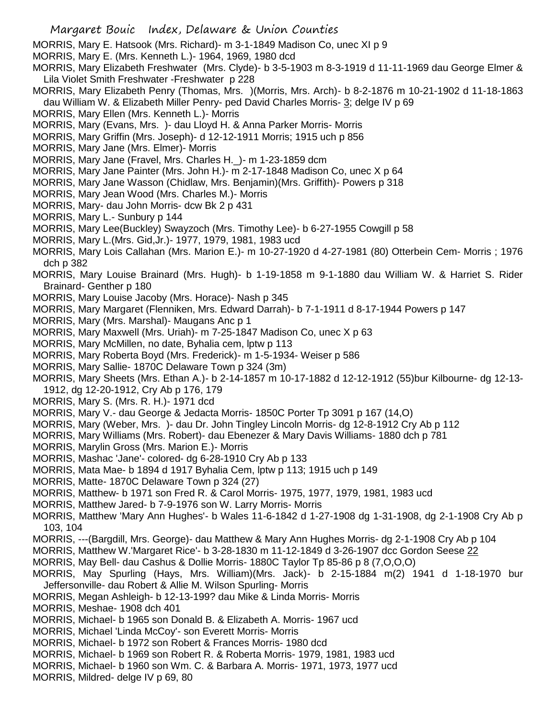MORRIS, Mary E. Hatsook (Mrs. Richard)- m 3-1-1849 Madison Co, unec XI p 9

- MORRIS, Mary E. (Mrs. Kenneth L.)- 1964, 1969, 1980 dcd
- MORRIS, Mary Elizabeth Freshwater (Mrs. Clyde)- b 3-5-1903 m 8-3-1919 d 11-11-1969 dau George Elmer & Lila Violet Smith Freshwater -Freshwater p 228
- MORRIS, Mary Elizabeth Penry (Thomas, Mrs. )(Morris, Mrs. Arch)- b 8-2-1876 m 10-21-1902 d 11-18-1863 dau William W. & Elizabeth Miller Penry- ped David Charles Morris- 3; delge IV p 69
- MORRIS, Mary Ellen (Mrs. Kenneth L.)- Morris
- MORRIS, Mary (Evans, Mrs. )- dau Lloyd H. & Anna Parker Morris- Morris
- MORRIS, Mary Griffin (Mrs. Joseph)- d 12-12-1911 Morris; 1915 uch p 856
- MORRIS, Mary Jane (Mrs. Elmer)- Morris
- MORRIS, Mary Jane (Fravel, Mrs. Charles H.\_)- m 1-23-1859 dcm
- MORRIS, Mary Jane Painter (Mrs. John H.)- m 2-17-1848 Madison Co, unec X p 64
- MORRIS, Mary Jane Wasson (Chidlaw, Mrs. Benjamin)(Mrs. Griffith)- Powers p 318
- MORRIS, Mary Jean Wood (Mrs. Charles M.)- Morris
- MORRIS, Mary- dau John Morris- dcw Bk 2 p 431
- MORRIS, Mary L.- Sunbury p 144
- MORRIS, Mary Lee(Buckley) Swayzoch (Mrs. Timothy Lee)- b 6-27-1955 Cowgill p 58
- MORRIS, Mary L.(Mrs. Gid,Jr.)- 1977, 1979, 1981, 1983 ucd
- MORRIS, Mary Lois Callahan (Mrs. Marion E.)- m 10-27-1920 d 4-27-1981 (80) Otterbein Cem- Morris ; 1976 dch p 382
- MORRIS, Mary Louise Brainard (Mrs. Hugh)- b 1-19-1858 m 9-1-1880 dau William W. & Harriet S. Rider Brainard- Genther p 180
- MORRIS, Mary Louise Jacoby (Mrs. Horace)- Nash p 345
- MORRIS, Mary Margaret (Flenniken, Mrs. Edward Darrah)- b 7-1-1911 d 8-17-1944 Powers p 147
- MORRIS, Mary (Mrs. Marshal)- Maugans Anc p 1
- MORRIS, Mary Maxwell (Mrs. Uriah)- m 7-25-1847 Madison Co, unec X p 63
- MORRIS, Mary McMillen, no date, Byhalia cem, lptw p 113
- MORRIS, Mary Roberta Boyd (Mrs. Frederick)- m 1-5-1934- Weiser p 586
- MORRIS, Mary Sallie- 1870C Delaware Town p 324 (3m)
- MORRIS, Mary Sheets (Mrs. Ethan A.)- b 2-14-1857 m 10-17-1882 d 12-12-1912 (55)bur Kilbourne- dg 12-13- 1912, dg 12-20-1912, Cry Ab p 176, 179
- MORRIS, Mary S. (Mrs. R. H.)- 1971 dcd
- MORRIS, Mary V.- dau George & Jedacta Morris- 1850C Porter Tp 3091 p 167 (14,O)
- MORRIS, Mary (Weber, Mrs. )- dau Dr. John Tingley Lincoln Morris- dg 12-8-1912 Cry Ab p 112
- MORRIS, Mary Williams (Mrs. Robert)- dau Ebenezer & Mary Davis Williams- 1880 dch p 781
- MORRIS, Marylin Gross (Mrs. Marion E.)- Morris
- MORRIS, Mashac 'Jane'- colored- dg 6-28-1910 Cry Ab p 133
- MORRIS, Mata Mae- b 1894 d 1917 Byhalia Cem, lptw p 113; 1915 uch p 149
- MORRIS, Matte- 1870C Delaware Town p 324 (27)
- MORRIS, Matthew- b 1971 son Fred R. & Carol Morris- 1975, 1977, 1979, 1981, 1983 ucd
- MORRIS, Matthew Jared- b 7-9-1976 son W. Larry Morris- Morris
- MORRIS, Matthew 'Mary Ann Hughes'- b Wales 11-6-1842 d 1-27-1908 dg 1-31-1908, dg 2-1-1908 Cry Ab p 103, 104
- MORRIS, ---(Bargdill, Mrs. George)- dau Matthew & Mary Ann Hughes Morris- dg 2-1-1908 Cry Ab p 104
- MORRIS, Matthew W.'Margaret Rice'- b 3-28-1830 m 11-12-1849 d 3-26-1907 dcc Gordon Seese 22
- MORRIS, May Bell- dau Cashus & Dollie Morris- 1880C Taylor Tp 85-86 p 8 (7,O,O,O)
- MORRIS, May Spurling (Hays, Mrs. William)(Mrs. Jack)- b 2-15-1884 m(2) 1941 d 1-18-1970 bur Jeffersonville- dau Robert & Allie M. Wilson Spurling- Morris
- MORRIS, Megan Ashleigh- b 12-13-199? dau Mike & Linda Morris- Morris
- MORRIS, Meshae- 1908 dch 401
- MORRIS, Michael- b 1965 son Donald B. & Elizabeth A. Morris- 1967 ucd
- MORRIS, Michael 'Linda McCoy'- son Everett Morris- Morris
- MORRIS, Michael- b 1972 son Robert & Frances Morris- 1980 dcd
- MORRIS, Michael- b 1969 son Robert R. & Roberta Morris- 1979, 1981, 1983 ucd
- MORRIS, Michael- b 1960 son Wm. C. & Barbara A. Morris- 1971, 1973, 1977 ucd
- MORRIS, Mildred- delge IV p 69, 80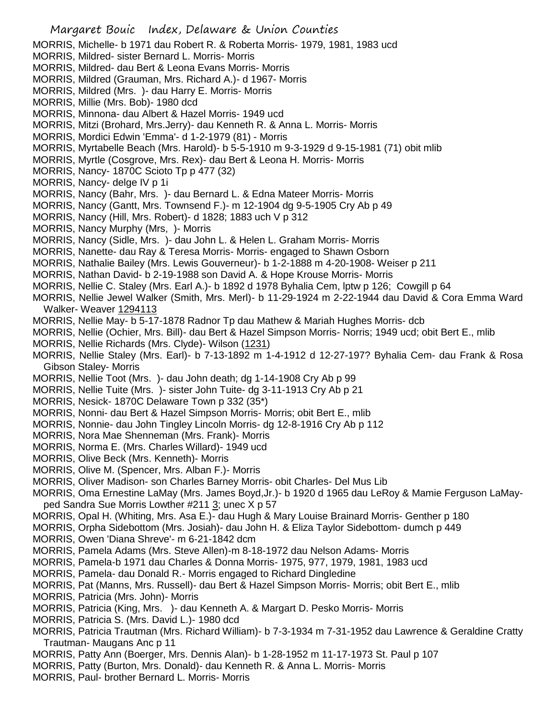- Margaret Bouic Index, Delaware & Union Counties MORRIS, Michelle- b 1971 dau Robert R. & Roberta Morris- 1979, 1981, 1983 ucd MORRIS, Mildred- sister Bernard L. Morris- Morris MORRIS, Mildred- dau Bert & Leona Evans Morris- Morris MORRIS, Mildred (Grauman, Mrs. Richard A.)- d 1967- Morris MORRIS, Mildred (Mrs. )- dau Harry E. Morris- Morris MORRIS, Millie (Mrs. Bob)- 1980 dcd MORRIS, Minnona- dau Albert & Hazel Morris- 1949 ucd MORRIS, Mitzi (Brohard, Mrs.Jerry)- dau Kenneth R. & Anna L. Morris- Morris MORRIS, Mordici Edwin 'Emma'- d 1-2-1979 (81) - Morris MORRIS, Myrtabelle Beach (Mrs. Harold)- b 5-5-1910 m 9-3-1929 d 9-15-1981 (71) obit mlib MORRIS, Myrtle (Cosgrove, Mrs. Rex)- dau Bert & Leona H. Morris- Morris MORRIS, Nancy- 1870C Scioto Tp p 477 (32) MORRIS, Nancy- delge IV p 1i MORRIS, Nancy (Bahr, Mrs. )- dau Bernard L. & Edna Mateer Morris- Morris MORRIS, Nancy (Gantt, Mrs. Townsend F.)- m 12-1904 dg 9-5-1905 Cry Ab p 49 MORRIS, Nancy (Hill, Mrs. Robert)- d 1828; 1883 uch V p 312 MORRIS, Nancy Murphy (Mrs, )- Morris MORRIS, Nancy (Sidle, Mrs. )- dau John L. & Helen L. Graham Morris- Morris MORRIS, Nanette- dau Ray & Teresa Morris- Morris- engaged to Shawn Osborn MORRIS, Nathalie Bailey (Mrs. Lewis Gouverneur)- b 1-2-1888 m 4-20-1908- Weiser p 211 MORRIS, Nathan David- b 2-19-1988 son David A. & Hope Krouse Morris- Morris MORRIS, Nellie C. Staley (Mrs. Earl A.)- b 1892 d 1978 Byhalia Cem, lptw p 126; Cowgill p 64 MORRIS, Nellie Jewel Walker (Smith, Mrs. Merl)- b 11-29-1924 m 2-22-1944 dau David & Cora Emma Ward Walker- Weaver 1294113 MORRIS, Nellie May- b 5-17-1878 Radnor Tp dau Mathew & Mariah Hughes Morris- dcb MORRIS, Nellie (Ochier, Mrs. Bill)- dau Bert & Hazel Simpson Morris- Norris; 1949 ucd; obit Bert E., mlib MORRIS, Nellie Richards (Mrs. Clyde)- Wilson (1231) MORRIS, Nellie Staley (Mrs. Earl)- b 7-13-1892 m 1-4-1912 d 12-27-197? Byhalia Cem- dau Frank & Rosa Gibson Staley- Morris MORRIS, Nellie Toot (Mrs. )- dau John death; dg 1-14-1908 Cry Ab p 99 MORRIS, Nellie Tuite (Mrs. )- sister John Tuite- dg 3-11-1913 Cry Ab p 21 MORRIS, Nesick- 1870C Delaware Town p 332 (35\*) MORRIS, Nonni- dau Bert & Hazel Simpson Morris- Morris; obit Bert E., mlib MORRIS, Nonnie- dau John Tingley Lincoln Morris- dg 12-8-1916 Cry Ab p 112 MORRIS, Nora Mae Shenneman (Mrs. Frank)- Morris MORRIS, Norma E. (Mrs. Charles Willard)- 1949 ucd MORRIS, Olive Beck (Mrs. Kenneth)- Morris MORRIS, Olive M. (Spencer, Mrs. Alban F.)- Morris MORRIS, Oliver Madison- son Charles Barney Morris- obit Charles- Del Mus Lib MORRIS, Oma Ernestine LaMay (Mrs. James Boyd,Jr.)- b 1920 d 1965 dau LeRoy & Mamie Ferguson LaMayped Sandra Sue Morris Lowther #211 3; unec X p 57 MORRIS, Opal H. (Whiting, Mrs. Asa E.)- dau Hugh & Mary Louise Brainard Morris- Genther p 180 MORRIS, Orpha Sidebottom (Mrs. Josiah)- dau John H. & Eliza Taylor Sidebottom- dumch p 449 MORRIS, Owen 'Diana Shreve'- m 6-21-1842 dcm MORRIS, Pamela Adams (Mrs. Steve Allen)-m 8-18-1972 dau Nelson Adams- Morris MORRIS, Pamela-b 1971 dau Charles & Donna Morris- 1975, 977, 1979, 1981, 1983 ucd MORRIS, Pamela- dau Donald R.- Morris engaged to Richard Dingledine MORRIS, Pat (Manns, Mrs. Russell)- dau Bert & Hazel Simpson Morris- Morris; obit Bert E., mlib MORRIS, Patricia (Mrs. John)- Morris MORRIS, Patricia (King, Mrs. )- dau Kenneth A. & Margart D. Pesko Morris- Morris MORRIS, Patricia S. (Mrs. David L.)- 1980 dcd MORRIS, Patricia Trautman (Mrs. Richard William)- b 7-3-1934 m 7-31-1952 dau Lawrence & Geraldine Cratty Trautman- Maugans Anc p 11
- MORRIS, Patty Ann (Boerger, Mrs. Dennis Alan)- b 1-28-1952 m 11-17-1973 St. Paul p 107
- MORRIS, Patty (Burton, Mrs. Donald)- dau Kenneth R. & Anna L. Morris- Morris
- MORRIS, Paul- brother Bernard L. Morris- Morris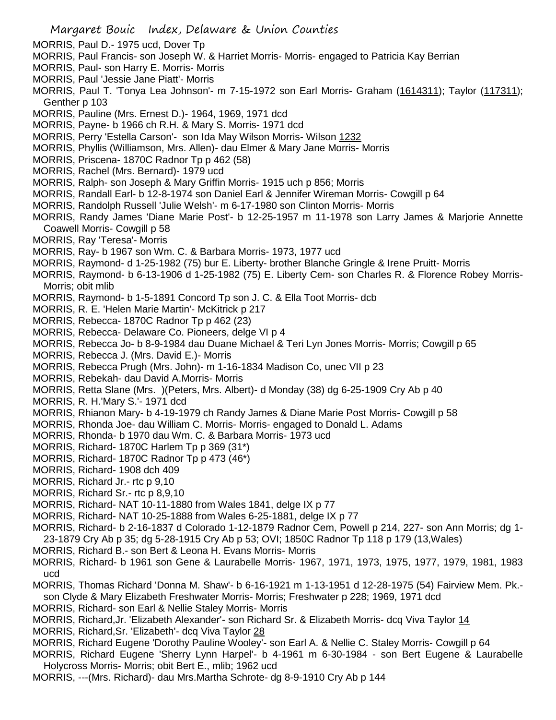- MORRIS, Paul D.- 1975 ucd, Dover Tp
- MORRIS, Paul Francis- son Joseph W. & Harriet Morris- Morris- engaged to Patricia Kay Berrian
- MORRIS, Paul- son Harry E. Morris- Morris
- MORRIS, Paul 'Jessie Jane Piatt'- Morris
- MORRIS, Paul T. 'Tonya Lea Johnson'- m 7-15-1972 son Earl Morris- Graham (1614311); Taylor (117311); Genther p 103
- MORRIS, Pauline (Mrs. Ernest D.)- 1964, 1969, 1971 dcd
- MORRIS, Payne- b 1966 ch R.H. & Mary S. Morris- 1971 dcd
- MORRIS, Perry 'Estella Carson'- son Ida May Wilson Morris- Wilson 1232
- MORRIS, Phyllis (Williamson, Mrs. Allen)- dau Elmer & Mary Jane Morris- Morris
- MORRIS, Priscena- 1870C Radnor Tp p 462 (58)
- MORRIS, Rachel (Mrs. Bernard)- 1979 ucd
- MORRIS, Ralph- son Joseph & Mary Griffin Morris- 1915 uch p 856; Morris
- MORRIS, Randall Earl- b 12-8-1974 son Daniel Earl & Jennifer Wireman Morris- Cowgill p 64
- MORRIS, Randolph Russell 'Julie Welsh'- m 6-17-1980 son Clinton Morris- Morris
- MORRIS, Randy James 'Diane Marie Post'- b 12-25-1957 m 11-1978 son Larry James & Marjorie Annette Coawell Morris- Cowgill p 58
- MORRIS, Ray 'Teresa'- Morris
- MORRIS, Ray- b 1967 son Wm. C. & Barbara Morris- 1973, 1977 ucd
- MORRIS, Raymond- d 1-25-1982 (75) bur E. Liberty- brother Blanche Gringle & Irene Pruitt- Morris
- MORRIS, Raymond- b 6-13-1906 d 1-25-1982 (75) E. Liberty Cem- son Charles R. & Florence Robey Morris-Morris; obit mlib
- MORRIS, Raymond- b 1-5-1891 Concord Tp son J. C. & Ella Toot Morris- dcb
- MORRIS, R. E. 'Helen Marie Martin'- McKitrick p 217
- MORRIS, Rebecca- 1870C Radnor Tp p 462 (23)
- MORRIS, Rebecca- Delaware Co. Pioneers, delge VI p 4
- MORRIS, Rebecca Jo- b 8-9-1984 dau Duane Michael & Teri Lyn Jones Morris- Morris; Cowgill p 65
- MORRIS, Rebecca J. (Mrs. David E.)- Morris
- MORRIS, Rebecca Prugh (Mrs. John)- m 1-16-1834 Madison Co, unec VII p 23
- MORRIS, Rebekah- dau David A.Morris- Morris
- MORRIS, Retta Slane (Mrs. )(Peters, Mrs. Albert)- d Monday (38) dg 6-25-1909 Cry Ab p 40
- MORRIS, R. H.'Mary S.'- 1971 dcd
- MORRIS, Rhianon Mary- b 4-19-1979 ch Randy James & Diane Marie Post Morris- Cowgill p 58
- MORRIS, Rhonda Joe- dau William C. Morris- Morris- engaged to Donald L. Adams
- MORRIS, Rhonda- b 1970 dau Wm. C. & Barbara Morris- 1973 ucd
- MORRIS, Richard- 1870C Harlem Tp p 369 (31\*)
- MORRIS, Richard- 1870C Radnor Tp p 473 (46\*)
- MORRIS, Richard- 1908 dch 409
- MORRIS, Richard Jr.- rtc p 9,10
- MORRIS, Richard Sr.- rtc p 8,9,10
- MORRIS, Richard- NAT 10-11-1880 from Wales 1841, delge IX p 77
- MORRIS, Richard- NAT 10-25-1888 from Wales 6-25-1881, delge IX p 77
- MORRIS, Richard- b 2-16-1837 d Colorado 1-12-1879 Radnor Cem, Powell p 214, 227- son Ann Morris; dg 1- 23-1879 Cry Ab p 35; dg 5-28-1915 Cry Ab p 53; OVI; 1850C Radnor Tp 118 p 179 (13,Wales)
- MORRIS, Richard B.- son Bert & Leona H. Evans Morris- Morris
- MORRIS, Richard- b 1961 son Gene & Laurabelle Morris- 1967, 1971, 1973, 1975, 1977, 1979, 1981, 1983 ucd
- MORRIS, Thomas Richard 'Donna M. Shaw'- b 6-16-1921 m 1-13-1951 d 12-28-1975 (54) Fairview Mem. Pk. son Clyde & Mary Elizabeth Freshwater Morris- Morris; Freshwater p 228; 1969, 1971 dcd
- MORRIS, Richard- son Earl & Nellie Staley Morris- Morris
- MORRIS, Richard, Jr. 'Elizabeth Alexander'- son Richard Sr. & Elizabeth Morris- dcq Viva Taylor 14
- MORRIS, Richard,Sr. 'Elizabeth'- dcq Viva Taylor 28
- MORRIS, Richard Eugene 'Dorothy Pauline Wooley'- son Earl A. & Nellie C. Staley Morris- Cowgill p 64
- MORRIS, Richard Eugene 'Sherry Lynn Harpel'- b 4-1961 m 6-30-1984 son Bert Eugene & Laurabelle Holycross Morris- Morris; obit Bert E., mlib; 1962 ucd
- MORRIS, ---(Mrs. Richard)- dau Mrs.Martha Schrote- dg 8-9-1910 Cry Ab p 144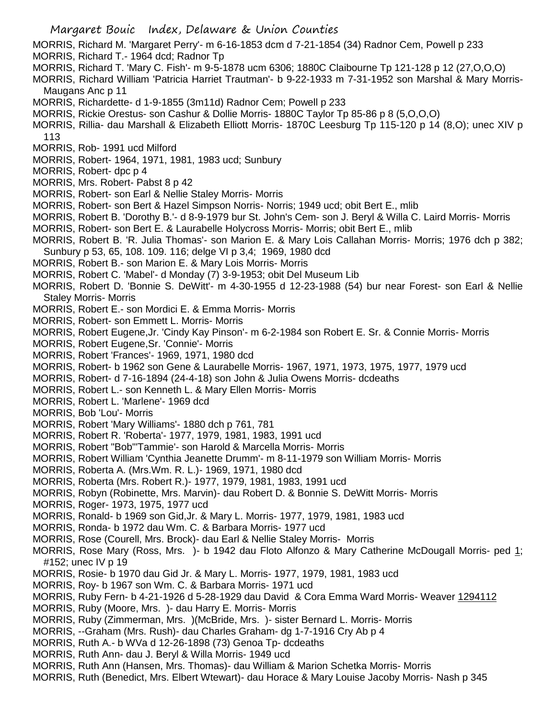MORRIS, Richard M. 'Margaret Perry'- m 6-16-1853 dcm d 7-21-1854 (34) Radnor Cem, Powell p 233

- MORRIS, Richard T.- 1964 dcd; Radnor Tp
- MORRIS, Richard T. 'Mary C. Fish'- m 9-5-1878 ucm 6306; 1880C Claibourne Tp 121-128 p 12 (27,O,O,O)
- MORRIS, Richard William 'Patricia Harriet Trautman'- b 9-22-1933 m 7-31-1952 son Marshal & Mary Morris-Maugans Anc p 11
- MORRIS, Richardette- d 1-9-1855 (3m11d) Radnor Cem; Powell p 233
- MORRIS, Rickie Orestus- son Cashur & Dollie Morris- 1880C Taylor Tp 85-86 p 8 (5,O,O,O)
- MORRIS, Rillia- dau Marshall & Elizabeth Elliott Morris- 1870C Leesburg Tp 115-120 p 14 (8,O); unec XIV p 113
- MORRIS, Rob- 1991 ucd Milford
- MORRIS, Robert- 1964, 1971, 1981, 1983 ucd; Sunbury
- MORRIS, Robert- dpc p 4
- MORRIS, Mrs. Robert- Pabst 8 p 42
- MORRIS, Robert- son Earl & Nellie Staley Morris- Morris
- MORRIS, Robert- son Bert & Hazel Simpson Norris- Norris; 1949 ucd; obit Bert E., mlib
- MORRIS, Robert B. 'Dorothy B.'- d 8-9-1979 bur St. John's Cem- son J. Beryl & Willa C. Laird Morris- Morris
- MORRIS, Robert- son Bert E. & Laurabelle Holycross Morris- Morris; obit Bert E., mlib
- MORRIS, Robert B. 'R. Julia Thomas'- son Marion E. & Mary Lois Callahan Morris- Morris; 1976 dch p 382; Sunbury p 53, 65, 108. 109. 116; delge VI p 3,4; 1969, 1980 dcd
- MORRIS, Robert B.- son Marion E. & Mary Lois Morris- Morris
- MORRIS, Robert C. 'Mabel'- d Monday (7) 3-9-1953; obit Del Museum Lib
- MORRIS, Robert D. 'Bonnie S. DeWitt'- m 4-30-1955 d 12-23-1988 (54) bur near Forest- son Earl & Nellie Staley Morris- Morris
- MORRIS, Robert E.- son Mordici E. & Emma Morris- Morris
- MORRIS, Robert- son Emmett L. Morris- Morris
- MORRIS, Robert Eugene,Jr. 'Cindy Kay Pinson'- m 6-2-1984 son Robert E. Sr. & Connie Morris- Morris
- MORRIS, Robert Eugene,Sr. 'Connie'- Morris
- MORRIS, Robert 'Frances'- 1969, 1971, 1980 dcd
- MORRIS, Robert- b 1962 son Gene & Laurabelle Morris- 1967, 1971, 1973, 1975, 1977, 1979 ucd
- MORRIS, Robert- d 7-16-1894 (24-4-18) son John & Julia Owens Morris- dcdeaths
- MORRIS, Robert L.- son Kenneth L. & Mary Ellen Morris- Morris
- MORRIS, Robert L. 'Marlene'- 1969 dcd
- MORRIS, Bob 'Lou'- Morris
- MORRIS, Robert 'Mary Williams'- 1880 dch p 761, 781
- MORRIS, Robert R. 'Roberta'- 1977, 1979, 1981, 1983, 1991 ucd
- MORRIS, Robert "Bob"'Tammie'- son Harold & Marcella Morris- Morris
- MORRIS, Robert William 'Cynthia Jeanette Drumm'- m 8-11-1979 son William Morris- Morris
- MORRIS, Roberta A. (Mrs.Wm. R. L.)- 1969, 1971, 1980 dcd
- MORRIS, Roberta (Mrs. Robert R.)- 1977, 1979, 1981, 1983, 1991 ucd
- MORRIS, Robyn (Robinette, Mrs. Marvin)- dau Robert D. & Bonnie S. DeWitt Morris- Morris
- MORRIS, Roger- 1973, 1975, 1977 ucd
- MORRIS, Ronald- b 1969 son Gid,Jr. & Mary L. Morris- 1977, 1979, 1981, 1983 ucd
- MORRIS, Ronda- b 1972 dau Wm. C. & Barbara Morris- 1977 ucd
- MORRIS, Rose (Courell, Mrs. Brock)- dau Earl & Nellie Staley Morris- Morris
- MORRIS, Rose Mary (Ross, Mrs. )- b 1942 dau Floto Alfonzo & Mary Catherine McDougall Morris- ped 1; #152; unec IV p 19
- MORRIS, Rosie- b 1970 dau Gid Jr. & Mary L. Morris- 1977, 1979, 1981, 1983 ucd
- MORRIS, Roy- b 1967 son Wm. C. & Barbara Morris- 1971 ucd
- MORRIS, Ruby Fern- b 4-21-1926 d 5-28-1929 dau David & Cora Emma Ward Morris- Weaver 1294112
- MORRIS, Ruby (Moore, Mrs. )- dau Harry E. Morris- Morris
- MORRIS, Ruby (Zimmerman, Mrs. )(McBride, Mrs. )- sister Bernard L. Morris- Morris
- MORRIS, --Graham (Mrs. Rush)- dau Charles Graham- dg 1-7-1916 Cry Ab p 4
- MORRIS, Ruth A.- b WVa d 12-26-1898 (73) Genoa Tp- dcdeaths
- MORRIS, Ruth Ann- dau J. Beryl & Willa Morris- 1949 ucd
- MORRIS, Ruth Ann (Hansen, Mrs. Thomas)- dau William & Marion Schetka Morris- Morris
- MORRIS, Ruth (Benedict, Mrs. Elbert Wtewart)- dau Horace & Mary Louise Jacoby Morris- Nash p 345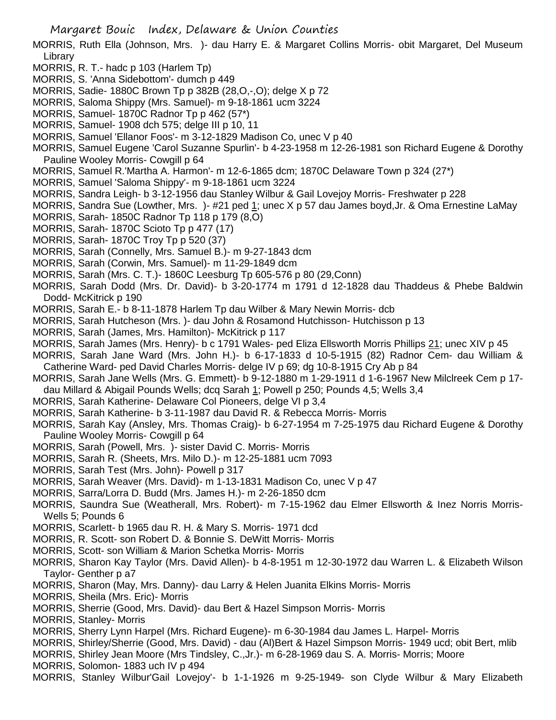MORRIS, Ruth Ella (Johnson, Mrs. )- dau Harry E. & Margaret Collins Morris- obit Margaret, Del Museum Library

- MORRIS, R. T.- hadc p 103 (Harlem Tp)
- MORRIS, S. 'Anna Sidebottom'- dumch p 449
- MORRIS, Sadie- 1880C Brown Tp p 382B (28,O,-,O); delge X p 72
- MORRIS, Saloma Shippy (Mrs. Samuel)- m 9-18-1861 ucm 3224
- MORRIS, Samuel- 1870C Radnor Tp p 462 (57\*)
- MORRIS, Samuel- 1908 dch 575; delge III p 10, 11
- MORRIS, Samuel 'Ellanor Foos'- m 3-12-1829 Madison Co, unec V p 40
- MORRIS, Samuel Eugene 'Carol Suzanne Spurlin'- b 4-23-1958 m 12-26-1981 son Richard Eugene & Dorothy Pauline Wooley Morris- Cowgill p 64
- MORRIS, Samuel R.'Martha A. Harmon'- m 12-6-1865 dcm; 1870C Delaware Town p 324 (27\*)
- MORRIS, Samuel 'Saloma Shippy'- m 9-18-1861 ucm 3224
- MORRIS, Sandra Leigh- b 3-12-1956 dau Stanley Wilbur & Gail Lovejoy Morris- Freshwater p 228
- MORRIS, Sandra Sue (Lowther, Mrs. )- #21 ped 1; unec X p 57 dau James boyd,Jr. & Oma Ernestine LaMay
- MORRIS, Sarah- 1850C Radnor Tp 118 p 179 (8,O)
- MORRIS, Sarah- 1870C Scioto Tp p 477 (17)
- MORRIS, Sarah- 1870C Troy Tp p 520 (37)
- MORRIS, Sarah (Connelly, Mrs. Samuel B.)- m 9-27-1843 dcm
- MORRIS, Sarah (Corwin, Mrs. Samuel)- m 11-29-1849 dcm
- MORRIS, Sarah (Mrs. C. T.)- 1860C Leesburg Tp 605-576 p 80 (29,Conn)
- MORRIS, Sarah Dodd (Mrs. Dr. David)- b 3-20-1774 m 1791 d 12-1828 dau Thaddeus & Phebe Baldwin Dodd- McKitrick p 190
- MORRIS, Sarah E.- b 8-11-1878 Harlem Tp dau Wilber & Mary Newin Morris- dcb
- MORRIS, Sarah Hutcheson (Mrs. )- dau John & Rosamond Hutchisson- Hutchisson p 13
- MORRIS, Sarah (James, Mrs. Hamilton)- McKitrick p 117
- MORRIS, Sarah James (Mrs. Henry)- b c 1791 Wales- ped Eliza Ellsworth Morris Phillips 21; unec XIV p 45
- MORRIS, Sarah Jane Ward (Mrs. John H.)- b 6-17-1833 d 10-5-1915 (82) Radnor Cem- dau William & Catherine Ward- ped David Charles Morris- delge IV p 69; dg 10-8-1915 Cry Ab p 84
- MORRIS, Sarah Jane Wells (Mrs. G. Emmett)- b 9-12-1880 m 1-29-1911 d 1-6-1967 New Milclreek Cem p 17 dau Millard & Abigail Pounds Wells; dcq Sarah 1; Powell p 250; Pounds 4,5; Wells 3,4
- MORRIS, Sarah Katherine- Delaware Col Pioneers, delge VI p 3,4
- MORRIS, Sarah Katherine- b 3-11-1987 dau David R. & Rebecca Morris- Morris
- MORRIS, Sarah Kay (Ansley, Mrs. Thomas Craig)- b 6-27-1954 m 7-25-1975 dau Richard Eugene & Dorothy Pauline Wooley Morris- Cowgill p 64
- MORRIS, Sarah (Powell, Mrs. )- sister David C. Morris- Morris
- MORRIS, Sarah R. (Sheets, Mrs. Milo D.)- m 12-25-1881 ucm 7093
- MORRIS, Sarah Test (Mrs. John)- Powell p 317
- MORRIS, Sarah Weaver (Mrs. David)- m 1-13-1831 Madison Co, unec V p 47
- MORRIS, Sarra/Lorra D. Budd (Mrs. James H.)- m 2-26-1850 dcm
- MORRIS, Saundra Sue (Weatherall, Mrs. Robert)- m 7-15-1962 dau Elmer Ellsworth & Inez Norris Morris-Wells 5; Pounds 6
- MORRIS, Scarlett- b 1965 dau R. H. & Mary S. Morris- 1971 dcd
- MORRIS, R. Scott- son Robert D. & Bonnie S. DeWitt Morris- Morris
- MORRIS, Scott- son William & Marion Schetka Morris- Morris
- MORRIS, Sharon Kay Taylor (Mrs. David Allen)- b 4-8-1951 m 12-30-1972 dau Warren L. & Elizabeth Wilson Taylor- Genther p a7
- MORRIS, Sharon (May, Mrs. Danny)- dau Larry & Helen Juanita Elkins Morris- Morris
- MORRIS, Sheila (Mrs. Eric)- Morris
- MORRIS, Sherrie (Good, Mrs. David)- dau Bert & Hazel Simpson Morris- Morris
- MORRIS, Stanley- Morris
- MORRIS, Sherry Lynn Harpel (Mrs. Richard Eugene)- m 6-30-1984 dau James L. Harpel- Morris
- MORRIS, Shirley/Sherrie (Good, Mrs. David) dau (Al)Bert & Hazel Simpson Morris- 1949 ucd; obit Bert, mlib
- MORRIS, Shirley Jean Moore (Mrs Tindsley, C.,Jr.)- m 6-28-1969 dau S. A. Morris- Morris; Moore
- MORRIS, Solomon- 1883 uch IV p 494
- MORRIS, Stanley Wilbur'Gail Lovejoy'- b 1-1-1926 m 9-25-1949- son Clyde Wilbur & Mary Elizabeth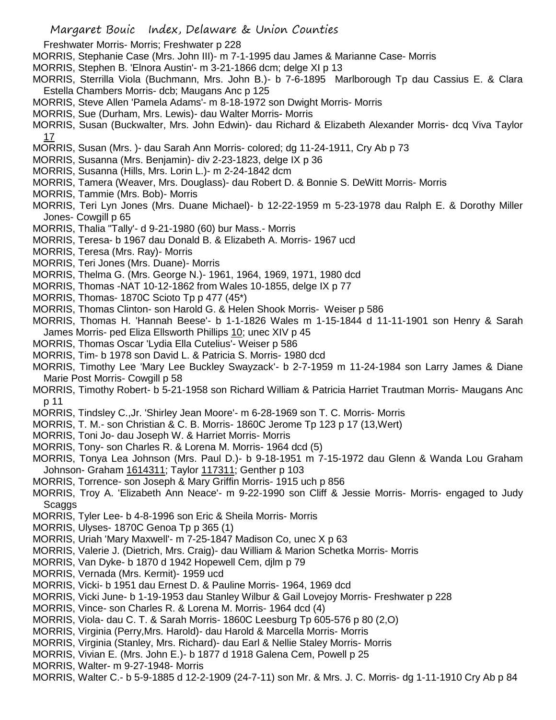Freshwater Morris- Morris; Freshwater p 228

- MORRIS, Stephanie Case (Mrs. John III)- m 7-1-1995 dau James & Marianne Case- Morris
- MORRIS, Stephen B. 'Elnora Austin'- m 3-21-1866 dcm; delge XI p 13
- MORRIS, Sterrilla Viola (Buchmann, Mrs. John B.)- b 7-6-1895 Marlborough Tp dau Cassius E. & Clara Estella Chambers Morris- dcb; Maugans Anc p 125
- MORRIS, Steve Allen 'Pamela Adams'- m 8-18-1972 son Dwight Morris- Morris
- MORRIS, Sue (Durham, Mrs. Lewis)- dau Walter Morris- Morris
- MORRIS, Susan (Buckwalter, Mrs. John Edwin)- dau Richard & Elizabeth Alexander Morris- dcq Viva Taylor 17
- MORRIS, Susan (Mrs. )- dau Sarah Ann Morris- colored; dg 11-24-1911, Cry Ab p 73
- MORRIS, Susanna (Mrs. Benjamin)- div 2-23-1823, delge IX p 36
- MORRIS, Susanna (Hills, Mrs. Lorin L.)- m 2-24-1842 dcm
- MORRIS, Tamera (Weaver, Mrs. Douglass)- dau Robert D. & Bonnie S. DeWitt Morris- Morris
- MORRIS, Tammie (Mrs. Bob)- Morris
- MORRIS, Teri Lyn Jones (Mrs. Duane Michael)- b 12-22-1959 m 5-23-1978 dau Ralph E. & Dorothy Miller Jones- Cowgill p 65
- MORRIS, Thalia "Tally'- d 9-21-1980 (60) bur Mass.- Morris
- MORRIS, Teresa- b 1967 dau Donald B. & Elizabeth A. Morris- 1967 ucd
- MORRIS, Teresa (Mrs. Ray)- Morris
- MORRIS, Teri Jones (Mrs. Duane)- Morris
- MORRIS, Thelma G. (Mrs. George N.)- 1961, 1964, 1969, 1971, 1980 dcd
- MORRIS, Thomas -NAT 10-12-1862 from Wales 10-1855, delge IX p 77
- MORRIS, Thomas- 1870C Scioto Tp p 477 (45\*)
- MORRIS, Thomas Clinton- son Harold G. & Helen Shook Morris- Weiser p 586
- MORRIS, Thomas H. 'Hannah Beese'- b 1-1-1826 Wales m 1-15-1844 d 11-11-1901 son Henry & Sarah James Morris- ped Eliza Ellsworth Phillips 10; unec XIV p 45
- MORRIS, Thomas Oscar 'Lydia Ella Cutelius'- Weiser p 586
- MORRIS, Tim- b 1978 son David L. & Patricia S. Morris- 1980 dcd
- MORRIS, Timothy Lee 'Mary Lee Buckley Swayzack'- b 2-7-1959 m 11-24-1984 son Larry James & Diane Marie Post Morris- Cowgill p 58
- MORRIS, Timothy Robert- b 5-21-1958 son Richard William & Patricia Harriet Trautman Morris- Maugans Anc p 11
- MORRIS, Tindsley C.,Jr. 'Shirley Jean Moore'- m 6-28-1969 son T. C. Morris- Morris
- MORRIS, T. M.- son Christian & C. B. Morris- 1860C Jerome Tp 123 p 17 (13,Wert)
- MORRIS, Toni Jo- dau Joseph W. & Harriet Morris- Morris
- MORRIS, Tony- son Charles R. & Lorena M. Morris- 1964 dcd (5)
- MORRIS, Tonya Lea Johnson (Mrs. Paul D.)- b 9-18-1951 m 7-15-1972 dau Glenn & Wanda Lou Graham Johnson- Graham 1614311; Taylor 117311; Genther p 103
- MORRIS, Torrence- son Joseph & Mary Griffin Morris- 1915 uch p 856
- MORRIS, Troy A. 'Elizabeth Ann Neace'- m 9-22-1990 son Cliff & Jessie Morris- Morris- engaged to Judy Scaggs
- MORRIS, Tyler Lee- b 4-8-1996 son Eric & Sheila Morris- Morris
- MORRIS, Ulyses- 1870C Genoa Tp p 365 (1)
- MORRIS, Uriah 'Mary Maxwell'- m 7-25-1847 Madison Co, unec X p 63
- MORRIS, Valerie J. (Dietrich, Mrs. Craig)- dau William & Marion Schetka Morris- Morris
- MORRIS, Van Dyke- b 1870 d 1942 Hopewell Cem, djlm p 79
- MORRIS, Vernada (Mrs. Kermit)- 1959 ucd
- MORRIS, Vicki- b 1951 dau Ernest D. & Pauline Morris- 1964, 1969 dcd
- MORRIS, Vicki June- b 1-19-1953 dau Stanley Wilbur & Gail Lovejoy Morris- Freshwater p 228
- MORRIS, Vince- son Charles R. & Lorena M. Morris- 1964 dcd (4)
- MORRIS, Viola- dau C. T. & Sarah Morris- 1860C Leesburg Tp 605-576 p 80 (2,O)
- MORRIS, Virginia (Perry,Mrs. Harold)- dau Harold & Marcella Morris- Morris
- MORRIS, Virginia (Stanley, Mrs. Richard)- dau Earl & Nellie Staley Morris- Morris
- MORRIS, Vivian E. (Mrs. John E.)- b 1877 d 1918 Galena Cem, Powell p 25
- MORRIS, Walter- m 9-27-1948- Morris
- MORRIS, Walter C.- b 5-9-1885 d 12-2-1909 (24-7-11) son Mr. & Mrs. J. C. Morris- dg 1-11-1910 Cry Ab p 84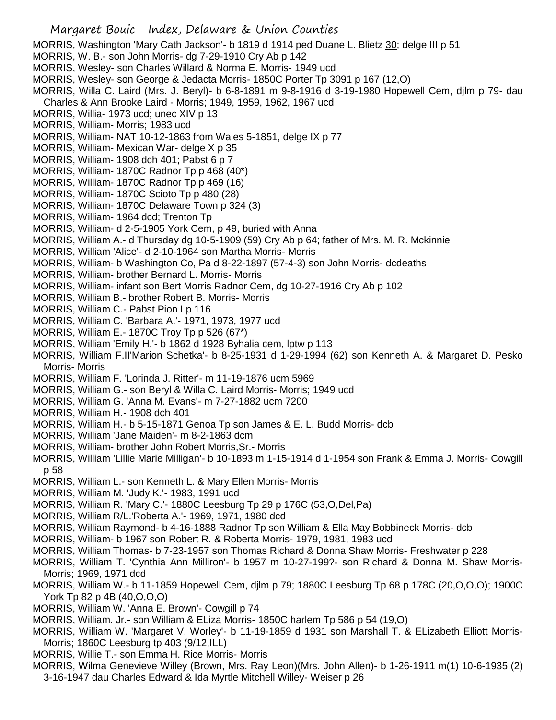- Margaret Bouic Index, Delaware & Union Counties MORRIS, Washington 'Mary Cath Jackson'- b 1819 d 1914 ped Duane L. Blietz 30; delge III p 51 MORRIS, W. B.- son John Morris- dg 7-29-1910 Cry Ab p 142 MORRIS, Wesley- son Charles Willard & Norma E. Morris- 1949 ucd MORRIS, Wesley- son George & Jedacta Morris- 1850C Porter Tp 3091 p 167 (12,O) MORRIS, Willa C. Laird (Mrs. J. Beryl)- b 6-8-1891 m 9-8-1916 d 3-19-1980 Hopewell Cem, djlm p 79- dau Charles & Ann Brooke Laird - Morris; 1949, 1959, 1962, 1967 ucd MORRIS, Willia- 1973 ucd; unec XIV p 13 MORRIS, William- Morris; 1983 ucd MORRIS, William- NAT 10-12-1863 from Wales 5-1851, delge IX p 77 MORRIS, William- Mexican War- delge X p 35 MORRIS, William- 1908 dch 401; Pabst 6 p 7 MORRIS, William- 1870C Radnor Tp p 468 (40\*) MORRIS, William- 1870C Radnor Tp p 469 (16) MORRIS, William- 1870C Scioto Tp p 480 (28) MORRIS, William- 1870C Delaware Town p 324 (3) MORRIS, William- 1964 dcd; Trenton Tp MORRIS, William- d 2-5-1905 York Cem, p 49, buried with Anna MORRIS, William A.- d Thursday dg 10-5-1909 (59) Cry Ab p 64; father of Mrs. M. R. Mckinnie MORRIS, William 'Alice'- d 2-10-1964 son Martha Morris- Morris MORRIS, William- b Washington Co, Pa d 8-22-1897 (57-4-3) son John Morris- dcdeaths MORRIS, William- brother Bernard L. Morris- Morris MORRIS, William- infant son Bert Morris Radnor Cem, dg 10-27-1916 Cry Ab p 102 MORRIS, William B.- brother Robert B. Morris- Morris MORRIS, William C.- Pabst Pion I p 116 MORRIS, William C. 'Barbara A.'- 1971, 1973, 1977 ucd MORRIS, William E.- 1870C Troy Tp p 526 (67\*) MORRIS, William 'Emily H.'- b 1862 d 1928 Byhalia cem, lptw p 113 MORRIS, William F.II'Marion Schetka'- b 8-25-1931 d 1-29-1994 (62) son Kenneth A. & Margaret D. Pesko Morris- Morris MORRIS, William F. 'Lorinda J. Ritter'- m 11-19-1876 ucm 5969 MORRIS, William G.- son Beryl & Willa C. Laird Morris- Morris; 1949 ucd MORRIS, William G. 'Anna M. Evans'- m 7-27-1882 ucm 7200 MORRIS, William H.- 1908 dch 401 MORRIS, William H.- b 5-15-1871 Genoa Tp son James & E. L. Budd Morris- dcb
- MORRIS, William 'Jane Maiden'- m 8-2-1863 dcm
- MORRIS, William- brother John Robert Morris,Sr.- Morris
- MORRIS, William 'Lillie Marie Milligan'- b 10-1893 m 1-15-1914 d 1-1954 son Frank & Emma J. Morris- Cowgill p 58
- MORRIS, William L.- son Kenneth L. & Mary Ellen Morris- Morris
- MORRIS, William M. 'Judy K.'- 1983, 1991 ucd
- MORRIS, William R. 'Mary C.'- 1880C Leesburg Tp 29 p 176C (53,O,Del,Pa)
- MORRIS, William R/L.'Roberta A.'- 1969, 1971, 1980 dcd
- MORRIS, William Raymond- b 4-16-1888 Radnor Tp son William & Ella May Bobbineck Morris- dcb
- MORRIS, William- b 1967 son Robert R. & Roberta Morris- 1979, 1981, 1983 ucd
- MORRIS, William Thomas- b 7-23-1957 son Thomas Richard & Donna Shaw Morris- Freshwater p 228
- MORRIS, William T. 'Cynthia Ann Milliron'- b 1957 m 10-27-199?- son Richard & Donna M. Shaw Morris-Morris; 1969, 1971 dcd
- MORRIS, William W.- b 11-1859 Hopewell Cem, djlm p 79; 1880C Leesburg Tp 68 p 178C (20,O,O,O); 1900C York Tp 82 p 4B (40,O,O,O)
- MORRIS, William W. 'Anna E. Brown'- Cowgill p 74
- MORRIS, William. Jr.- son William & ELiza Morris- 1850C harlem Tp 586 p 54 (19,O)
- MORRIS, William W. 'Margaret V. Worley'- b 11-19-1859 d 1931 son Marshall T. & ELizabeth Elliott Morris-Morris; 1860C Leesburg tp 403 (9/12,ILL)
- MORRIS, Willie T.- son Emma H. Rice Morris- Morris
- MORRIS, Wilma Genevieve Willey (Brown, Mrs. Ray Leon)(Mrs. John Allen)- b 1-26-1911 m(1) 10-6-1935 (2) 3-16-1947 dau Charles Edward & Ida Myrtle Mitchell Willey- Weiser p 26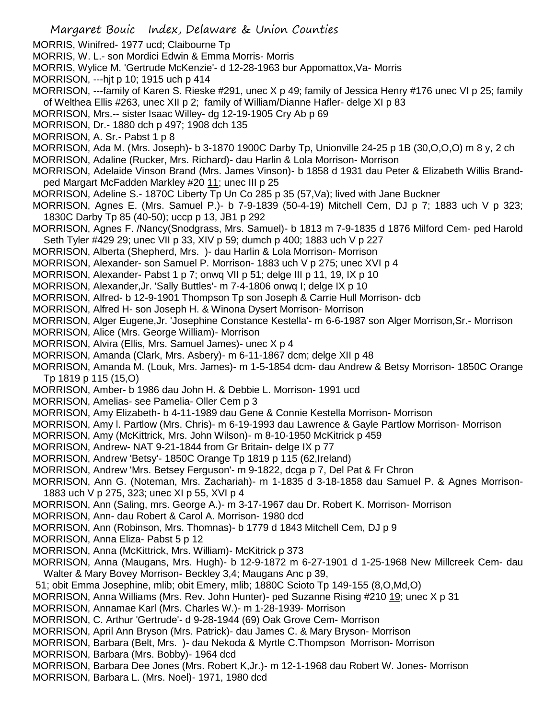MORRIS, Winifred- 1977 ucd; Claibourne Tp MORRIS, W. L.- son Mordici Edwin & Emma Morris- Morris MORRIS, Wylice M. 'Gertrude McKenzie'- d 12-28-1963 bur Appomattox,Va- Morris MORRISON, ---hjt p 10; 1915 uch p 414 MORRISON, ---family of Karen S. Rieske #291, unec X p 49; family of Jessica Henry #176 unec VI p 25; family of Welthea Ellis #263, unec XII p 2; family of William/Dianne Hafler- delge XI p 83 MORRISON, Mrs.-- sister Isaac Willey- dg 12-19-1905 Cry Ab p 69 MORRISON, Dr.- 1880 dch p 497; 1908 dch 135 MORRISON, A. Sr.- Pabst 1 p 8 MORRISON, Ada M. (Mrs. Joseph)- b 3-1870 1900C Darby Tp, Unionville 24-25 p 1B (30,O,O,O) m 8 y, 2 ch MORRISON, Adaline (Rucker, Mrs. Richard)- dau Harlin & Lola Morrison- Morrison MORRISON, Adelaide Vinson Brand (Mrs. James Vinson)- b 1858 d 1931 dau Peter & Elizabeth Willis Brandped Margart McFadden Markley #20 11; unec III p 25 MORRISON, Adeline S.- 1870C Liberty Tp Un Co 285 p 35 (57,Va); lived with Jane Buckner MORRISON, Agnes E. (Mrs. Samuel P.)- b 7-9-1839 (50-4-19) Mitchell Cem, DJ p 7; 1883 uch V p 323; 1830C Darby Tp 85 (40-50); uccp p 13, JB1 p 292 MORRISON, Agnes F. /Nancy(Snodgrass, Mrs. Samuel)- b 1813 m 7-9-1835 d 1876 Milford Cem- ped Harold Seth Tyler #429 29; unec VII p 33, XIV p 59; dumch p 400; 1883 uch V p 227 MORRISON, Alberta (Shepherd, Mrs. )- dau Harlin & Lola Morrison- Morrison MORRISON, Alexander- son Samuel P. Morrison- 1883 uch V p 275; unec XVI p 4 MORRISON, Alexander- Pabst 1 p 7; onwq VII p 51; delge III p 11, 19, IX p 10 MORRISON, Alexander,Jr. 'Sally Buttles'- m 7-4-1806 onwq I; delge IX p 10 MORRISON, Alfred- b 12-9-1901 Thompson Tp son Joseph & Carrie Hull Morrison- dcb MORRISON, Alfred H- son Joseph H. & Winona Dysert Morrison- Morrison MORRISON, Alger Eugene,Jr. 'Josephine Constance Kestella'- m 6-6-1987 son Alger Morrison,Sr.- Morrison MORRISON, Alice (Mrs. George William)- Morrison MORRISON, Alvira (Ellis, Mrs. Samuel James)- unec X p 4 MORRISON, Amanda (Clark, Mrs. Asbery)- m 6-11-1867 dcm; delge XII p 48 MORRISON, Amanda M. (Louk, Mrs. James)- m 1-5-1854 dcm- dau Andrew & Betsy Morrison- 1850C Orange Tp 1819 p 115 (15,O) MORRISON, Amber- b 1986 dau John H. & Debbie L. Morrison- 1991 ucd MORRISON, Amelias- see Pamelia- Oller Cem p 3 MORRISON, Amy Elizabeth- b 4-11-1989 dau Gene & Connie Kestella Morrison- Morrison MORRISON, Amy l. Partlow (Mrs. Chris)- m 6-19-1993 dau Lawrence & Gayle Partlow Morrison- Morrison MORRISON, Amy (McKittrick, Mrs. John Wilson)- m 8-10-1950 McKitrick p 459 MORRISON, Andrew- NAT 9-21-1844 from Gr Britain- delge IX p 77 MORRISON, Andrew 'Betsy'- 1850C Orange Tp 1819 p 115 (62,Ireland) MORRISON, Andrew 'Mrs. Betsey Ferguson'- m 9-1822, dcga p 7, Del Pat & Fr Chron MORRISON, Ann G. (Noteman, Mrs. Zachariah)- m 1-1835 d 3-18-1858 dau Samuel P. & Agnes Morrison-1883 uch V p 275, 323; unec XI p 55, XVI p 4 MORRISON, Ann (Saling, mrs. George A.)- m 3-17-1967 dau Dr. Robert K. Morrison- Morrison MORRISON, Ann- dau Robert & Carol A. Morrison- 1980 dcd MORRISON, Ann (Robinson, Mrs. Thomnas)- b 1779 d 1843 Mitchell Cem, DJ p 9 MORRISON, Anna Eliza- Pabst 5 p 12 MORRISON, Anna (McKittrick, Mrs. William)- McKitrick p 373 MORRISON, Anna (Maugans, Mrs. Hugh)- b 12-9-1872 m 6-27-1901 d 1-25-1968 New Millcreek Cem- dau Walter & Mary Bovey Morrison- Beckley 3,4; Maugans Anc p 39, 51; obit Emma Josephine, mlib; obit Emery, mlib; 1880C Scioto Tp 149-155 (8,O,Md,O) MORRISON, Anna Williams (Mrs. Rev. John Hunter)- ped Suzanne Rising #210 19; unec X p 31 MORRISON, Annamae Karl (Mrs. Charles W.)- m 1-28-1939- Morrison MORRISON, C. Arthur 'Gertrude'- d 9-28-1944 (69) Oak Grove Cem- Morrison MORRISON, April Ann Bryson (Mrs. Patrick)- dau James C. & Mary Bryson- Morrison MORRISON, Barbara (Belt, Mrs. )- dau Nekoda & Myrtle C.Thompson Morrison- Morrison MORRISON, Barbara (Mrs. Bobby)- 1964 dcd MORRISON, Barbara Dee Jones (Mrs. Robert K,Jr.)- m 12-1-1968 dau Robert W. Jones- Morrison MORRISON, Barbara L. (Mrs. Noel)- 1971, 1980 dcd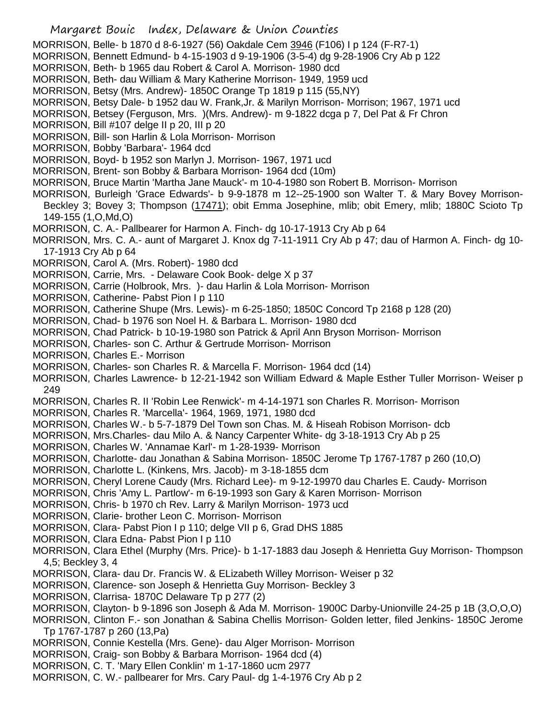- Margaret Bouic Index, Delaware & Union Counties
- MORRISON, Belle- b 1870 d 8-6-1927 (56) Oakdale Cem 3946 (F106) I p 124 (F-R7-1)
- MORRISON, Bennett Edmund- b 4-15-1903 d 9-19-1906 (3-5-4) dg 9-28-1906 Cry Ab p 122
- MORRISON, Beth- b 1965 dau Robert & Carol A. Morrison- 1980 dcd
- MORRISON, Beth- dau William & Mary Katherine Morrison- 1949, 1959 ucd
- MORRISON, Betsy (Mrs. Andrew)- 1850C Orange Tp 1819 p 115 (55,NY)
- MORRISON, Betsy Dale- b 1952 dau W. Frank,Jr. & Marilyn Morrison- Morrison; 1967, 1971 ucd
- MORRISON, Betsey (Ferguson, Mrs. )(Mrs. Andrew)- m 9-1822 dcga p 7, Del Pat & Fr Chron
- MORRISON, Bill #107 delge II p 20, III p 20
- MORRISON, Bill- son Harlin & Lola Morrison- Morrison
- MORRISON, Bobby 'Barbara'- 1964 dcd
- MORRISON, Boyd- b 1952 son Marlyn J. Morrison- 1967, 1971 ucd
- MORRISON, Brent- son Bobby & Barbara Morrison- 1964 dcd (10m)
- MORRISON, Bruce Martin 'Martha Jane Mauck'- m 10-4-1980 son Robert B. Morrison- Morrison
- MORRISON, Burleigh 'Grace Edwards'- b 9-9-1878 m 12--25-1900 son Walter T. & Mary Bovey Morrison-Beckley 3; Bovey 3; Thompson (17471); obit Emma Josephine, mlib; obit Emery, mlib; 1880C Scioto Tp 149-155 (1,O,Md,O)
- MORRISON, C. A.- Pallbearer for Harmon A. Finch- dg 10-17-1913 Cry Ab p 64
- MORRISON, Mrs. C. A.- aunt of Margaret J. Knox dg 7-11-1911 Cry Ab p 47; dau of Harmon A. Finch- dg 10- 17-1913 Cry Ab p 64
- MORRISON, Carol A. (Mrs. Robert)- 1980 dcd
- MORRISON, Carrie, Mrs. Delaware Cook Book- delge X p 37
- MORRISON, Carrie (Holbrook, Mrs. )- dau Harlin & Lola Morrison- Morrison
- MORRISON, Catherine- Pabst Pion I p 110
- MORRISON, Catherine Shupe (Mrs. Lewis)- m 6-25-1850; 1850C Concord Tp 2168 p 128 (20)
- MORRISON, Chad- b 1976 son Noel H. & Barbara L. Morrison- 1980 dcd
- MORRISON, Chad Patrick- b 10-19-1980 son Patrick & April Ann Bryson Morrison- Morrison
- MORRISON, Charles- son C. Arthur & Gertrude Morrison- Morrison
- MORRISON, Charles E.- Morrison
- MORRISON, Charles- son Charles R. & Marcella F. Morrison- 1964 dcd (14)
- MORRISON, Charles Lawrence- b 12-21-1942 son William Edward & Maple Esther Tuller Morrison- Weiser p 249
- MORRISON, Charles R. II 'Robin Lee Renwick'- m 4-14-1971 son Charles R. Morrison- Morrison
- MORRISON, Charles R. 'Marcella'- 1964, 1969, 1971, 1980 dcd
- MORRISON, Charles W.- b 5-7-1879 Del Town son Chas. M. & Hiseah Robison Morrison- dcb
- MORRISON, Mrs.Charles- dau Milo A. & Nancy Carpenter White- dg 3-18-1913 Cry Ab p 25
- MORRISON, Charles W. 'Annamae Karl'- m 1-28-1939- Morrison
- MORRISON, Charlotte- dau Jonathan & Sabina Morrison- 1850C Jerome Tp 1767-1787 p 260 (10,O)
- MORRISON, Charlotte L. (Kinkens, Mrs. Jacob)- m 3-18-1855 dcm
- MORRISON, Cheryl Lorene Caudy (Mrs. Richard Lee)- m 9-12-19970 dau Charles E. Caudy- Morrison
- MORRISON, Chris 'Amy L. Partlow'- m 6-19-1993 son Gary & Karen Morrison- Morrison
- MORRISON, Chris- b 1970 ch Rev. Larry & Marilyn Morrison- 1973 ucd
- MORRISON, Clarie- brother Leon C. Morrison- Morrison
- MORRISON, Clara- Pabst Pion I p 110; delge VII p 6, Grad DHS 1885
- MORRISON, Clara Edna- Pabst Pion I p 110
- MORRISON, Clara Ethel (Murphy (Mrs. Price)- b 1-17-1883 dau Joseph & Henrietta Guy Morrison- Thompson 4,5; Beckley 3, 4
- MORRISON, Clara- dau Dr. Francis W. & ELizabeth Willey Morrison- Weiser p 32
- MORRISON, Clarence- son Joseph & Henrietta Guy Morrison- Beckley 3
- MORRISON, Clarrisa- 1870C Delaware Tp p 277 (2)
- MORRISON, Clayton- b 9-1896 son Joseph & Ada M. Morrison- 1900C Darby-Unionville 24-25 p 1B (3,O,O,O)
- MORRISON, Clinton F.- son Jonathan & Sabina Chellis Morrison- Golden letter, filed Jenkins- 1850C Jerome Tp 1767-1787 p 260 (13,Pa)
- MORRISON, Connie Kestella (Mrs. Gene)- dau Alger Morrison- Morrison
- MORRISON, Craig- son Bobby & Barbara Morrison- 1964 dcd (4)
- MORRISON, C. T. 'Mary Ellen Conklin' m 1-17-1860 ucm 2977
- MORRISON, C. W.- pallbearer for Mrs. Cary Paul- dg 1-4-1976 Cry Ab p 2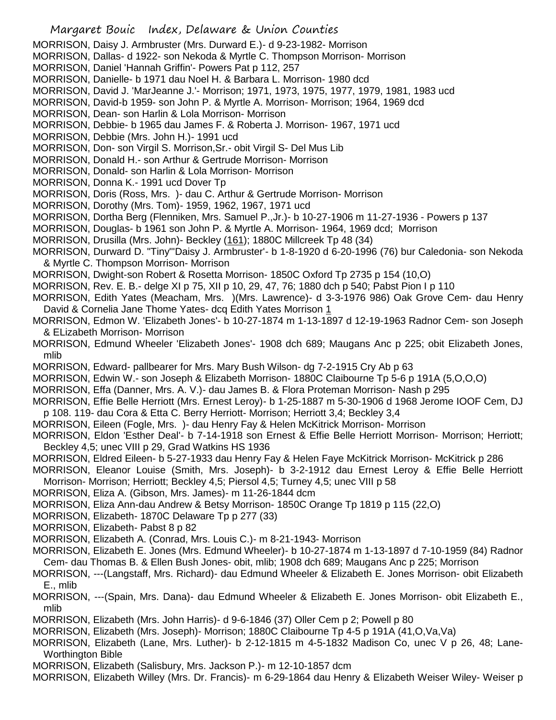MORRISON, Daisy J. Armbruster (Mrs. Durward E.)- d 9-23-1982- Morrison

MORRISON, Dallas- d 1922- son Nekoda & Myrtle C. Thompson Morrison- Morrison

- MORRISON, Daniel 'Hannah Griffin'- Powers Pat p 112, 257
- MORRISON, Danielle- b 1971 dau Noel H. & Barbara L. Morrison- 1980 dcd
- MORRISON, David J. 'MarJeanne J.'- Morrison; 1971, 1973, 1975, 1977, 1979, 1981, 1983 ucd
- MORRISON, David-b 1959- son John P. & Myrtle A. Morrison- Morrison; 1964, 1969 dcd
- MORRISON, Dean- son Harlin & Lola Morrison- Morrison
- MORRISON, Debbie- b 1965 dau James F. & Roberta J. Morrison- 1967, 1971 ucd
- MORRISON, Debbie (Mrs. John H.)- 1991 ucd
- MORRISON, Don- son Virgil S. Morrison,Sr.- obit Virgil S- Del Mus Lib
- MORRISON, Donald H.- son Arthur & Gertrude Morrison- Morrison
- MORRISON, Donald- son Harlin & Lola Morrison- Morrison
- MORRISON, Donna K.- 1991 ucd Dover Tp
- MORRISON, Doris (Ross, Mrs. )- dau C. Arthur & Gertrude Morrison- Morrison
- MORRISON, Dorothy (Mrs. Tom)- 1959, 1962, 1967, 1971 ucd
- MORRISON, Dortha Berg (Flenniken, Mrs. Samuel P.,Jr.)- b 10-27-1906 m 11-27-1936 Powers p 137
- MORRISON, Douglas- b 1961 son John P. & Myrtle A. Morrison- 1964, 1969 dcd; Morrison
- MORRISON, Drusilla (Mrs. John)- Beckley (161); 1880C Millcreek Tp 48 (34)
- MORRISON, Durward D. "Tiny"'Daisy J. Armbruster'- b 1-8-1920 d 6-20-1996 (76) bur Caledonia- son Nekoda & Myrtle C. Thompson Morrison- Morrison
- MORRISON, Dwight-son Robert & Rosetta Morrison- 1850C Oxford Tp 2735 p 154 (10,O)
- MORRISON, Rev. E. B.- delge XI p 75, XII p 10, 29, 47, 76; 1880 dch p 540; Pabst Pion I p 110
- MORRISON, Edith Yates (Meacham, Mrs. )(Mrs. Lawrence)- d 3-3-1976 986) Oak Grove Cem- dau Henry David & Cornelia Jane Thome Yates- dcq Edith Yates Morrison 1
- MORRISON, Edmon W. 'Elizabeth Jones'- b 10-27-1874 m 1-13-1897 d 12-19-1963 Radnor Cem- son Joseph & ELizabeth Morrison- Morrison
- MORRISON, Edmund Wheeler 'Elizabeth Jones'- 1908 dch 689; Maugans Anc p 225; obit Elizabeth Jones, mlib
- MORRISON, Edward- pallbearer for Mrs. Mary Bush Wilson- dg 7-2-1915 Cry Ab p 63
- MORRISON, Edwin W.- son Joseph & Elizabeth Morrison- 1880C Claibourne Tp 5-6 p 191A (5,O,O,O)
- MORRISON, Effa (Danner, Mrs. A. V.)- dau James B. & Flora Proteman Morrison- Nash p 295
- MORRISON, Effie Belle Herriott (Mrs. Ernest Leroy)- b 1-25-1887 m 5-30-1906 d 1968 Jerome IOOF Cem, DJ p 108. 119- dau Cora & Etta C. Berry Herriott- Morrison; Herriott 3,4; Beckley 3,4
- MORRISON, Eileen (Fogle, Mrs. )- dau Henry Fay & Helen McKitrick Morrison- Morrison
- MORRISON, Eldon 'Esther Deal'- b 7-14-1918 son Ernest & Effie Belle Herriott Morrison- Morrison; Herriott; Beckley 4,5; unec VIII p 29, Grad Watkins HS 1936
- MORRISON, Eldred Eileen- b 5-27-1933 dau Henry Fay & Helen Faye McKitrick Morrison- McKitrick p 286
- MORRISON, Eleanor Louise (Smith, Mrs. Joseph)- b 3-2-1912 dau Ernest Leroy & Effie Belle Herriott Morrison- Morrison; Herriott; Beckley 4,5; Piersol 4,5; Turney 4,5; unec VIII p 58
- MORRISON, Eliza A. (Gibson, Mrs. James)- m 11-26-1844 dcm
- MORRISON, Eliza Ann-dau Andrew & Betsy Morrison- 1850C Orange Tp 1819 p 115 (22,O)
- MORRISON, Elizabeth- 1870C Delaware Tp p 277 (33)
- MORRISON, Elizabeth- Pabst 8 p 82
- MORRISON, Elizabeth A. (Conrad, Mrs. Louis C.)- m 8-21-1943- Morrison
- MORRISON, Elizabeth E. Jones (Mrs. Edmund Wheeler)- b 10-27-1874 m 1-13-1897 d 7-10-1959 (84) Radnor Cem- dau Thomas B. & Ellen Bush Jones- obit, mlib; 1908 dch 689; Maugans Anc p 225; Morrison
- MORRISON, ---(Langstaff, Mrs. Richard)- dau Edmund Wheeler & Elizabeth E. Jones Morrison- obit Elizabeth E., mlib
- MORRISON, ---(Spain, Mrs. Dana)- dau Edmund Wheeler & Elizabeth E. Jones Morrison- obit Elizabeth E., mlib
- MORRISON, Elizabeth (Mrs. John Harris)- d 9-6-1846 (37) Oller Cem p 2; Powell p 80
- MORRISON, Elizabeth (Mrs. Joseph)- Morrison; 1880C Claibourne Tp 4-5 p 191A (41,O,Va,Va)
- MORRISON, Elizabeth (Lane, Mrs. Luther)- b 2-12-1815 m 4-5-1832 Madison Co, unec V p 26, 48; Lane-Worthington Bible
- MORRISON, Elizabeth (Salisbury, Mrs. Jackson P.)- m 12-10-1857 dcm
- MORRISON, Elizabeth Willey (Mrs. Dr. Francis)- m 6-29-1864 dau Henry & Elizabeth Weiser Wiley- Weiser p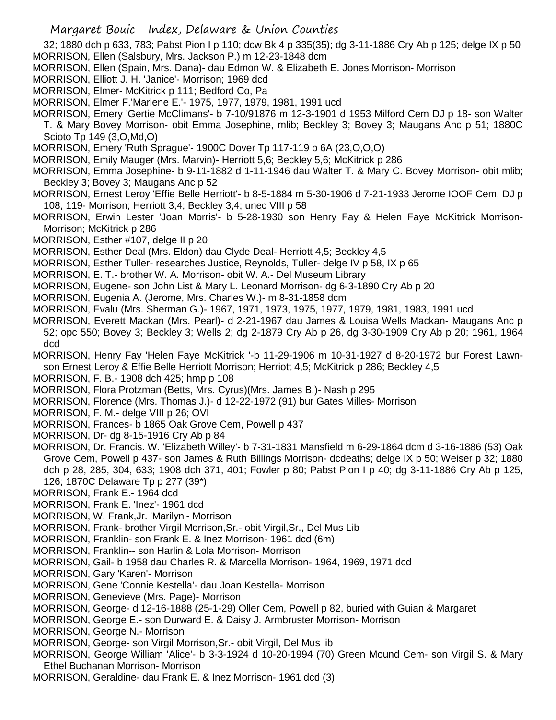32; 1880 dch p 633, 783; Pabst Pion I p 110; dcw Bk 4 p 335(35); dg 3-11-1886 Cry Ab p 125; delge IX p 50 MORRISON, Ellen (Salsbury, Mrs. Jackson P.) m 12-23-1848 dcm

- MORRISON, Ellen (Spain, Mrs. Dana)- dau Edmon W. & Elizabeth E. Jones Morrison- Morrison
- MORRISON, Elliott J. H. 'Janice'- Morrison; 1969 dcd
- MORRISON, Elmer- McKitrick p 111; Bedford Co, Pa
- MORRISON, Elmer F.'Marlene E.'- 1975, 1977, 1979, 1981, 1991 ucd
- MORRISON, Emery 'Gertie McClimans'- b 7-10/91876 m 12-3-1901 d 1953 Milford Cem DJ p 18- son Walter
- T. & Mary Bovey Morrison- obit Emma Josephine, mlib; Beckley 3; Bovey 3; Maugans Anc p 51; 1880C Scioto Tp 149 (3,O,Md,O)
- MORRISON, Emery 'Ruth Sprague'- 1900C Dover Tp 117-119 p 6A (23,O,O,O)
- MORRISON, Emily Mauger (Mrs. Marvin)- Herriott 5,6; Beckley 5,6; McKitrick p 286
- MORRISON, Emma Josephine- b 9-11-1882 d 1-11-1946 dau Walter T. & Mary C. Bovey Morrison- obit mlib; Beckley 3; Bovey 3; Maugans Anc p 52
- MORRISON, Ernest Leroy 'Effie Belle Herriott'- b 8-5-1884 m 5-30-1906 d 7-21-1933 Jerome IOOF Cem, DJ p 108, 119- Morrison; Herriott 3,4; Beckley 3,4; unec VIII p 58
- MORRISON, Erwin Lester 'Joan Morris'- b 5-28-1930 son Henry Fay & Helen Faye McKitrick Morrison-Morrison; McKitrick p 286
- MORRISON, Esther #107, delge II p 20
- MORRISON, Esther Deal (Mrs. Eldon) dau Clyde Deal- Herriott 4,5; Beckley 4,5
- MORRISON, Esther Tuller- researches Justice, Reynolds, Tuller- delge IV p 58, IX p 65
- MORRISON, E. T.- brother W. A. Morrison- obit W. A.- Del Museum Library
- MORRISON, Eugene- son John List & Mary L. Leonard Morrison- dg 6-3-1890 Cry Ab p 20
- MORRISON, Eugenia A. (Jerome, Mrs. Charles W.)- m 8-31-1858 dcm
- MORRISON, Evalu (Mrs. Sherman G.)- 1967, 1971, 1973, 1975, 1977, 1979, 1981, 1983, 1991 ucd
- MORRISON, Everett Mackan (Mrs. Pearl)- d 2-21-1967 dau James & Louisa Wells Mackan- Maugans Anc p 52; opc 550; Bovey 3; Beckley 3; Wells 2; dg 2-1879 Cry Ab p 26, dg 3-30-1909 Cry Ab p 20; 1961, 1964 dcd
- MORRISON, Henry Fay 'Helen Faye McKitrick '-b 11-29-1906 m 10-31-1927 d 8-20-1972 bur Forest Lawnson Ernest Leroy & Effie Belle Herriott Morrison; Herriott 4,5; McKitrick p 286; Beckley 4,5
- MORRISON, F. B.- 1908 dch 425; hmp p 108
- MORRISON, Flora Protzman (Betts, Mrs. Cyrus)(Mrs. James B.)- Nash p 295
- MORRISON, Florence (Mrs. Thomas J.)- d 12-22-1972 (91) bur Gates Milles- Morrison
- MORRISON, F. M.- delge VIII p 26; OVI
- MORRISON, Frances- b 1865 Oak Grove Cem, Powell p 437
- MORRISON, Dr- dg 8-15-1916 Cry Ab p 84
- MORRISON, Dr. Francis. W. 'Elizabeth Willey'- b 7-31-1831 Mansfield m 6-29-1864 dcm d 3-16-1886 (53) Oak Grove Cem, Powell p 437- son James & Ruth Billings Morrison- dcdeaths; delge IX p 50; Weiser p 32; 1880 dch p 28, 285, 304, 633; 1908 dch 371, 401; Fowler p 80; Pabst Pion I p 40; dg 3-11-1886 Cry Ab p 125, 126; 1870C Delaware Tp p 277 (39\*)
- MORRISON, Frank E.- 1964 dcd
- MORRISON, Frank E. 'Inez'- 1961 dcd
- MORRISON, W. Frank,Jr. 'Marilyn'- Morrison
- MORRISON, Frank- brother Virgil Morrison,Sr.- obit Virgil,Sr., Del Mus Lib
- MORRISON, Franklin- son Frank E. & Inez Morrison- 1961 dcd (6m)
- MORRISON, Franklin-- son Harlin & Lola Morrison- Morrison
- MORRISON, Gail- b 1958 dau Charles R. & Marcella Morrison- 1964, 1969, 1971 dcd
- MORRISON, Gary 'Karen'- Morrison
- MORRISON, Gene 'Connie Kestella'- dau Joan Kestella- Morrison
- MORRISON, Genevieve (Mrs. Page)- Morrison
- MORRISON, George- d 12-16-1888 (25-1-29) Oller Cem, Powell p 82, buried with Guian & Margaret
- MORRISON, George E.- son Durward E. & Daisy J. Armbruster Morrison- Morrison
- MORRISON, George N.- Morrison
- MORRISON, George- son Virgil Morrison,Sr.- obit Virgil, Del Mus lib
- MORRISON, George William 'Alice'- b 3-3-1924 d 10-20-1994 (70) Green Mound Cem- son Virgil S. & Mary Ethel Buchanan Morrison- Morrison
- MORRISON, Geraldine- dau Frank E. & Inez Morrison- 1961 dcd (3)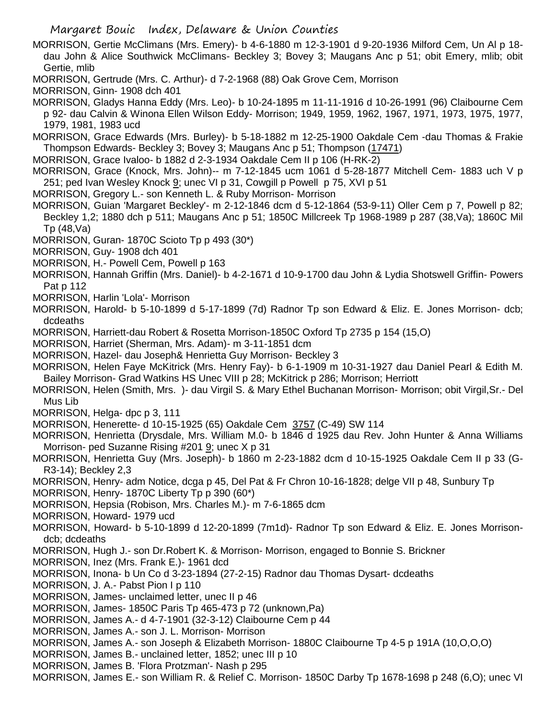MORRISON, Gertie McClimans (Mrs. Emery)- b 4-6-1880 m 12-3-1901 d 9-20-1936 Milford Cem, Un Al p 18 dau John & Alice Southwick McClimans- Beckley 3; Bovey 3; Maugans Anc p 51; obit Emery, mlib; obit Gertie, mlib

- MORRISON, Gertrude (Mrs. C. Arthur)- d 7-2-1968 (88) Oak Grove Cem, Morrison
- MORRISON, Ginn- 1908 dch 401

MORRISON, Gladys Hanna Eddy (Mrs. Leo)- b 10-24-1895 m 11-11-1916 d 10-26-1991 (96) Claibourne Cem p 92- dau Calvin & Winona Ellen Wilson Eddy- Morrison; 1949, 1959, 1962, 1967, 1971, 1973, 1975, 1977, 1979, 1981, 1983 ucd

MORRISON, Grace Edwards (Mrs. Burley)- b 5-18-1882 m 12-25-1900 Oakdale Cem -dau Thomas & Frakie Thompson Edwards- Beckley 3; Bovey 3; Maugans Anc p 51; Thompson (17471)

MORRISON, Grace Ivaloo- b 1882 d 2-3-1934 Oakdale Cem II p 106 (H-RK-2)

- MORRISON, Grace (Knock, Mrs. John)-- m 7-12-1845 ucm 1061 d 5-28-1877 Mitchell Cem- 1883 uch V p 251; ped Ivan Wesley Knock 9; unec VI p 31, Cowgill p Powell p 75, XVI p 51
- MORRISON, Gregory L.- son Kenneth L. & Ruby Morrison- Morrison

MORRISON, Guian 'Margaret Beckley'- m 2-12-1846 dcm d 5-12-1864 (53-9-11) Oller Cem p 7, Powell p 82; Beckley 1,2; 1880 dch p 511; Maugans Anc p 51; 1850C Millcreek Tp 1968-1989 p 287 (38,Va); 1860C Mil Tp (48,Va)

- MORRISON, Guran- 1870C Scioto Tp p 493 (30\*)
- MORRISON, Guy- 1908 dch 401
- MORRISON, H.- Powell Cem, Powell p 163
- MORRISON, Hannah Griffin (Mrs. Daniel)- b 4-2-1671 d 10-9-1700 dau John & Lydia Shotswell Griffin- Powers Pat p 112
- MORRISON, Harlin 'Lola'- Morrison
- MORRISON, Harold- b 5-10-1899 d 5-17-1899 (7d) Radnor Tp son Edward & Eliz. E. Jones Morrison- dcb; dcdeaths
- MORRISON, Harriett-dau Robert & Rosetta Morrison-1850C Oxford Tp 2735 p 154 (15,O)
- MORRISON, Harriet (Sherman, Mrs. Adam)- m 3-11-1851 dcm
- MORRISON, Hazel- dau Joseph& Henrietta Guy Morrison- Beckley 3

MORRISON, Helen Faye McKitrick (Mrs. Henry Fay)- b 6-1-1909 m 10-31-1927 dau Daniel Pearl & Edith M. Bailey Morrison- Grad Watkins HS Unec VIII p 28; McKitrick p 286; Morrison; Herriott

- MORRISON, Helen (Smith, Mrs. )- dau Virgil S. & Mary Ethel Buchanan Morrison- Morrison; obit Virgil,Sr.- Del Mus Lib
- MORRISON, Helga- dpc p 3, 111
- MORRISON, Henerette- d 10-15-1925 (65) Oakdale Cem 3757 (C-49) SW 114
- MORRISON, Henrietta (Drysdale, Mrs. William M.0- b 1846 d 1925 dau Rev. John Hunter & Anna Williams Morrison- ped Suzanne Rising #201 9; unec X p 31
- MORRISON, Henrietta Guy (Mrs. Joseph)- b 1860 m 2-23-1882 dcm d 10-15-1925 Oakdale Cem II p 33 (G-R3-14); Beckley 2,3
- MORRISON, Henry- adm Notice, dcga p 45, Del Pat & Fr Chron 10-16-1828; delge VII p 48, Sunbury Tp
- MORRISON, Henry- 1870C Liberty Tp p 390 (60\*)
- MORRISON, Hepsia (Robison, Mrs. Charles M.)- m 7-6-1865 dcm
- MORRISON, Howard- 1979 ucd
- MORRISON, Howard- b 5-10-1899 d 12-20-1899 (7m1d)- Radnor Tp son Edward & Eliz. E. Jones Morrisondcb; dcdeaths
- MORRISON, Hugh J.- son Dr.Robert K. & Morrison- Morrison, engaged to Bonnie S. Brickner
- MORRISON, Inez (Mrs. Frank E.)- 1961 dcd
- MORRISON, Inona- b Un Co d 3-23-1894 (27-2-15) Radnor dau Thomas Dysart- dcdeaths
- MORRISON, J. A.- Pabst Pion I p 110
- MORRISON, James- unclaimed letter, unec II p 46
- MORRISON, James- 1850C Paris Tp 465-473 p 72 (unknown,Pa)
- MORRISON, James A.- d 4-7-1901 (32-3-12) Claibourne Cem p 44
- MORRISON, James A.- son J. L. Morrison- Morrison
- MORRISON, James A.- son Joseph & Elizabeth Morrison- 1880C Claibourne Tp 4-5 p 191A (10,O,O,O)
- MORRISON, James B.- unclained letter, 1852; unec III p 10
- MORRISON, James B. 'Flora Protzman'- Nash p 295
- MORRISON, James E.- son William R. & Relief C. Morrison- 1850C Darby Tp 1678-1698 p 248 (6,O); unec VI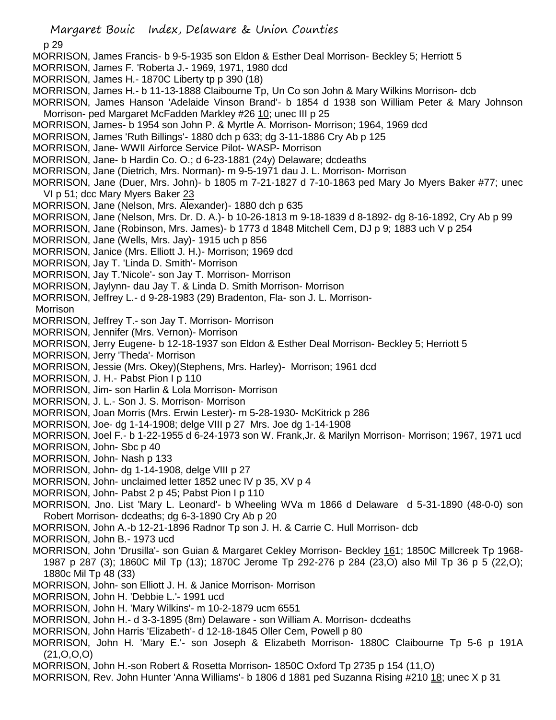p 29

- MORRISON, James Francis- b 9-5-1935 son Eldon & Esther Deal Morrison- Beckley 5; Herriott 5
- MORRISON, James F. 'Roberta J.- 1969, 1971, 1980 dcd
- MORRISON, James H.- 1870C Liberty tp p 390 (18)
- MORRISON, James H.- b 11-13-1888 Claibourne Tp, Un Co son John & Mary Wilkins Morrison- dcb
- MORRISON, James Hanson 'Adelaide Vinson Brand'- b 1854 d 1938 son William Peter & Mary Johnson Morrison- ped Margaret McFadden Markley #26 10; unec III p 25
- MORRISON, James- b 1954 son John P. & Myrtle A. Morrison- Morrison; 1964, 1969 dcd
- MORRISON, James 'Ruth Billings'- 1880 dch p 633; dg 3-11-1886 Cry Ab p 125
- MORRISON, Jane- WWII Airforce Service Pilot- WASP- Morrison
- MORRISON, Jane- b Hardin Co. O.; d 6-23-1881 (24y) Delaware; dcdeaths
- MORRISON, Jane (Dietrich, Mrs. Norman)- m 9-5-1971 dau J. L. Morrison- Morrison
- MORRISON, Jane (Duer, Mrs. John)- b 1805 m 7-21-1827 d 7-10-1863 ped Mary Jo Myers Baker #77; unec VI p 51; dcc Mary Myers Baker 23
- MORRISON, Jane (Nelson, Mrs. Alexander)- 1880 dch p 635
- MORRISON, Jane (Nelson, Mrs. Dr. D. A.)- b 10-26-1813 m 9-18-1839 d 8-1892- dg 8-16-1892, Cry Ab p 99
- MORRISON, Jane (Robinson, Mrs. James)- b 1773 d 1848 Mitchell Cem, DJ p 9; 1883 uch V p 254
- MORRISON, Jane (Wells, Mrs. Jay)- 1915 uch p 856
- MORRISON, Janice (Mrs. Elliott J. H.)- Morrison; 1969 dcd
- MORRISON, Jay T. 'Linda D. Smith'- Morrison
- MORRISON, Jay T.'Nicole'- son Jay T. Morrison- Morrison
- MORRISON, Jaylynn- dau Jay T. & Linda D. Smith Morrison- Morrison
- MORRISON, Jeffrey L.- d 9-28-1983 (29) Bradenton, Fla- son J. L. Morrison-

Morrison

- MORRISON, Jeffrey T.- son Jay T. Morrison- Morrison
- MORRISON, Jennifer (Mrs. Vernon)- Morrison
- MORRISON, Jerry Eugene- b 12-18-1937 son Eldon & Esther Deal Morrison- Beckley 5; Herriott 5
- MORRISON, Jerry 'Theda'- Morrison
- MORRISON, Jessie (Mrs. Okey)(Stephens, Mrs. Harley)- Morrison; 1961 dcd
- MORRISON, J. H.- Pabst Pion I p 110
- MORRISON, Jim- son Harlin & Lola Morrison- Morrison
- MORRISON, J. L.- Son J. S. Morrison- Morrison
- MORRISON, Joan Morris (Mrs. Erwin Lester)- m 5-28-1930- McKitrick p 286
- MORRISON, Joe- dg 1-14-1908; delge VIII p 27 Mrs. Joe dg 1-14-1908
- MORRISON, Joel F.- b 1-22-1955 d 6-24-1973 son W. Frank,Jr. & Marilyn Morrison- Morrison; 1967, 1971 ucd
- MORRISON, John- Sbc p 40
- MORRISON, John- Nash p 133
- MORRISON, John- dg 1-14-1908, delge VIII p 27
- MORRISON, John- unclaimed letter 1852 unec IV p 35, XV p 4
- MORRISON, John- Pabst 2 p 45; Pabst Pion I p 110
- MORRISON, Jno. List 'Mary L. Leonard'- b Wheeling WVa m 1866 d Delaware d 5-31-1890 (48-0-0) son Robert Morrison- dcdeaths; dg 6-3-1890 Cry Ab p 20
- MORRISON, John A.-b 12-21-1896 Radnor Tp son J. H. & Carrie C. Hull Morrison- dcb
- MORRISON, John B.- 1973 ucd
- MORRISON, John 'Drusilla'- son Guian & Margaret Cekley Morrison- Beckley 161; 1850C Millcreek Tp 1968- 1987 p 287 (3); 1860C Mil Tp (13); 1870C Jerome Tp 292-276 p 284 (23,O) also Mil Tp 36 p 5 (22,O); 1880c Mil Tp 48 (33)
- MORRISON, John- son Elliott J. H. & Janice Morrison- Morrison
- MORRISON, John H. 'Debbie L.'- 1991 ucd
- MORRISON, John H. 'Mary Wilkins'- m 10-2-1879 ucm 6551
- MORRISON, John H.- d 3-3-1895 (8m) Delaware son William A. Morrison- dcdeaths
- MORRISON, John Harris 'Elizabeth'- d 12-18-1845 Oller Cem, Powell p 80
- MORRISON, John H. 'Mary E.'- son Joseph & Elizabeth Morrison- 1880C Claibourne Tp 5-6 p 191A  $(21, 0, 0, 0)$
- MORRISON, John H.-son Robert & Rosetta Morrison- 1850C Oxford Tp 2735 p 154 (11,O)
- MORRISON, Rev. John Hunter 'Anna Williams'- b 1806 d 1881 ped Suzanna Rising #210 18; unec X p 31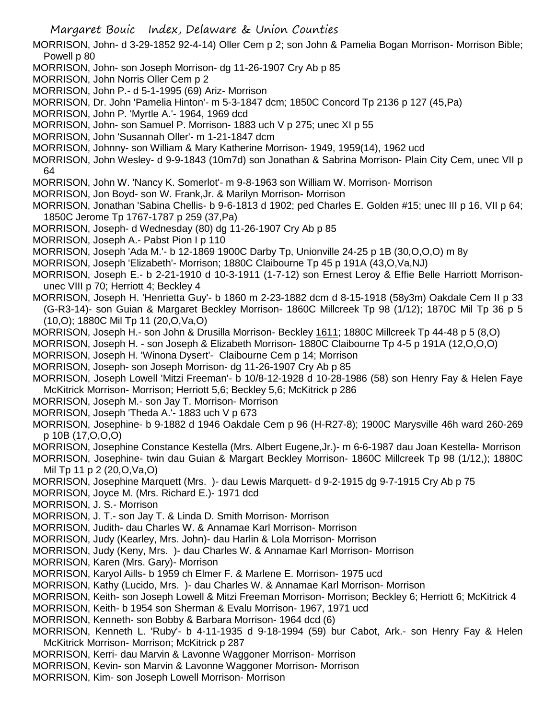- Margaret Bouic Index, Delaware & Union Counties
- MORRISON, John- d 3-29-1852 92-4-14) Oller Cem p 2; son John & Pamelia Bogan Morrison- Morrison Bible; Powell p 80
- MORRISON, John- son Joseph Morrison- dg 11-26-1907 Cry Ab p 85
- MORRISON, John Norris Oller Cem p 2
- MORRISON, John P.- d 5-1-1995 (69) Ariz- Morrison
- MORRISON, Dr. John 'Pamelia Hinton'- m 5-3-1847 dcm; 1850C Concord Tp 2136 p 127 (45,Pa)
- MORRISON, John P. 'Myrtle A.'- 1964, 1969 dcd
- MORRISON, John- son Samuel P. Morrison- 1883 uch V p 275; unec XI p 55
- MORRISON, John 'Susannah Oller'- m 1-21-1847 dcm
- MORRISON, Johnny- son William & Mary Katherine Morrison- 1949, 1959(14), 1962 ucd
- MORRISON, John Wesley- d 9-9-1843 (10m7d) son Jonathan & Sabrina Morrison- Plain City Cem, unec VII p 64
- MORRISON, John W. 'Nancy K. Somerlot'- m 9-8-1963 son William W. Morrison- Morrison
- MORRISON, Jon Boyd- son W. Frank,Jr. & Marilyn Morrison- Morrison
- MORRISON, Jonathan 'Sabina Chellis- b 9-6-1813 d 1902; ped Charles E. Golden #15; unec III p 16, VII p 64; 1850C Jerome Tp 1767-1787 p 259 (37,Pa)
- MORRISON, Joseph- d Wednesday (80) dg 11-26-1907 Cry Ab p 85
- MORRISON, Joseph A.- Pabst Pion I p 110
- MORRISON, Joseph 'Ada M.'- b 12-1869 1900C Darby Tp, Unionville 24-25 p 1B (30,O,O,O) m 8y
- MORRISON, Joseph 'Elizabeth'- Morrison; 1880C Claibourne Tp 45 p 191A (43,O,Va,NJ)
- MORRISON, Joseph E.- b 2-21-1910 d 10-3-1911 (1-7-12) son Ernest Leroy & Effie Belle Harriott Morrisonunec VIII p 70; Herriott 4; Beckley 4
- MORRISON, Joseph H. 'Henrietta Guy'- b 1860 m 2-23-1882 dcm d 8-15-1918 (58y3m) Oakdale Cem II p 33 (G-R3-14)- son Guian & Margaret Beckley Morrison- 1860C Millcreek Tp 98 (1/12); 1870C Mil Tp 36 p 5 (10,O); 1880C Mil Tp 11 (20,O,Va,O)
- MORRISON, Joseph H.- son John & Drusilla Morrison- Beckley 1611; 1880C Millcreek Tp 44-48 p 5 (8,O)
- MORRISON, Joseph H. son Joseph & Elizabeth Morrison- 1880C Claibourne Tp 4-5 p 191A (12,O,O,O)
- MORRISON, Joseph H. 'Winona Dysert'- Claibourne Cem p 14; Morrison
- MORRISON, Joseph- son Joseph Morrison- dg 11-26-1907 Cry Ab p 85
- MORRISON, Joseph Lowell 'Mitzi Freeman'- b 10/8-12-1928 d 10-28-1986 (58) son Henry Fay & Helen Faye McKitrick Morrison- Morrison; Herriott 5,6; Beckley 5,6; McKitrick p 286
- MORRISON, Joseph M.- son Jay T. Morrison- Morrison
- MORRISON, Joseph 'Theda A.'- 1883 uch V p 673
- MORRISON, Josephine- b 9-1882 d 1946 Oakdale Cem p 96 (H-R27-8); 1900C Marysville 46h ward 260-269 p 10B (17,O,O,O)
- MORRISON, Josephine Constance Kestella (Mrs. Albert Eugene,Jr.)- m 6-6-1987 dau Joan Kestella- Morrison
- MORRISON, Josephine- twin dau Guian & Margart Beckley Morrison- 1860C Millcreek Tp 98 (1/12,); 1880C Mil Tp 11 p 2 (20,O,Va,O)
- MORRISON, Josephine Marquett (Mrs. )- dau Lewis Marquett- d 9-2-1915 dg 9-7-1915 Cry Ab p 75
- MORRISON, Joyce M. (Mrs. Richard E.)- 1971 dcd
- MORRISON, J. S.- Morrison
- MORRISON, J. T.- son Jay T. & Linda D. Smith Morrison- Morrison
- MORRISON, Judith- dau Charles W. & Annamae Karl Morrison- Morrison
- MORRISON, Judy (Kearley, Mrs. John)- dau Harlin & Lola Morrison- Morrison
- MORRISON, Judy (Keny, Mrs. )- dau Charles W. & Annamae Karl Morrison- Morrison
- MORRISON, Karen (Mrs. Gary)- Morrison
- MORRISON, Karyol Aills- b 1959 ch Elmer F. & Marlene E. Morrison- 1975 ucd
- MORRISON, Kathy (Lucido, Mrs. )- dau Charles W. & Annamae Karl Morrison- Morrison
- MORRISON, Keith- son Joseph Lowell & Mitzi Freeman Morrison- Morrison; Beckley 6; Herriott 6; McKitrick 4
- MORRISON, Keith- b 1954 son Sherman & Evalu Morrison- 1967, 1971 ucd
- MORRISON, Kenneth- son Bobby & Barbara Morrison- 1964 dcd (6)
- MORRISON, Kenneth L. 'Ruby'- b 4-11-1935 d 9-18-1994 (59) bur Cabot, Ark.- son Henry Fay & Helen McKitrick Morrison- Morrison; McKitrick p 287
- MORRISON, Kerri- dau Marvin & Lavonne Waggoner Morrison- Morrison
- MORRISON, Kevin- son Marvin & Lavonne Waggoner Morrison- Morrison
- MORRISON, Kim- son Joseph Lowell Morrison- Morrison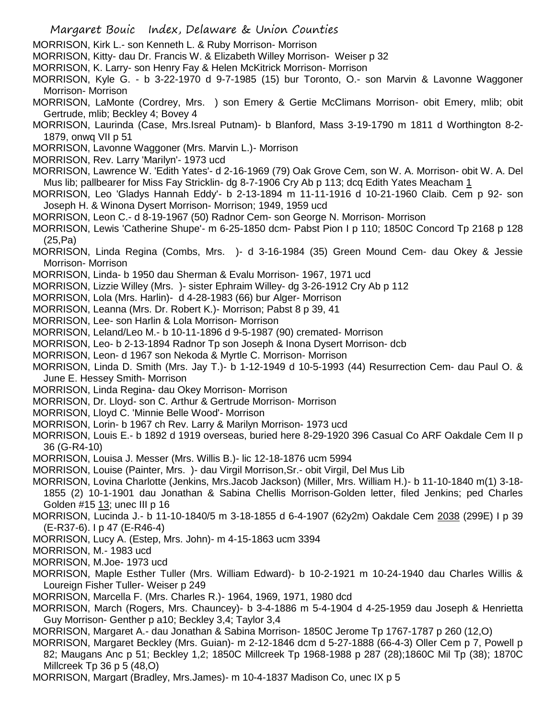- MORRISON, Kirk L.- son Kenneth L. & Ruby Morrison- Morrison
- MORRISON, Kitty- dau Dr. Francis W. & Elizabeth Willey Morrison- Weiser p 32
- MORRISON, K. Larry- son Henry Fay & Helen McKitrick Morrison- Morrison
- MORRISON, Kyle G. b 3-22-1970 d 9-7-1985 (15) bur Toronto, O.- son Marvin & Lavonne Waggoner Morrison- Morrison
- MORRISON, LaMonte (Cordrey, Mrs. ) son Emery & Gertie McClimans Morrison- obit Emery, mlib; obit Gertrude, mlib; Beckley 4; Bovey 4
- MORRISON, Laurinda (Case, Mrs.Isreal Putnam)- b Blanford, Mass 3-19-1790 m 1811 d Worthington 8-2- 1879, onwq VII p 51
- MORRISON, Lavonne Waggoner (Mrs. Marvin L.)- Morrison
- MORRISON, Rev. Larry 'Marilyn'- 1973 ucd
- MORRISON, Lawrence W. 'Edith Yates'- d 2-16-1969 (79) Oak Grove Cem, son W. A. Morrison- obit W. A. Del Mus lib; pallbearer for Miss Fay Stricklin- dg 8-7-1906 Cry Ab p 113; dcq Edith Yates Meacham 1
- MORRISON, Leo 'Gladys Hannah Eddy'- b 2-13-1894 m 11-11-1916 d 10-21-1960 Claib. Cem p 92- son Joseph H. & Winona Dysert Morrison- Morrison; 1949, 1959 ucd
- MORRISON, Leon C.- d 8-19-1967 (50) Radnor Cem- son George N. Morrison- Morrison
- MORRISON, Lewis 'Catherine Shupe'- m 6-25-1850 dcm- Pabst Pion I p 110; 1850C Concord Tp 2168 p 128 (25,Pa)
- MORRISON, Linda Regina (Combs, Mrs. )- d 3-16-1984 (35) Green Mound Cem- dau Okey & Jessie Morrison- Morrison
- MORRISON, Linda- b 1950 dau Sherman & Evalu Morrison- 1967, 1971 ucd
- MORRISON, Lizzie Willey (Mrs. )- sister Ephraim Willey- dg 3-26-1912 Cry Ab p 112
- MORRISON, Lola (Mrs. Harlin)- d 4-28-1983 (66) bur Alger- Morrison
- MORRISON, Leanna (Mrs. Dr. Robert K.)- Morrison; Pabst 8 p 39, 41
- MORRISON, Lee- son Harlin & Lola Morrison- Morrison
- MORRISON, Leland/Leo M.- b 10-11-1896 d 9-5-1987 (90) cremated- Morrison
- MORRISON, Leo- b 2-13-1894 Radnor Tp son Joseph & Inona Dysert Morrison- dcb
- MORRISON, Leon- d 1967 son Nekoda & Myrtle C. Morrison- Morrison
- MORRISON, Linda D. Smith (Mrs. Jay T.)- b 1-12-1949 d 10-5-1993 (44) Resurrection Cem- dau Paul O. & June E. Hessey Smith- Morrison
- MORRISON, Linda Regina- dau Okey Morrison- Morrison
- MORRISON, Dr. Lloyd- son C. Arthur & Gertrude Morrison- Morrison
- MORRISON, Lloyd C. 'Minnie Belle Wood'- Morrison
- MORRISON, Lorin- b 1967 ch Rev. Larry & Marilyn Morrison- 1973 ucd
- MORRISON, Louis E.- b 1892 d 1919 overseas, buried here 8-29-1920 396 Casual Co ARF Oakdale Cem II p 36 (G-R4-10)
- MORRISON, Louisa J. Messer (Mrs. Willis B.)- lic 12-18-1876 ucm 5994
- MORRISON, Louise (Painter, Mrs. )- dau Virgil Morrison,Sr.- obit Virgil, Del Mus Lib
- MORRISON, Lovina Charlotte (Jenkins, Mrs.Jacob Jackson) (Miller, Mrs. William H.)- b 11-10-1840 m(1) 3-18- 1855 (2) 10-1-1901 dau Jonathan & Sabina Chellis Morrison-Golden letter, filed Jenkins; ped Charles Golden #15 13; unec III p 16
- MORRISON, Lucinda J.- b 11-10-1840/5 m 3-18-1855 d 6-4-1907 (62y2m) Oakdale Cem 2038 (299E) I p 39 (E-R37-6). I p 47 (E-R46-4)
- MORRISON, Lucy A. (Estep, Mrs. John)- m 4-15-1863 ucm 3394
- MORRISON, M.- 1983 ucd
- MORRISON, M.Joe- 1973 ucd
- MORRISON, Maple Esther Tuller (Mrs. William Edward)- b 10-2-1921 m 10-24-1940 dau Charles Willis & Loureign Fisher Tuller- Weiser p 249
- MORRISON, Marcella F. (Mrs. Charles R.)- 1964, 1969, 1971, 1980 dcd
- MORRISON, March (Rogers, Mrs. Chauncey)- b 3-4-1886 m 5-4-1904 d 4-25-1959 dau Joseph & Henrietta Guy Morrison- Genther p a10; Beckley 3,4; Taylor 3,4
- MORRISON, Margaret A.- dau Jonathan & Sabina Morrison- 1850C Jerome Tp 1767-1787 p 260 (12,O)
- MORRISON, Margaret Beckley (Mrs. Guian)- m 2-12-1846 dcm d 5-27-1888 (66-4-3) Oller Cem p 7, Powell p 82; Maugans Anc p 51; Beckley 1,2; 1850C Millcreek Tp 1968-1988 p 287 (28);1860C Mil Tp (38); 1870C Millcreek Tp 36 p 5 (48,O)
- MORRISON, Margart (Bradley, Mrs.James)- m 10-4-1837 Madison Co, unec IX p 5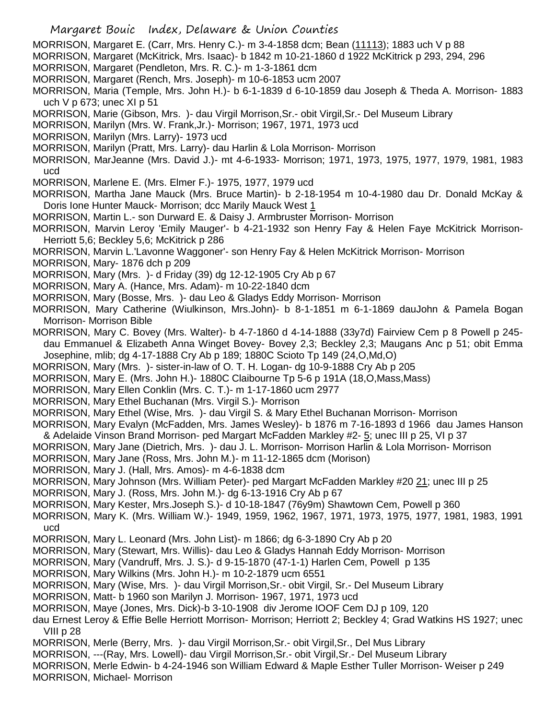- Margaret Bouic Index, Delaware & Union Counties
- MORRISON, Margaret E. (Carr, Mrs. Henry C.)- m 3-4-1858 dcm; Bean (11113); 1883 uch V p 88
- MORRISON, Margaret (McKitrick, Mrs. Isaac)- b 1842 m 10-21-1860 d 1922 McKitrick p 293, 294, 296
- MORRISON, Margaret (Pendleton, Mrs. R. C.)- m 1-3-1861 dcm
- MORRISON, Margaret (Rench, Mrs. Joseph)- m 10-6-1853 ucm 2007
- MORRISON, Maria (Temple, Mrs. John H.)- b 6-1-1839 d 6-10-1859 dau Joseph & Theda A. Morrison- 1883 uch V p 673; unec XI p 51
- MORRISON, Marie (Gibson, Mrs. )- dau Virgil Morrison,Sr.- obit Virgil,Sr.- Del Museum Library
- MORRISON, Marilyn (Mrs. W. Frank,Jr.)- Morrison; 1967, 1971, 1973 ucd
- MORRISON, Marilyn (Mrs. Larry)- 1973 ucd
- MORRISON, Marilyn (Pratt, Mrs. Larry)- dau Harlin & Lola Morrison- Morrison
- MORRISON, MarJeanne (Mrs. David J.)- mt 4-6-1933- Morrison; 1971, 1973, 1975, 1977, 1979, 1981, 1983 ucd
- MORRISON, Marlene E. (Mrs. Elmer F.)- 1975, 1977, 1979 ucd
- MORRISON, Martha Jane Mauck (Mrs. Bruce Martin)- b 2-18-1954 m 10-4-1980 dau Dr. Donald McKay & Doris Ione Hunter Mauck- Morrison; dcc Marily Mauck West 1
- MORRISON, Martin L.- son Durward E. & Daisy J. Armbruster Morrison- Morrison
- MORRISON, Marvin Leroy 'Emily Mauger'- b 4-21-1932 son Henry Fay & Helen Faye McKitrick Morrison-Herriott 5,6; Beckley 5,6; McKitrick p 286
- MORRISON, Marvin L.'Lavonne Waggoner'- son Henry Fay & Helen McKitrick Morrison- Morrison
- MORRISON, Mary- 1876 dch p 209
- MORRISON, Mary (Mrs. )- d Friday (39) dg 12-12-1905 Cry Ab p 67
- MORRISON, Mary A. (Hance, Mrs. Adam)- m 10-22-1840 dcm
- MORRISON, Mary (Bosse, Mrs. )- dau Leo & Gladys Eddy Morrison- Morrison
- MORRISON, Mary Catherine (Wiulkinson, Mrs.John)- b 8-1-1851 m 6-1-1869 dauJohn & Pamela Bogan Morrison- Morrison Bible
- MORRISON, Mary C. Bovey (Mrs. Walter)- b 4-7-1860 d 4-14-1888 (33y7d) Fairview Cem p 8 Powell p 245 dau Emmanuel & Elizabeth Anna Winget Bovey- Bovey 2,3; Beckley 2,3; Maugans Anc p 51; obit Emma Josephine, mlib; dg 4-17-1888 Cry Ab p 189; 1880C Scioto Tp 149 (24,O,Md,O)
- MORRISON, Mary (Mrs. )- sister-in-law of O. T. H. Logan- dg 10-9-1888 Cry Ab p 205
- MORRISON, Mary E. (Mrs. John H.)- 1880C Claibourne Tp 5-6 p 191A (18,O,Mass,Mass)
- MORRISON, Mary Ellen Conklin (Mrs. C. T.)- m 1-17-1860 ucm 2977
- MORRISON, Mary Ethel Buchanan (Mrs. Virgil S.)- Morrison
- MORRISON, Mary Ethel (Wise, Mrs. )- dau Virgil S. & Mary Ethel Buchanan Morrison- Morrison
- MORRISON, Mary Evalyn (McFadden, Mrs. James Wesley)- b 1876 m 7-16-1893 d 1966 dau James Hanson & Adelaide Vinson Brand Morrison- ped Margart McFadden Markley #2- 5; unec III p 25, VI p 37
- MORRISON, Mary Jane (Dietrich, Mrs. )- dau J. L. Morrison- Morrison Harlin & Lola Morrison- Morrison
- MORRISON, Mary Jane (Ross, Mrs. John M.)- m 11-12-1865 dcm (Morison)
- MORRISON, Mary J. (Hall, Mrs. Amos)- m 4-6-1838 dcm
- MORRISON, Mary Johnson (Mrs. William Peter)- ped Margart McFadden Markley #20 21; unec III p 25
- MORRISON, Mary J. (Ross, Mrs. John M.)- dg 6-13-1916 Cry Ab p 67
- MORRISON, Mary Kester, Mrs.Joseph S.)- d 10-18-1847 (76y9m) Shawtown Cem, Powell p 360
- MORRISON, Mary K. (Mrs. William W.)- 1949, 1959, 1962, 1967, 1971, 1973, 1975, 1977, 1981, 1983, 1991 ucd
- MORRISON, Mary L. Leonard (Mrs. John List)- m 1866; dg 6-3-1890 Cry Ab p 20
- MORRISON, Mary (Stewart, Mrs. Willis)- dau Leo & Gladys Hannah Eddy Morrison- Morrison
- MORRISON, Mary (Vandruff, Mrs. J. S.)- d 9-15-1870 (47-1-1) Harlen Cem, Powell p 135
- MORRISON, Mary Wilkins (Mrs. John H.)- m 10-2-1879 ucm 6551
- MORRISON, Mary (Wise, Mrs. )- dau Virgil Morrison,Sr.- obit Virgil, Sr.- Del Museum Library
- MORRISON, Matt- b 1960 son Marilyn J. Morrison- 1967, 1971, 1973 ucd
- MORRISON, Maye (Jones, Mrs. Dick)-b 3-10-1908 div Jerome IOOF Cem DJ p 109, 120
- dau Ernest Leroy & Effie Belle Herriott Morrison- Morrison; Herriott 2; Beckley 4; Grad Watkins HS 1927; unec VIII p 28
- MORRISON, Merle (Berry, Mrs. )- dau Virgil Morrison,Sr.- obit Virgil,Sr., Del Mus Library
- MORRISON, ---(Ray, Mrs. Lowell)- dau Virgil Morrison,Sr.- obit Virgil,Sr.- Del Museum Library
- MORRISON, Merle Edwin- b 4-24-1946 son William Edward & Maple Esther Tuller Morrison- Weiser p 249 MORRISON, Michael- Morrison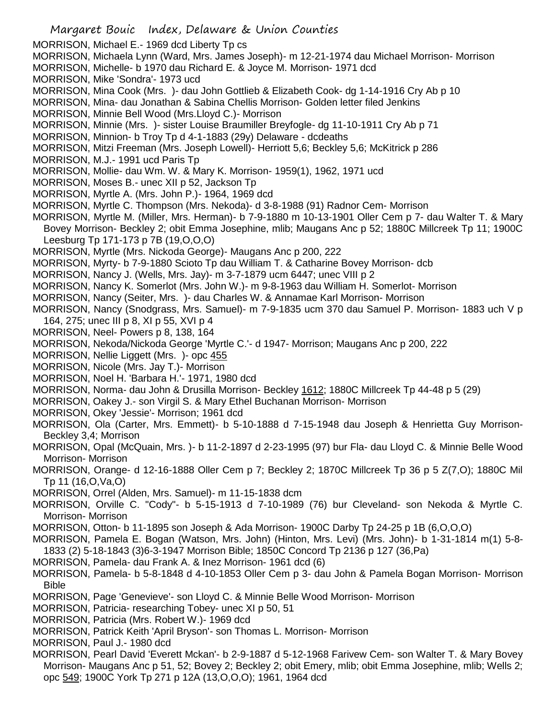Margaret Bouic Index, Delaware & Union Counties MORRISON, Michael E.- 1969 dcd Liberty Tp cs MORRISON, Michaela Lynn (Ward, Mrs. James Joseph)- m 12-21-1974 dau Michael Morrison- Morrison MORRISON, Michelle- b 1970 dau Richard E. & Joyce M. Morrison- 1971 dcd MORRISON, Mike 'Sondra'- 1973 ucd MORRISON, Mina Cook (Mrs. )- dau John Gottlieb & Elizabeth Cook- dg 1-14-1916 Cry Ab p 10 MORRISON, Mina- dau Jonathan & Sabina Chellis Morrison- Golden letter filed Jenkins MORRISON, Minnie Bell Wood (Mrs.Lloyd C.)- Morrison MORRISON, Minnie (Mrs. )- sister Louise Braumiller Breyfogle- dg 11-10-1911 Cry Ab p 71 MORRISON, Minnion- b Troy Tp d 4-1-1883 (29y) Delaware - dcdeaths MORRISON, Mitzi Freeman (Mrs. Joseph Lowell)- Herriott 5,6; Beckley 5,6; McKitrick p 286 MORRISON, M.J.- 1991 ucd Paris Tp MORRISON, Mollie- dau Wm. W. & Mary K. Morrison- 1959(1), 1962, 1971 ucd MORRISON, Moses B.- unec XII p 52, Jackson Tp MORRISON, Myrtle A. (Mrs. John P.)- 1964, 1969 dcd MORRISON, Myrtle C. Thompson (Mrs. Nekoda)- d 3-8-1988 (91) Radnor Cem- Morrison MORRISON, Myrtle M. (Miller, Mrs. Herman)- b 7-9-1880 m 10-13-1901 Oller Cem p 7- dau Walter T. & Mary Bovey Morrison- Beckley 2; obit Emma Josephine, mlib; Maugans Anc p 52; 1880C Millcreek Tp 11; 1900C Leesburg Tp 171-173 p 7B (19,O,O,O) MORRISON, Myrtle (Mrs. Nickoda George)- Maugans Anc p 200, 222 MORRISON, Myrty- b 7-9-1880 Scioto Tp dau William T. & Catharine Bovey Morrison- dcb MORRISON, Nancy J. (Wells, Mrs. Jay)- m 3-7-1879 ucm 6447; unec VIII p 2 MORRISON, Nancy K. Somerlot (Mrs. John W.)- m 9-8-1963 dau William H. Somerlot- Morrison MORRISON, Nancy (Seiter, Mrs. )- dau Charles W. & Annamae Karl Morrison- Morrison MORRISON, Nancy (Snodgrass, Mrs. Samuel)- m 7-9-1835 ucm 370 dau Samuel P. Morrison- 1883 uch V p 164, 275; unec III p 8, XI p 55, XVI p 4 MORRISON, Neel- Powers p 8, 138, 164 MORRISON, Nekoda/Nickoda George 'Myrtle C.'- d 1947- Morrison; Maugans Anc p 200, 222 MORRISON, Nellie Liggett (Mrs.) - opc 455 MORRISON, Nicole (Mrs. Jay T.)- Morrison MORRISON, Noel H. 'Barbara H.'- 1971, 1980 dcd MORRISON, Norma- dau John & Drusilla Morrison- Beckley 1612; 1880C Millcreek Tp 44-48 p 5 (29) MORRISON, Oakey J.- son Virgil S. & Mary Ethel Buchanan Morrison- Morrison MORRISON, Okey 'Jessie'- Morrison; 1961 dcd MORRISON, Ola (Carter, Mrs. Emmett)- b 5-10-1888 d 7-15-1948 dau Joseph & Henrietta Guy Morrison-Beckley 3,4; Morrison MORRISON, Opal (McQuain, Mrs. )- b 11-2-1897 d 2-23-1995 (97) bur Fla- dau Lloyd C. & Minnie Belle Wood Morrison- Morrison MORRISON, Orange- d 12-16-1888 Oller Cem p 7; Beckley 2; 1870C Millcreek Tp 36 p 5 Z(7,O); 1880C Mil Tp 11 (16,O,Va,O) MORRISON, Orrel (Alden, Mrs. Samuel)- m 11-15-1838 dcm MORRISON, Orville C. "Cody"- b 5-15-1913 d 7-10-1989 (76) bur Cleveland- son Nekoda & Myrtle C. Morrison- Morrison MORRISON, Otton- b 11-1895 son Joseph & Ada Morrison- 1900C Darby Tp 24-25 p 1B (6,O,O,O) MORRISON, Pamela E. Bogan (Watson, Mrs. John) (Hinton, Mrs. Levi) (Mrs. John)- b 1-31-1814 m(1) 5-8- 1833 (2) 5-18-1843 (3)6-3-1947 Morrison Bible; 1850C Concord Tp 2136 p 127 (36,Pa) MORRISON, Pamela- dau Frank A. & Inez Morrison- 1961 dcd (6) MORRISON, Pamela- b 5-8-1848 d 4-10-1853 Oller Cem p 3- dau John & Pamela Bogan Morrison- Morrison Bible MORRISON, Page 'Genevieve'- son Lloyd C. & Minnie Belle Wood Morrison- Morrison MORRISON, Patricia- researching Tobey- unec XI p 50, 51 MORRISON, Patricia (Mrs. Robert W.)- 1969 dcd MORRISON, Patrick Keith 'April Bryson'- son Thomas L. Morrison- Morrison MORRISON, Paul J.- 1980 dcd MORRISON, Pearl David 'Everett Mckan'- b 2-9-1887 d 5-12-1968 Farivew Cem- son Walter T. & Mary Bovey Morrison- Maugans Anc p 51, 52; Bovey 2; Beckley 2; obit Emery, mlib; obit Emma Josephine, mlib; Wells 2; opc 549; 1900C York Tp 271 p 12A (13,O,O,O); 1961, 1964 dcd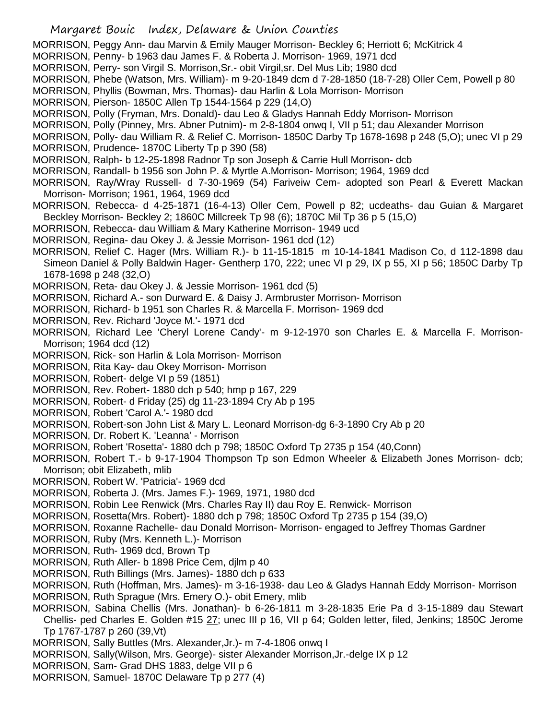- Margaret Bouic Index, Delaware & Union Counties
- MORRISON, Peggy Ann- dau Marvin & Emily Mauger Morrison- Beckley 6; Herriott 6; McKitrick 4
- MORRISON, Penny- b 1963 dau James F. & Roberta J. Morrison- 1969, 1971 dcd
- MORRISON, Perry- son Virgil S. Morrison,Sr.- obit Virgil,sr. Del Mus Lib; 1980 dcd
- MORRISON, Phebe (Watson, Mrs. William)- m 9-20-1849 dcm d 7-28-1850 (18-7-28) Oller Cem, Powell p 80
- MORRISON, Phyllis (Bowman, Mrs. Thomas)- dau Harlin & Lola Morrison- Morrison
- MORRISON, Pierson- 1850C Allen Tp 1544-1564 p 229 (14,O)
- MORRISON, Polly (Fryman, Mrs. Donald)- dau Leo & Gladys Hannah Eddy Morrison- Morrison
- MORRISON, Polly (Pinney, Mrs. Abner Putnim)- m 2-8-1804 onwq I, VII p 51; dau Alexander Morrison
- MORRISON, Polly- dau William R. & Relief C. Morrison- 1850C Darby Tp 1678-1698 p 248 (5,O); unec VI p 29
- MORRISON, Prudence- 1870C Liberty Tp p 390 (58)
- MORRISON, Ralph- b 12-25-1898 Radnor Tp son Joseph & Carrie Hull Morrison- dcb
- MORRISON, Randall- b 1956 son John P. & Myrtle A.Morrison- Morrison; 1964, 1969 dcd
- MORRISON, Ray/Wray Russell- d 7-30-1969 (54) Fariveiw Cem- adopted son Pearl & Everett Mackan Morrison- Morrison; 1961, 1964, 1969 dcd
- MORRISON, Rebecca- d 4-25-1871 (16-4-13) Oller Cem, Powell p 82; ucdeaths- dau Guian & Margaret Beckley Morrison- Beckley 2; 1860C Millcreek Tp 98 (6); 1870C Mil Tp 36 p 5 (15,O)
- MORRISON, Rebecca- dau William & Mary Katherine Morrison- 1949 ucd
- MORRISON, Regina- dau Okey J. & Jessie Morrison- 1961 dcd (12)
- MORRISON, Relief C. Hager (Mrs. William R.)- b 11-15-1815 m 10-14-1841 Madison Co, d 112-1898 dau Simeon Daniel & Polly Baldwin Hager- Gentherp 170, 222; unec VI p 29, IX p 55, XI p 56; 1850C Darby Tp 1678-1698 p 248 (32,O)
- MORRISON, Reta- dau Okey J. & Jessie Morrison- 1961 dcd (5)
- MORRISON, Richard A.- son Durward E. & Daisy J. Armbruster Morrison- Morrison
- MORRISON, Richard- b 1951 son Charles R. & Marcella F. Morrison- 1969 dcd
- MORRISON, Rev. Richard 'Joyce M.'- 1971 dcd
- MORRISON, Richard Lee 'Cheryl Lorene Candy'- m 9-12-1970 son Charles E. & Marcella F. Morrison-Morrison; 1964 dcd (12)
- MORRISON, Rick- son Harlin & Lola Morrison- Morrison
- MORRISON, Rita Kay- dau Okey Morrison- Morrison
- MORRISON, Robert- delge VI p 59 (1851)
- MORRISON, Rev. Robert- 1880 dch p 540; hmp p 167, 229
- MORRISON, Robert- d Friday (25) dg 11-23-1894 Cry Ab p 195
- MORRISON, Robert 'Carol A.'- 1980 dcd
- MORRISON, Robert-son John List & Mary L. Leonard Morrison-dg 6-3-1890 Cry Ab p 20
- MORRISON, Dr. Robert K. 'Leanna' Morrison
- MORRISON, Robert 'Rosetta'- 1880 dch p 798; 1850C Oxford Tp 2735 p 154 (40,Conn)
- MORRISON, Robert T.- b 9-17-1904 Thompson Tp son Edmon Wheeler & Elizabeth Jones Morrison- dcb; Morrison; obit Elizabeth, mlib
- MORRISON, Robert W. 'Patricia'- 1969 dcd
- MORRISON, Roberta J. (Mrs. James F.)- 1969, 1971, 1980 dcd
- MORRISON, Robin Lee Renwick (Mrs. Charles Ray II) dau Roy E. Renwick- Morrison
- MORRISON, Rosetta(Mrs. Robert)- 1880 dch p 798; 1850C Oxford Tp 2735 p 154 (39,O)
- MORRISON, Roxanne Rachelle- dau Donald Morrison- Morrison- engaged to Jeffrey Thomas Gardner
- MORRISON, Ruby (Mrs. Kenneth L.)- Morrison
- MORRISON, Ruth- 1969 dcd, Brown Tp
- MORRISON, Ruth Aller- b 1898 Price Cem, djlm p 40
- MORRISON, Ruth Billings (Mrs. James)- 1880 dch p 633
- MORRISON, Ruth (Hoffman, Mrs. James)- m 3-16-1938- dau Leo & Gladys Hannah Eddy Morrison- Morrison
- MORRISON, Ruth Sprague (Mrs. Emery O.)- obit Emery, mlib
- MORRISON, Sabina Chellis (Mrs. Jonathan)- b 6-26-1811 m 3-28-1835 Erie Pa d 3-15-1889 dau Stewart Chellis- ped Charles E. Golden #15 27; unec III p 16, VII p 64; Golden letter, filed, Jenkins; 1850C Jerome Tp 1767-1787 p 260 (39,Vt)
- MORRISON, Sally Buttles (Mrs. Alexander,Jr.)- m 7-4-1806 onwq I
- MORRISON, Sally(Wilson, Mrs. George)- sister Alexander Morrison,Jr.-delge IX p 12
- MORRISON, Sam- Grad DHS 1883, delge VII p 6
- MORRISON, Samuel- 1870C Delaware Tp p 277 (4)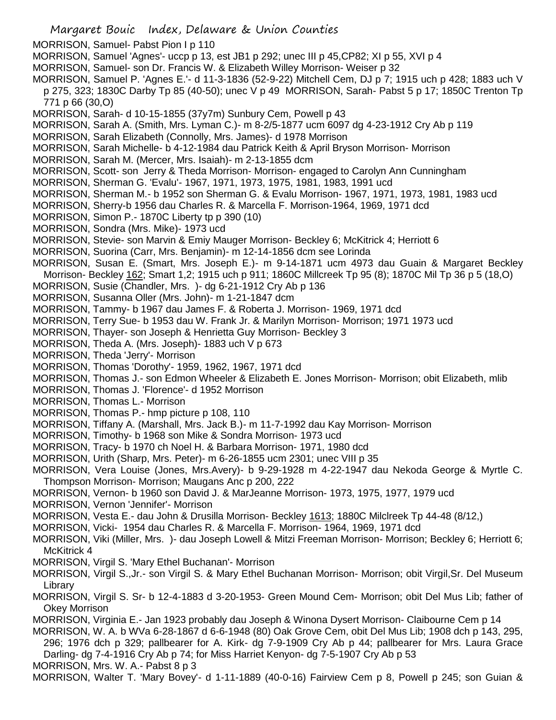- Margaret Bouic Index, Delaware & Union Counties MORRISON, Samuel- Pabst Pion I p 110 MORRISON, Samuel 'Agnes'- uccp p 13, est JB1 p 292; unec III p 45,CP82; XI p 55, XVI p 4 MORRISON, Samuel- son Dr. Francis W. & Elizabeth Willey Morrison- Weiser p 32 MORRISON, Samuel P. 'Agnes E.'- d 11-3-1836 (52-9-22) Mitchell Cem, DJ p 7; 1915 uch p 428; 1883 uch V p 275, 323; 1830C Darby Tp 85 (40-50); unec V p 49 MORRISON, Sarah- Pabst 5 p 17; 1850C Trenton Tp 771 p 66 (30,O) MORRISON, Sarah- d 10-15-1855 (37y7m) Sunbury Cem, Powell p 43 MORRISON, Sarah A. (Smith, Mrs. Lyman C.)- m 8-2/5-1877 ucm 6097 dg 4-23-1912 Cry Ab p 119 MORRISON, Sarah Elizabeth (Connolly, Mrs. James)- d 1978 Morrison MORRISON, Sarah Michelle- b 4-12-1984 dau Patrick Keith & April Bryson Morrison- Morrison MORRISON, Sarah M. (Mercer, Mrs. Isaiah)- m 2-13-1855 dcm MORRISON, Scott- son Jerry & Theda Morrison- Morrison- engaged to Carolyn Ann Cunningham MORRISON, Sherman G. 'Evalu'- 1967, 1971, 1973, 1975, 1981, 1983, 1991 ucd MORRISON, Sherman M.- b 1952 son Sherman G. & Evalu Morrison- 1967, 1971, 1973, 1981, 1983 ucd MORRISON, Sherry-b 1956 dau Charles R. & Marcella F. Morrison-1964, 1969, 1971 dcd MORRISON, Simon P.- 1870C Liberty tp p 390 (10) MORRISON, Sondra (Mrs. Mike)- 1973 ucd MORRISON, Stevie- son Marvin & Emiy Mauger Morrison- Beckley 6; McKitrick 4; Herriott 6 MORRISON, Suorina (Carr, Mrs. Benjamin)- m 12-14-1856 dcm see Lorinda MORRISON, Susan E. (Smart, Mrs. Joseph E.)- m 9-14-1871 ucm 4973 dau Guain & Margaret Beckley Morrison- Beckley 162; Smart 1,2; 1915 uch p 911; 1860C Millcreek Tp 95 (8); 1870C Mil Tp 36 p 5 (18,O) MORRISON, Susie (Chandler, Mrs. )- dg 6-21-1912 Cry Ab p 136 MORRISON, Susanna Oller (Mrs. John)- m 1-21-1847 dcm MORRISON, Tammy- b 1967 dau James F. & Roberta J. Morrison- 1969, 1971 dcd MORRISON, Terry Sue- b 1953 dau W. Frank Jr. & Marilyn Morrison- Morrison; 1971 1973 ucd MORRISON, Thayer- son Joseph & Henrietta Guy Morrison- Beckley 3 MORRISON, Theda A. (Mrs. Joseph)- 1883 uch V p 673 MORRISON, Theda 'Jerry'- Morrison MORRISON, Thomas 'Dorothy'- 1959, 1962, 1967, 1971 dcd MORRISON, Thomas J.- son Edmon Wheeler & Elizabeth E. Jones Morrison- Morrison; obit Elizabeth, mlib MORRISON, Thomas J. 'Florence'- d 1952 Morrison MORRISON, Thomas L.- Morrison MORRISON, Thomas P.- hmp picture p 108, 110 MORRISON, Tiffany A. (Marshall, Mrs. Jack B.)- m 11-7-1992 dau Kay Morrison- Morrison MORRISON, Timothy- b 1968 son Mike & Sondra Morrison- 1973 ucd MORRISON, Tracy- b 1970 ch Noel H. & Barbara Morrison- 1971, 1980 dcd MORRISON, Urith (Sharp, Mrs. Peter)- m 6-26-1855 ucm 2301; unec VIII p 35 MORRISON, Vera Louise (Jones, Mrs.Avery)- b 9-29-1928 m 4-22-1947 dau Nekoda George & Myrtle C. Thompson Morrison- Morrison; Maugans Anc p 200, 222 MORRISON, Vernon- b 1960 son David J. & MarJeanne Morrison- 1973, 1975, 1977, 1979 ucd MORRISON, Vernon 'Jennifer'- Morrison MORRISON, Vesta E.- dau John & Drusilla Morrison- Beckley 1613; 1880C Milclreek Tp 44-48 (8/12,) MORRISON, Vicki- 1954 dau Charles R. & Marcella F. Morrison- 1964, 1969, 1971 dcd MORRISON, Viki (Miller, Mrs. )- dau Joseph Lowell & Mitzi Freeman Morrison- Morrison; Beckley 6; Herriott 6; McKitrick 4 MORRISON, Virgil S. 'Mary Ethel Buchanan'- Morrison MORRISON, Virgil S.,Jr.- son Virgil S. & Mary Ethel Buchanan Morrison- Morrison; obit Virgil,Sr. Del Museum Library MORRISON, Virgil S. Sr- b 12-4-1883 d 3-20-1953- Green Mound Cem- Morrison; obit Del Mus Lib; father of Okey Morrison MORRISON, Virginia E.- Jan 1923 probably dau Joseph & Winona Dysert Morrison- Claibourne Cem p 14
- MORRISON, W. A. b WVa 6-28-1867 d 6-6-1948 (80) Oak Grove Cem, obit Del Mus Lib; 1908 dch p 143, 295, 296; 1976 dch p 329; pallbearer for A. Kirk- dg 7-9-1909 Cry Ab p 44; pallbearer for Mrs. Laura Grace Darling- dg 7-4-1916 Cry Ab p 74; for Miss Harriet Kenyon- dg 7-5-1907 Cry Ab p 53

MORRISON, Mrs. W. A.- Pabst 8 p 3

MORRISON, Walter T. 'Mary Bovey'- d 1-11-1889 (40-0-16) Fairview Cem p 8, Powell p 245; son Guian &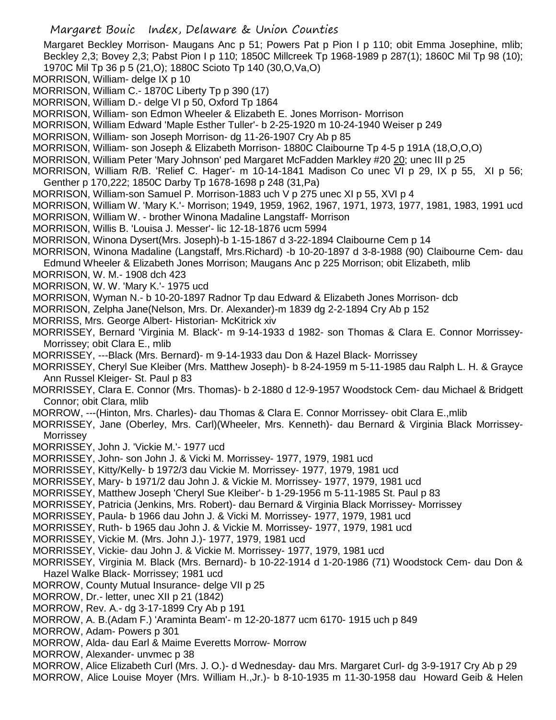- Margaret Bouic Index, Delaware & Union Counties Margaret Beckley Morrison- Maugans Anc p 51; Powers Pat p Pion I p 110; obit Emma Josephine, mlib; Beckley 2,3; Bovey 2,3; Pabst Pion I p 110; 1850C Millcreek Tp 1968-1989 p 287(1); 1860C Mil Tp 98 (10); 1970C Mil Tp 36 p 5 (21,O); 1880C Scioto Tp 140 (30,O,Va,O) MORRISON, William- delge IX p 10 MORRISON, William C.- 1870C Liberty Tp p 390 (17) MORRISON, William D.- delge VI p 50, Oxford Tp 1864 MORRISON, William- son Edmon Wheeler & Elizabeth E. Jones Morrison- Morrison MORRISON, William Edward 'Maple Esther Tuller'- b 2-25-1920 m 10-24-1940 Weiser p 249 MORRISON, William- son Joseph Morrison- dg 11-26-1907 Cry Ab p 85 MORRISON, William- son Joseph & Elizabeth Morrison- 1880C Claibourne Tp 4-5 p 191A (18,O,O,O) MORRISON, William Peter 'Mary Johnson' ped Margaret McFadden Markley #20 20; unec III p 25 MORRISON, William R/B. 'Relief C. Hager'- m 10-14-1841 Madison Co unec VI p 29, IX p 55, XI p 56; Genther p 170,222; 1850C Darby Tp 1678-1698 p 248 (31,Pa) MORRISON, William-son Samuel P. Morrison-1883 uch V p 275 unec XI p 55, XVI p 4 MORRISON, William W. 'Mary K.'- Morrison; 1949, 1959, 1962, 1967, 1971, 1973, 1977, 1981, 1983, 1991 ucd MORRISON, William W. - brother Winona Madaline Langstaff- Morrison MORRISON, Willis B. 'Louisa J. Messer'- lic 12-18-1876 ucm 5994 MORRISON, Winona Dysert(Mrs. Joseph)-b 1-15-1867 d 3-22-1894 Claibourne Cem p 14 MORRISON, Winona Madaline (Langstaff, Mrs.Richard) -b 10-20-1897 d 3-8-1988 (90) Claibourne Cem- dau Edmund Wheeler & Elizabeth Jones Morrison; Maugans Anc p 225 Morrison; obit Elizabeth, mlib MORRISON, W. M.- 1908 dch 423 MORRISON, W. W. 'Mary K.'- 1975 ucd MORRISON, Wyman N.- b 10-20-1897 Radnor Tp dau Edward & Elizabeth Jones Morrison- dcb MORRISON, Zelpha Jane(Nelson, Mrs. Dr. Alexander)-m 1839 dg 2-2-1894 Cry Ab p 152 MORRISS, Mrs. George Albert- Historian- McKitrick xiv MORRISSEY, Bernard 'Virginia M. Black'- m 9-14-1933 d 1982- son Thomas & Clara E. Connor Morrissey-Morrissey; obit Clara E., mlib MORRISSEY, ---Black (Mrs. Bernard)- m 9-14-1933 dau Don & Hazel Black- Morrissey MORRISSEY, Cheryl Sue Kleiber (Mrs. Matthew Joseph)- b 8-24-1959 m 5-11-1985 dau Ralph L. H. & Grayce Ann Russel Kleiger- St. Paul p 83 MORRISSEY, Clara E. Connor (Mrs. Thomas)- b 2-1880 d 12-9-1957 Woodstock Cem- dau Michael & Bridgett Connor; obit Clara, mlib MORROW, ---(Hinton, Mrs. Charles)- dau Thomas & Clara E. Connor Morrissey- obit Clara E.,mlib MORRISSEY, Jane (Oberley, Mrs. Carl)(Wheeler, Mrs. Kenneth)- dau Bernard & Virginia Black Morrissey-Morrissey MORRISSEY, John J. 'Vickie M.'- 1977 ucd MORRISSEY, John- son John J. & Vicki M. Morrissey- 1977, 1979, 1981 ucd MORRISSEY, Kitty/Kelly- b 1972/3 dau Vickie M. Morrissey- 1977, 1979, 1981 ucd MORRISSEY, Mary- b 1971/2 dau John J. & Vickie M. Morrissey- 1977, 1979, 1981 ucd MORRISSEY, Matthew Joseph 'Cheryl Sue Kleiber'- b 1-29-1956 m 5-11-1985 St. Paul p 83 MORRISSEY, Patricia (Jenkins, Mrs. Robert)- dau Bernard & Virginia Black Morrissey- Morrissey MORRISSEY, Paula- b 1966 dau John J. & Vicki M. Morrissey- 1977, 1979, 1981 ucd MORRISSEY, Ruth- b 1965 dau John J. & Vickie M. Morrissey- 1977, 1979, 1981 ucd MORRISSEY, Vickie M. (Mrs. John J.)- 1977, 1979, 1981 ucd MORRISSEY, Vickie- dau John J. & Vickie M. Morrissey- 1977, 1979, 1981 ucd MORRISSEY, Virginia M. Black (Mrs. Bernard)- b 10-22-1914 d 1-20-1986 (71) Woodstock Cem- dau Don & Hazel Walke Black- Morrissey; 1981 ucd MORROW, County Mutual Insurance- delge VII p 25 MORROW, Dr.- letter, unec XII p 21 (1842) MORROW, Rev. A.- dg 3-17-1899 Cry Ab p 191 MORROW, A. B.(Adam F.) 'Araminta Beam'- m 12-20-1877 ucm 6170- 1915 uch p 849 MORROW, Adam- Powers p 301 MORROW, Alda- dau Earl & Maime Everetts Morrow- Morrow MORROW, Alexander- unvmec p 38
- MORROW, Alice Elizabeth Curl (Mrs. J. O.)- d Wednesday- dau Mrs. Margaret Curl- dg 3-9-1917 Cry Ab p 29 MORROW, Alice Louise Moyer (Mrs. William H.,Jr.)- b 8-10-1935 m 11-30-1958 dau Howard Geib & Helen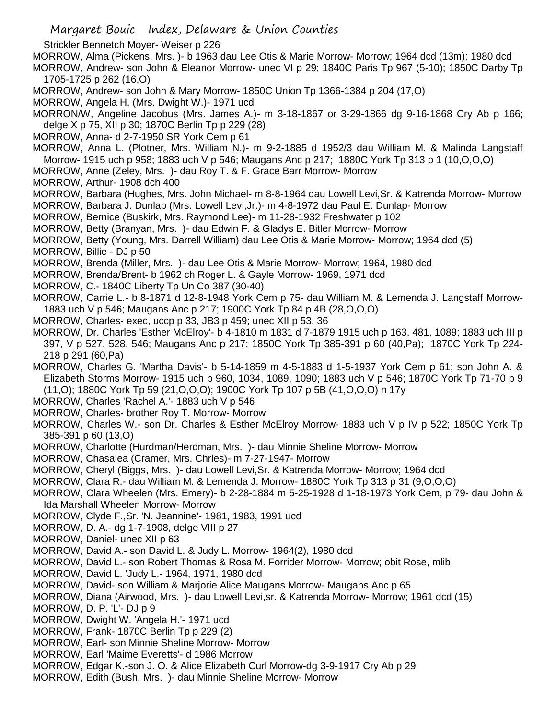Strickler Bennetch Moyer- Weiser p 226

MORROW, Alma (Pickens, Mrs. )- b 1963 dau Lee Otis & Marie Morrow- Morrow; 1964 dcd (13m); 1980 dcd MORROW, Andrew- son John & Eleanor Morrow- unec VI p 29; 1840C Paris Tp 967 (5-10); 1850C Darby Tp 1705-1725 p 262 (16,O)

MORROW, Andrew- son John & Mary Morrow- 1850C Union Tp 1366-1384 p 204 (17,O)

MORROW, Angela H. (Mrs. Dwight W.)- 1971 ucd

MORRON/W, Angeline Jacobus (Mrs. James A.)- m 3-18-1867 or 3-29-1866 dg 9-16-1868 Cry Ab p 166; delge X p 75, XII p 30; 1870C Berlin Tp p 229 (28)

MORROW, Anna- d 2-7-1950 SR York Cem p 61

MORROW, Anna L. (Plotner, Mrs. William N.)- m 9-2-1885 d 1952/3 dau William M. & Malinda Langstaff Morrow- 1915 uch p 958; 1883 uch V p 546; Maugans Anc p 217; 1880C York Tp 313 p 1 (10,O,O,O)

MORROW, Anne (Zeley, Mrs. )- dau Roy T. & F. Grace Barr Morrow- Morrow

MORROW, Arthur- 1908 dch 400

MORROW, Barbara (Hughes, Mrs. John Michael- m 8-8-1964 dau Lowell Levi,Sr. & Katrenda Morrow- Morrow MORROW, Barbara J. Dunlap (Mrs. Lowell Levi,Jr.)- m 4-8-1972 dau Paul E. Dunlap- Morrow

MORROW, Bernice (Buskirk, Mrs. Raymond Lee)- m 11-28-1932 Freshwater p 102

MORROW, Betty (Branyan, Mrs. )- dau Edwin F. & Gladys E. Bitler Morrow- Morrow

MORROW, Betty (Young, Mrs. Darrell William) dau Lee Otis & Marie Morrow- Morrow; 1964 dcd (5)

MORROW, Billie - DJ p 50

MORROW, Brenda (Miller, Mrs. )- dau Lee Otis & Marie Morrow- Morrow; 1964, 1980 dcd

MORROW, Brenda/Brent- b 1962 ch Roger L. & Gayle Morrow- 1969, 1971 dcd

MORROW, C.- 1840C Liberty Tp Un Co 387 (30-40)

MORROW, Carrie L.- b 8-1871 d 12-8-1948 York Cem p 75- dau William M. & Lemenda J. Langstaff Morrow-1883 uch V p 546; Maugans Anc p 217; 1900C York Tp 84 p 4B (28,O,O,O)

- MORROW, Charles- exec, uccp p 33, JB3 p 459; unec XII p 53, 36
- MORROW, Dr. Charles 'Esther McElroy'- b 4-1810 m 1831 d 7-1879 1915 uch p 163, 481, 1089; 1883 uch III p 397, V p 527, 528, 546; Maugans Anc p 217; 1850C York Tp 385-391 p 60 (40,Pa); 1870C York Tp 224- 218 p 291 (60,Pa)
- MORROW, Charles G. 'Martha Davis'- b 5-14-1859 m 4-5-1883 d 1-5-1937 York Cem p 61; son John A. & Elizabeth Storms Morrow- 1915 uch p 960, 1034, 1089, 1090; 1883 uch V p 546; 1870C York Tp 71-70 p 9 (11,O); 1880C York Tp 59 (21,O,O,O); 1900C York Tp 107 p 5B (41,O,O,O) n 17y
- MORROW, Charles 'Rachel A.'- 1883 uch V p 546
- MORROW, Charles- brother Roy T. Morrow- Morrow
- MORROW, Charles W.- son Dr. Charles & Esther McElroy Morrow- 1883 uch V p IV p 522; 1850C York Tp 385-391 p 60 (13,O)

MORROW, Charlotte (Hurdman/Herdman, Mrs. )- dau Minnie Sheline Morrow- Morrow

MORROW, Chasalea (Cramer, Mrs. Chrles)- m 7-27-1947- Morrow

MORROW, Cheryl (Biggs, Mrs. )- dau Lowell Levi,Sr. & Katrenda Morrow- Morrow; 1964 dcd

MORROW, Clara R.- dau William M. & Lemenda J. Morrow- 1880C York Tp 313 p 31 (9,O,O,O)

MORROW, Clara Wheelen (Mrs. Emery)- b 2-28-1884 m 5-25-1928 d 1-18-1973 York Cem, p 79- dau John & Ida Marshall Wheelen Morrow- Morrow

- MORROW, Clyde F.,Sr. 'N. Jeannine'- 1981, 1983, 1991 ucd
- MORROW, D. A.- dg 1-7-1908, delge VIII p 27
- MORROW, Daniel- unec XII p 63
- MORROW, David A.- son David L. & Judy L. Morrow- 1964(2), 1980 dcd
- MORROW, David L.- son Robert Thomas & Rosa M. Forrider Morrow- Morrow; obit Rose, mlib
- MORROW, David L. 'Judy L.- 1964, 1971, 1980 dcd

MORROW, David- son William & Marjorie Alice Maugans Morrow- Maugans Anc p 65

MORROW, Diana (Airwood, Mrs. )- dau Lowell Levi,sr. & Katrenda Morrow- Morrow; 1961 dcd (15)

MORROW, D. P. 'L'- DJ p 9

- MORROW, Dwight W. 'Angela H.'- 1971 ucd
- MORROW, Frank- 1870C Berlin Tp p 229 (2)
- MORROW, Earl- son Minnie Sheline Morrow- Morrow
- MORROW, Earl 'Maime Everetts'- d 1986 Morrow
- MORROW, Edgar K.-son J. O. & Alice Elizabeth Curl Morrow-dg 3-9-1917 Cry Ab p 29
- MORROW, Edith (Bush, Mrs. )- dau Minnie Sheline Morrow- Morrow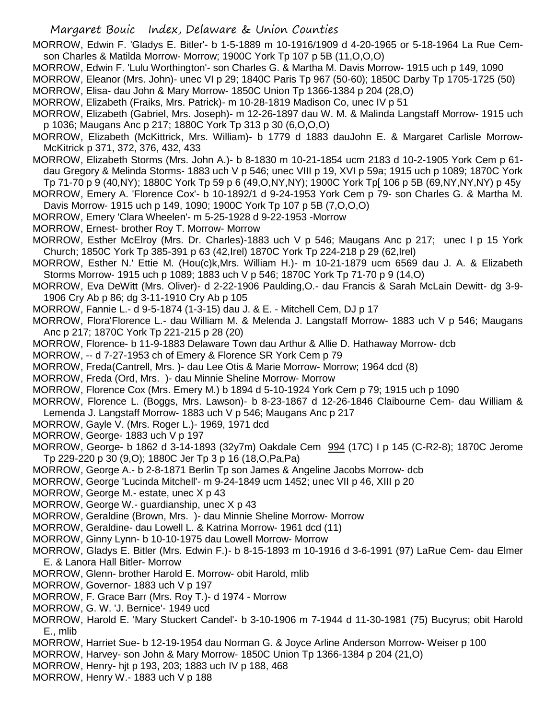MORROW, Edwin F. 'Gladys E. Bitler'- b 1-5-1889 m 10-1916/1909 d 4-20-1965 or 5-18-1964 La Rue Cemson Charles & Matilda Morrow- Morrow; 1900C York Tp 107 p 5B (11,O,O,O)

MORROW, Edwin F. 'Lulu Worthington'- son Charles G. & Martha M. Davis Morrow- 1915 uch p 149, 1090

MORROW, Eleanor (Mrs. John)- unec VI p 29; 1840C Paris Tp 967 (50-60); 1850C Darby Tp 1705-1725 (50)

- MORROW, Elisa- dau John & Mary Morrow- 1850C Union Tp 1366-1384 p 204 (28,O)
- MORROW, Elizabeth (Fraiks, Mrs. Patrick)- m 10-28-1819 Madison Co, unec IV p 51
- MORROW, Elizabeth (Gabriel, Mrs. Joseph)- m 12-26-1897 dau W. M. & Malinda Langstaff Morrow- 1915 uch p 1036; Maugans Anc p 217; 1880C York Tp 313 p 30 (6,O,O,O)
- MORROW, Elizabeth (McKittrick, Mrs. William)- b 1779 d 1883 dauJohn E. & Margaret Carlisle Morrow-McKitrick p 371, 372, 376, 432, 433
- MORROW, Elizabeth Storms (Mrs. John A.)- b 8-1830 m 10-21-1854 ucm 2183 d 10-2-1905 York Cem p 61 dau Gregory & Melinda Storms- 1883 uch V p 546; unec VIII p 19, XVI p 59a; 1915 uch p 1089; 1870C York
- Tp 71-70 p 9 (40,NY); 1880C York Tp 59 p 6 (49,O,NY,NY); 1900C York Tp[ 106 p 5B (69,NY,NY,NY) p 45y MORROW, Emery A. 'Florence Cox'- b 10-1892/1 d 9-24-1953 York Cem p 79- son Charles G. & Martha M. Davis Morrow- 1915 uch p 149, 1090; 1900C York Tp 107 p 5B (7,O,O,O)
- MORROW, Emery 'Clara Wheelen'- m 5-25-1928 d 9-22-1953 -Morrow
- MORROW, Ernest- brother Roy T. Morrow- Morrow
- MORROW, Esther McElroy (Mrs. Dr. Charles)-1883 uch V p 546; Maugans Anc p 217; unec I p 15 York Church; 1850C York Tp 385-391 p 63 (42,Irel) 1870C York Tp 224-218 p 29 (62,Irel)
- MORROW, Esther N.' Ettie M. (Hou(c)k,Mrs. William H.)- m 10-21-1879 ucm 6569 dau J. A. & Elizabeth Storms Morrow- 1915 uch p 1089; 1883 uch V p 546; 1870C York Tp 71-70 p 9 (14,O)
- MORROW, Eva DeWitt (Mrs. Oliver)- d 2-22-1906 Paulding,O.- dau Francis & Sarah McLain Dewitt- dg 3-9- 1906 Cry Ab p 86; dg 3-11-1910 Cry Ab p 105
- MORROW, Fannie L.- d 9-5-1874 (1-3-15) dau J. & E. Mitchell Cem, DJ p 17
- MORROW, Flora'Florence L.- dau William M. & Melenda J. Langstaff Morrow- 1883 uch V p 546; Maugans Anc p 217; 1870C York Tp 221-215 p 28 (20)
- MORROW, Florence- b 11-9-1883 Delaware Town dau Arthur & Allie D. Hathaway Morrow- dcb
- MORROW, -- d 7-27-1953 ch of Emery & Florence SR York Cem p 79
- MORROW, Freda(Cantrell, Mrs. )- dau Lee Otis & Marie Morrow- Morrow; 1964 dcd (8)
- MORROW, Freda (Ord, Mrs. )- dau Minnie Sheline Morrow- Morrow
- MORROW, Florence Cox (Mrs. Emery M.) b 1894 d 5-10-1924 York Cem p 79; 1915 uch p 1090
- MORROW, Florence L. (Boggs, Mrs. Lawson)- b 8-23-1867 d 12-26-1846 Claibourne Cem- dau William & Lemenda J. Langstaff Morrow- 1883 uch V p 546; Maugans Anc p 217
- MORROW, Gayle V. (Mrs. Roger L.)- 1969, 1971 dcd
- MORROW, George- 1883 uch V p 197
- MORROW, George- b 1862 d 3-14-1893 (32y7m) Oakdale Cem 994 (17C) I p 145 (C-R2-8); 1870C Jerome Tp 229-220 p 30 (9,O); 1880C Jer Tp 3 p 16 (18,O,Pa,Pa)
- MORROW, George A.- b 2-8-1871 Berlin Tp son James & Angeline Jacobs Morrow- dcb
- MORROW, George 'Lucinda Mitchell'- m 9-24-1849 ucm 1452; unec VII p 46, XIII p 20
- MORROW, George M.- estate, unec X p 43
- MORROW, George W.- guardianship, unec X p 43
- MORROW, Geraldine (Brown, Mrs. )- dau Minnie Sheline Morrow- Morrow
- MORROW, Geraldine- dau Lowell L. & Katrina Morrow- 1961 dcd (11)
- MORROW, Ginny Lynn- b 10-10-1975 dau Lowell Morrow- Morrow
- MORROW, Gladys E. Bitler (Mrs. Edwin F.)- b 8-15-1893 m 10-1916 d 3-6-1991 (97) LaRue Cem- dau Elmer E. & Lanora Hall Bitler- Morrow
- MORROW, Glenn- brother Harold E. Morrow- obit Harold, mlib
- MORROW, Governor- 1883 uch V p 197
- MORROW, F. Grace Barr (Mrs. Roy T.)- d 1974 Morrow
- MORROW, G. W. 'J. Bernice'- 1949 ucd
- MORROW, Harold E. 'Mary Stuckert Candel'- b 3-10-1906 m 7-1944 d 11-30-1981 (75) Bucyrus; obit Harold E., mlib
- MORROW, Harriet Sue- b 12-19-1954 dau Norman G. & Joyce Arline Anderson Morrow- Weiser p 100
- MORROW, Harvey- son John & Mary Morrow- 1850C Union Tp 1366-1384 p 204 (21,O)
- MORROW, Henry- hjt p 193, 203; 1883 uch IV p 188, 468
- MORROW, Henry W.- 1883 uch V p 188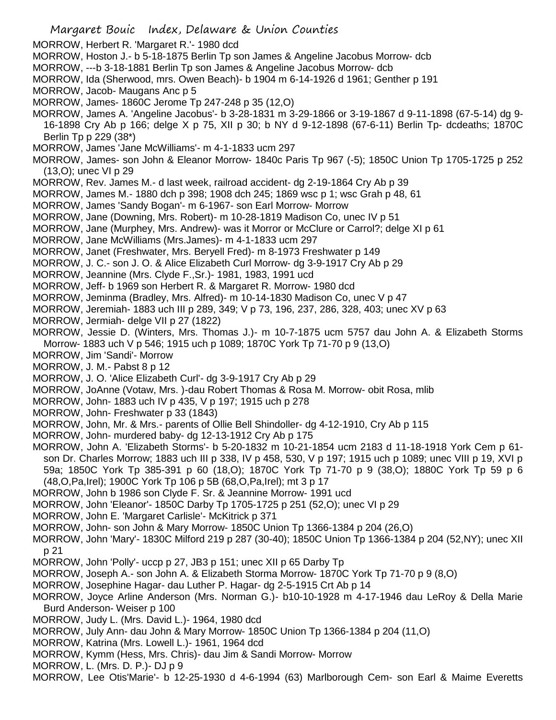Margaret Bouic Index, Delaware & Union Counties MORROW, Herbert R. 'Margaret R.'- 1980 dcd MORROW, Hoston J.- b 5-18-1875 Berlin Tp son James & Angeline Jacobus Morrow- dcb MORROW, ---b 3-18-1881 Berlin Tp son James & Angeline Jacobus Morrow- dcb MORROW, Ida (Sherwood, mrs. Owen Beach)- b 1904 m 6-14-1926 d 1961; Genther p 191 MORROW, Jacob- Maugans Anc p 5 MORROW, James- 1860C Jerome Tp 247-248 p 35 (12,O) MORROW, James A. 'Angeline Jacobus'- b 3-28-1831 m 3-29-1866 or 3-19-1867 d 9-11-1898 (67-5-14) dg 9- 16-1898 Cry Ab p 166; delge X p 75, XII p 30; b NY d 9-12-1898 (67-6-11) Berlin Tp- dcdeaths; 1870C Berlin Tp p 229 (38\*) MORROW, James 'Jane McWilliams'- m 4-1-1833 ucm 297 MORROW, James- son John & Eleanor Morrow- 1840c Paris Tp 967 (-5); 1850C Union Tp 1705-1725 p 252 (13,O); unec VI p 29 MORROW, Rev. James M.- d last week, railroad accident- dg 2-19-1864 Cry Ab p 39 MORROW, James M.- 1880 dch p 398; 1908 dch 245; 1869 wsc p 1; wsc Grah p 48, 61 MORROW, James 'Sandy Bogan'- m 6-1967- son Earl Morrow- Morrow MORROW, Jane (Downing, Mrs. Robert)- m 10-28-1819 Madison Co, unec IV p 51 MORROW, Jane (Murphey, Mrs. Andrew)- was it Morror or McClure or Carrol?; delge XI p 61 MORROW, Jane McWilliams (Mrs.James)- m 4-1-1833 ucm 297 MORROW, Janet (Freshwater, Mrs. Beryell Fred)- m 8-1973 Freshwater p 149 MORROW, J. C.- son J. O. & Alice Elizabeth Curl Morrow- dg 3-9-1917 Cry Ab p 29 MORROW, Jeannine (Mrs. Clyde F.,Sr.)- 1981, 1983, 1991 ucd MORROW, Jeff- b 1969 son Herbert R. & Margaret R. Morrow- 1980 dcd MORROW, Jeminma (Bradley, Mrs. Alfred)- m 10-14-1830 Madison Co, unec V p 47 MORROW, Jeremiah- 1883 uch III p 289, 349; V p 73, 196, 237, 286, 328, 403; unec XV p 63 MORROW, Jermiah- delge VII p 27 (1822) MORROW, Jessie D. (Winters, Mrs. Thomas J.)- m 10-7-1875 ucm 5757 dau John A. & Elizabeth Storms Morrow- 1883 uch V p 546; 1915 uch p 1089; 1870C York Tp 71-70 p 9 (13,O) MORROW, Jim 'Sandi'- Morrow MORROW, J. M.- Pabst 8 p 12 MORROW, J. O. 'Alice Elizabeth Curl'- dg 3-9-1917 Cry Ab p 29 MORROW, JoAnne (Votaw, Mrs. )-dau Robert Thomas & Rosa M. Morrow- obit Rosa, mlib MORROW, John- 1883 uch IV p 435, V p 197; 1915 uch p 278 MORROW, John- Freshwater p 33 (1843) MORROW, John, Mr. & Mrs.- parents of Ollie Bell Shindoller- dg 4-12-1910, Cry Ab p 115 MORROW, John- murdered baby- dg 12-13-1912 Cry Ab p 175 MORROW, John A. 'Elizabeth Storms'- b 5-20-1832 m 10-21-1854 ucm 2183 d 11-18-1918 York Cem p 61 son Dr. Charles Morrow; 1883 uch III p 338, IV p 458, 530, V p 197; 1915 uch p 1089; unec VIII p 19, XVI p 59a; 1850C York Tp 385-391 p 60 (18,O); 1870C York Tp 71-70 p 9 (38,O); 1880C York Tp 59 p 6 (48,O,Pa,Irel); 1900C York Tp 106 p 5B (68,O,Pa,Irel); mt 3 p 17 MORROW, John b 1986 son Clyde F. Sr. & Jeannine Morrow- 1991 ucd MORROW, John 'Eleanor'- 1850C Darby Tp 1705-1725 p 251 (52,O); unec VI p 29 MORROW, John E. 'Margaret Carlisle'- McKitrick p 371 MORROW, John- son John & Mary Morrow- 1850C Union Tp 1366-1384 p 204 (26,O) MORROW, John 'Mary'- 1830C Milford 219 p 287 (30-40); 1850C Union Tp 1366-1384 p 204 (52,NY); unec XII p 21 MORROW, John 'Polly'- uccp p 27, JB3 p 151; unec XII p 65 Darby Tp MORROW, Joseph A.- son John A. & Elizabeth Storma Morrow- 1870C York Tp 71-70 p 9 (8,O) MORROW, Josephine Hagar- dau Luther P. Hagar- dg 2-5-1915 Crt Ab p 14 MORROW, Joyce Arline Anderson (Mrs. Norman G.)- b10-10-1928 m 4-17-1946 dau LeRoy & Della Marie Burd Anderson- Weiser p 100 MORROW, Judy L. (Mrs. David L.)- 1964, 1980 dcd MORROW, July Ann- dau John & Mary Morrow- 1850C Union Tp 1366-1384 p 204 (11,O) MORROW, Katrina (Mrs. Lowell L.)- 1961, 1964 dcd MORROW, Kymm (Hess, Mrs. Chris)- dau Jim & Sandi Morrow- Morrow MORROW, L. (Mrs. D. P.)- DJ p 9 MORROW, Lee Otis'Marie'- b 12-25-1930 d 4-6-1994 (63) Marlborough Cem- son Earl & Maime Everetts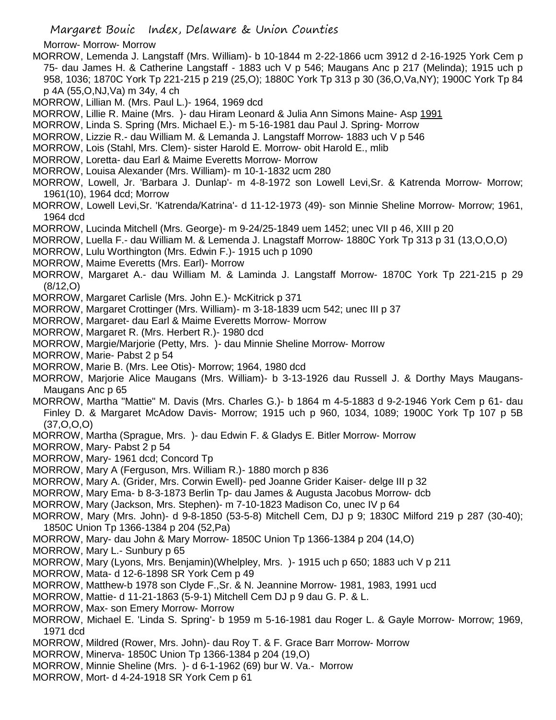- Morrow- Morrow- Morrow
- MORROW, Lemenda J. Langstaff (Mrs. William)- b 10-1844 m 2-22-1866 ucm 3912 d 2-16-1925 York Cem p 75- dau James H. & Catherine Langstaff - 1883 uch V p 546; Maugans Anc p 217 (Melinda); 1915 uch p 958, 1036; 1870C York Tp 221-215 p 219 (25,O); 1880C York Tp 313 p 30 (36,O,Va,NY); 1900C York Tp 84 p 4A (55,O,NJ,Va) m 34y, 4 ch
- MORROW, Lillian M. (Mrs. Paul L.)- 1964, 1969 dcd
- MORROW, Lillie R. Maine (Mrs. )- dau Hiram Leonard & Julia Ann Simons Maine- Asp 1991
- MORROW, Linda S. Spring (Mrs. Michael E.)- m 5-16-1981 dau Paul J. Spring- Morrow
- MORROW, Lizzie R.- dau William M. & Lemanda J. Langstaff Morrow- 1883 uch V p 546
- MORROW, Lois (Stahl, Mrs. Clem)- sister Harold E. Morrow- obit Harold E., mlib
- MORROW, Loretta- dau Earl & Maime Everetts Morrow- Morrow
- MORROW, Louisa Alexander (Mrs. William)- m 10-1-1832 ucm 280
- MORROW, Lowell, Jr. 'Barbara J. Dunlap'- m 4-8-1972 son Lowell Levi,Sr. & Katrenda Morrow- Morrow; 1961(10), 1964 dcd; Morrow
- MORROW, Lowell Levi,Sr. 'Katrenda/Katrina'- d 11-12-1973 (49)- son Minnie Sheline Morrow- Morrow; 1961, 1964 dcd
- MORROW, Lucinda Mitchell (Mrs. George)- m 9-24/25-1849 uem 1452; unec VII p 46, XIII p 20
- MORROW, Luella F.- dau William M. & Lemenda J. Lnagstaff Morrow- 1880C York Tp 313 p 31 (13,O,O,O)
- MORROW, Lulu Worthington (Mrs. Edwin F.)- 1915 uch p 1090
- MORROW, Maime Everetts (Mrs. Earl)- Morrow
- MORROW, Margaret A.- dau William M. & Laminda J. Langstaff Morrow- 1870C York Tp 221-215 p 29 (8/12,O)
- MORROW, Margaret Carlisle (Mrs. John E.)- McKitrick p 371
- MORROW, Margaret Crottinger (Mrs. William)- m 3-18-1839 ucm 542; unec III p 37
- MORROW, Margaret- dau Earl & Maime Everetts Morrow- Morrow
- MORROW, Margaret R. (Mrs. Herbert R.)- 1980 dcd
- MORROW, Margie/Marjorie (Petty, Mrs. )- dau Minnie Sheline Morrow- Morrow
- MORROW, Marie- Pabst 2 p 54
- MORROW, Marie B. (Mrs. Lee Otis)- Morrow; 1964, 1980 dcd
- MORROW, Marjorie Alice Maugans (Mrs. William)- b 3-13-1926 dau Russell J. & Dorthy Mays Maugans-Maugans Anc p 65
- MORROW, Martha "Mattie" M. Davis (Mrs. Charles G.)- b 1864 m 4-5-1883 d 9-2-1946 York Cem p 61- dau Finley D. & Margaret McAdow Davis- Morrow; 1915 uch p 960, 1034, 1089; 1900C York Tp 107 p 5B (37,O,O,O)
- MORROW, Martha (Sprague, Mrs. )- dau Edwin F. & Gladys E. Bitler Morrow- Morrow
- MORROW, Mary- Pabst 2 p 54
- MORROW, Mary- 1961 dcd; Concord Tp
- MORROW, Mary A (Ferguson, Mrs. William R.)- 1880 morch p 836
- MORROW, Mary A. (Grider, Mrs. Corwin Ewell)- ped Joanne Grider Kaiser- delge III p 32
- MORROW, Mary Ema- b 8-3-1873 Berlin Tp- dau James & Augusta Jacobus Morrow- dcb
- MORROW, Mary (Jackson, Mrs. Stephen)- m 7-10-1823 Madison Co, unec IV p 64
- MORROW, Mary (Mrs. John)- d 9-8-1850 (53-5-8) Mitchell Cem, DJ p 9; 1830C Milford 219 p 287 (30-40); 1850C Union Tp 1366-1384 p 204 (52,Pa)
- MORROW, Mary- dau John & Mary Morrow- 1850C Union Tp 1366-1384 p 204 (14,O)
- MORROW, Mary L.- Sunbury p 65
- MORROW, Mary (Lyons, Mrs. Benjamin)(Whelpley, Mrs. )- 1915 uch p 650; 1883 uch V p 211
- MORROW, Mata- d 12-6-1898 SR York Cem p 49
- MORROW, Matthew-b 1978 son Clyde F.,Sr. & N. Jeannine Morrow- 1981, 1983, 1991 ucd
- MORROW, Mattie- d 11-21-1863 (5-9-1) Mitchell Cem DJ p 9 dau G. P. & L.
- MORROW, Max- son Emery Morrow- Morrow
- MORROW, Michael E. 'Linda S. Spring'- b 1959 m 5-16-1981 dau Roger L. & Gayle Morrow- Morrow; 1969, 1971 dcd
- MORROW, Mildred (Rower, Mrs. John)- dau Roy T. & F. Grace Barr Morrow- Morrow
- MORROW, Minerva- 1850C Union Tp 1366-1384 p 204 (19,O)
- MORROW, Minnie Sheline (Mrs. )- d 6-1-1962 (69) bur W. Va.- Morrow
- MORROW, Mort- d 4-24-1918 SR York Cem p 61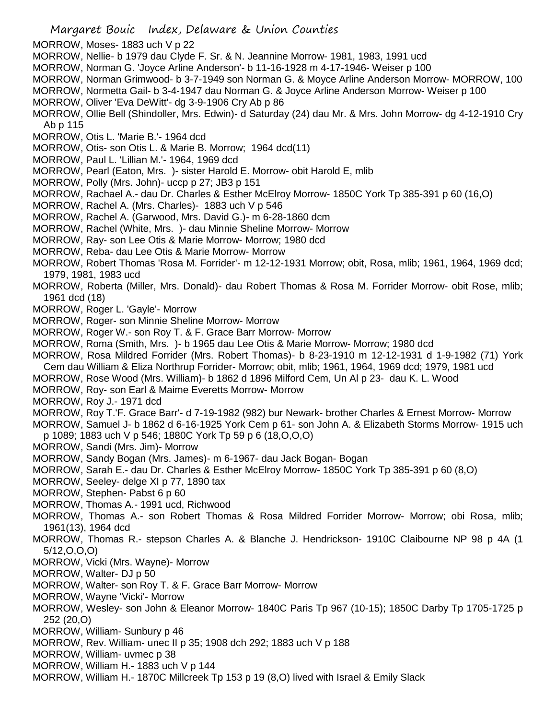- MORROW, Moses- 1883 uch V p 22
- MORROW, Nellie- b 1979 dau Clyde F. Sr. & N. Jeannine Morrow- 1981, 1983, 1991 ucd
- MORROW, Norman G. 'Joyce Arline Anderson'- b 11-16-1928 m 4-17-1946- Weiser p 100
- MORROW, Norman Grimwood- b 3-7-1949 son Norman G. & Moyce Arline Anderson Morrow- MORROW, 100
- MORROW, Normetta Gail- b 3-4-1947 dau Norman G. & Joyce Arline Anderson Morrow- Weiser p 100 MORROW, Oliver 'Eva DeWitt'- dg 3-9-1906 Cry Ab p 86
- MORROW, Ollie Bell (Shindoller, Mrs. Edwin)- d Saturday (24) dau Mr. & Mrs. John Morrow- dg 4-12-1910 Cry Ab p 115
- MORROW, Otis L. 'Marie B.'- 1964 dcd
- MORROW, Otis- son Otis L. & Marie B. Morrow; 1964 dcd(11)
- MORROW, Paul L. 'Lillian M.'- 1964, 1969 dcd
- MORROW, Pearl (Eaton, Mrs. )- sister Harold E. Morrow- obit Harold E, mlib
- MORROW, Polly (Mrs. John)- uccp p 27; JB3 p 151
- MORROW, Rachael A.- dau Dr. Charles & Esther McElroy Morrow- 1850C York Tp 385-391 p 60 (16,O)
- MORROW, Rachel A. (Mrs. Charles)- 1883 uch V p 546
- MORROW, Rachel A. (Garwood, Mrs. David G.)- m 6-28-1860 dcm
- MORROW, Rachel (White, Mrs. )- dau Minnie Sheline Morrow- Morrow
- MORROW, Ray- son Lee Otis & Marie Morrow- Morrow; 1980 dcd
- MORROW, Reba- dau Lee Otis & Marie Morrow- Morrow
- MORROW, Robert Thomas 'Rosa M. Forrider'- m 12-12-1931 Morrow; obit, Rosa, mlib; 1961, 1964, 1969 dcd; 1979, 1981, 1983 ucd
- MORROW, Roberta (Miller, Mrs. Donald)- dau Robert Thomas & Rosa M. Forrider Morrow- obit Rose, mlib; 1961 dcd (18)
- MORROW, Roger L. 'Gayle'- Morrow
- MORROW, Roger- son Minnie Sheline Morrow- Morrow
- MORROW, Roger W.- son Roy T. & F. Grace Barr Morrow- Morrow
- MORROW, Roma (Smith, Mrs. )- b 1965 dau Lee Otis & Marie Morrow- Morrow; 1980 dcd
- MORROW, Rosa Mildred Forrider (Mrs. Robert Thomas)- b 8-23-1910 m 12-12-1931 d 1-9-1982 (71) York Cem dau William & Eliza Northrup Forrider- Morrow; obit, mlib; 1961, 1964, 1969 dcd; 1979, 1981 ucd
- MORROW, Rose Wood (Mrs. William)- b 1862 d 1896 Milford Cem, Un Al p 23- dau K. L. Wood
- MORROW, Roy- son Earl & Maime Everetts Morrow- Morrow
- MORROW, Roy J.- 1971 dcd
- MORROW, Roy T.'F. Grace Barr'- d 7-19-1982 (982) bur Newark- brother Charles & Ernest Morrow- Morrow
- MORROW, Samuel J- b 1862 d 6-16-1925 York Cem p 61- son John A. & Elizabeth Storms Morrow- 1915 uch p 1089; 1883 uch V p 546; 1880C York Tp 59 p 6 (18,O,O,O)
- MORROW, Sandi (Mrs. Jim)- Morrow
- MORROW, Sandy Bogan (Mrs. James)- m 6-1967- dau Jack Bogan- Bogan
- MORROW, Sarah E.- dau Dr. Charles & Esther McElroy Morrow- 1850C York Tp 385-391 p 60 (8,O)
- MORROW, Seeley- delge XI p 77, 1890 tax
- MORROW, Stephen- Pabst 6 p 60
- MORROW, Thomas A.- 1991 ucd, Richwood
- MORROW, Thomas A.- son Robert Thomas & Rosa Mildred Forrider Morrow- Morrow; obi Rosa, mlib; 1961(13), 1964 dcd
- MORROW, Thomas R.- stepson Charles A. & Blanche J. Hendrickson- 1910C Claibourne NP 98 p 4A (1 5/12,O,O,O)
- MORROW, Vicki (Mrs. Wayne)- Morrow
- MORROW, Walter- DJ p 50
- MORROW, Walter- son Roy T. & F. Grace Barr Morrow- Morrow
- MORROW, Wayne 'Vicki'- Morrow
- MORROW, Wesley- son John & Eleanor Morrow- 1840C Paris Tp 967 (10-15); 1850C Darby Tp 1705-1725 p 252 (20,O)
- MORROW, William- Sunbury p 46
- MORROW, Rev. William- unec II p 35; 1908 dch 292; 1883 uch V p 188
- MORROW, William- uvmec p 38
- MORROW, William H.- 1883 uch V p 144
- MORROW, William H.- 1870C Millcreek Tp 153 p 19 (8,O) lived with Israel & Emily Slack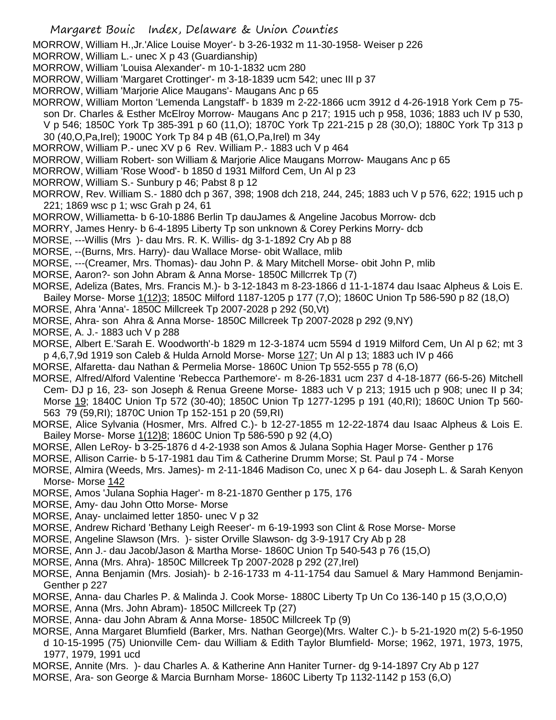MORROW, William H.,Jr.'Alice Louise Moyer'- b 3-26-1932 m 11-30-1958- Weiser p 226

MORROW, William L.- unec X p 43 (Guardianship)

- MORROW, William 'Louisa Alexander'- m 10-1-1832 ucm 280
- MORROW, William 'Margaret Crottinger'- m 3-18-1839 ucm 542; unec III p 37
- MORROW, William 'Marjorie Alice Maugans'- Maugans Anc p 65
- MORROW, William Morton 'Lemenda Langstaff'- b 1839 m 2-22-1866 ucm 3912 d 4-26-1918 York Cem p 75 son Dr. Charles & Esther McElroy Morrow- Maugans Anc p 217; 1915 uch p 958, 1036; 1883 uch IV p 530,
	- V p 546; 1850C York Tp 385-391 p 60 (11,O); 1870C York Tp 221-215 p 28 (30,O); 1880C York Tp 313 p 30 (40,O,Pa,Irel); 1900C York Tp 84 p 4B (61,O,Pa,Irel) m 34y
- MORROW, William P.- unec XV p 6 Rev. William P.- 1883 uch V p 464
- MORROW, William Robert- son William & Marjorie Alice Maugans Morrow- Maugans Anc p 65
- MORROW, William 'Rose Wood'- b 1850 d 1931 Milford Cem, Un Al p 23
- MORROW, William S.- Sunbury p 46; Pabst 8 p 12
- MORROW, Rev. William S.- 1880 dch p 367, 398; 1908 dch 218, 244, 245; 1883 uch V p 576, 622; 1915 uch p 221; 1869 wsc p 1; wsc Grah p 24, 61
- MORROW, Williametta- b 6-10-1886 Berlin Tp dauJames & Angeline Jacobus Morrow- dcb
- MORRY, James Henry- b 6-4-1895 Liberty Tp son unknown & Corey Perkins Morry- dcb
- MORSE, ---Willis (Mrs )- dau Mrs. R. K. Willis- dg 3-1-1892 Cry Ab p 88
- MORSE, --(Burns, Mrs. Harry)- dau Wallace Morse- obit Wallace, mlib
- MORSE, ---(Creamer, Mrs. Thomas)- dau John P. & Mary Mitchell Morse- obit John P, mlib
- MORSE, Aaron?- son John Abram & Anna Morse- 1850C Millcrrek Tp (7)
- MORSE, Adeliza (Bates, Mrs. Francis M.)- b 3-12-1843 m 8-23-1866 d 11-1-1874 dau Isaac Alpheus & Lois E.
- Bailey Morse- Morse 1(12)3; 1850C Milford 1187-1205 p 177 (7,O); 1860C Union Tp 586-590 p 82 (18,O)
- MORSE, Ahra 'Anna'- 1850C Millcreek Tp 2007-2028 p 292 (50,Vt)
- MORSE, Ahra- son Ahra & Anna Morse- 1850C Millcreek Tp 2007-2028 p 292 (9,NY)
- MORSE, A. J.- 1883 uch V p 288
- MORSE, Albert E.'Sarah E. Woodworth'-b 1829 m 12-3-1874 ucm 5594 d 1919 Milford Cem, Un Al p 62; mt 3 p 4,6,7,9d 1919 son Caleb & Hulda Arnold Morse- Morse 127; Un Al p 13; 1883 uch IV p 466
- MORSE, Alfaretta- dau Nathan & Permelia Morse- 1860C Union Tp 552-555 p 78 (6,O)
- MORSE, Alfred/Alford Valentine 'Rebecca Parthemore'- m 8-26-1831 ucm 237 d 4-18-1877 (66-5-26) Mitchell Cem- DJ p 16, 23- son Joseph & Renua Greene Morse- 1883 uch V p 213; 1915 uch p 908; unec II p 34; Morse 19; 1840C Union Tp 572 (30-40); 1850C Union Tp 1277-1295 p 191 (40,RI); 1860C Union Tp 560- 563 79 (59,RI); 1870C Union Tp 152-151 p 20 (59,RI)
- MORSE, Alice Sylvania (Hosmer, Mrs. Alfred C.)- b 12-27-1855 m 12-22-1874 dau Isaac Alpheus & Lois E. Bailey Morse- Morse 1(12)8; 1860C Union Tp 586-590 p 92 (4,O)
- MORSE, Allen LeRoy- b 3-25-1876 d 4-2-1938 son Amos & Julana Sophia Hager Morse- Genther p 176
- MORSE, Allison Carrie- b 5-17-1981 dau Tim & Catherine Drumm Morse; St. Paul p 74 Morse
- MORSE, Almira (Weeds, Mrs. James)- m 2-11-1846 Madison Co, unec X p 64- dau Joseph L. & Sarah Kenyon Morse- Morse 142
- MORSE, Amos 'Julana Sophia Hager'- m 8-21-1870 Genther p 175, 176
- MORSE, Amy- dau John Otto Morse- Morse
- MORSE, Anay- unclaimed letter 1850- unec V p 32
- MORSE, Andrew Richard 'Bethany Leigh Reeser'- m 6-19-1993 son Clint & Rose Morse- Morse
- MORSE, Angeline Slawson (Mrs. )- sister Orville Slawson- dg 3-9-1917 Cry Ab p 28
- MORSE, Ann J.- dau Jacob/Jason & Martha Morse- 1860C Union Tp 540-543 p 76 (15,O)
- MORSE, Anna (Mrs. Ahra)- 1850C Millcreek Tp 2007-2028 p 292 (27,Irel)
- MORSE, Anna Benjamin (Mrs. Josiah)- b 2-16-1733 m 4-11-1754 dau Samuel & Mary Hammond Benjamin-Genther p 227
- MORSE, Anna- dau Charles P. & Malinda J. Cook Morse- 1880C Liberty Tp Un Co 136-140 p 15 (3,O,O,O)
- MORSE, Anna (Mrs. John Abram)- 1850C Millcreek Tp (27)
- MORSE, Anna- dau John Abram & Anna Morse- 1850C Millcreek Tp (9)
- MORSE, Anna Margaret Blumfield (Barker, Mrs. Nathan George)(Mrs. Walter C.)- b 5-21-1920 m(2) 5-6-1950 d 10-15-1995 (75) Unionville Cem- dau William & Edith Taylor Blumfield- Morse; 1962, 1971, 1973, 1975, 1977, 1979, 1991 ucd
- MORSE, Annite (Mrs. )- dau Charles A. & Katherine Ann Haniter Turner- dg 9-14-1897 Cry Ab p 127
- MORSE, Ara- son George & Marcia Burnham Morse- 1860C Liberty Tp 1132-1142 p 153 (6,O)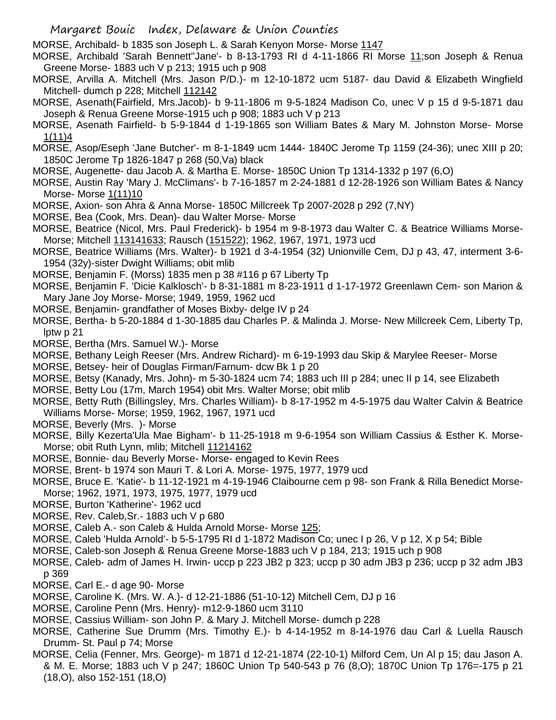MORSE, Archibald- b 1835 son Joseph L. & Sarah Kenyon Morse- Morse 1147

- MORSE, Archibald 'Sarah Bennett''Jane'- b 8-13-1793 RI d 4-11-1866 RI Morse 11;son Joseph & Renua Greene Morse- 1883 uch V p 213; 1915 uch p 908
- MORSE, Arvilla A. Mitchell (Mrs. Jason P/D.)- m 12-10-1872 ucm 5187- dau David & Elizabeth Wingfield Mitchell- dumch p 228; Mitchell 112142
- MORSE, Asenath(Fairfield, Mrs.Jacob)- b 9-11-1806 m 9-5-1824 Madison Co, unec V p 15 d 9-5-1871 dau Joseph & Renua Greene Morse-1915 uch p 908; 1883 uch V p 213
- MORSE, Asenath Fairfield- b 5-9-1844 d 1-19-1865 son William Bates & Mary M. Johnston Morse- Morse 1(11)4
- MORSE, Asop/Eseph 'Jane Butcher'- m 8-1-1849 ucm 1444- 1840C Jerome Tp 1159 (24-36); unec XIII p 20; 1850C Jerome Tp 1826-1847 p 268 (50,Va) black
- MORSE, Augenette- dau Jacob A. & Martha E. Morse- 1850C Union Tp 1314-1332 p 197 (6,O)
- MORSE, Austin Ray 'Mary J. McClimans'- b 7-16-1857 m 2-24-1881 d 12-28-1926 son William Bates & Nancy Morse- Morse 1(11)10
- MORSE, Axion- son Ahra & Anna Morse- 1850C Millcreek Tp 2007-2028 p 292 (7,NY)
- MORSE, Bea (Cook, Mrs. Dean)- dau Walter Morse- Morse
- MORSE, Beatrice (Nicol, Mrs. Paul Frederick)- b 1954 m 9-8-1973 dau Walter C. & Beatrice Williams Morse-Morse; Mitchell 113141633; Rausch (151522); 1962, 1967, 1971, 1973 ucd
- MORSE, Beatrice Williams (Mrs. Walter)- b 1921 d 3-4-1954 (32) Unionville Cem, DJ p 43, 47, interment 3-6- 1954 (32y)-sister Dwight Williams; obit mlib
- MORSE, Benjamin F. (Morss) 1835 men p 38 #116 p 67 Liberty Tp
- MORSE, Benjamin F. 'Dicie Kalklosch'- b 8-31-1881 m 8-23-1911 d 1-17-1972 Greenlawn Cem- son Marion & Mary Jane Joy Morse- Morse; 1949, 1959, 1962 ucd
- MORSE, Benjamin- grandfather of Moses Bixby- delge IV p 24
- MORSE, Bertha- b 5-20-1884 d 1-30-1885 dau Charles P. & Malinda J. Morse- New Millcreek Cem, Liberty Tp, lptw p 21
- MORSE, Bertha (Mrs. Samuel W.)- Morse
- MORSE, Bethany Leigh Reeser (Mrs. Andrew Richard)- m 6-19-1993 dau Skip & Marylee Reeser- Morse
- MORSE, Betsey- heir of Douglas Firman/Farnum- dcw Bk 1 p 20
- MORSE, Betsy (Kanady, Mrs. John)- m 5-30-1824 ucm 74; 1883 uch III p 284; unec II p 14, see Elizabeth
- MORSE, Betty Lou (17m, March 1954) obit Mrs. Walter Morse; obit mlib
- MORSE, Betty Ruth (Billingsley, Mrs. Charles William)- b 8-17-1952 m 4-5-1975 dau Walter Calvin & Beatrice Williams Morse- Morse; 1959, 1962, 1967, 1971 ucd
- MORSE, Beverly (Mrs. )- Morse
- MORSE, Billy Kezerta'Ula Mae Bigham'- b 11-25-1918 m 9-6-1954 son William Cassius & Esther K. Morse-Morse; obit Ruth Lynn, mlib; Mitchell 11214162
- MORSE, Bonnie- dau Beverly Morse- Morse- engaged to Kevin Rees
- MORSE, Brent- b 1974 son Mauri T. & Lori A. Morse- 1975, 1977, 1979 ucd
- MORSE, Bruce E. 'Katie'- b 11-12-1921 m 4-19-1946 Claibourne cem p 98- son Frank & Rilla Benedict Morse-Morse; 1962, 1971, 1973, 1975, 1977, 1979 ucd
- MORSE, Burton 'Katherine'- 1962 ucd
- MORSE, Rev. Caleb,Sr.- 1883 uch V p 680
- MORSE, Caleb A.- son Caleb & Hulda Arnold Morse- Morse 125;
- MORSE, Caleb 'Hulda Arnold'- b 5-5-1795 RI d 1-1872 Madison Co; unec I p 26, V p 12, X p 54; Bible
- MORSE, Caleb-son Joseph & Renua Greene Morse-1883 uch V p 184, 213; 1915 uch p 908
- MORSE, Caleb- adm of James H. Irwin- uccp p 223 JB2 p 323; uccp p 30 adm JB3 p 236; uccp p 32 adm JB3 p 369
- MORSE, Carl E.- d age 90- Morse
- MORSE, Caroline K. (Mrs. W. A.)- d 12-21-1886 (51-10-12) Mitchell Cem, DJ p 16
- MORSE, Caroline Penn (Mrs. Henry)- m12-9-1860 ucm 3110
- MORSE, Cassius William- son John P. & Mary J. Mitchell Morse- dumch p 228
- MORSE, Catherine Sue Drumm (Mrs. Timothy E.)- b 4-14-1952 m 8-14-1976 dau Carl & Luella Rausch Drumm- St. Paul p 74; Morse
- MORSE, Celia (Fenner, Mrs. George)- m 1871 d 12-21-1874 (22-10-1) Milford Cem, Un Al p 15; dau Jason A. & M. E. Morse; 1883 uch V p 247; 1860C Union Tp 540-543 p 76 (8,O); 1870C Union Tp 176=-175 p 21 (18,O), also 152-151 (18,O)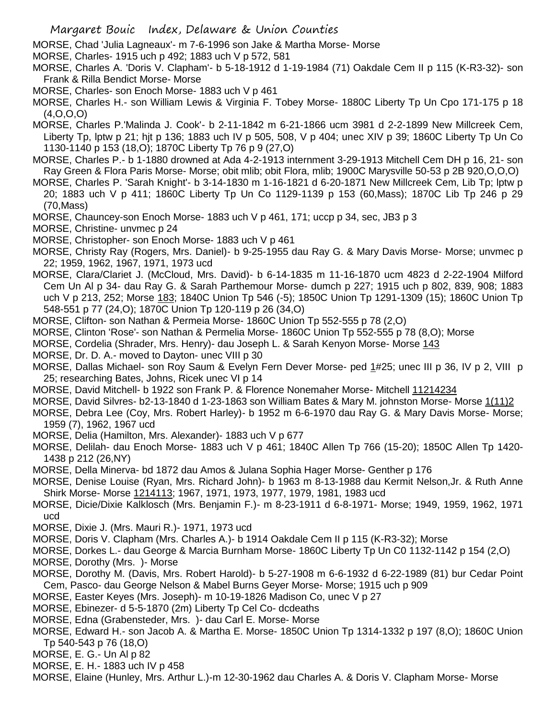MORSE, Chad 'Julia Lagneaux'- m 7-6-1996 son Jake & Martha Morse- Morse

MORSE, Charles- 1915 uch p 492; 1883 uch V p 572, 581

MORSE, Charles A. 'Doris V. Clapham'- b 5-18-1912 d 1-19-1984 (71) Oakdale Cem II p 115 (K-R3-32)- son Frank & Rilla Bendict Morse- Morse

- MORSE, Charles- son Enoch Morse- 1883 uch V p 461
- MORSE, Charles H.- son William Lewis & Virginia F. Tobey Morse- 1880C Liberty Tp Un Cpo 171-175 p 18 (4,O,O,O)
- MORSE, Charles P.'Malinda J. Cook'- b 2-11-1842 m 6-21-1866 ucm 3981 d 2-2-1899 New Millcreek Cem, Liberty Tp, lptw p 21; hjt p 136; 1883 uch IV p 505, 508, V p 404; unec XIV p 39; 1860C Liberty Tp Un Co 1130-1140 p 153 (18,O); 1870C Liberty Tp 76 p 9 (27,O)
- MORSE, Charles P.- b 1-1880 drowned at Ada 4-2-1913 internment 3-29-1913 Mitchell Cem DH p 16, 21- son Ray Green & Flora Paris Morse- Morse; obit mlib; obit Flora, mlib; 1900C Marysville 50-53 p 2B 920,O,O,O)
- MORSE, Charles P. 'Sarah Knight'- b 3-14-1830 m 1-16-1821 d 6-20-1871 New Millcreek Cem, Lib Tp; lptw p 20; 1883 uch V p 411; 1860C Liberty Tp Un Co 1129-1139 p 153 (60,Mass); 1870C Lib Tp 246 p 29 (70,Mass)
- MORSE, Chauncey-son Enoch Morse- 1883 uch V p 461, 171; uccp p 34, sec, JB3 p 3
- MORSE, Christine- unvmec p 24
- MORSE, Christopher- son Enoch Morse- 1883 uch V p 461
- MORSE, Christy Ray (Rogers, Mrs. Daniel)- b 9-25-1955 dau Ray G. & Mary Davis Morse- Morse; unvmec p 22; 1959, 1962, 1967, 1971, 1973 ucd
- MORSE, Clara/Clariet J. (McCloud, Mrs. David)- b 6-14-1835 m 11-16-1870 ucm 4823 d 2-22-1904 Milford Cem Un Al p 34- dau Ray G. & Sarah Parthemour Morse- dumch p 227; 1915 uch p 802, 839, 908; 1883 uch V p 213, 252; Morse 183; 1840C Union Tp 546 (-5); 1850C Union Tp 1291-1309 (15); 1860C Union Tp 548-551 p 77 (24,O); 1870C Union Tp 120-119 p 26 (34,O)
- MORSE, Clifton- son Nathan & Permeia Morse- 1860C Union Tp 552-555 p 78 (2,O)
- MORSE, Clinton 'Rose'- son Nathan & Permelia Morse- 1860C Union Tp 552-555 p 78 (8,O); Morse
- MORSE, Cordelia (Shrader, Mrs. Henry)- dau Joseph L. & Sarah Kenyon Morse- Morse 143
- MORSE, Dr. D. A.- moved to Dayton- unec VIII p 30
- MORSE, Dallas Michael- son Roy Saum & Evelyn Fern Dever Morse- ped 1#25; unec III p 36, IV p 2, VIII p 25; researching Bates, Johns, Ricek unec VI p 14
- MORSE, David Mitchell- b 1922 son Frank P. & Florence Nonemaher Morse- Mitchell 11214234
- MORSE, David Silvres- b2-13-1840 d 1-23-1863 son William Bates & Mary M. johnston Morse- Morse 1(11)2

MORSE, Debra Lee (Coy, Mrs. Robert Harley)- b 1952 m 6-6-1970 dau Ray G. & Mary Davis Morse- Morse; 1959 (7), 1962, 1967 ucd

- MORSE, Delia (Hamilton, Mrs. Alexander)- 1883 uch V p 677
- MORSE, Delilah- dau Enoch Morse- 1883 uch V p 461; 1840C Allen Tp 766 (15-20); 1850C Allen Tp 1420- 1438 p 212 (26,NY)
- MORSE, Della Minerva- bd 1872 dau Amos & Julana Sophia Hager Morse- Genther p 176
- MORSE, Denise Louise (Ryan, Mrs. Richard John)- b 1963 m 8-13-1988 dau Kermit Nelson,Jr. & Ruth Anne Shirk Morse- Morse 1214113; 1967, 1971, 1973, 1977, 1979, 1981, 1983 ucd
- MORSE, Dicie/Dixie Kalklosch (Mrs. Benjamin F.)- m 8-23-1911 d 6-8-1971- Morse; 1949, 1959, 1962, 1971 ucd
- MORSE, Dixie J. (Mrs. Mauri R.)- 1971, 1973 ucd
- MORSE, Doris V. Clapham (Mrs. Charles A.)- b 1914 Oakdale Cem II p 115 (K-R3-32); Morse
- MORSE, Dorkes L.- dau George & Marcia Burnham Morse- 1860C Liberty Tp Un C0 1132-1142 p 154 (2,O)
- MORSE, Dorothy (Mrs. )- Morse
- MORSE, Dorothy M. (Davis, Mrs. Robert Harold)- b 5-27-1908 m 6-6-1932 d 6-22-1989 (81) bur Cedar Point Cem, Pasco- dau George Nelson & Mabel Burns Geyer Morse- Morse; 1915 uch p 909
- MORSE, Easter Keyes (Mrs. Joseph)- m 10-19-1826 Madison Co, unec V p 27
- MORSE, Ebinezer- d 5-5-1870 (2m) Liberty Tp Cel Co- dcdeaths
- MORSE, Edna (Grabensteder, Mrs. )- dau Carl E. Morse- Morse
- MORSE, Edward H.- son Jacob A. & Martha E. Morse- 1850C Union Tp 1314-1332 p 197 (8,O); 1860C Union Tp 540-543 p 76 (18,O)
- MORSE, E. G.- Un Al p 82
- MORSE, E. H.- 1883 uch IV p 458
- MORSE, Elaine (Hunley, Mrs. Arthur L.)-m 12-30-1962 dau Charles A. & Doris V. Clapham Morse- Morse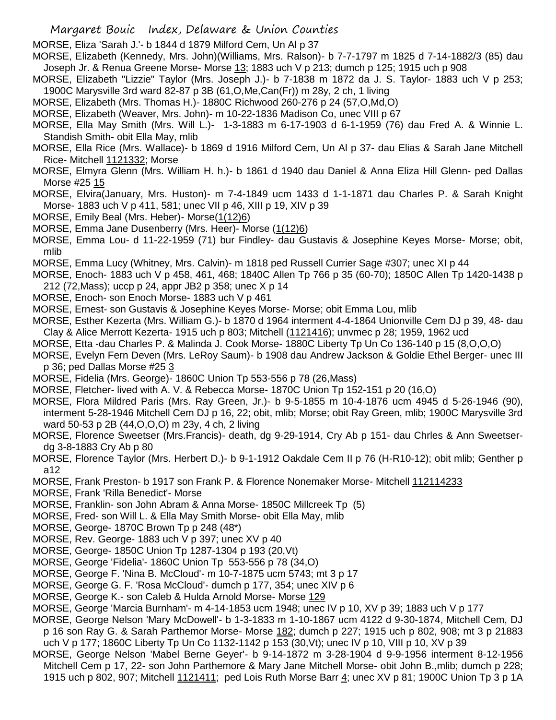MORSE, Eliza 'Sarah J.'- b 1844 d 1879 Milford Cem, Un Al p 37

- MORSE, Elizabeth (Kennedy, Mrs. John)(Williams, Mrs. Ralson)- b 7-7-1797 m 1825 d 7-14-1882/3 (85) dau Joseph Jr. & Renua Greene Morse- Morse 13; 1883 uch V p 213; dumch p 125; 1915 uch p 908
- MORSE, Elizabeth "Lizzie" Taylor (Mrs. Joseph J.)- b 7-1838 m 1872 da J. S. Taylor- 1883 uch V p 253; 1900C Marysville 3rd ward 82-87 p 3B (61,O,Me,Can(Fr)) m 28y, 2 ch, 1 living
- MORSE, Elizabeth (Mrs. Thomas H.)- 1880C Richwood 260-276 p 24 (57,O,Md,O)
- MORSE, Elizabeth (Weaver, Mrs. John)- m 10-22-1836 Madison Co, unec VIII p 67
- MORSE, Ella May Smith (Mrs. Will L.)- 1-3-1883 m 6-17-1903 d 6-1-1959 (76) dau Fred A. & Winnie L. Standish Smith- obit Ella May, mlib
- MORSE, Ella Rice (Mrs. Wallace)- b 1869 d 1916 Milford Cem, Un Al p 37- dau Elias & Sarah Jane Mitchell Rice- Mitchell 1121332; Morse
- MORSE, Elmyra Glenn (Mrs. William H. h.)- b 1861 d 1940 dau Daniel & Anna Eliza Hill Glenn- ped Dallas Morse #25 15
- MORSE, Elvira(January, Mrs. Huston)- m 7-4-1849 ucm 1433 d 1-1-1871 dau Charles P. & Sarah Knight Morse- 1883 uch V p 411, 581; unec VII p 46, XIII p 19, XIV p 39
- MORSE, Emily Beal (Mrs. Heber)- Morse(1(12)6)
- MORSE, Emma Jane Dusenberry (Mrs. Heer)- Morse (1(12)6)
- MORSE, Emma Lou- d 11-22-1959 (71) bur Findley- dau Gustavis & Josephine Keyes Morse- Morse; obit, mlib
- MORSE, Emma Lucy (Whitney, Mrs. Calvin)- m 1818 ped Russell Currier Sage #307; unec XI p 44
- MORSE, Enoch- 1883 uch V p 458, 461, 468; 1840C Allen Tp 766 p 35 (60-70); 1850C Allen Tp 1420-1438 p 212 (72,Mass); uccp p 24, appr JB2 p 358; unec X p 14
- MORSE, Enoch- son Enoch Morse- 1883 uch V p 461
- MORSE, Ernest- son Gustavis & Josephine Keyes Morse- Morse; obit Emma Lou, mlib
- MORSE, Esther Kezerta (Mrs. William G.)- b 1870 d 1964 interment 4-4-1864 Unionville Cem DJ p 39, 48- dau Clay & Alice Merrott Kezerta- 1915 uch p 803; Mitchell (1121416); unvmec p 28; 1959, 1962 ucd
- MORSE, Etta -dau Charles P. & Malinda J. Cook Morse- 1880C Liberty Tp Un Co 136-140 p 15 (8,O,O,O)
- MORSE, Evelyn Fern Deven (Mrs. LeRoy Saum)- b 1908 dau Andrew Jackson & Goldie Ethel Berger- unec III p 36; ped Dallas Morse #25 3
- MORSE, Fidelia (Mrs. George)- 1860C Union Tp 553-556 p 78 (26,Mass)
- MORSE, Fletcher- lived with A. V. & Rebecca Morse- 1870C Union Tp 152-151 p 20 (16,O)
- MORSE, Flora Mildred Paris (Mrs. Ray Green, Jr.)- b 9-5-1855 m 10-4-1876 ucm 4945 d 5-26-1946 (90), interment 5-28-1946 Mitchell Cem DJ p 16, 22; obit, mlib; Morse; obit Ray Green, mlib; 1900C Marysville 3rd ward 50-53 p 2B (44,O,O,O) m 23y, 4 ch, 2 living
- MORSE, Florence Sweetser (Mrs.Francis)- death, dg 9-29-1914, Cry Ab p 151- dau Chrles & Ann Sweetserdg 3-8-1883 Cry Ab p 80
- MORSE, Florence Taylor (Mrs. Herbert D.)- b 9-1-1912 Oakdale Cem II p 76 (H-R10-12); obit mlib; Genther p a12
- MORSE, Frank Preston- b 1917 son Frank P. & Florence Nonemaker Morse- Mitchell 112114233
- MORSE, Frank 'Rilla Benedict'- Morse
- MORSE, Franklin- son John Abram & Anna Morse- 1850C Millcreek Tp (5)
- MORSE, Fred- son Will L. & Ella May Smith Morse- obit Ella May, mlib
- MORSE, George- 1870C Brown Tp p 248 (48\*)
- MORSE, Rev. George- 1883 uch V p 397; unec XV p 40
- MORSE, George- 1850C Union Tp 1287-1304 p 193 (20,Vt)
- MORSE, George 'Fidelia'- 1860C Union Tp 553-556 p 78 (34,O)
- MORSE, George F. 'Nina B. McCloud'- m 10-7-1875 ucm 5743; mt 3 p 17
- MORSE, George G. F. 'Rosa McCloud'- dumch p 177, 354; unec XIV p 6
- MORSE, George K.- son Caleb & Hulda Arnold Morse- Morse 129
- MORSE, George 'Marcia Burnham'- m 4-14-1853 ucm 1948; unec IV p 10, XV p 39; 1883 uch V p 177
- MORSE, George Nelson 'Mary McDowell'- b 1-3-1833 m 1-10-1867 ucm 4122 d 9-30-1874, Mitchell Cem, DJ p 16 son Ray G. & Sarah Parthemor Morse- Morse 182; dumch p 227; 1915 uch p 802, 908; mt 3 p 21883 uch V p 177; 1860C Liberty Tp Un Co 1132-1142 p 153 (30,Vt); unec IV p 10, VIII p 10, XV p 39
- MORSE, George Nelson 'Mabel Berne Geyer'- b 9-14-1872 m 3-28-1904 d 9-9-1956 interment 8-12-1956 Mitchell Cem p 17, 22- son John Parthemore & Mary Jane Mitchell Morse- obit John B.,mlib; dumch p 228; 1915 uch p 802, 907; Mitchell 1121411; ped Lois Ruth Morse Barr 4; unec XV p 81; 1900C Union Tp 3 p 1A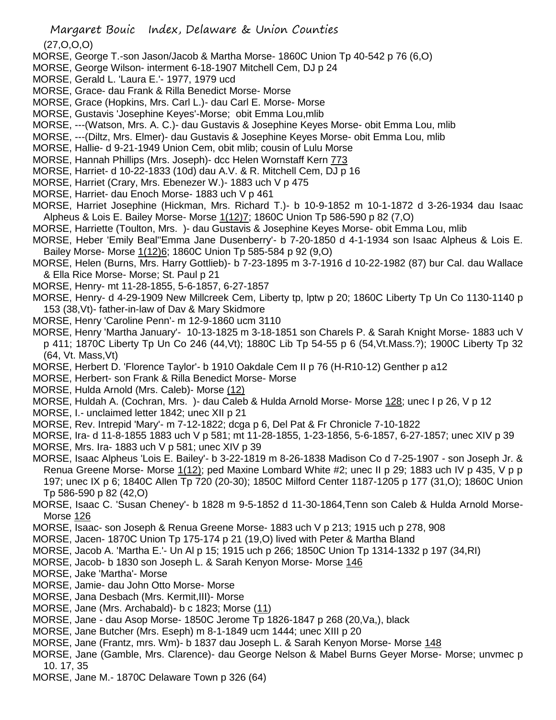(27,O,O,O)

- MORSE, George T.-son Jason/Jacob & Martha Morse- 1860C Union Tp 40-542 p 76 (6,O)
- MORSE, George Wilson- interment 6-18-1907 Mitchell Cem, DJ p 24
- MORSE, Gerald L. 'Laura E.'- 1977, 1979 ucd
- MORSE, Grace- dau Frank & Rilla Benedict Morse- Morse
- MORSE, Grace (Hopkins, Mrs. Carl L.)- dau Carl E. Morse- Morse
- MORSE, Gustavis 'Josephine Keyes'-Morse; obit Emma Lou,mlib
- MORSE, ---(Watson, Mrs. A. C.)- dau Gustavis & Josephine Keyes Morse- obit Emma Lou, mlib
- MORSE, ---(Diltz, Mrs. Elmer)- dau Gustavis & Josephine Keyes Morse- obit Emma Lou, mlib
- MORSE, Hallie- d 9-21-1949 Union Cem, obit mlib; cousin of Lulu Morse
- MORSE, Hannah Phillips (Mrs. Joseph)- dcc Helen Wornstaff Kern 773
- MORSE, Harriet- d 10-22-1833 (10d) dau A.V. & R. Mitchell Cem, DJ p 16
- MORSE, Harriet (Crary, Mrs. Ebenezer W.)- 1883 uch V p 475
- MORSE, Harriet- dau Enoch Morse- 1883 uch V p 461
- MORSE, Harriet Josephine (Hickman, Mrs. Richard T.)- b 10-9-1852 m 10-1-1872 d 3-26-1934 dau Isaac Alpheus & Lois E. Bailey Morse- Morse 1(12)7; 1860C Union Tp 586-590 p 82 (7,O)
- MORSE, Harriette (Toulton, Mrs. )- dau Gustavis & Josephine Keyes Morse- obit Emma Lou, mlib
- MORSE, Heber 'Emily Beal''Emma Jane Dusenberry'- b 7-20-1850 d 4-1-1934 son Isaac Alpheus & Lois E. Bailey Morse- Morse 1(12)6; 1860C Union Tp 585-584 p 92 (9,O)
- MORSE, Helen (Burns, Mrs. Harry Gottlieb)- b 7-23-1895 m 3-7-1916 d 10-22-1982 (87) bur Cal. dau Wallace & Ella Rice Morse- Morse; St. Paul p 21
- MORSE, Henry- mt 11-28-1855, 5-6-1857, 6-27-1857
- MORSE, Henry- d 4-29-1909 New Millcreek Cem, Liberty tp, lptw p 20; 1860C Liberty Tp Un Co 1130-1140 p 153 (38,Vt)- father-in-law of Dav & Mary Skidmore
- MORSE, Henry 'Caroline Penn'- m 12-9-1860 ucm 3110
- MORSE, Henry 'Martha January'- 10-13-1825 m 3-18-1851 son Charels P. & Sarah Knight Morse- 1883 uch V p 411; 1870C Liberty Tp Un Co 246 (44,Vt); 1880C Lib Tp 54-55 p 6 (54,Vt.Mass.?); 1900C Liberty Tp 32 (64, Vt. Mass,Vt)
- MORSE, Herbert D. 'Florence Taylor'- b 1910 Oakdale Cem II p 76 (H-R10-12) Genther p a12
- MORSE, Herbert- son Frank & Rilla Benedict Morse- Morse
- MORSE, Hulda Arnold (Mrs. Caleb)- Morse (12)
- MORSE, Huldah A. (Cochran, Mrs. )- dau Caleb & Hulda Arnold Morse- Morse 128; unec I p 26, V p 12
- MORSE, I.- unclaimed letter 1842; unec XII p 21
- MORSE, Rev. Intrepid 'Mary'- m 7-12-1822; dcga p 6, Del Pat & Fr Chronicle 7-10-1822
- MORSE, Ira- d 11-8-1855 1883 uch V p 581; mt 11-28-1855, 1-23-1856, 5-6-1857, 6-27-1857; unec XIV p 39 MORSE, Mrs. Ira- 1883 uch V p 581; unec XIV p 39
- MORSE, Isaac Alpheus 'Lois E. Bailey'- b 3-22-1819 m 8-26-1838 Madison Co d 7-25-1907 son Joseph Jr. & Renua Greene Morse- Morse 1(12); ped Maxine Lombard White #2; unec II p 29; 1883 uch IV p 435, V p p 197; unec IX p 6; 1840C Allen Tp 720 (20-30); 1850C Milford Center 1187-1205 p 177 (31,O); 1860C Union
- Tp 586-590 p 82 (42,O)
- MORSE, Isaac C. 'Susan Cheney'- b 1828 m 9-5-1852 d 11-30-1864,Tenn son Caleb & Hulda Arnold Morse-Morse 126
- MORSE, Isaac- son Joseph & Renua Greene Morse- 1883 uch V p 213; 1915 uch p 278, 908
- MORSE, Jacen- 1870C Union Tp 175-174 p 21 (19,O) lived with Peter & Martha Bland
- MORSE, Jacob A. 'Martha E.'- Un Al p 15; 1915 uch p 266; 1850C Union Tp 1314-1332 p 197 (34,RI)
- MORSE, Jacob- b 1830 son Joseph L. & Sarah Kenyon Morse- Morse 146
- MORSE, Jake 'Martha'- Morse
- MORSE, Jamie- dau John Otto Morse- Morse
- MORSE, Jana Desbach (Mrs. Kermit,III)- Morse
- MORSE, Jane (Mrs. Archabald)- b c 1823; Morse (11)
- MORSE, Jane dau Asop Morse- 1850C Jerome Tp 1826-1847 p 268 (20,Va,), black
- MORSE, Jane Butcher (Mrs. Eseph) m 8-1-1849 ucm 1444; unec XIII p 20
- MORSE, Jane (Frantz, mrs. Wm)- b 1837 dau Joseph L. & Sarah Kenyon Morse- Morse 148
- MORSE, Jane (Gamble, Mrs. Clarence)- dau George Nelson & Mabel Burns Geyer Morse- Morse; unvmec p 10. 17, 35
- MORSE, Jane M.- 1870C Delaware Town p 326 (64)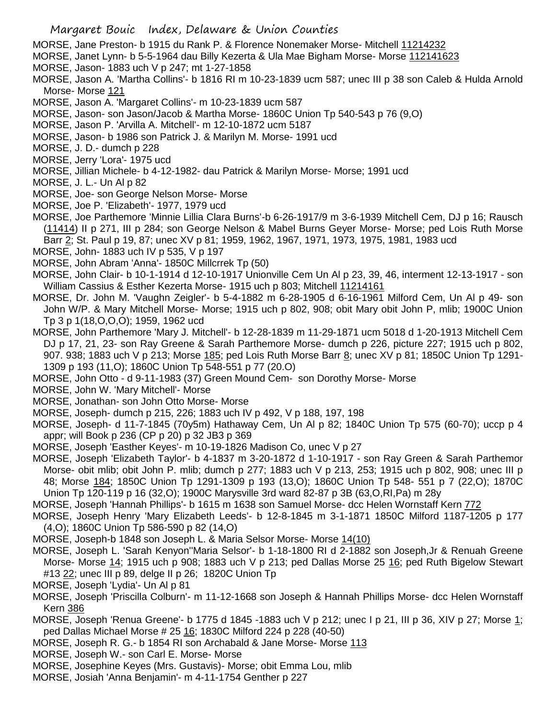MORSE, Jane Preston- b 1915 du Rank P. & Florence Nonemaker Morse- Mitchell 11214232

- MORSE, Janet Lynn- b 5-5-1964 dau Billy Kezerta & Ula Mae Bigham Morse- Morse 112141623
- MORSE, Jason- 1883 uch V p 247; mt 1-27-1858
- MORSE, Jason A. 'Martha Collins'- b 1816 RI m 10-23-1839 ucm 587; unec III p 38 son Caleb & Hulda Arnold Morse- Morse 121
- MORSE, Jason A. 'Margaret Collins'- m 10-23-1839 ucm 587
- MORSE, Jason- son Jason/Jacob & Martha Morse- 1860C Union Tp 540-543 p 76 (9,O)
- MORSE, Jason P. 'Arvilla A. Mitchell'- m 12-10-1872 ucm 5187
- MORSE, Jason- b 1986 son Patrick J. & Marilyn M. Morse- 1991 ucd
- MORSE, J. D.- dumch p 228
- MORSE, Jerry 'Lora'- 1975 ucd
- MORSE, Jillian Michele- b 4-12-1982- dau Patrick & Marilyn Morse- Morse; 1991 ucd
- MORSE, J. L.- Un Al p 82
- MORSE, Joe- son George Nelson Morse- Morse
- MORSE, Joe P. 'Elizabeth'- 1977, 1979 ucd

MORSE, Joe Parthemore 'Minnie Lillia Clara Burns'-b 6-26-1917/9 m 3-6-1939 Mitchell Cem, DJ p 16; Rausch (11414) II p 271, III p 284; son George Nelson & Mabel Burns Geyer Morse- Morse; ped Lois Ruth Morse Barr 2; St. Paul p 19, 87; unec XV p 81; 1959, 1962, 1967, 1971, 1973, 1975, 1981, 1983 ucd

- MORSE, John- 1883 uch IV p 535, V p 197
- MORSE, John Abram 'Anna'- 1850C Millcrrek Tp (50)
- MORSE, John Clair- b 10-1-1914 d 12-10-1917 Unionville Cem Un Al p 23, 39, 46, interment 12-13-1917 son William Cassius & Esther Kezerta Morse- 1915 uch p 803; Mitchell 11214161
- MORSE, Dr. John M. 'Vaughn Zeigler'- b 5-4-1882 m 6-28-1905 d 6-16-1961 Milford Cem, Un Al p 49- son John W/P. & Mary Mitchell Morse- Morse; 1915 uch p 802, 908; obit Mary obit John P, mlib; 1900C Union Tp 3 p 1(18,O,O,O); 1959, 1962 ucd
- MORSE, John Parthemore 'Mary J. Mitchell'- b 12-28-1839 m 11-29-1871 ucm 5018 d 1-20-1913 Mitchell Cem DJ p 17, 21, 23- son Ray Greene & Sarah Parthemore Morse- dumch p 226, picture 227; 1915 uch p 802, 907. 938; 1883 uch V p 213; Morse 185; ped Lois Ruth Morse Barr 8; unec XV p 81; 1850C Union Tp 1291-1309 p 193 (11,O); 1860C Union Tp 548-551 p 77 (20.O)
- MORSE, John Otto d 9-11-1983 (37) Green Mound Cem- son Dorothy Morse- Morse
- MORSE, John W. 'Mary Mitchell'- Morse
- MORSE, Jonathan- son John Otto Morse- Morse
- MORSE, Joseph- dumch p 215, 226; 1883 uch IV p 492, V p 188, 197, 198
- MORSE, Joseph- d 11-7-1845 (70y5m) Hathaway Cem, Un Al p 82; 1840C Union Tp 575 (60-70); uccp p 4 appr; will Book p 236 (CP p 20) p 32 JB3 p 369
- MORSE, Joseph 'Easther Keyes'- m 10-19-1826 Madison Co, unec V p 27
- MORSE, Joseph 'Elizabeth Taylor'- b 4-1837 m 3-20-1872 d 1-10-1917 son Ray Green & Sarah Parthemor Morse- obit mlib; obit John P. mlib; dumch p 277; 1883 uch V p 213, 253; 1915 uch p 802, 908; unec III p 48; Morse 184; 1850C Union Tp 1291-1309 p 193 (13,O); 1860C Union Tp 548- 551 p 7 (22,O); 1870C Union Tp 120-119 p 16 (32,O); 1900C Marysville 3rd ward 82-87 p 3B (63,O,RI,Pa) m 28y
- MORSE, Joseph 'Hannah Phillips'- b 1615 m 1638 son Samuel Morse- dcc Helen Wornstaff Kern 772
- MORSE, Joseph Henry 'Mary Elizabeth Leeds'- b 12-8-1845 m 3-1-1871 1850C Milford 1187-1205 p 177 (4,O); 1860C Union Tp 586-590 p 82 (14,O)
- MORSE, Joseph-b 1848 son Joseph L. & Maria Selsor Morse- Morse 14(10)
- MORSE, Joseph L. 'Sarah Kenyon''Maria Selsor'- b 1-18-1800 RI d 2-1882 son Joseph,Jr & Renuah Greene Morse- Morse 14; 1915 uch p 908; 1883 uch V p 213; ped Dallas Morse 25 16; ped Ruth Bigelow Stewart #13 22; unec III p 89, delge II p 26; 1820C Union Tp
- MORSE, Joseph 'Lydia'- Un Al p 81
- MORSE, Joseph 'Priscilla Colburn'- m 11-12-1668 son Joseph & Hannah Phillips Morse- dcc Helen Wornstaff Kern 386
- MORSE, Joseph 'Renua Greene'- b 1775 d 1845 -1883 uch V p 212; unec I p 21, III p 36, XIV p 27; Morse 1; ped Dallas Michael Morse # 25 16; 1830C Milford 224 p 228 (40-50)
- MORSE, Joseph R. G.- b 1854 RI son Archabald & Jane Morse- Morse 113
- MORSE, Joseph W.- son Carl E. Morse- Morse
- MORSE, Josephine Keyes (Mrs. Gustavis)- Morse; obit Emma Lou, mlib
- MORSE, Josiah 'Anna Benjamin'- m 4-11-1754 Genther p 227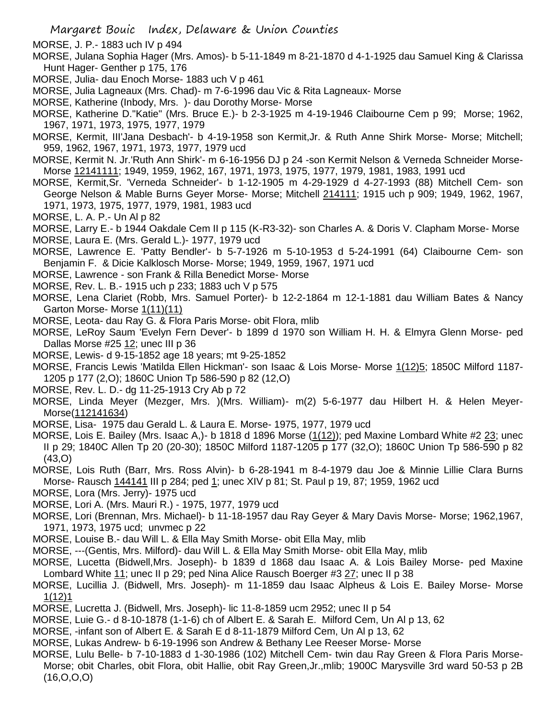MORSE, J. P.- 1883 uch IV p 494

- MORSE, Julana Sophia Hager (Mrs. Amos)- b 5-11-1849 m 8-21-1870 d 4-1-1925 dau Samuel King & Clarissa Hunt Hager- Genther p 175, 176
- MORSE, Julia- dau Enoch Morse- 1883 uch V p 461
- MORSE, Julia Lagneaux (Mrs. Chad)- m 7-6-1996 dau Vic & Rita Lagneaux- Morse
- MORSE, Katherine (Inbody, Mrs. )- dau Dorothy Morse- Morse
- MORSE, Katherine D."Katie" (Mrs. Bruce E.)- b 2-3-1925 m 4-19-1946 Claibourne Cem p 99; Morse; 1962, 1967, 1971, 1973, 1975, 1977, 1979
- MORSE, Kermit, III'Jana Desbach'- b 4-19-1958 son Kermit,Jr. & Ruth Anne Shirk Morse- Morse; Mitchell; 959, 1962, 1967, 1971, 1973, 1977, 1979 ucd
- MORSE, Kermit N. Jr.'Ruth Ann Shirk'- m 6-16-1956 DJ p 24 -son Kermit Nelson & Verneda Schneider Morse-Morse 12141111; 1949, 1959, 1962, 167, 1971, 1973, 1975, 1977, 1979, 1981, 1983, 1991 ucd
- MORSE, Kermit,Sr. 'Verneda Schneider'- b 1-12-1905 m 4-29-1929 d 4-27-1993 (88) Mitchell Cem- son George Nelson & Mable Burns Geyer Morse- Morse; Mitchell 214111; 1915 uch p 909; 1949, 1962, 1967, 1971, 1973, 1975, 1977, 1979, 1981, 1983 ucd

MORSE, L. A. P.- Un Al p 82

- MORSE, Larry E.- b 1944 Oakdale Cem II p 115 (K-R3-32)- son Charles A. & Doris V. Clapham Morse- Morse
- MORSE, Laura E. (Mrs. Gerald L.)- 1977, 1979 ucd
- MORSE, Lawrence E. 'Patty Bendler'- b 5-7-1926 m 5-10-1953 d 5-24-1991 (64) Claibourne Cem- son Benjamin F. & Dicie Kalklosch Morse- Morse; 1949, 1959, 1967, 1971 ucd
- MORSE, Lawrence son Frank & Rilla Benedict Morse- Morse
- MORSE, Rev. L. B.- 1915 uch p 233; 1883 uch V p 575
- MORSE, Lena Clariet (Robb, Mrs. Samuel Porter)- b 12-2-1864 m 12-1-1881 dau William Bates & Nancy Garton Morse- Morse 1(11)(11)
- MORSE, Leota- dau Ray G. & Flora Paris Morse- obit Flora, mlib
- MORSE, LeRoy Saum 'Evelyn Fern Dever'- b 1899 d 1970 son William H. H. & Elmyra Glenn Morse- ped Dallas Morse  $#25$   $12$ ; unec III p 36
- MORSE, Lewis- d 9-15-1852 age 18 years; mt 9-25-1852
- MORSE, Francis Lewis 'Matilda Ellen Hickman'- son Isaac & Lois Morse- Morse 1(12)5; 1850C Milford 1187- 1205 p 177 (2,O); 1860C Union Tp 586-590 p 82 (12,O)
- MORSE, Rev. L. D.- dg 11-25-1913 Cry Ab p 72
- MORSE, Linda Meyer (Mezger, Mrs. )(Mrs. William)- m(2) 5-6-1977 dau Hilbert H. & Helen Meyer-Morse(112141634)
- MORSE, Lisa- 1975 dau Gerald L. & Laura E. Morse- 1975, 1977, 1979 ucd
- MORSE, Lois E. Bailey (Mrs. Isaac A,)- b 1818 d 1896 Morse (1(12)); ped Maxine Lombard White #2 23; unec II p 29; 1840C Allen Tp 20 (20-30); 1850C Milford 1187-1205 p 177 (32,O); 1860C Union Tp 586-590 p 82 (43,O)
- MORSE, Lois Ruth (Barr, Mrs. Ross Alvin)- b 6-28-1941 m 8-4-1979 dau Joe & Minnie Lillie Clara Burns Morse- Rausch 144141 III p 284; ped 1; unec XIV p 81; St. Paul p 19, 87; 1959, 1962 ucd
- MORSE, Lora (Mrs. Jerry)- 1975 ucd
- MORSE, Lori A. (Mrs. Mauri R.) 1975, 1977, 1979 ucd
- MORSE, Lori (Brennan, Mrs. Michael)- b 11-18-1957 dau Ray Geyer & Mary Davis Morse- Morse; 1962,1967, 1971, 1973, 1975 ucd; unvmec p 22
- MORSE, Louise B.- dau Will L. & Ella May Smith Morse- obit Ella May, mlib
- MORSE, ---(Gentis, Mrs. Milford)- dau Will L. & Ella May Smith Morse- obit Ella May, mlib
- MORSE, Lucetta (Bidwell,Mrs. Joseph)- b 1839 d 1868 dau Isaac A. & Lois Bailey Morse- ped Maxine Lombard White 11; unec II p 29; ped Nina Alice Rausch Boerger #3 27; unec II p 38
- MORSE, Lucillia J. (Bidwell, Mrs. Joseph)- m 11-1859 dau Isaac Alpheus & Lois E. Bailey Morse- Morse 1(12)1
- MORSE, Lucretta J. (Bidwell, Mrs. Joseph)- lic 11-8-1859 ucm 2952; unec II p 54
- MORSE, Luie G.- d 8-10-1878 (1-1-6) ch of Albert E. & Sarah E. Milford Cem, Un Al p 13, 62
- MORSE, -infant son of Albert E. & Sarah E d 8-11-1879 Milford Cem, Un Al p 13, 62
- MORSE, Lukas Andrew- b 6-19-1996 son Andrew & Bethany Lee Reeser Morse- Morse
- MORSE, Lulu Belle- b 7-10-1883 d 1-30-1986 (102) Mitchell Cem- twin dau Ray Green & Flora Paris Morse-Morse; obit Charles, obit Flora, obit Hallie, obit Ray Green,Jr.,mlib; 1900C Marysville 3rd ward 50-53 p 2B  $(16, 0, 0, 0)$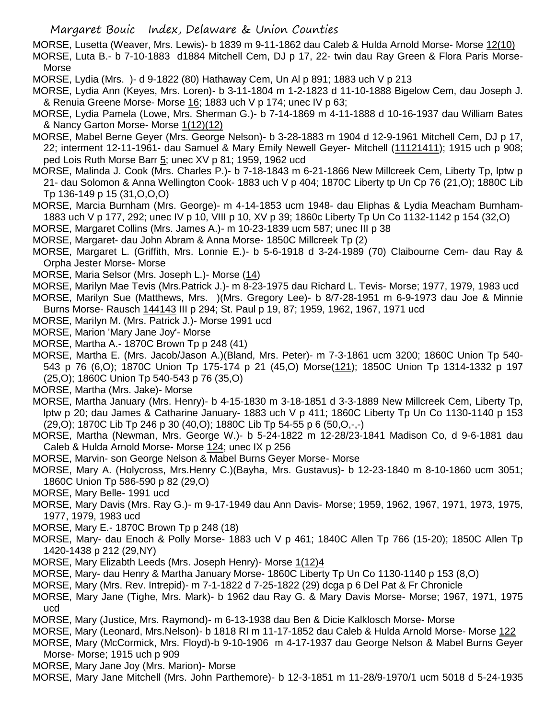MORSE, Lusetta (Weaver, Mrs. Lewis)- b 1839 m 9-11-1862 dau Caleb & Hulda Arnold Morse- Morse 12(10) MORSE, Luta B.- b 7-10-1883 d1884 Mitchell Cem, DJ p 17, 22- twin dau Ray Green & Flora Paris Morse-Morse

MORSE, Lydia (Mrs. )- d 9-1822 (80) Hathaway Cem, Un Al p 891; 1883 uch V p 213

- MORSE, Lydia Ann (Keyes, Mrs. Loren)- b 3-11-1804 m 1-2-1823 d 11-10-1888 Bigelow Cem, dau Joseph J. & Renuia Greene Morse- Morse 16; 1883 uch V p 174; unec IV p 63;
- MORSE, Lydia Pamela (Lowe, Mrs. Sherman G.)- b 7-14-1869 m 4-11-1888 d 10-16-1937 dau William Bates & Nancy Garton Morse- Morse 1(12)(12)
- MORSE, Mabel Berne Geyer (Mrs. George Nelson)- b 3-28-1883 m 1904 d 12-9-1961 Mitchell Cem, DJ p 17, 22; interment 12-11-1961- dau Samuel & Mary Emily Newell Geyer- Mitchell (11121411); 1915 uch p 908; ped Lois Ruth Morse Barr 5; unec XV p 81; 1959, 1962 ucd
- MORSE, Malinda J. Cook (Mrs. Charles P.)- b 7-18-1843 m 6-21-1866 New Millcreek Cem, Liberty Tp, lptw p 21- dau Solomon & Anna Wellington Cook- 1883 uch V p 404; 1870C Liberty tp Un Cp 76 (21,O); 1880C Lib Tp 136-149 p 15 (31,O,O,O)
- MORSE, Marcia Burnham (Mrs. George)- m 4-14-1853 ucm 1948- dau Eliphas & Lydia Meacham Burnham-1883 uch V p 177, 292; unec IV p 10, VIII p 10, XV p 39; 1860c Liberty Tp Un Co 1132-1142 p 154 (32,O)
- MORSE, Margaret Collins (Mrs. James A.)- m 10-23-1839 ucm 587; unec III p 38
- MORSE, Margaret- dau John Abram & Anna Morse- 1850C Millcreek Tp (2)
- MORSE, Margaret L. (Griffith, Mrs. Lonnie E.)- b 5-6-1918 d 3-24-1989 (70) Claibourne Cem- dau Ray & Orpha Jester Morse- Morse
- MORSE, Maria Selsor (Mrs. Joseph L.)- Morse (14)
- MORSE, Marilyn Mae Tevis (Mrs.Patrick J.)- m 8-23-1975 dau Richard L. Tevis- Morse; 1977, 1979, 1983 ucd MORSE, Marilyn Sue (Matthews, Mrs. )(Mrs. Gregory Lee)- b 8/7-28-1951 m 6-9-1973 dau Joe & Minnie Burns Morse- Rausch 144143 III p 294; St. Paul p 19, 87; 1959, 1962, 1967, 1971 ucd
- MORSE, Marilyn M. (Mrs. Patrick J.)- Morse 1991 ucd
- MORSE, Marion 'Mary Jane Joy'- Morse
- MORSE, Martha A.- 1870C Brown Tp p 248 (41)
- MORSE, Martha E. (Mrs. Jacob/Jason A.)(Bland, Mrs. Peter)- m 7-3-1861 ucm 3200; 1860C Union Tp 540- 543 p 76 (6,O); 1870C Union Tp 175-174 p 21 (45,O) Morse(121); 1850C Union Tp 1314-1332 p 197 (25,O); 1860C Union Tp 540-543 p 76 (35,O)
- MORSE, Martha (Mrs. Jake)- Morse
- MORSE, Martha January (Mrs. Henry)- b 4-15-1830 m 3-18-1851 d 3-3-1889 New Millcreek Cem, Liberty Tp, lptw p 20; dau James & Catharine January- 1883 uch V p 411; 1860C Liberty Tp Un Co 1130-1140 p 153  $(29,0)$ ; 1870C Lib Tp 246 p 30 (40,0); 1880C Lib Tp 54-55 p 6 (50,0,-,-)
- MORSE, Martha (Newman, Mrs. George W.)- b 5-24-1822 m 12-28/23-1841 Madison Co, d 9-6-1881 dau Caleb & Hulda Arnold Morse- Morse 124; unec IX p 256
- MORSE, Marvin- son George Nelson & Mabel Burns Geyer Morse- Morse
- MORSE, Mary A. (Holycross, Mrs.Henry C.)(Bayha, Mrs. Gustavus)- b 12-23-1840 m 8-10-1860 ucm 3051; 1860C Union Tp 586-590 p 82 (29,O)
- MORSE, Mary Belle- 1991 ucd
- MORSE, Mary Davis (Mrs. Ray G.)- m 9-17-1949 dau Ann Davis- Morse; 1959, 1962, 1967, 1971, 1973, 1975, 1977, 1979, 1983 ucd
- MORSE, Mary E.- 1870C Brown Tp p 248 (18)
- MORSE, Mary- dau Enoch & Polly Morse- 1883 uch V p 461; 1840C Allen Tp 766 (15-20); 1850C Allen Tp 1420-1438 p 212 (29,NY)
- MORSE, Mary Elizabth Leeds (Mrs. Joseph Henry)- Morse 1(12)4
- MORSE, Mary- dau Henry & Martha January Morse- 1860C Liberty Tp Un Co 1130-1140 p 153 (8,O)
- MORSE, Mary (Mrs. Rev. Intrepid)- m 7-1-1822 d 7-25-1822 (29) dcga p 6 Del Pat & Fr Chronicle
- MORSE, Mary Jane (Tighe, Mrs. Mark)- b 1962 dau Ray G. & Mary Davis Morse- Morse; 1967, 1971, 1975 ucd
- MORSE, Mary (Justice, Mrs. Raymond)- m 6-13-1938 dau Ben & Dicie Kalklosch Morse- Morse
- MORSE, Mary (Leonard, Mrs.Nelson)- b 1818 RI m 11-17-1852 dau Caleb & Hulda Arnold Morse- Morse 122
- MORSE, Mary (McCormick, Mrs. Floyd)-b 9-10-1906 m 4-17-1937 dau George Nelson & Mabel Burns Geyer Morse- Morse; 1915 uch p 909
- MORSE, Mary Jane Joy (Mrs. Marion)- Morse
- MORSE, Mary Jane Mitchell (Mrs. John Parthemore)- b 12-3-1851 m 11-28/9-1970/1 ucm 5018 d 5-24-1935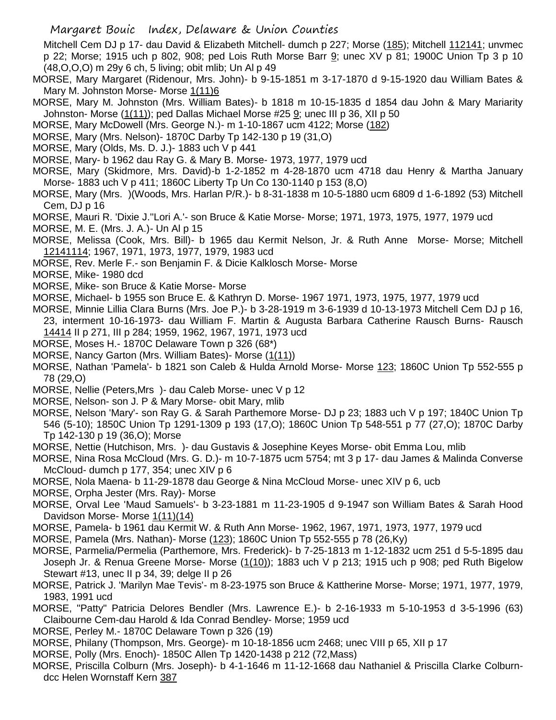Mitchell Cem DJ p 17- dau David & Elizabeth Mitchell- dumch p 227; Morse (185); Mitchell 112141; unvmec p 22; Morse; 1915 uch p 802, 908; ped Lois Ruth Morse Barr 9; unec XV p 81; 1900C Union Tp 3 p 10 (48,O,O,O) m 29y 6 ch, 5 living; obit mlib; Un Al p 49

- MORSE, Mary Margaret (Ridenour, Mrs. John)- b 9-15-1851 m 3-17-1870 d 9-15-1920 dau William Bates & Mary M. Johnston Morse- Morse 1(11)6
- MORSE, Mary M. Johnston (Mrs. William Bates)- b 1818 m 10-15-1835 d 1854 dau John & Mary Mariarity Johnston- Morse (1(11)); ped Dallas Michael Morse #25 9; unec III p 36, XII p 50
- MORSE, Mary McDowell (Mrs. George N.)- m 1-10-1867 ucm 4122; Morse (182)
- MORSE, Mary (Mrs. Nelson)- 1870C Darby Tp 142-130 p 19 (31,O)
- MORSE, Mary (Olds, Ms. D. J.)- 1883 uch V p 441
- MORSE, Mary- b 1962 dau Ray G. & Mary B. Morse- 1973, 1977, 1979 ucd
- MORSE, Mary (Skidmore, Mrs. David)-b 1-2-1852 m 4-28-1870 ucm 4718 dau Henry & Martha January Morse- 1883 uch V p 411; 1860C Liberty Tp Un Co 130-1140 p 153 (8,O)
- MORSE, Mary (Mrs. )(Woods, Mrs. Harlan P/R.)- b 8-31-1838 m 10-5-1880 ucm 6809 d 1-6-1892 (53) Mitchell Cem, DJ p 16
- MORSE, Mauri R. 'Dixie J.''Lori A.'- son Bruce & Katie Morse- Morse; 1971, 1973, 1975, 1977, 1979 ucd
- MORSE, M. E. (Mrs. J. A.)- Un Al p 15
- MORSE, Melissa (Cook, Mrs. Bill)- b 1965 dau Kermit Nelson, Jr. & Ruth Anne Morse- Morse; Mitchell 12141114; 1967, 1971, 1973, 1977, 1979, 1983 ucd
- MORSE, Rev. Merle F.- son Benjamin F. & Dicie Kalklosch Morse- Morse
- MORSE, Mike- 1980 dcd
- MORSE, Mike- son Bruce & Katie Morse- Morse
- MORSE, Michael- b 1955 son Bruce E. & Kathryn D. Morse- 1967 1971, 1973, 1975, 1977, 1979 ucd
- MORSE, Minnie Lillia Clara Burns (Mrs. Joe P.)- b 3-28-1919 m 3-6-1939 d 10-13-1973 Mitchell Cem DJ p 16, 23, interment 10-16-1973- dau William F. Martin & Augusta Barbara Catherine Rausch Burns- Rausch 14414 II p 271, III p 284; 1959, 1962, 1967, 1971, 1973 ucd
- MORSE, Moses H.- 1870C Delaware Town p 326 (68\*)
- MORSE, Nancy Garton (Mrs. William Bates) Morse (1(11))
- MORSE, Nathan 'Pamela'- b 1821 son Caleb & Hulda Arnold Morse- Morse 123; 1860C Union Tp 552-555 p 78 (29,O)
- MORSE, Nellie (Peters,Mrs )- dau Caleb Morse- unec V p 12
- MORSE, Nelson- son J. P & Mary Morse- obit Mary, mlib
- MORSE, Nelson 'Mary'- son Ray G. & Sarah Parthemore Morse- DJ p 23; 1883 uch V p 197; 1840C Union Tp 546 (5-10); 1850C Union Tp 1291-1309 p 193 (17,O); 1860C Union Tp 548-551 p 77 (27,O); 1870C Darby Tp 142-130 p 19 (36,O); Morse
- MORSE, Nettie (Hutchison, Mrs. )- dau Gustavis & Josephine Keyes Morse- obit Emma Lou, mlib
- MORSE, Nina Rosa McCloud (Mrs. G. D.)- m 10-7-1875 ucm 5754; mt 3 p 17- dau James & Malinda Converse McCloud- dumch p 177, 354; unec XIV p 6
- MORSE, Nola Maena- b 11-29-1878 dau George & Nina McCloud Morse- unec XIV p 6, ucb
- MORSE, Orpha Jester (Mrs. Ray)- Morse
- MORSE, Orval Lee 'Maud Samuels'- b 3-23-1881 m 11-23-1905 d 9-1947 son William Bates & Sarah Hood Davidson Morse- Morse 1(11)(14)
- MORSE, Pamela- b 1961 dau Kermit W. & Ruth Ann Morse- 1962, 1967, 1971, 1973, 1977, 1979 ucd
- MORSE, Pamela (Mrs. Nathan)- Morse (123); 1860C Union Tp 552-555 p 78 (26,Ky)
- MORSE, Parmelia/Permelia (Parthemore, Mrs. Frederick)- b 7-25-1813 m 1-12-1832 ucm 251 d 5-5-1895 dau Joseph Jr. & Renua Greene Morse- Morse  $(1(10))$ ; 1883 uch V p 213; 1915 uch p 908; ped Ruth Bigelow Stewart #13, unec II p 34, 39; delge II p 26
- MORSE, Patrick J. 'Marilyn Mae Tevis'- m 8-23-1975 son Bruce & Kattherine Morse- Morse; 1971, 1977, 1979, 1983, 1991 ucd
- MORSE, "Patty" Patricia Delores Bendler (Mrs. Lawrence E.)- b 2-16-1933 m 5-10-1953 d 3-5-1996 (63) Claibourne Cem-dau Harold & Ida Conrad Bendley- Morse; 1959 ucd
- MORSE, Perley M.- 1870C Delaware Town p 326 (19)
- MORSE, Philany (Thompson, Mrs. George)- m 10-18-1856 ucm 2468; unec VIII p 65, XII p 17
- MORSE, Polly (Mrs. Enoch)- 1850C Allen Tp 1420-1438 p 212 (72,Mass)
- MORSE, Priscilla Colburn (Mrs. Joseph)- b 4-1-1646 m 11-12-1668 dau Nathaniel & Priscilla Clarke Colburndcc Helen Wornstaff Kern 387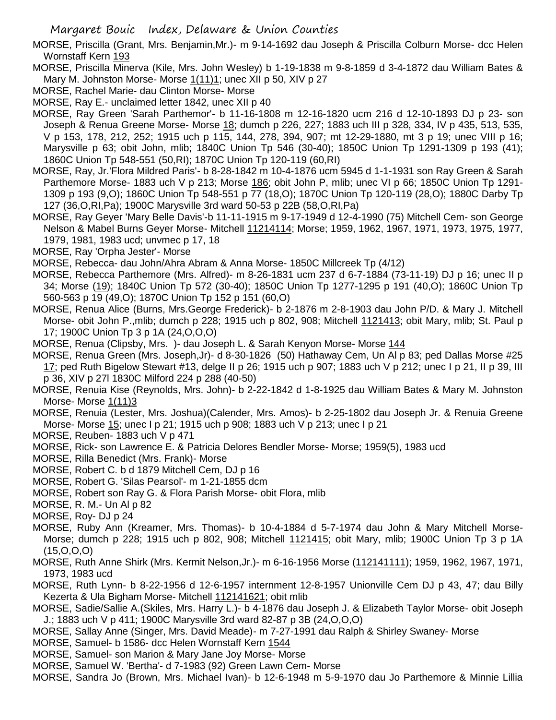MORSE, Priscilla (Grant, Mrs. Benjamin,Mr.)- m 9-14-1692 dau Joseph & Priscilla Colburn Morse- dcc Helen Wornstaff Kern 193

MORSE, Priscilla Minerva (Kile, Mrs. John Wesley) b 1-19-1838 m 9-8-1859 d 3-4-1872 dau William Bates & Mary M. Johnston Morse- Morse  $1(11)1$ ; unec XII p 50, XIV p 27

MORSE, Rachel Marie- dau Clinton Morse- Morse

MORSE, Ray E.- unclaimed letter 1842, unec XII p 40

- MORSE, Ray Green 'Sarah Parthemor'- b 11-16-1808 m 12-16-1820 ucm 216 d 12-10-1893 DJ p 23- son Joseph & Renua Greene Morse- Morse 18; dumch p 226, 227; 1883 uch III p 328, 334, IV p 435, 513, 535, V p 153, 178, 212, 252; 1915 uch p 115, 144, 278, 394, 907; mt 12-29-1880, mt 3 p 19; unec VIII p 16; Marysville p 63; obit John, mlib; 1840C Union Tp 546 (30-40); 1850C Union Tp 1291-1309 p 193 (41); 1860C Union Tp 548-551 (50,RI); 1870C Union Tp 120-119 (60,RI)
- MORSE, Ray, Jr.'Flora Mildred Paris'- b 8-28-1842 m 10-4-1876 ucm 5945 d 1-1-1931 son Ray Green & Sarah Parthemore Morse- 1883 uch V p 213; Morse 186; obit John P, mlib; unec VI p 66; 1850C Union Tp 1291-1309 p 193 (9,O); 1860C Union Tp 548-551 p 77 (18,O); 1870C Union Tp 120-119 (28,O); 1880C Darby Tp 127 (36,O,RI,Pa); 1900C Marysville 3rd ward 50-53 p 22B (58,O,RI,Pa)
- MORSE, Ray Geyer 'Mary Belle Davis'-b 11-11-1915 m 9-17-1949 d 12-4-1990 (75) Mitchell Cem- son George Nelson & Mabel Burns Geyer Morse- Mitchell 11214114; Morse; 1959, 1962, 1967, 1971, 1973, 1975, 1977, 1979, 1981, 1983 ucd; unvmec p 17, 18
- MORSE, Ray 'Orpha Jester'- Morse
- MORSE, Rebecca- dau John/Ahra Abram & Anna Morse- 1850C Millcreek Tp (4/12)
- MORSE, Rebecca Parthemore (Mrs. Alfred)- m 8-26-1831 ucm 237 d 6-7-1884 (73-11-19) DJ p 16; unec II p 34; Morse (19); 1840C Union Tp 572 (30-40); 1850C Union Tp 1277-1295 p 191 (40,O); 1860C Union Tp 560-563 p 19 (49,O); 1870C Union Tp 152 p 151 (60,O)
- MORSE, Renua Alice (Burns, Mrs.George Frederick)- b 2-1876 m 2-8-1903 dau John P/D. & Mary J. Mitchell Morse- obit John P.,mlib; dumch p 228; 1915 uch p 802, 908; Mitchell 1121413; obit Mary, mlib; St. Paul p 17; 1900C Union Tp 3 p 1A (24,O,O,O)
- MORSE, Renua (Clipsby, Mrs.) dau Joseph L. & Sarah Kenyon Morse- Morse 144
- MORSE, Renua Green (Mrs. Joseph,Jr)- d 8-30-1826 (50) Hathaway Cem, Un Al p 83; ped Dallas Morse #25 17; ped Ruth Bigelow Stewart #13, delge II p 26; 1915 uch p 907; 1883 uch V p 212; unec I p 21, II p 39, III p 36, XIV p 27l 1830C Milford 224 p 288 (40-50)
- MORSE, Renuia Kise (Reynolds, Mrs. John)- b 2-22-1842 d 1-8-1925 dau William Bates & Mary M. Johnston Morse- Morse 1(11)3
- MORSE, Renuia (Lester, Mrs. Joshua)(Calender, Mrs. Amos)- b 2-25-1802 dau Joseph Jr. & Renuia Greene Morse- Morse 15; unec I p 21; 1915 uch p 908; 1883 uch V p 213; unec I p 21
- MORSE, Reuben- 1883 uch V p 471
- MORSE, Rick- son Lawrence E. & Patricia Delores Bendler Morse- Morse; 1959(5), 1983 ucd
- MORSE, Rilla Benedict (Mrs. Frank)- Morse
- MORSE, Robert C. b d 1879 Mitchell Cem, DJ p 16
- MORSE, Robert G. 'Silas Pearsol'- m 1-21-1855 dcm
- MORSE, Robert son Ray G. & Flora Parish Morse- obit Flora, mlib
- MORSE, R. M.- Un Al p 82
- MORSE, Roy- DJ p 24
- MORSE, Ruby Ann (Kreamer, Mrs. Thomas)- b 10-4-1884 d 5-7-1974 dau John & Mary Mitchell Morse-Morse; dumch p 228; 1915 uch p 802, 908; Mitchell 1121415; obit Mary, mlib; 1900C Union Tp 3 p 1A (15,O,O,O)
- MORSE, Ruth Anne Shirk (Mrs. Kermit Nelson,Jr.)- m 6-16-1956 Morse (112141111); 1959, 1962, 1967, 1971, 1973, 1983 ucd
- MORSE, Ruth Lynn- b 8-22-1956 d 12-6-1957 internment 12-8-1957 Unionville Cem DJ p 43, 47; dau Billy Kezerta & Ula Bigham Morse- Mitchell 112141621; obit mlib
- MORSE, Sadie/Sallie A.(Skiles, Mrs. Harry L.)- b 4-1876 dau Joseph J. & Elizabeth Taylor Morse- obit Joseph J.; 1883 uch V p 411; 1900C Marysville 3rd ward 82-87 p 3B (24,O,O,O)
- MORSE, Sallay Anne (Singer, Mrs. David Meade)- m 7-27-1991 dau Ralph & Shirley Swaney- Morse
- MORSE, Samuel- b 1586- dcc Helen Wornstaff Kern 1544
- MORSE, Samuel- son Marion & Mary Jane Joy Morse- Morse
- MORSE, Samuel W. 'Bertha'- d 7-1983 (92) Green Lawn Cem- Morse
- MORSE, Sandra Jo (Brown, Mrs. Michael Ivan)- b 12-6-1948 m 5-9-1970 dau Jo Parthemore & Minnie Lillia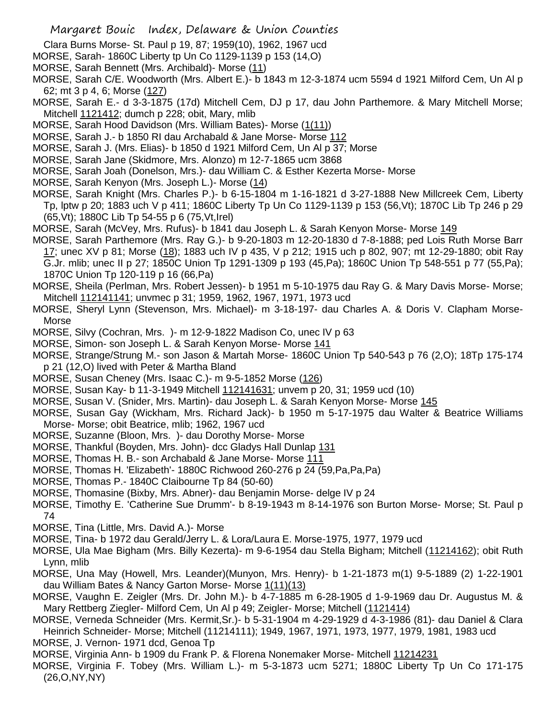- Clara Burns Morse- St. Paul p 19, 87; 1959(10), 1962, 1967 ucd
- MORSE, Sarah- 1860C Liberty tp Un Co 1129-1139 p 153 (14,O)
- MORSE, Sarah Bennett (Mrs. Archibald)- Morse (11)
- MORSE, Sarah C/E. Woodworth (Mrs. Albert E.)- b 1843 m 12-3-1874 ucm 5594 d 1921 Milford Cem, Un Al p 62; mt 3 p 4, 6; Morse (127)
- MORSE, Sarah E.- d 3-3-1875 (17d) Mitchell Cem, DJ p 17, dau John Parthemore. & Mary Mitchell Morse; Mitchell 1121412; dumch p 228; obit, Mary, mlib
- MORSE, Sarah Hood Davidson (Mrs. William Bates)- Morse (1(11))
- MORSE, Sarah J.- b 1850 RI dau Archabald & Jane Morse- Morse 112
- MORSE, Sarah J. (Mrs. Elias)- b 1850 d 1921 Milford Cem, Un Al p 37; Morse
- MORSE, Sarah Jane (Skidmore, Mrs. Alonzo) m 12-7-1865 ucm 3868
- MORSE, Sarah Joah (Donelson, Mrs.)- dau William C. & Esther Kezerta Morse- Morse
- MORSE, Sarah Kenyon (Mrs. Joseph L.)- Morse (14)
- MORSE, Sarah Knight (Mrs. Charles P.)- b 6-15-1804 m 1-16-1821 d 3-27-1888 New Millcreek Cem, Liberty Tp, lptw p 20; 1883 uch V p 411; 1860C Liberty Tp Un Co 1129-1139 p 153 (56,Vt); 1870C Lib Tp 246 p 29 (65,Vt); 1880C Lib Tp 54-55 p 6 (75,Vt,Irel)
- MORSE, Sarah (McVey, Mrs. Rufus)- b 1841 dau Joseph L. & Sarah Kenyon Morse- Morse 149
- MORSE, Sarah Parthemore (Mrs. Ray G.)- b 9-20-1803 m 12-20-1830 d 7-8-1888; ped Lois Ruth Morse Barr 17; unec XV p 81; Morse (18); 1883 uch IV p 435, V p 212; 1915 uch p 802, 907; mt 12-29-1880; obit Ray G.Jr. mlib; unec II p 27; 1850C Union Tp 1291-1309 p 193 (45,Pa); 1860C Union Tp 548-551 p 77 (55,Pa); 1870C Union Tp 120-119 p 16 (66,Pa)
- MORSE, Sheila (Perlman, Mrs. Robert Jessen)- b 1951 m 5-10-1975 dau Ray G. & Mary Davis Morse- Morse; Mitchell 112141141; unvmec p 31; 1959, 1962, 1967, 1971, 1973 ucd
- MORSE, Sheryl Lynn (Stevenson, Mrs. Michael)- m 3-18-197- dau Charles A. & Doris V. Clapham Morse-Morse
- MORSE, Silvy (Cochran, Mrs. )- m 12-9-1822 Madison Co, unec IV p 63
- MORSE, Simon- son Joseph L. & Sarah Kenyon Morse- Morse 141
- MORSE, Strange/Strung M.- son Jason & Martah Morse- 1860C Union Tp 540-543 p 76 (2,O); 18Tp 175-174 p 21 (12,O) lived with Peter & Martha Bland
- MORSE, Susan Cheney (Mrs. Isaac C.)- m 9-5-1852 Morse (126)
- MORSE, Susan Kay- b 11-3-1949 Mitchell 112141631; unvem p 20, 31; 1959 ucd (10)
- MORSE, Susan V. (Snider, Mrs. Martin)- dau Joseph L. & Sarah Kenyon Morse- Morse 145
- MORSE, Susan Gay (Wickham, Mrs. Richard Jack)- b 1950 m 5-17-1975 dau Walter & Beatrice Williams Morse- Morse; obit Beatrice, mlib; 1962, 1967 ucd
- MORSE, Suzanne (Bloon, Mrs. )- dau Dorothy Morse- Morse
- MORSE, Thankful (Boyden, Mrs. John)- dcc Gladys Hall Dunlap 131
- MORSE, Thomas H. B.- son Archabald & Jane Morse- Morse 111
- MORSE, Thomas H. 'Elizabeth'- 1880C Richwood 260-276 p 24 (59,Pa,Pa,Pa)
- MORSE, Thomas P.- 1840C Claibourne Tp 84 (50-60)
- MORSE, Thomasine (Bixby, Mrs. Abner)- dau Benjamin Morse- delge IV p 24
- MORSE, Timothy E. 'Catherine Sue Drumm'- b 8-19-1943 m 8-14-1976 son Burton Morse- Morse; St. Paul p 74
- MORSE, Tina (Little, Mrs. David A.)- Morse
- MORSE, Tina- b 1972 dau Gerald/Jerry L. & Lora/Laura E. Morse-1975, 1977, 1979 ucd
- MORSE, Ula Mae Bigham (Mrs. Billy Kezerta)- m 9-6-1954 dau Stella Bigham; Mitchell (11214162); obit Ruth Lynn, mlib
- MORSE, Una May (Howell, Mrs. Leander)(Munyon, Mrs. Henry)- b 1-21-1873 m(1) 9-5-1889 (2) 1-22-1901 dau William Bates & Nancy Garton Morse- Morse 1(11)(13)
- MORSE, Vaughn E. Zeigler (Mrs. Dr. John M.)- b 4-7-1885 m 6-28-1905 d 1-9-1969 dau Dr. Augustus M. & Mary Rettberg Ziegler- Milford Cem, Un Al p 49; Zeigler- Morse; Mitchell (1121414)
- MORSE, Verneda Schneider (Mrs. Kermit,Sr.)- b 5-31-1904 m 4-29-1929 d 4-3-1986 (81)- dau Daniel & Clara Heinrich Schneider- Morse; Mitchell (11214111); 1949, 1967, 1971, 1973, 1977, 1979, 1981, 1983 ucd
- MORSE, J. Vernon- 1971 dcd, Genoa Tp
- MORSE, Virginia Ann- b 1909 du Frank P. & Florena Nonemaker Morse- Mitchell 11214231
- MORSE, Virginia F. Tobey (Mrs. William L.)- m 5-3-1873 ucm 5271; 1880C Liberty Tp Un Co 171-175 (26,O,NY,NY)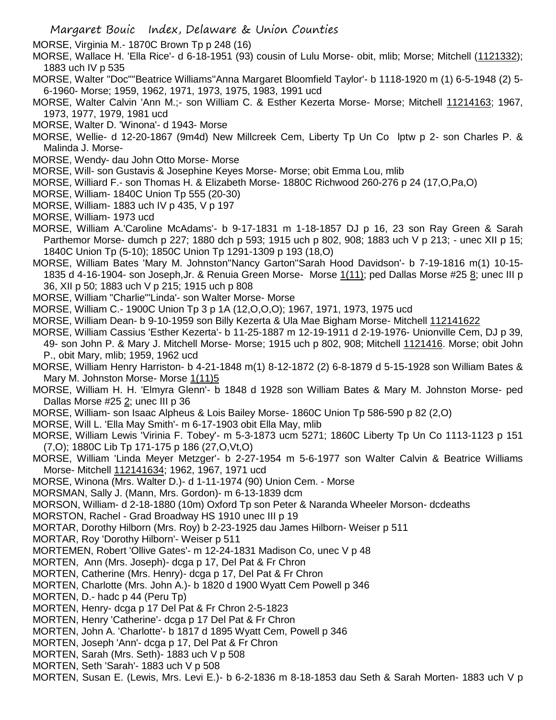MORSE, Virginia M.- 1870C Brown Tp p 248 (16)

MORSE, Wallace H. 'Ella Rice'- d 6-18-1951 (93) cousin of Lulu Morse- obit, mlib; Morse; Mitchell (1121332); 1883 uch IV p 535

MORSE, Walter "Doc"''Beatrice Williams''Anna Margaret Bloomfield Taylor'- b 1118-1920 m (1) 6-5-1948 (2) 5- 6-1960- Morse; 1959, 1962, 1971, 1973, 1975, 1983, 1991 ucd

- MORSE, Walter Calvin 'Ann M.;- son William C. & Esther Kezerta Morse- Morse; Mitchell 11214163; 1967, 1973, 1977, 1979, 1981 ucd
- MORSE, Walter D. 'Winona'- d 1943- Morse
- MORSE, Wellie- d 12-20-1867 (9m4d) New Millcreek Cem, Liberty Tp Un Co lptw p 2- son Charles P. & Malinda J. Morse-
- MORSE, Wendy- dau John Otto Morse- Morse
- MORSE, Will- son Gustavis & Josephine Keyes Morse- Morse; obit Emma Lou, mlib
- MORSE, Williard F.- son Thomas H. & Elizabeth Morse- 1880C Richwood 260-276 p 24 (17,O,Pa,O)
- MORSE, William- 1840C Union Tp 555 (20-30)
- MORSE, William- 1883 uch IV p 435, V p 197
- MORSE, William- 1973 ucd
- MORSE, William A.'Caroline McAdams'- b 9-17-1831 m 1-18-1857 DJ p 16, 23 son Ray Green & Sarah Parthemor Morse- dumch p 227; 1880 dch p 593; 1915 uch p 802, 908; 1883 uch V p 213; - unec XII p 15; 1840C Union Tp (5-10); 1850C Union Tp 1291-1309 p 193 (18,O)
- MORSE, William Bates 'Mary M. Johnston''Nancy Garton''Sarah Hood Davidson'- b 7-19-1816 m(1) 10-15- 1835 d 4-16-1904- son Joseph, Jr. & Renuia Green Morse- Morse 1(11); ped Dallas Morse #25 8; unec III p 36, XII p 50; 1883 uch V p 215; 1915 uch p 808
- MORSE, William "Charlie"'Linda'- son Walter Morse- Morse
- MORSE, William C.- 1900C Union Tp 3 p 1A (12,O,O,O); 1967, 1971, 1973, 1975 ucd
- MORSE, William Dean- b 9-10-1959 son Billy Kezerta & Ula Mae Bigham Morse- Mitchell 112141622
- MORSE, William Cassius 'Esther Kezerta'- b 11-25-1887 m 12-19-1911 d 2-19-1976- Unionville Cem, DJ p 39, 49- son John P. & Mary J. Mitchell Morse- Morse; 1915 uch p 802, 908; Mitchell 1121416. Morse; obit John P., obit Mary, mlib; 1959, 1962 ucd
- MORSE, William Henry Harriston- b 4-21-1848 m(1) 8-12-1872 (2) 6-8-1879 d 5-15-1928 son William Bates & Mary M. Johnston Morse- Morse 1(11)5
- MORSE, William H. H. 'Elmyra Glenn'- b 1848 d 1928 son William Bates & Mary M. Johnston Morse- ped Dallas Morse #25 2; unec III p 36
- MORSE, William- son Isaac Alpheus & Lois Bailey Morse- 1860C Union Tp 586-590 p 82 (2,O)
- MORSE, Will L. 'Ella May Smith'- m 6-17-1903 obit Ella May, mlib
- MORSE, William Lewis 'Virinia F. Tobey'- m 5-3-1873 ucm 5271; 1860C Liberty Tp Un Co 1113-1123 p 151 (7,O); 1880C Lib Tp 171-175 p 186 (27,O,Vt,O)
- MORSE, William 'Linda Meyer Metzger'- b 2-27-1954 m 5-6-1977 son Walter Calvin & Beatrice Williams Morse- Mitchell 112141634; 1962, 1967, 1971 ucd
- MORSE, Winona (Mrs. Walter D.)- d 1-11-1974 (90) Union Cem. Morse
- MORSMAN, Sally J. (Mann, Mrs. Gordon)- m 6-13-1839 dcm
- MORSON, William- d 2-18-1880 (10m) Oxford Tp son Peter & Naranda Wheeler Morson- dcdeaths
- MORSTON, Rachel Grad Broadway HS 1910 unec III p 19
- MORTAR, Dorothy Hilborn (Mrs. Roy) b 2-23-1925 dau James Hilborn- Weiser p 511
- MORTAR, Roy 'Dorothy Hilborn'- Weiser p 511
- MORTEMEN, Robert 'Ollive Gates'- m 12-24-1831 Madison Co, unec V p 48
- MORTEN, Ann (Mrs. Joseph)- dcga p 17, Del Pat & Fr Chron
- MORTEN, Catherine (Mrs. Henry)- dcga p 17, Del Pat & Fr Chron
- MORTEN, Charlotte (Mrs. John A.)- b 1820 d 1900 Wyatt Cem Powell p 346
- MORTEN, D.- hadc p 44 (Peru Tp)
- MORTEN, Henry- dcga p 17 Del Pat & Fr Chron 2-5-1823
- MORTEN, Henry 'Catherine'- dcga p 17 Del Pat & Fr Chron
- MORTEN, John A. 'Charlotte'- b 1817 d 1895 Wyatt Cem, Powell p 346
- MORTEN, Joseph 'Ann'- dcga p 17, Del Pat & Fr Chron
- MORTEN, Sarah (Mrs. Seth)- 1883 uch V p 508
- MORTEN, Seth 'Sarah'- 1883 uch V p 508
- MORTEN, Susan E. (Lewis, Mrs. Levi E.)- b 6-2-1836 m 8-18-1853 dau Seth & Sarah Morten- 1883 uch V p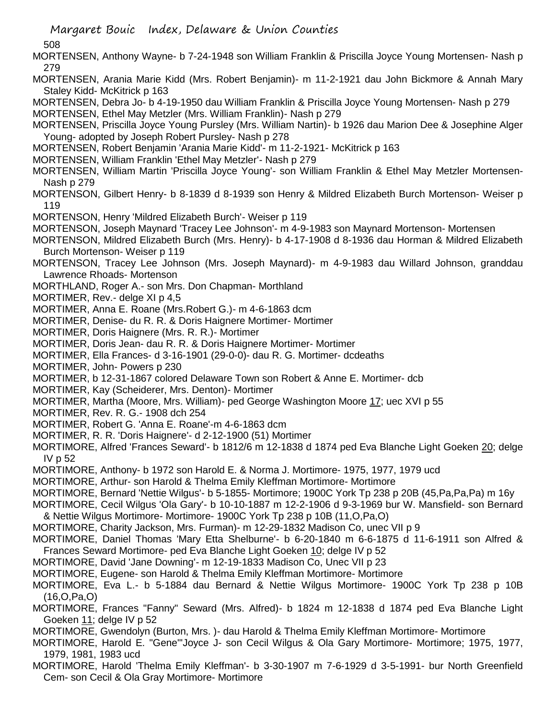Margaret Bouic Index, Delaware & Union Counties 508 MORTENSEN, Anthony Wayne- b 7-24-1948 son William Franklin & Priscilla Joyce Young Mortensen- Nash p 279 MORTENSEN, Arania Marie Kidd (Mrs. Robert Benjamin)- m 11-2-1921 dau John Bickmore & Annah Mary Staley Kidd- McKitrick p 163 MORTENSEN, Debra Jo- b 4-19-1950 dau William Franklin & Priscilla Joyce Young Mortensen- Nash p 279 MORTENSEN, Ethel May Metzler (Mrs. William Franklin)- Nash p 279 MORTENSEN, Priscilla Joyce Young Pursley (Mrs. William Nartin)- b 1926 dau Marion Dee & Josephine Alger Young- adopted by Joseph Robert Pursley- Nash p 278 MORTENSEN, Robert Benjamin 'Arania Marie Kidd'- m 11-2-1921- McKitrick p 163 MORTENSEN, William Franklin 'Ethel May Metzler'- Nash p 279 MORTENSEN, William Martin 'Priscilla Joyce Young'- son William Franklin & Ethel May Metzler Mortensen-Nash p 279 MORTENSON, Gilbert Henry- b 8-1839 d 8-1939 son Henry & Mildred Elizabeth Burch Mortenson- Weiser p 119 MORTENSON, Henry 'Mildred Elizabeth Burch'- Weiser p 119 MORTENSON, Joseph Maynard 'Tracey Lee Johnson'- m 4-9-1983 son Maynard Mortenson- Mortensen MORTENSON, Mildred Elizabeth Burch (Mrs. Henry)- b 4-17-1908 d 8-1936 dau Horman & Mildred Elizabeth Burch Mortenson- Weiser p 119 MORTENSON, Tracey Lee Johnson (Mrs. Joseph Maynard)- m 4-9-1983 dau Willard Johnson, granddau Lawrence Rhoads- Mortenson MORTHLAND, Roger A.- son Mrs. Don Chapman- Morthland MORTIMER, Rev.- delge XI p 4,5 MORTIMER, Anna E. Roane (Mrs.Robert G.)- m 4-6-1863 dcm MORTIMER, Denise- du R. R. & Doris Haignere Mortimer- Mortimer MORTIMER, Doris Haignere (Mrs. R. R.)- Mortimer MORTIMER, Doris Jean- dau R. R. & Doris Haignere Mortimer- Mortimer MORTIMER, Ella Frances- d 3-16-1901 (29-0-0)- dau R. G. Mortimer- dcdeaths MORTIMER, John- Powers p 230 MORTIMER, b 12-31-1867 colored Delaware Town son Robert & Anne E. Mortimer- dcb MORTIMER, Kay (Scheiderer, Mrs. Denton)- Mortimer MORTIMER, Martha (Moore, Mrs. William)- ped George Washington Moore 17; uec XVI p 55 MORTIMER, Rev. R. G.- 1908 dch 254 MORTIMER, Robert G. 'Anna E. Roane'-m 4-6-1863 dcm MORTIMER, R. R. 'Doris Haignere'- d 2-12-1900 (51) Mortimer MORTIMORE, Alfred 'Frances Seward'- b 1812/6 m 12-1838 d 1874 ped Eva Blanche Light Goeken 20; delge IV p 52 MORTIMORE, Anthony- b 1972 son Harold E. & Norma J. Mortimore- 1975, 1977, 1979 ucd MORTIMORE, Arthur- son Harold & Thelma Emily Kleffman Mortimore- Mortimore MORTIMORE, Bernard 'Nettie Wilgus'- b 5-1855- Mortimore; 1900C York Tp 238 p 20B (45,Pa,Pa,Pa) m 16y MORTIMORE, Cecil Wilgus 'Ola Gary'- b 10-10-1887 m 12-2-1906 d 9-3-1969 bur W. Mansfield- son Bernard & Nettie Wilgus Mortimore- Mortimore- 1900C York Tp 238 p 10B (11,O,Pa,O) MORTIMORE, Charity Jackson, Mrs. Furman)- m 12-29-1832 Madison Co, unec VII p 9 MORTIMORE, Daniel Thomas 'Mary Etta Shelburne'- b 6-20-1840 m 6-6-1875 d 11-6-1911 son Alfred & Frances Seward Mortimore- ped Eva Blanche Light Goeken 10; delge IV p 52 MORTIMORE, David 'Jane Downing'- m 12-19-1833 Madison Co, Unec VII p 23 MORTIMORE, Eugene- son Harold & Thelma Emily Kleffman Mortimore- Mortimore MORTIMORE, Eva L.- b 5-1884 dau Bernard & Nettie Wilgus Mortimore- 1900C York Tp 238 p 10B (16,O,Pa,O) MORTIMORE, Frances "Fanny" Seward (Mrs. Alfred)- b 1824 m 12-1838 d 1874 ped Eva Blanche Light Goeken 11; delge IV p 52 MORTIMORE, Gwendolyn (Burton, Mrs. )- dau Harold & Thelma Emily Kleffman Mortimore- Mortimore MORTIMORE, Harold E. "Gene"'Joyce J- son Cecil Wilgus & Ola Gary Mortimore- Mortimore; 1975, 1977, 1979, 1981, 1983 ucd MORTIMORE, Harold 'Thelma Emily Kleffman'- b 3-30-1907 m 7-6-1929 d 3-5-1991- bur North Greenfield Cem- son Cecil & Ola Gray Mortimore- Mortimore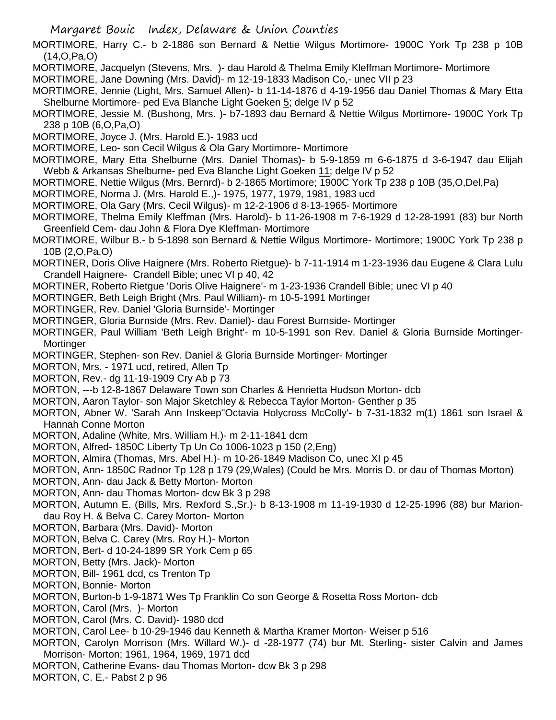MORTIMORE, Harry C.- b 2-1886 son Bernard & Nettie Wilgus Mortimore- 1900C York Tp 238 p 10B (14,O,Pa,O)

- MORTIMORE, Jacquelyn (Stevens, Mrs. )- dau Harold & Thelma Emily Kleffman Mortimore- Mortimore
- MORTIMORE, Jane Downing (Mrs. David)- m 12-19-1833 Madison Co,- unec VII p 23
- MORTIMORE, Jennie (Light, Mrs. Samuel Allen)- b 11-14-1876 d 4-19-1956 dau Daniel Thomas & Mary Etta Shelburne Mortimore- ped Eva Blanche Light Goeken 5; delge IV p 52
- MORTIMORE, Jessie M. (Bushong, Mrs. )- b7-1893 dau Bernard & Nettie Wilgus Mortimore- 1900C York Tp 238 p 10B (6,O,Pa,O)
- MORTIMORE, Joyce J. (Mrs. Harold E.)- 1983 ucd
- MORTIMORE, Leo- son Cecil Wilgus & Ola Gary Mortimore- Mortimore
- MORTIMORE, Mary Etta Shelburne (Mrs. Daniel Thomas)- b 5-9-1859 m 6-6-1875 d 3-6-1947 dau Elijah Webb & Arkansas Shelburne- ped Eva Blanche Light Goeken 11; delge IV p 52
- MORTIMORE, Nettie Wilgus (Mrs. Bernrd)- b 2-1865 Mortimore; 1900C York Tp 238 p 10B (35,O,Del,Pa)
- MORTIMORE, Norma J. (Mrs. Harold E.,)- 1975, 1977, 1979, 1981, 1983 ucd
- MORTIMORE, Ola Gary (Mrs. Cecil Wilgus)- m 12-2-1906 d 8-13-1965- Mortimore
- MORTIMORE, Thelma Emily Kleffman (Mrs. Harold)- b 11-26-1908 m 7-6-1929 d 12-28-1991 (83) bur North Greenfield Cem- dau John & Flora Dye Kleffman- Mortimore
- MORTIMORE, Wilbur B.- b 5-1898 son Bernard & Nettie Wilgus Mortimore- Mortimore; 1900C York Tp 238 p 10B (2,O,Pa,O)
- MORTINER, Doris Olive Haignere (Mrs. Roberto Rietgue)- b 7-11-1914 m 1-23-1936 dau Eugene & Clara Lulu Crandell Haignere- Crandell Bible; unec VI p 40, 42
- MORTINER, Roberto Rietgue 'Doris Olive Haignere'- m 1-23-1936 Crandell Bible; unec VI p 40
- MORTINGER, Beth Leigh Bright (Mrs. Paul William)- m 10-5-1991 Mortinger
- MORTINGER, Rev. Daniel 'Gloria Burnside'- Mortinger
- MORTINGER, Gloria Burnside (Mrs. Rev. Daniel)- dau Forest Burnside- Mortinger
- MORTINGER, Paul William 'Beth Leigh Bright'- m 10-5-1991 son Rev. Daniel & Gloria Burnside Mortinger-**Mortinger**
- MORTINGER, Stephen- son Rev. Daniel & Gloria Burnside Mortinger- Mortinger
- MORTON, Mrs. 1971 ucd, retired, Allen Tp
- MORTON, Rev.- dg 11-19-1909 Cry Ab p 73
- MORTON, ---b 12-8-1867 Delaware Town son Charles & Henrietta Hudson Morton- dcb
- MORTON, Aaron Taylor- son Major Sketchley & Rebecca Taylor Morton- Genther p 35
- MORTON, Abner W. 'Sarah Ann Inskeep''Octavia Holycross McColly'- b 7-31-1832 m(1) 1861 son Israel & Hannah Conne Morton
- MORTON, Adaline (White, Mrs. William H.)- m 2-11-1841 dcm
- MORTON, Alfred- 1850C Liberty Tp Un Co 1006-1023 p 150 (2,Eng)
- MORTON, Almira (Thomas, Mrs. Abel H.)- m 10-26-1849 Madison Co, unec XI p 45
- MORTON, Ann- 1850C Radnor Tp 128 p 179 (29,Wales) (Could be Mrs. Morris D. or dau of Thomas Morton)
- MORTON, Ann- dau Jack & Betty Morton- Morton
- MORTON, Ann- dau Thomas Morton- dcw Bk 3 p 298
- MORTON, Autumn E. (Bills, Mrs. Rexford S.,Sr.)- b 8-13-1908 m 11-19-1930 d 12-25-1996 (88) bur Mariondau Roy H. & Belva C. Carey Morton- Morton
- MORTON, Barbara (Mrs. David)- Morton
- MORTON, Belva C. Carey (Mrs. Roy H.)- Morton
- MORTON, Bert- d 10-24-1899 SR York Cem p 65
- MORTON, Betty (Mrs. Jack)- Morton
- MORTON, Bill- 1961 dcd, cs Trenton Tp
- MORTON, Bonnie- Morton
- MORTON, Burton-b 1-9-1871 Wes Tp Franklin Co son George & Rosetta Ross Morton- dcb
- MORTON, Carol (Mrs. )- Morton
- MORTON, Carol (Mrs. C. David)- 1980 dcd
- MORTON, Carol Lee- b 10-29-1946 dau Kenneth & Martha Kramer Morton- Weiser p 516
- MORTON, Carolyn Morrison (Mrs. Willard W.)- d -28-1977 (74) bur Mt. Sterling- sister Calvin and James Morrison- Morton; 1961, 1964, 1969, 1971 dcd
- MORTON, Catherine Evans- dau Thomas Morton- dcw Bk 3 p 298
- MORTON, C. E.- Pabst 2 p 96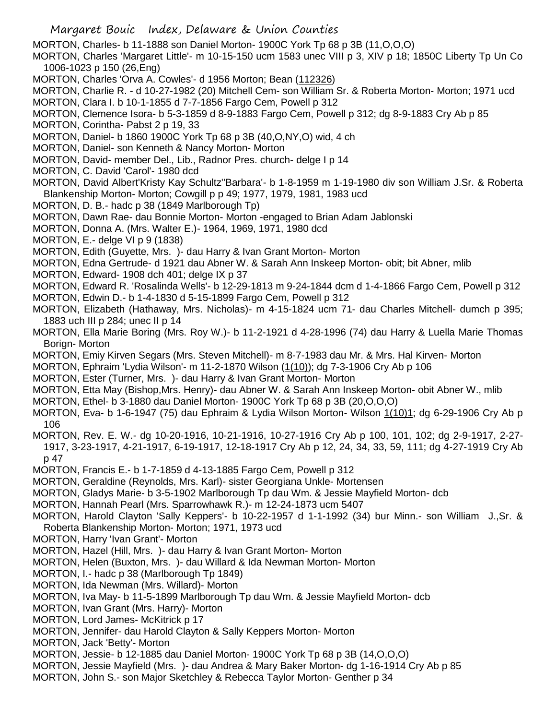MORTON, Charles- b 11-1888 son Daniel Morton- 1900C York Tp 68 p 3B (11,O,O,O)

MORTON, Charles 'Margaret Little'- m 10-15-150 ucm 1583 unec VIII p 3, XIV p 18; 1850C Liberty Tp Un Co 1006-1023 p 150 (26,Eng)

- MORTON, Charles 'Orva A. Cowles'- d 1956 Morton; Bean (112326)
- MORTON, Charlie R. d 10-27-1982 (20) Mitchell Cem- son William Sr. & Roberta Morton- Morton; 1971 ucd MORTON, Clara I. b 10-1-1855 d 7-7-1856 Fargo Cem, Powell p 312
- MORTON, Clemence Isora- b 5-3-1859 d 8-9-1883 Fargo Cem, Powell p 312; dg 8-9-1883 Cry Ab p 85
- MORTON, Corintha- Pabst 2 p 19, 33
- MORTON, Daniel- b 1860 1900C York Tp 68 p 3B (40,O,NY,O) wid, 4 ch
- MORTON, Daniel- son Kenneth & Nancy Morton- Morton
- MORTON, David- member Del., Lib., Radnor Pres. church- delge I p 14
- MORTON, C. David 'Carol'- 1980 dcd
- MORTON, David Albert'Kristy Kay Schultz''Barbara'- b 1-8-1959 m 1-19-1980 div son William J.Sr. & Roberta Blankenship Morton- Morton; Cowgill p p 49; 1977, 1979, 1981, 1983 ucd
- MORTON, D. B.- hadc p 38 (1849 Marlborough Tp)
- MORTON, Dawn Rae- dau Bonnie Morton- Morton -engaged to Brian Adam Jablonski
- MORTON, Donna A. (Mrs. Walter E.)- 1964, 1969, 1971, 1980 dcd
- MORTON, E.- delge VI p 9 (1838)
- MORTON, Edith (Guyette, Mrs. )- dau Harry & Ivan Grant Morton- Morton
- MORTON, Edna Gertrude- d 1921 dau Abner W. & Sarah Ann Inskeep Morton- obit; bit Abner, mlib
- MORTON, Edward- 1908 dch 401; delge IX p 37
- MORTON, Edward R. 'Rosalinda Wells'- b 12-29-1813 m 9-24-1844 dcm d 1-4-1866 Fargo Cem, Powell p 312
- MORTON, Edwin D.- b 1-4-1830 d 5-15-1899 Fargo Cem, Powell p 312
- MORTON, Elizabeth (Hathaway, Mrs. Nicholas)- m 4-15-1824 ucm 71- dau Charles Mitchell- dumch p 395; 1883 uch III p 284; unec II p 14
- MORTON, Ella Marie Boring (Mrs. Roy W.)- b 11-2-1921 d 4-28-1996 (74) dau Harry & Luella Marie Thomas Borign- Morton
- MORTON, Emiy Kirven Segars (Mrs. Steven Mitchell)- m 8-7-1983 dau Mr. & Mrs. Hal Kirven- Morton
- MORTON, Ephraim 'Lydia Wilson'- m 11-2-1870 Wilson (1(10)); dg 7-3-1906 Cry Ab p 106
- MORTON, Ester (Turner, Mrs. )- dau Harry & Ivan Grant Morton- Morton
- MORTON, Etta May (Bishop,Mrs. Henry)- dau Abner W. & Sarah Ann Inskeep Morton- obit Abner W., mlib
- MORTON, Ethel- b 3-1880 dau Daniel Morton- 1900C York Tp 68 p 3B (20,O,O,O)
- MORTON, Eva- b 1-6-1947 (75) dau Ephraim & Lydia Wilson Morton- Wilson 1(10)1; dg 6-29-1906 Cry Ab p 106
- MORTON, Rev. E. W.- dg 10-20-1916, 10-21-1916, 10-27-1916 Cry Ab p 100, 101, 102; dg 2-9-1917, 2-27- 1917, 3-23-1917, 4-21-1917, 6-19-1917, 12-18-1917 Cry Ab p 12, 24, 34, 33, 59, 111; dg 4-27-1919 Cry Ab p 47
- MORTON, Francis E.- b 1-7-1859 d 4-13-1885 Fargo Cem, Powell p 312
- MORTON, Geraldine (Reynolds, Mrs. Karl)- sister Georgiana Unkle- Mortensen
- MORTON, Gladys Marie- b 3-5-1902 Marlborough Tp dau Wm. & Jessie Mayfield Morton- dcb
- MORTON, Hannah Pearl (Mrs. Sparrowhawk R.)- m 12-24-1873 ucm 5407
- MORTON, Harold Clayton 'Sally Keppers'- b 10-22-1957 d 1-1-1992 (34) bur Minn.- son William J.,Sr. & Roberta Blankenship Morton- Morton; 1971, 1973 ucd
- MORTON, Harry 'Ivan Grant'- Morton
- MORTON, Hazel (Hill, Mrs. )- dau Harry & Ivan Grant Morton- Morton
- MORTON, Helen (Buxton, Mrs. )- dau Willard & Ida Newman Morton- Morton
- MORTON, I.- hadc p 38 (Marlborough Tp 1849)
- MORTON, Ida Newman (Mrs. Willard)- Morton
- MORTON, Iva May- b 11-5-1899 Marlborough Tp dau Wm. & Jessie Mayfield Morton- dcb
- MORTON, Ivan Grant (Mrs. Harry)- Morton
- MORTON, Lord James- McKitrick p 17
- MORTON, Jennifer- dau Harold Clayton & Sally Keppers Morton- Morton
- MORTON, Jack 'Betty'- Morton
- MORTON, Jessie- b 12-1885 dau Daniel Morton- 1900C York Tp 68 p 3B (14,O,O,O)
- MORTON, Jessie Mayfield (Mrs. )- dau Andrea & Mary Baker Morton- dg 1-16-1914 Cry Ab p 85
- MORTON, John S.- son Major Sketchley & Rebecca Taylor Morton- Genther p 34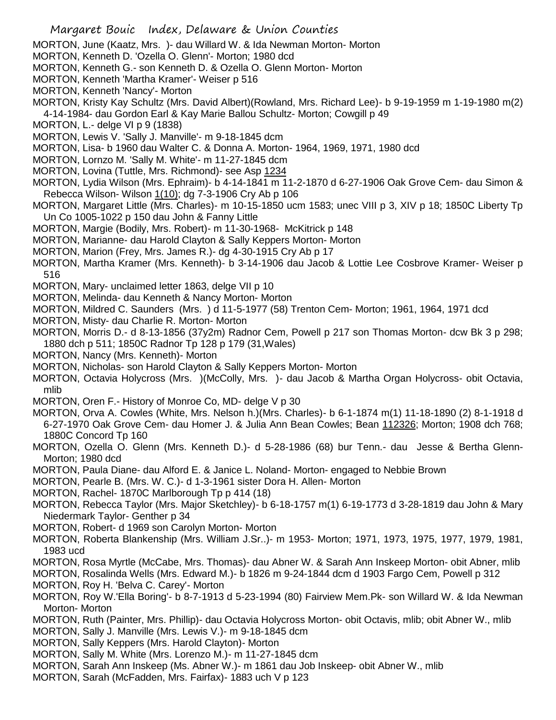- MORTON, June (Kaatz, Mrs. )- dau Willard W. & Ida Newman Morton- Morton
- MORTON, Kenneth D. 'Ozella O. Glenn'- Morton; 1980 dcd
- MORTON, Kenneth G.- son Kenneth D. & Ozella O. Glenn Morton- Morton
- MORTON, Kenneth 'Martha Kramer'- Weiser p 516
- MORTON, Kenneth 'Nancy'- Morton
- MORTON, Kristy Kay Schultz (Mrs. David Albert)(Rowland, Mrs. Richard Lee)- b 9-19-1959 m 1-19-1980 m(2)
- 4-14-1984- dau Gordon Earl & Kay Marie Ballou Schultz- Morton; Cowgill p 49
- MORTON, L.- delge VI p 9 (1838)
- MORTON, Lewis V. 'Sally J. Manville'- m 9-18-1845 dcm
- MORTON, Lisa- b 1960 dau Walter C. & Donna A. Morton- 1964, 1969, 1971, 1980 dcd
- MORTON, Lornzo M. 'Sally M. White'- m 11-27-1845 dcm
- MORTON, Lovina (Tuttle, Mrs. Richmond)- see Asp 1234
- MORTON, Lydia Wilson (Mrs. Ephraim)- b 4-14-1841 m 11-2-1870 d 6-27-1906 Oak Grove Cem- dau Simon & Rebecca Wilson- Wilson 1(10); dg 7-3-1906 Cry Ab p 106
- MORTON, Margaret Little (Mrs. Charles)- m 10-15-1850 ucm 1583; unec VIII p 3, XIV p 18; 1850C Liberty Tp Un Co 1005-1022 p 150 dau John & Fanny Little
- MORTON, Margie (Bodily, Mrs. Robert)- m 11-30-1968- McKitrick p 148
- MORTON, Marianne- dau Harold Clayton & Sally Keppers Morton- Morton
- MORTON, Marion (Frey, Mrs. James R.)- dg 4-30-1915 Cry Ab p 17
- MORTON, Martha Kramer (Mrs. Kenneth)- b 3-14-1906 dau Jacob & Lottie Lee Cosbrove Kramer- Weiser p 516
- MORTON, Mary- unclaimed letter 1863, delge VII p 10
- MORTON, Melinda- dau Kenneth & Nancy Morton- Morton
- MORTON, Mildred C. Saunders (Mrs. ) d 11-5-1977 (58) Trenton Cem- Morton; 1961, 1964, 1971 dcd
- MORTON, Misty- dau Charlie R. Morton- Morton
- MORTON, Morris D.- d 8-13-1856 (37y2m) Radnor Cem, Powell p 217 son Thomas Morton- dcw Bk 3 p 298; 1880 dch p 511; 1850C Radnor Tp 128 p 179 (31,Wales)
- MORTON, Nancy (Mrs. Kenneth)- Morton
- MORTON, Nicholas- son Harold Clayton & Sally Keppers Morton- Morton
- MORTON, Octavia Holycross (Mrs. )(McColly, Mrs. )- dau Jacob & Martha Organ Holycross- obit Octavia, mlib
- MORTON, Oren F.- History of Monroe Co, MD- delge V p 30
- MORTON, Orva A. Cowles (White, Mrs. Nelson h.)(Mrs. Charles)- b 6-1-1874 m(1) 11-18-1890 (2) 8-1-1918 d 6-27-1970 Oak Grove Cem- dau Homer J. & Julia Ann Bean Cowles; Bean 112326; Morton; 1908 dch 768; 1880C Concord Tp 160
- MORTON, Ozella O. Glenn (Mrs. Kenneth D.)- d 5-28-1986 (68) bur Tenn.- dau Jesse & Bertha Glenn-Morton; 1980 dcd
- MORTON, Paula Diane- dau Alford E. & Janice L. Noland- Morton- engaged to Nebbie Brown
- MORTON, Pearle B. (Mrs. W. C.)- d 1-3-1961 sister Dora H. Allen- Morton
- MORTON, Rachel- 1870C Marlborough Tp p 414 (18)
- MORTON, Rebecca Taylor (Mrs. Major Sketchley)- b 6-18-1757 m(1) 6-19-1773 d 3-28-1819 dau John & Mary Niedermark Taylor- Genther p 34
- MORTON, Robert- d 1969 son Carolyn Morton- Morton
- MORTON, Roberta Blankenship (Mrs. William J.Sr..)- m 1953- Morton; 1971, 1973, 1975, 1977, 1979, 1981, 1983 ucd
- MORTON, Rosa Myrtle (McCabe, Mrs. Thomas)- dau Abner W. & Sarah Ann Inskeep Morton- obit Abner, mlib
- MORTON, Rosalinda Wells (Mrs. Edward M.)- b 1826 m 9-24-1844 dcm d 1903 Fargo Cem, Powell p 312 MORTON, Roy H. 'Belva C. Carey'- Morton
- MORTON, Roy W.'Ella Boring'- b 8-7-1913 d 5-23-1994 (80) Fairview Mem.Pk- son Willard W. & Ida Newman Morton- Morton
- MORTON, Ruth (Painter, Mrs. Phillip)- dau Octavia Holycross Morton- obit Octavis, mlib; obit Abner W., mlib
- MORTON, Sally J. Manville (Mrs. Lewis V.)- m 9-18-1845 dcm
- MORTON, Sally Keppers (Mrs. Harold Clayton)- Morton
- MORTON, Sally M. White (Mrs. Lorenzo M.)- m 11-27-1845 dcm
- MORTON, Sarah Ann Inskeep (Ms. Abner W.)- m 1861 dau Job Inskeep- obit Abner W., mlib
- MORTON, Sarah (McFadden, Mrs. Fairfax)- 1883 uch V p 123